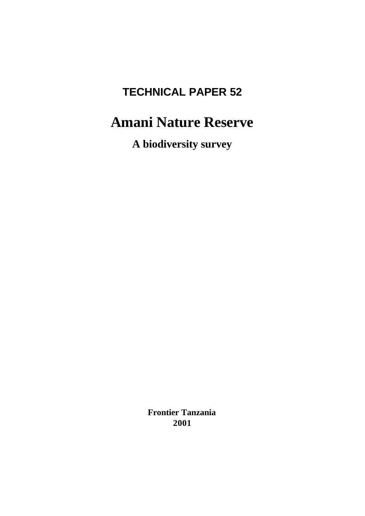# **TECHNICAL PAPER 52**

# **Amani Nature Reserve**

**A biodiversity survey**

**Frontier Tanzania 2001**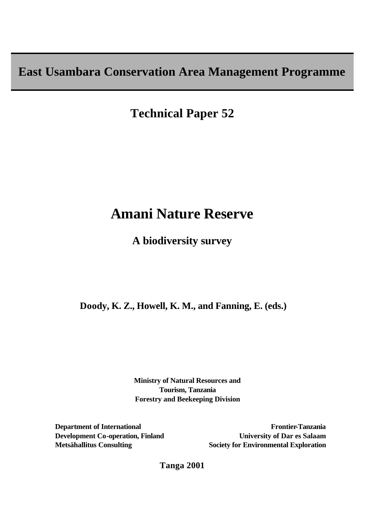**East Usambara Conservation Area Management Programme**

**Technical Paper 52**

# **Amani Nature Reserve**

**A biodiversity survey**

 **Doody, K. Z., Howell, K. M., and Fanning, E. (eds.)**

**Ministry of Natural Resources and Tourism, Tanzania Forestry and Beekeeping Division**

**Department of International Development Co-operation, Finland Metsähallitus Consulting** 

**Frontier-Tanzania University of Dar es Salaam Society for Environmental Exploration**

**Tanga 2001**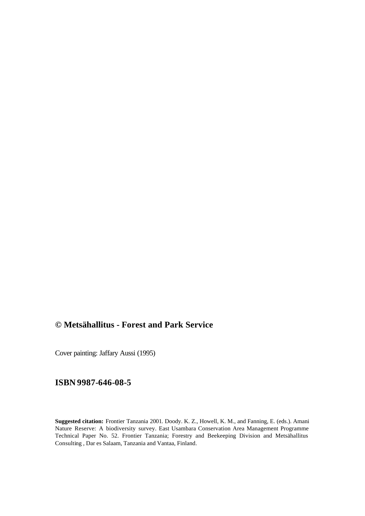# **© Metsähallitus - Forest and Park Service**

Cover painting: Jaffary Aussi (1995)

## **ISBN 9987-646-08-5**

**Suggested citation:** Frontier Tanzania 2001. Doody. K. Z., Howell, K. M., and Fanning, E. (eds.). Amani Nature Reserve: A biodiversity survey. East Usambara Conservation Area Management Programme Technical Paper No. 52. Frontier Tanzania; Forestry and Beekeeping Division and Metsähallitus Consulting , Dar es Salaam, Tanzania and Vantaa, Finland.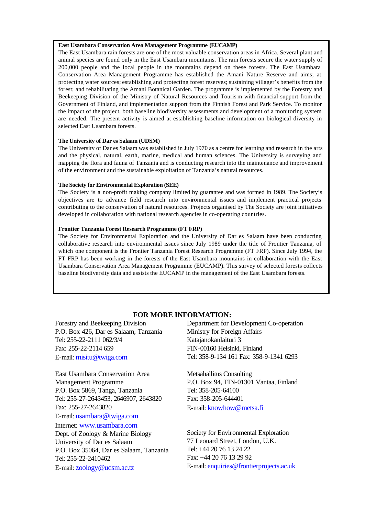#### **East Usambara Conservation Area Management Programme (EUCAMP)**

The East Usambara rain forests are one of the most valuable conservation areas in Africa. Several plant and animal species are found only in the East Usambara mountains. The rain forests secure the water supply of 200,000 people and the local people in the mountains depend on these forests. The East Usambara Conservation Area Management Programme has established the Amani Nature Reserve and aims; at protecting water sources; establishing and protecting forest reserves; sustaining villager's benefits from the forest; and rehabilitating the Amani Botanical Garden. The programme is implemented by the Forestry and Beekeeping Division of the Ministry of Natural Resources and Touris m with financial support from the Government of Finland, and implementation support from the Finnish Forest and Park Service. To monitor the impact of the project, both baseline biodiversity assessments and development of a monitoring system are needed. The present activity is aimed at establishing baseline information on biological diversity in selected East Usambara forests.

#### **The University of Dar es Salaam (UDSM)**

The University of Dar es Salaam was established in July 1970 as a centre for learning and research in the arts and the physical, natural, earth, marine, medical and human sciences. The University is surveying and mapping the flora and fauna of Tanzania and is conducting research into the maintenance and improvement of the environment and the sustainable exploitation of Tanzania's natural resources.

#### **The Society for Environmental Exploration (SEE)**

The Society is a non-profit making company limited by guarantee and was formed in 1989. The Society's objectives are to advance field research into environmental issues and implement practical projects contributing to the conservation of natural resources. Projects organised by The Society are joint initiatives developed in collaboration with national research agencies in co-operating countries.

#### **Frontier Tanzania Forest Research Programme (FT FRP)**

The Society for Environmental Exploration and the University of Dar es Salaam have been conducting collaborative research into environmental issues since July 1989 under the title of Frontier Tanzania, of which one component is the Frontier Tanzania Forest Research Programme (FT FRP). Since July 1994, the FT FRP has been working in the forests of the East Usambara mountains in collaboration with the East Usambara Conservation Area Management Programme (EUCAMP). This survey of selected forests collects baseline biodiversity data and assists the EUCAMP in the management of the East Usambara forests.

## **FOR MORE INFORMATION:**

Forestry and Beekeeping Division P.O. Box 426, Dar es Salaam, Tanzania Tel: 255-22-2111 062/3/4 Fax: 255-22-2114 659 E-mail: misitu@twiga.com

East Usambara Conservation Area Management Programme P.O. Box 5869, Tanga, Tanzania Tel: 255-27-2643453, 2646907, 2643820 Fax: 255-27-2643820 E-mail: usambara@twiga.com Internet: www.usambara.com Dept. of Zoology & Marine Biology

University of Dar es Salaam P.O. Box 35064, Dar es Salaam, Tanzania Tel: 255-22-2410462 E-mail: zoology@udsm.ac.tz

Department for Development Co-operation Ministry for Foreign Affairs Katajanokanlaituri 3 FIN-00160 Helsinki, Finland Tel: 358-9-134 161 Fax: 358-9-1341 6293

Metsähallitus Consulting P.O. Box 94, FIN-01301 Vantaa, Finland Tel: 358-205-64100 Fax: 358-205-644401 E-mail: knowhow@metsa.fi

Society for Environmental Exploration 77 Leonard Street, London, U.K. Tel: +44 20 76 13 24 22 Fax: +44 20 76 13 29 92 E-mail: enquiries@frontierprojects.ac.uk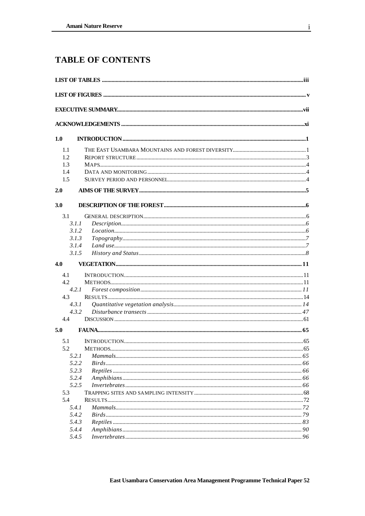# **TABLE OF CONTENTS**

| 1.0 |                |  |
|-----|----------------|--|
| 1.1 |                |  |
| 1.2 |                |  |
| 1.3 |                |  |
| 1.4 |                |  |
| 1.5 |                |  |
| 2.0 |                |  |
| 3.0 |                |  |
| 3.1 |                |  |
|     | 3.1.1          |  |
|     | 3.1.2          |  |
|     | 3.1.3          |  |
|     | 3.1.4          |  |
|     | 3.1.5          |  |
| 4.0 |                |  |
| 4.1 |                |  |
| 4.2 |                |  |
|     | 4.2.1          |  |
| 4.3 |                |  |
|     | 4.3.1          |  |
|     | 4.3.2          |  |
| 4.4 |                |  |
| 5.0 |                |  |
| 5.1 |                |  |
| 5.2 | <b>METHODS</b> |  |
|     | 5.2.1          |  |
|     | 5.2.2          |  |
|     | 5.2.3          |  |
|     | 5.2.4          |  |
|     | 5.2.5          |  |
| 5.3 |                |  |
| 5.4 |                |  |
|     | 5.4.1          |  |
|     | 5.4.2          |  |
|     | 5.4.3          |  |
|     | 5.4.4          |  |
|     | 5.4.5          |  |

 $\mathbf{i}$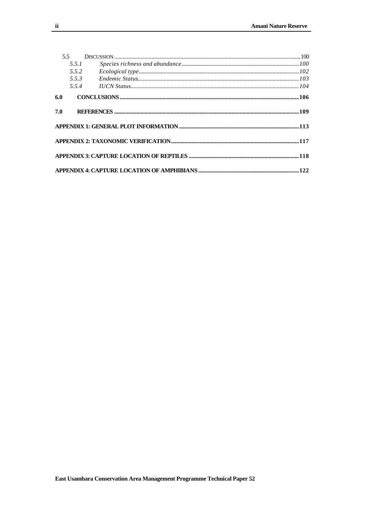|     | 5.5.1 |                                                                                            |  |
|-----|-------|--------------------------------------------------------------------------------------------|--|
|     | 5.5.2 |                                                                                            |  |
|     | 5.5.3 | $\label{thm:main} Endemic \textit{Status}.\text{}.\text{}.\text{}.\text{}.\text{}.\text{}$ |  |
|     |       |                                                                                            |  |
| 6.0 |       |                                                                                            |  |
| 7.0 |       |                                                                                            |  |
|     |       |                                                                                            |  |
|     |       |                                                                                            |  |
|     |       |                                                                                            |  |
|     |       |                                                                                            |  |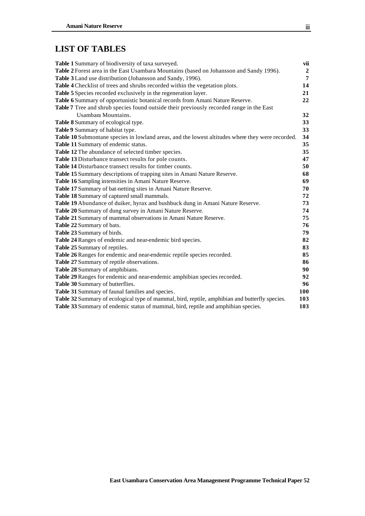# **LIST OF TABLES**

| Table 1 Summary of biodiversity of taxa surveyed.                                                | vii              |
|--------------------------------------------------------------------------------------------------|------------------|
| Table 2 Forest area in the East Usambara Mountains (based on Johansson and Sandy 1996).          | $\boldsymbol{2}$ |
| Table 3 Land use distribution (Johansson and Sandy, 1996).                                       | $\overline{7}$   |
| Table 4 Checklist of trees and shrubs recorded within the vegetation plots.                      | 14               |
| Table 5 Species recorded exclusively in the regeneration layer.                                  | 21               |
| Table 6 Summary of opportunistic botanical records from Amani Nature Reserve.                    | 22               |
| Table 7 Tree and shrub species found outside their previously recorded range in the East         |                  |
| Usambara Mountains.                                                                              | 32               |
| Table 8 Summary of ecological type.                                                              | 33               |
| Table 9 Summary of habitat type.                                                                 | 33               |
| Table 10 Submontane species in lowland areas, and the lowest altitudes where they were recorded. | 34               |
| Table 11 Summary of endemic status.                                                              | 35               |
| Table 12 The abundance of selected timber species.                                               | 35               |
| Table 13 Disturbance transect results for pole counts.                                           | 47               |
| Table 14 Disturbance transect results for timber counts.                                         | 50               |
| Table 15 Summary descriptions of trapping sites in Amani Nature Reserve.                         | 68               |
| Table 16 Sampling intensities in Amani Nature Reserve.                                           | 69               |
| Table 17 Summary of bat-netting sites in Amani Nature Reserve.                                   | 70               |
| Table 18 Summary of captured small mammals.                                                      | 72               |
| Table 19 Abundance of duiker, hyrax and bushbuck dung in Amani Nature Reserve.                   | 73               |
| Table 20 Summary of dung survey in Amani Nature Reserve.                                         | 74               |
| Table 21 Summary of mammal observations in Amani Nature Reserve.                                 | 75               |
| Table 22 Summary of bats.                                                                        | 76               |
| Table 23 Summary of birds.                                                                       | 79               |
| Table 24 Ranges of endemic and near-endemic bird species.                                        | 82               |
| Table 25 Summary of reptiles.                                                                    | 83               |
| Table 26 Ranges for endemic and near-endemic reptile species recorded.                           | 85               |
| Table 27 Summary of reptile observations.                                                        | 86               |
| Table 28 Summary of amphibians.                                                                  | 90               |
| Table 29 Ranges for endemic and near-endemic amphibian species recorded.                         | 92               |
| Table 30 Summary of butterflies.                                                                 | 96               |
| Table 31 Summary of faunal families and species.                                                 | <b>100</b>       |
| Table 32 Summary of ecological type of mammal, bird, reptile, amphibian and butterfly species.   | 103              |
| Table 33 Summary of endemic status of mammal, bird, reptile and amphibian species.               | 103              |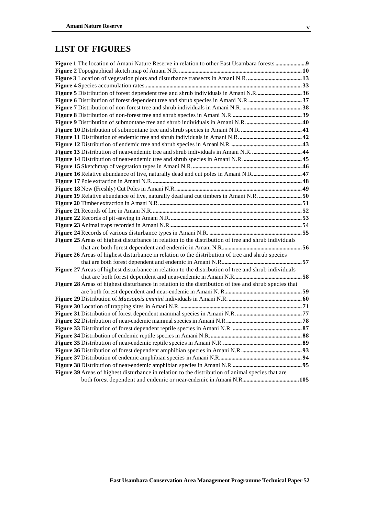## **LIST OF FIGURES**

| Figure 5 Distribution of forest dependent tree and shrub individuals in Amani N.R36                   |  |
|-------------------------------------------------------------------------------------------------------|--|
|                                                                                                       |  |
|                                                                                                       |  |
|                                                                                                       |  |
|                                                                                                       |  |
|                                                                                                       |  |
|                                                                                                       |  |
|                                                                                                       |  |
|                                                                                                       |  |
|                                                                                                       |  |
|                                                                                                       |  |
|                                                                                                       |  |
|                                                                                                       |  |
|                                                                                                       |  |
| Figure 19 Relative abundance of live, naturally dead and cut timbers in Amani N.R. 50                 |  |
|                                                                                                       |  |
|                                                                                                       |  |
|                                                                                                       |  |
|                                                                                                       |  |
|                                                                                                       |  |
| Figure 25 Areas of highest disturbance in relation to the distribution of tree and shrub individuals  |  |
|                                                                                                       |  |
| Figure 26 Areas of highest disturbance in relation to the distribution of tree and shrub species      |  |
|                                                                                                       |  |
| Figure 27 Areas of highest disturbance in relation to the distribution of tree and shrub individuals  |  |
|                                                                                                       |  |
| Figure 28 Areas of highest disturbance in relation to the distribution of tree and shrub species that |  |
|                                                                                                       |  |
|                                                                                                       |  |
|                                                                                                       |  |
|                                                                                                       |  |
|                                                                                                       |  |
|                                                                                                       |  |
|                                                                                                       |  |
|                                                                                                       |  |
|                                                                                                       |  |
|                                                                                                       |  |
|                                                                                                       |  |
| Figure 39 Areas of highest disturbance in relation to the distribution of animal species that are     |  |
|                                                                                                       |  |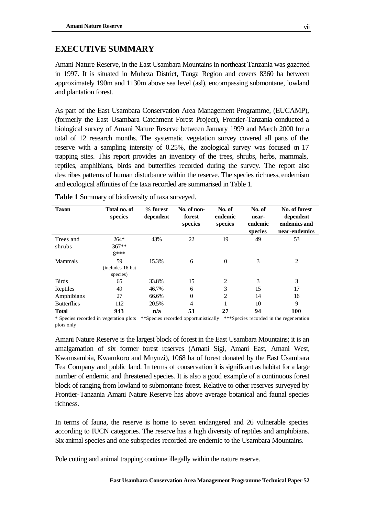## **EXECUTIVE SUMMARY**

Amani Nature Reserve, in the East Usambara Mountains in northeast Tanzania was gazetted in 1997. It is situated in Muheza District, Tanga Region and covers 8360 ha between approximately 190m and 1130m above sea level (asl), encompassing submontane, lowland and plantation forest.

As part of the East Usambara Conservation Area Management Programme, (EUCAMP), (formerly the East Usambara Catchment Forest Project), Frontier-Tanzania conducted a biological survey of Amani Nature Reserve between January 1999 and March 2000 for a total of 12 research months. The systematic vegetation survey covered all parts of the reserve with a sampling intensity of 0.25%, the zoological survey was focused on 17 trapping sites. This report provides an inventory of the trees, shrubs, herbs, mammals, reptiles, amphibians, birds and butterflies recorded during the survey. The report also describes patterns of human disturbance within the reserve. The species richness, endemism and ecological affinities of the taxa recorded are summarised in Table 1.

| <b>Taxon</b>        | Total no. of<br>species             | % forest<br>dependent | No. of non-<br>forest<br>species | No. of<br>endemic<br>species | No. of<br>near-<br>endemic<br>species | No. of forest<br>dependent<br>endemics and<br>near-endemics |
|---------------------|-------------------------------------|-----------------------|----------------------------------|------------------------------|---------------------------------------|-------------------------------------------------------------|
| Trees and<br>shrubs | $264*$<br>$367**$<br>$8***$         | 43%                   | 22                               | 19                           | 49                                    | 53                                                          |
| <b>Mammals</b>      | 59<br>(includes 16 bat)<br>species) | 15.3%                 | 6                                | $\Omega$                     | 3                                     | 2                                                           |
| <b>Birds</b>        | 65                                  | 33.8%                 | 15                               | $\overline{2}$               | 3                                     | 3                                                           |
| Reptiles            | 49                                  | 46.7%                 | 6                                | 3                            | 15                                    | 17                                                          |
| Amphibians          | 27                                  | 66.6%                 | $\theta$                         | $\overline{2}$               | 14                                    | 16                                                          |
| <b>Butterflies</b>  | 112                                 | 20.5%                 | 4                                |                              | 10                                    | 9                                                           |
| <b>Total</b>        | 943                                 | n/a                   | 53                               | 27                           | 94                                    | 100                                                         |

**Table 1** Summary of biodiversity of taxa surveyed.

\* Species recorded in vegetation plots \*\*Species recorded opportunistically \*\*\*Species recorded in the regeneration plots only

Amani Nature Reserve is the largest block of forest in the East Usambara Mountains; it is an amalgamation of six former forest reserves (Amani Sigi, Amani East, Amani West, Kwamsambia, Kwamkoro and Mnyuzi), 1068 ha of forest donated by the East Usambara Tea Company and public land. In terms of conservation it is significant as habitat for a large number of endemic and threatened species. It is also a good example of a continuous forest block of ranging from lowland to submontane forest. Relative to other reserves surveyed by Frontier-Tanzania Amani Nature Reserve has above average botanical and faunal species richness.

In terms of fauna, the reserve is home to seven endangered and 26 vulnerable species according to IUCN categories. The reserve has a high diversity of reptiles and amphibians. Six animal species and one subspecies recorded are endemic to the Usambara Mountains.

Pole cutting and animal trapping continue illegally within the nature reserve.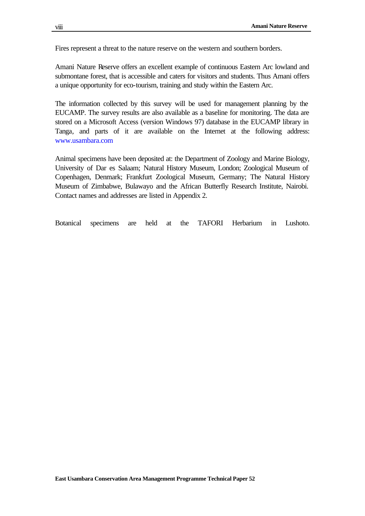Fires represent a threat to the nature reserve on the western and southern borders.

Amani Nature Reserve offers an excellent example of continuous Eastern Arc lowland and submontane forest, that is accessible and caters for visitors and students. Thus Amani offers a unique opportunity for eco-tourism, training and study within the Eastern Arc.

The information collected by this survey will be used for management planning by the EUCAMP. The survey results are also available as a baseline for monitoring. The data are stored on a Microsoft Access (version Windows 97) database in the EUCAMP library in Tanga, and parts of it are available on the Internet at the following address: www.usambara.com

Animal specimens have been deposited at: the Department of Zoology and Marine Biology, University of Dar es Salaam; Natural History Museum, London; Zoological Museum of Copenhagen, Denmark; Frankfurt Zoological Museum, Germany; The Natural History Museum of Zimbabwe, Bulawayo and the African Butterfly Research Institute, Nairobi. Contact names and addresses are listed in Appendix 2.

Botanical specimens are held at the TAFORI Herbarium in Lushoto.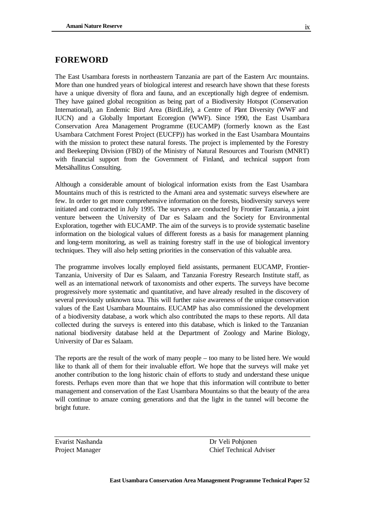## **FOREWORD**

The East Usambara forests in northeastern Tanzania are part of the Eastern Arc mountains. More than one hundred years of biological interest and research have shown that these forests have a unique diversity of flora and fauna, and an exceptionally high degree of endemism. They have gained global recognition as being part of a Biodiversity Hotspot (Conservation International), an Endemic Bird Area (BirdLife), a Centre of Plant Diversity (WWF and IUCN) and a Globally Important Ecoregion (WWF). Since 1990, the East Usambara Conservation Area Management Programme (EUCAMP) (formerly known as the East Usambara Catchment Forest Project (EUCFP)) has worked in the East Usambara Mountains with the mission to protect these natural forests. The project is implemented by the Forestry and Beekeeping Division (FBD) of the Ministry of Natural Resources and Tourism (MNRT) with financial support from the Government of Finland, and technical support from Metsähallitus Consulting.

Although a considerable amount of biological information exists from the East Usambara Mountains much of this is restricted to the Amani area and systematic surveys elsewhere are few. In order to get more comprehensive information on the forests, biodiversity surveys were initiated and contracted in July 1995. The surveys are conducted by Frontier Tanzania, a joint venture between the University of Dar es Salaam and the Society for Environmental Exploration, together with EUCAMP. The aim of the surveys is to provide systematic baseline information on the biological values of different forests as a basis for management planning and long-term monitoring, as well as training forestry staff in the use of biological inventory techniques. They will also help setting priorities in the conservation of this valuable area.

The programme involves locally employed field assistants, permanent EUCAMP, Frontier-Tanzania, University of Dar es Salaam, and Tanzania Forestry Research Institute staff, as well as an international network of taxonomists and other experts. The surveys have become progressively more systematic and quantitative, and have already resulted in the discovery of several previously unknown taxa. This will further raise awareness of the unique conservation values of the East Usambara Mountains. EUCAMP has also commissioned the development of a biodiversity database, a work which also contributed the maps to these reports. All data collected during the surveys is entered into this database, which is linked to the Tanzanian national biodiversity database held at the Department of Zoology and Marine Biology, University of Dar es Salaam.

The reports are the result of the work of many people – too many to be listed here. We would like to thank all of them for their invaluable effort. We hope that the surveys will make yet another contribution to the long historic chain of efforts to study and understand these unique forests. Perhaps even more than that we hope that this information will contribute to better management and conservation of the East Usambara Mountains so that the beauty of the area will continue to amaze coming generations and that the light in the tunnel will become the bright future.

Evarist Nashanda Dr Veli Pohjonen Project Manager Chief Technical Adviser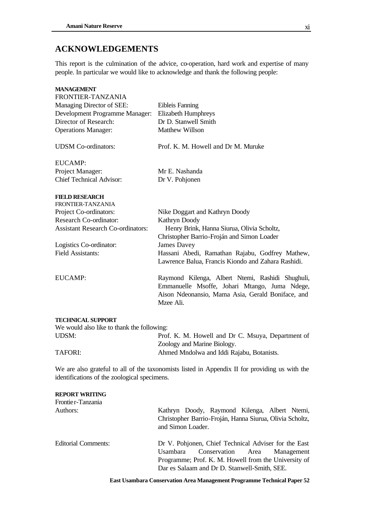## **ACKNOWLEDGEMENTS**

This report is the culmination of the advice, co-operation, hard work and expertise of many people. In particular we would like to acknowledge and thank the following people:

| <b>MANAGEMENT</b>                          |                                                                                                       |
|--------------------------------------------|-------------------------------------------------------------------------------------------------------|
| FRONTIER-TANZANIA                          |                                                                                                       |
| Managing Director of SEE:                  | Eibleis Fanning                                                                                       |
| Development Programme Manager:             | <b>Elizabeth Humphreys</b>                                                                            |
| Director of Research:                      | Dr D. Stanwell Smith                                                                                  |
| <b>Operations Manager:</b>                 | Matthew Willson                                                                                       |
| <b>UDSM</b> Co-ordinators:                 | Prof. K. M. Howell and Dr M. Muruke                                                                   |
| EUCAMP:                                    |                                                                                                       |
| Project Manager:                           | Mr E. Nashanda                                                                                        |
| <b>Chief Technical Advisor:</b>            | Dr V. Pohjonen                                                                                        |
| <b>FIELD RESEARCH</b>                      |                                                                                                       |
| FRONTIER-TANZANIA                          |                                                                                                       |
| Project Co-ordinators:                     | Nike Doggart and Kathryn Doody                                                                        |
| Research Co-ordinator:                     | Kathryn Doody                                                                                         |
| <b>Assistant Research Co-ordinators:</b>   | Henry Brink, Hanna Siurua, Olivia Scholtz,<br>Christopher Barrio-Froján and Simon Loader              |
| Logistics Co-ordinator:                    | <b>James Davey</b>                                                                                    |
| <b>Field Assistants:</b>                   | Hassani Abedi, Ramathan Rajabu, Godfrey Mathew,<br>Lawrence Balua, Francis Kiondo and Zahara Rashidi. |
| <b>EUCAMP:</b>                             | Raymond Kilenga, Albert Ntemi, Rashidi Shughuli,                                                      |
|                                            | Emmanuelle Msoffe, Johari Mtango, Juma Ndege,                                                         |
|                                            | Aison Ndeonansio, Mama Asia, Gerald Boniface, and                                                     |
|                                            | Mzee Ali.                                                                                             |
| <b>TECHNICAL SUPPORT</b>                   |                                                                                                       |
| We would also like to thank the following: |                                                                                                       |

| $\mathcal{H}$ would also like to thank the following. |                                                   |
|-------------------------------------------------------|---------------------------------------------------|
| UDSM:                                                 | Prof. K. M. Howell and Dr C. Msuya, Department of |
|                                                       | Zoology and Marine Biology.                       |
| TAFORI:                                               | Ahmed Mndolwa and Iddi Rajabu, Botanists.         |
|                                                       |                                                   |

We are also grateful to all of the taxonomists listed in Appendix II for providing us with the identifications of the zoological specimens.

#### **REPORT WRITING**

| Frontier-Tanzania          |                                                                                                                                                                                                       |
|----------------------------|-------------------------------------------------------------------------------------------------------------------------------------------------------------------------------------------------------|
| Authors:                   | Kathryn Doody, Raymond Kilenga, Albert Ntemi,<br>Christopher Barrio-Froján, Hanna Siurua, Olivia Scholtz,<br>and Simon Loader.                                                                        |
| <b>Editorial Comments:</b> | Dr V. Pohjonen, Chief Technical Adviser for the East<br>Usambara Conservation Area Management<br>Programme; Prof. K. M. Howell from the University of<br>Dar es Salaam and Dr D. Stanwell-Smith, SEE. |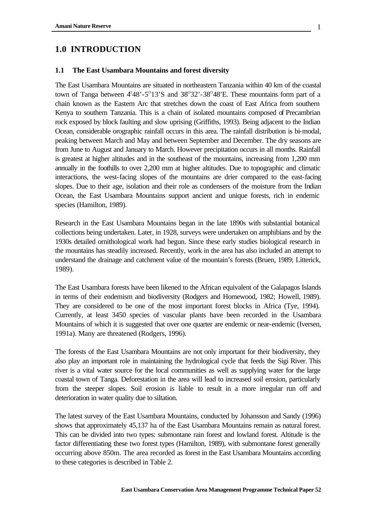## **1.0 INTRODUCTION**

### **1.1 The East Usambara Mountains and forest diversity**

The East Usambara Mountains are situated in northeastern Tanzania within 40 km of the coastal town of Tanga between  $4^{\circ}48^{\circ}$ -5<sup>°</sup>13'S and 38<sup>°</sup>32'-38<sup>°</sup>48'E. These mountains form part of a chain known as the Eastern Arc that stretches down the coast of East Africa from southern Kenya to southern Tanzania. This is a chain of isolated mountains composed of Precambrian rock exposed by block faulting and slow uprising (Griffiths, 1993). Being adjacent to the Indian Ocean, considerable orographic rainfall occurs in this area. The rainfall distribution is bi-modal, peaking between March and May and between September and December. The dry seasons are from June to August and January to March. However precipitation occurs in all months. Rainfall is greatest at higher altitudes and in the southeast of the mountains, increasing from 1,200 mm annually in the foothills to over 2,200 mm at higher altitudes. Due to topographic and climatic interactions, the west-facing slopes of the mountains are drier compared to the east-facing slopes. Due to their age, isolation and their role as condensers of the moisture from the Indian Ocean, the East Usambara Mountains support ancient and unique forests, rich in endemic species (Hamilton, 1989).

Research in the East Usambara Mountains began in the late 1890s with substantial botanical collections being undertaken. Later, in 1928, surveys were undertaken on amphibians and by the 1930s detailed ornithological work had begun. Since these early studies biological research in the mountains has steadily increased. Recently, work in the area has also included an attempt to understand the drainage and catchment value of the mountain's forests (Bruen, 1989; Litterick, 1989).

The East Usambara forests have been likened to the African equivalent of the Galapagos Islands in terms of their endemism and biodiversity (Rodgers and Homewood, 1982; Howell, 1989). They are considered to be one of the most important forest blocks in Africa (Tye, 1994). Currently, at least 3450 species of vascular plants have been recorded in the Usambara Mountains of which it is suggested that over one quarter are endemic or near-endemic (Iversen, 1991a). Many are threatened (Rodgers, 1996).

The forests of the East Usambara Mountains are not only important for their biodiversity, they also play an important role in maintaining the hydrological cycle that feeds the Sigi River. This river is a vital water source for the local communities as well as supplying water for the large coastal town of Tanga. Deforestation in the area will lead to increased soil erosion, particularly from the steeper slopes. Soil erosion is liable to result in a more irregular run off and deterioration in water quality due to siltation.

The latest survey of the East Usambara Mountains, conducted by Johansson and Sandy (1996) shows that approximately 45,137 ha of the East Usambara Mountains remain as natural forest. This can be divided into two types: submontane rain forest and lowland forest. Altitude is the factor differentiating these two forest types (Hamilton, 1989), with submontane forest generally occurring above 850m. The area recorded as forest in the East Usambara Mountains according to these categories is described in Table 2.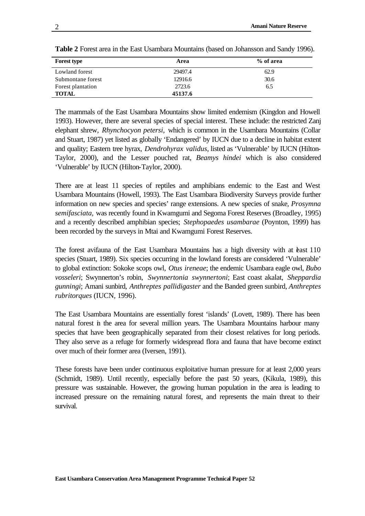| <b>Forest type</b> | Area    | % of area |
|--------------------|---------|-----------|
| Lowland forest     | 29497.4 | 62.9      |
| Submontane forest  | 12916.6 | 30.6      |
| Forest plantation  | 2723.6  | 6.5       |
| <b>TOTAL</b>       | 45137.6 |           |

**Table 2** Forest area in the East Usambara Mountains (based on Johansson and Sandy 1996).

The mammals of the East Usambara Mountains show limited endemism (Kingdon and Howell 1993). However, there are several species of special interest. These include: the restricted Zanj elephant shrew, *Rhynchocyon petersi,* which is common in the Usambara Mountains (Collar and Stuart, 1987) yet listed as globally 'Endangered' by IUCN due to a decline in habitat extent and quality; Eastern tree hyrax, *Dendrohyrax validus*, listed as 'Vulnerable' by IUCN (Hilton-Taylor, 2000), and the Lesser pouched rat, *Beamys hindei* which is also considered 'Vulnerable' by IUCN (Hilton-Taylor, 2000).

There are at least 11 species of reptiles and amphibians endemic to the East and West Usambara Mountains (Howell, 1993). The East Usambara Biodiversity Surveys provide further information on new species and species' range extensions. A new species of snake, *Prosymna semifasciata,* was recently found in Kwamgumi and Segoma Forest Reserves (Broadley, 1995) and a recently described amphibian species; *Stephopaedes usambarae* (Poynton, 1999) has been recorded by the surveys in Mtai and Kwamgumi Forest Reserves.

The forest avifauna of the East Usambara Mountains has a high diversity with at east 110 species (Stuart, 1989). Six species occurring in the lowland forests are considered 'Vulnerable' to global extinction: Sokoke scops owl, *Otus ireneae*; the endemic Usambara eagle owl, *Bubo vosseleri*; Swynnerton's robin, *Swynnertonia swynnertoni*; East coast akalat, *Sheppardia gunningi*; Amani sunbird, *Anthreptes pallidigaster* and the Banded green sunbird, *Anthreptes rubritorques* (IUCN*,* 1996).

The East Usambara Mountains are essentially forest 'islands' (Lovett, 1989). There has been natural forest in the area for several million years. The Usambara Mountains harbour many species that have been geographically separated from their closest relatives for long periods. They also serve as a refuge for formerly widespread flora and fauna that have become extinct over much of their former area (Iversen, 1991).

These forests have been under continuous exploitative human pressure for at least 2,000 years (Schmidt, 1989). Until recently, especially before the past 50 years, (Kikula, 1989), this pressure was sustainable. However, the growing human population in the area is leading to increased pressure on the remaining natural forest, and represents the main threat to their survival.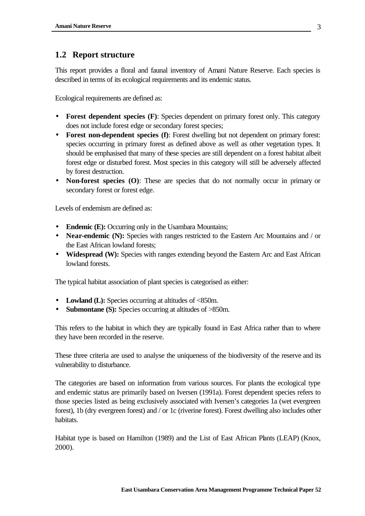## **1.2 Report structure**

This report provides a floral and faunal inventory of Amani Nature Reserve. Each species is described in terms of its ecological requirements and its endemic status.

Ecological requirements are defined as:

- **Forest dependent species (F)**: Species dependent on primary forest only. This category does not include forest edge or secondary forest species;
- **Forest non-dependent species (f)**: Forest dwelling but not dependent on primary forest: species occurring in primary forest as defined above as well as other vegetation types. It should be emphasised that many of these species are still dependent on a forest habitat albeit forest edge or disturbed forest. Most species in this category will still be adversely affected by forest destruction.
- **Non-forest species (O)**: These are species that do not normally occur in primary or secondary forest or forest edge.

Levels of endemism are defined as:

- **Endemic (E):** Occurring only in the Usambara Mountains;
- **Near-endemic (N):** Species with ranges restricted to the Eastern Arc Mountains and / or the East African lowland forests;
- **Widespread (W):** Species with ranges extending beyond the Eastern Arc and East African lowland forests.

The typical habitat association of plant species is categorised as either:

- Lowland (L): Species occurring at altitudes of <850m.
- **Submontane (S):** Species occurring at altitudes of >850m.

This refers to the habitat in which they are typically found in East Africa rather than to where they have been recorded in the reserve.

These three criteria are used to analyse the uniqueness of the biodiversity of the reserve and its vulnerability to disturbance.

The categories are based on information from various sources. For plants the ecological type and endemic status are primarily based on Iversen (1991a). Forest dependent species refers to those species listed as being exclusively associated with Iversen's categories 1a (wet evergreen forest), 1b (dry evergreen forest) and / or 1c (riverine forest). Forest dwelling also includes other habitats.

Habitat type is based on Hamilton (1989) and the List of East African Plants (LEAP) (Knox, 2000).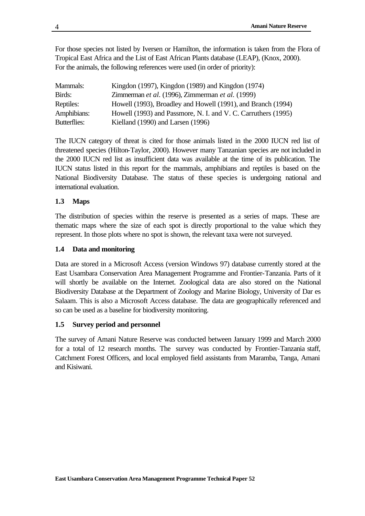For those species not listed by Iversen or Hamilton, the information is taken from the Flora of Tropical East Africa and the List of East African Plants database (LEAP), (Knox, 2000). For the animals, the following references were used (in order of priority):

| Mammals:     | Kingdon (1997), Kingdon (1989) and Kingdon (1974)             |
|--------------|---------------------------------------------------------------|
| Birds:       | Zimmerman et al. (1996), Zimmerman et al. (1999)              |
| Reptiles:    | Howell (1993), Broadley and Howell (1991), and Branch (1994)  |
| Amphibians:  | Howell (1993) and Passmore, N. I. and V. C. Carruthers (1995) |
| Butterflies: | Kielland (1990) and Larsen (1996)                             |

The IUCN category of threat is cited for those animals listed in the 2000 IUCN red list of threatened species (Hilton-Taylor, 2000). However many Tanzanian species are not included in the 2000 IUCN red list as insufficient data was available at the time of its publication. The IUCN status listed in this report for the mammals, amphibians and reptiles is based on the National Biodiversity Database. The status of these species is undergoing national and international evaluation.

## **1.3 Maps**

The distribution of species within the reserve is presented as a series of maps. These are thematic maps where the size of each spot is directly proportional to the value which they represent. In those plots where no spot is shown, the relevant taxa were not surveyed.

## **1.4 Data and monitoring**

Data are stored in a Microsoft Access (version Windows 97) database currently stored at the East Usambara Conservation Area Management Programme and Frontier-Tanzania. Parts of it will shortly be available on the Internet. Zoological data are also stored on the National Biodiversity Database at the Department of Zoology and Marine Biology, University of Dar es Salaam. This is also a Microsoft Access database. The data are geographically referenced and so can be used as a baseline for biodiversity monitoring.

## **1.5 Survey period and personnel**

The survey of Amani Nature Reserve was conducted between January 1999 and March 2000 for a total of 12 research months. The survey was conducted by Frontier-Tanzania staff, Catchment Forest Officers, and local employed field assistants from Maramba, Tanga, Amani and Kisiwani.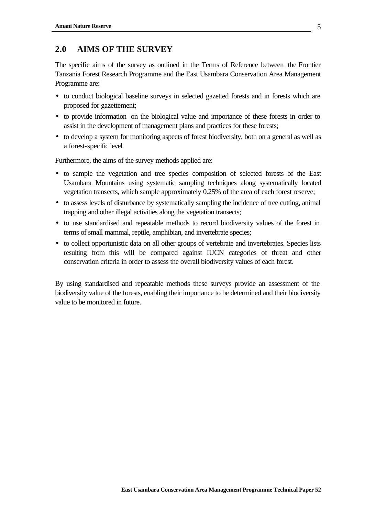## **2.0 AIMS OF THE SURVEY**

The specific aims of the survey as outlined in the Terms of Reference between the Frontier Tanzania Forest Research Programme and the East Usambara Conservation Area Management Programme are:

- to conduct biological baseline surveys in selected gazetted forests and in forests which are proposed for gazettement;
- to provide information on the biological value and importance of these forests in order to assist in the development of management plans and practices for these forests;
- to develop a system for monitoring aspects of forest biodiversity, both on a general as well as a forest-specific level.

Furthermore, the aims of the survey methods applied are:

- to sample the vegetation and tree species composition of selected forests of the East Usambara Mountains using systematic sampling techniques along systematically located vegetation transects, which sample approximately 0.25% of the area of each forest reserve;
- to assess levels of disturbance by systematically sampling the incidence of tree cutting, animal trapping and other illegal activities along the vegetation transects;
- to use standardised and repeatable methods to record biodiversity values of the forest in terms of small mammal, reptile, amphibian, and invertebrate species;
- to collect opportunistic data on all other groups of vertebrate and invertebrates. Species lists resulting from this will be compared against IUCN categories of threat and other conservation criteria in order to assess the overall biodiversity values of each forest.

By using standardised and repeatable methods these surveys provide an assessment of the biodiversity value of the forests, enabling their importance to be determined and their biodiversity value to be monitored in future.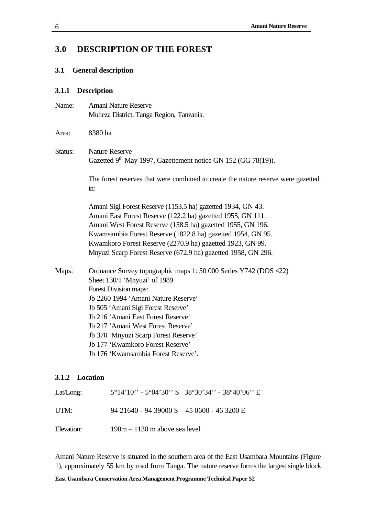# **3.0 DESCRIPTION OF THE FOREST**

## **3.1 General description**

## **3.1.1 Description**

| Name:   | Amani Nature Reserve                                                                     |
|---------|------------------------------------------------------------------------------------------|
|         | Muheza District, Tanga Region, Tanzania.                                                 |
| Area:   | 8380 ha                                                                                  |
| Status: | <b>Nature Reserve</b>                                                                    |
|         | Gazetted 9 <sup>th</sup> May 1997, Gazettement notice GN 152 (GG 78(19)).                |
|         | The forest reserves that were combined to create the nature reserve were gazetted<br>in: |
|         | Amani Sigi Forest Reserve (1153.5 ha) gazetted 1934, GN 43.                              |
|         | Amani East Forest Reserve (122.2 ha) gazetted 1955, GN 111.                              |
|         | Amani West Forest Reserve (158.5 ha) gazetted 1955, GN 196.                              |
|         | Kwamsambia Forest Reserve (1822.8 ha) gazetted 1954, GN 95.                              |
|         | Kwamkoro Forest Reserve (2270.9 ha) gazetted 1923, GN 99.                                |
|         | Mnyuzi Scarp Forest Reserve (672.9 ha) gazetted 1958, GN 296.                            |
| Maps:   | Ordnance Survey topographic maps 1: 50 000 Series Y742 (DOS 422)                         |
|         | Sheet 130/1 'Mnyuzi' of 1989                                                             |
|         | Forest Division maps:                                                                    |
|         | Jb 2260 1994 'Amani Nature Reserve'                                                      |
|         | Jb 505 'Amani Sigi Forest Reserve'                                                       |
|         | Jb 216 'Amani East Forest Reserve'                                                       |
|         | Jb 217 'Amani West Forest Reserve'                                                       |
|         | Jb 370 'Mnyuzi Scarp Forest Reserve'                                                     |
|         | Jb 177 'Kwamkoro Forest Reserve'                                                         |
|         | Jb 176 'Kwamsambia Forest Reserve'.                                                      |
|         | 3.1.2 Location                                                                           |
|         |                                                                                          |

| Lat/Long:  | $5^{\circ}14'10'' - 5^{\circ}04'30''$ S $38^{\circ}30'34'' - 38^{\circ}40'06''$ E |
|------------|-----------------------------------------------------------------------------------|
| UTM:       | $94\ 21640 - 94\ 39000$ S $45\ 0600 - 46\ 3200$ E                                 |
| Elevation: | $190m - 1130$ m above sea level                                                   |

Amani Nature Reserve is situated in the southern area of the East Usambara Mountains (Figure 1), approximately 55 km by road from Tanga. The nature reserve forms the largest single block

**East Usambara Conservation Area Management Programme Technical Paper 52**

6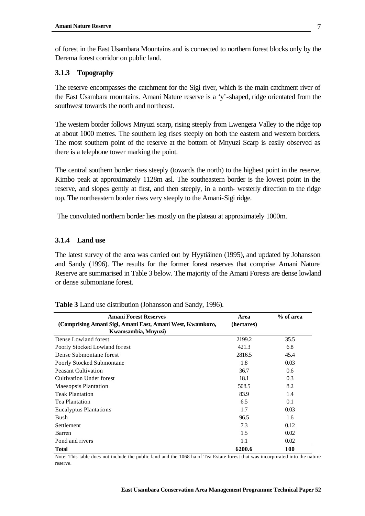of forest in the East Usambara Mountains and is connected to northern forest blocks only by the Derema forest corridor on public land.

#### **3.1.3 Topography**

The reserve encompasses the catchment for the Sigi river, which is the main catchment river of the East Usambara mountains. Amani Nature reserve is a 'y'-shaped, ridge orientated from the southwest towards the north and northeast.

The western border follows Mnyuzi scarp, rising steeply from Lwengera Valley to the ridge top at about 1000 metres. The southern leg rises steeply on both the eastern and western borders. The most southern point of the reserve at the bottom of Mnyuzi Scarp is easily observed as there is a telephone tower marking the point.

The central southern border rises steeply (towards the north) to the highest point in the reserve, Kimbo peak at approximately 1128m asl. The southeastern border is the lowest point in the reserve, and slopes gently at first, and then steeply, in a north- westerly direction to the ridge top. The northeastern border rises very steeply to the Amani-Sigi ridge.

The convoluted northern border lies mostly on the plateau at approximately 1000m.

## **3.1.4 Land use**

The latest survey of the area was carried out by Hyytiäinen (1995), and updated by Johansson and Sandy (1996). The results for the former forest reserves that comprise Amani Nature Reserve are summarised in Table 3 below. The majority of the Amani Forests are dense lowland or dense submontane forest.

| <b>Amani Forest Reserves</b>                              | Area       | % of area |
|-----------------------------------------------------------|------------|-----------|
| (Comprising Amani Sigi, Amani East, Amani West, Kwamkoro, | (hectares) |           |
| Kwamsambia, Mnyuzi)                                       |            |           |
| Dense Lowland forest                                      | 2199.2     | 35.5      |
| Poorly Stocked Lowland forest                             | 421.3      | 6.8       |
| Dense Submontane forest                                   | 2816.5     | 45.4      |
| Poorly Stocked Submontane                                 | 1.8        | 0.03      |
| <b>Peasant Cultivation</b>                                | 36.7       | 0.6       |
| Cultivation Under forest                                  | 18.1       | 0.3       |
| <b>Maesopsis Plantation</b>                               | 508.5      | 8.2       |
| <b>Teak Plantation</b>                                    | 83.9       | 1.4       |
| <b>Tea Plantation</b>                                     | 6.5        | 0.1       |
| <b>Eucalyptus Plantations</b>                             | 1.7        | 0.03      |
| <b>Bush</b>                                               | 96.5       | 1.6       |
| Settlement                                                | 7.3        | 0.12      |
| Barren                                                    | 1.5        | 0.02      |
| Pond and rivers                                           | 1.1        | 0.02      |
| <b>Total</b>                                              | 6200.6     | 100       |

**Table 3** Land use distribution (Johansson and Sandy, 1996).

Note: This table does not include the public land and the 1068 ha of Tea Estate forest that was incorporated into the nature reserve.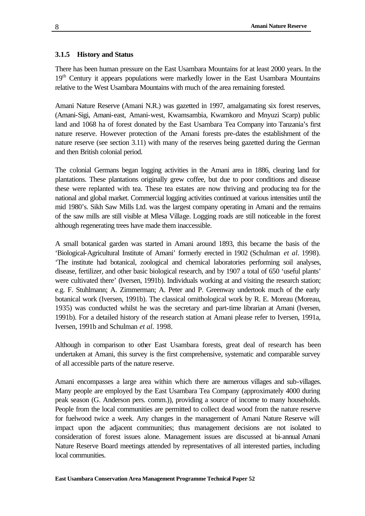### **3.1.5 History and Status**

There has been human pressure on the East Usambara Mountains for at least 2000 years. In the 19<sup>th</sup> Century it appears populations were markedly lower in the East Usambara Mountains relative to the West Usambara Mountains with much of the area remaining forested.

Amani Nature Reserve (Amani N.R.) was gazetted in 1997, amalgamating six forest reserves, (Amani-Sigi, Amani-east, Amani-west, Kwamsambia, Kwamkoro and Mnyuzi Scarp) public land and 1068 ha of forest donated by the East Usambara Tea Company into Tanzania's first nature reserve. However protection of the Amani forests pre-dates the establishment of the nature reserve (see section 3.11) with many of the reserves being gazetted during the German and then British colonial period.

The colonial Germans began logging activities in the Amani area in 1886, clearing land for plantations. These plantations originally grew coffee, but due to poor conditions and disease these were replanted with tea. These tea estates are now thriving and producing tea for the national and global market. Commercial logging activities continued at various intensities until the mid 1980's. Sikh Saw Mills Ltd. was the largest company operating in Amani and the remains of the saw mills are still visible at Mlesa Village. Logging roads are still noticeable in the forest although regenerating trees have made them inaccessible.

A small botanical garden was started in Amani around 1893, this became the basis of the 'Biological-Agricultural Institute of Amani' formerly erected in 1902 (Schulman *et al.* 1998). 'The institute had botanical, zoological and chemical laboratories performing soil analyses, disease, fertilizer, and other basic biological research, and by 1907 a total of 650 'useful plants' were cultivated there' (Iversen, 1991b). Individuals working at and visiting the research station; e.g. F. Stuhlmann; A. Zimmerman; A. Peter and P. Greenway undertook much of the early botanical work (Iversen, 1991b). The classical ornithological work by R. E. Moreau (Moreau, 1935) was conducted whilst he was the secretary and part-time librarian at Amani (Iversen, 1991b). For a detailed history of the research station at Amani please refer to Iversen, 1991a, Iversen, 1991b and Schulman *et al.* 1998.

Although in comparison to other East Usambara forests, great deal of research has been undertaken at Amani, this survey is the first comprehensive, systematic and comparable survey of all accessible parts of the nature reserve.

Amani encompasses a large area within which there are numerous villages and sub-villages. Many people are employed by the East Usambara Tea Company (approximately 4000 during peak season (G. Anderson pers. comm.)), providing a source of income to many households. People from the local communities are permitted to collect dead wood from the nature reserve for fuelwood twice a week. Any changes in the management of Amani Nature Reserve will impact upon the adjacent communities; thus management decisions are not isolated to consideration of forest issues alone. Management issues are discussed at bi-annual Amani Nature Reserve Board meetings attended by representatives of all interested parties, including local communities.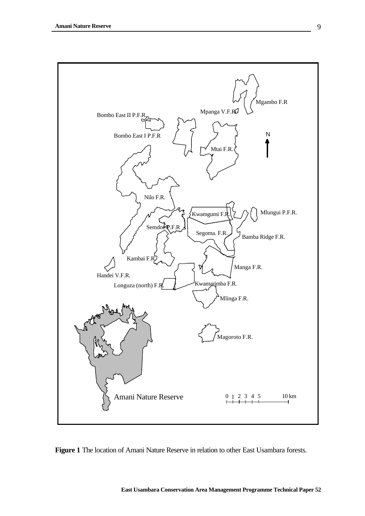

**Figure 1** The location of Amani Nature Reserve in relation to other East Usambara forests.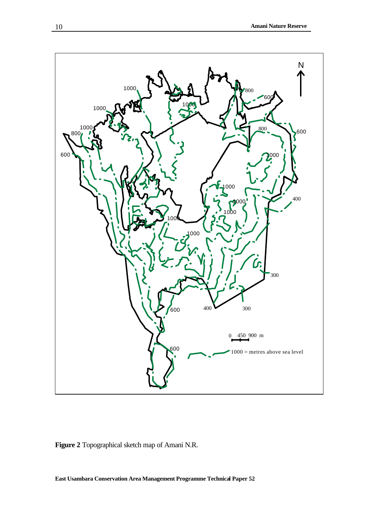

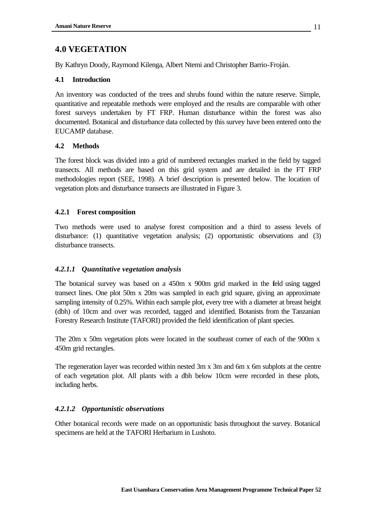## **4.0 VEGETATION**

By Kathryn Doody, Raymond Kilenga, Albert Ntemi and Christopher Barrio-Froján.

## **4.1 Introduction**

An inventory was conducted of the trees and shrubs found within the nature reserve. Simple, quantitative and repeatable methods were employed and the results are comparable with other forest surveys undertaken by FT FRP. Human disturbance within the forest was also documented. Botanical and disturbance data collected by this survey have been entered onto the EUCAMP database.

## **4.2 Methods**

The forest block was divided into a grid of numbered rectangles marked in the field by tagged transects. All methods are based on this grid system and are detailed in the FT FRP methodologies report (SEE, 1998). A brief description is presented below. The location of vegetation plots and disturbance transects are illustrated in Figure 3.

## **4.2.1 Forest composition**

Two methods were used to analyse forest composition and a third to assess levels of disturbance: (1) quantitative vegetation analysis; (2) opportunistic observations and (3) disturbance transects.

## *4.2.1.1 Quantitative vegetation analysis*

The botanical survey was based on a 450m x 900m grid marked in the feld using tagged transect lines. One plot 50m x 20m was sampled in each grid square, giving an approximate sampling intensity of 0.25%. Within each sample plot, every tree with a diameter at breast height (dbh) of 10cm and over was recorded, tagged and identified. Botanists from the Tanzanian Forestry Research Institute (TAFORI) provided the field identification of plant species.

The 20m x 50m vegetation plots were located in the southeast corner of each of the 900m x 450m grid rectangles.

The regeneration layer was recorded within nested 3m x 3m and 6m x 6m subplots at the centre of each vegetation plot. All plants with a dbh below 10cm were recorded in these plots, including herbs.

## *4.2.1.2 Opportunistic observations*

Other botanical records were made on an opportunistic basis throughout the survey. Botanical specimens are held at the TAFORI Herbarium in Lushoto.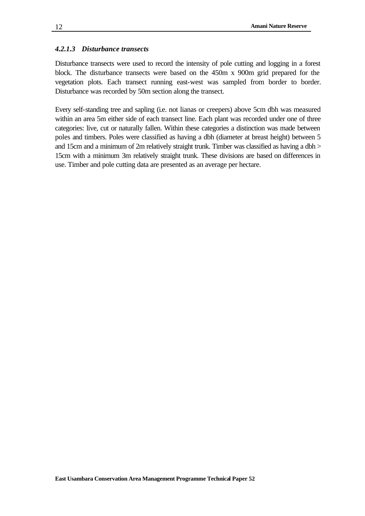### *4.2.1.3 Disturbance transects*

Disturbance transects were used to record the intensity of pole cutting and logging in a forest block. The disturbance transects were based on the 450m x 900m grid prepared for the vegetation plots. Each transect running east-west was sampled from border to border. Disturbance was recorded by 50m section along the transect.

Every self-standing tree and sapling (i.e. not lianas or creepers) above 5cm dbh was measured within an area 5m either side of each transect line. Each plant was recorded under one of three categories: live, cut or naturally fallen. Within these categories a distinction was made between poles and timbers. Poles were classified as having a dbh (diameter at breast height) between 5 and 15cm and a minimum of 2m relatively straight trunk. Timber was classified as having a dbh > 15cm with a minimum 3m relatively straight trunk. These divisions are based on differences in use. Timber and pole cutting data are presented as an average per hectare.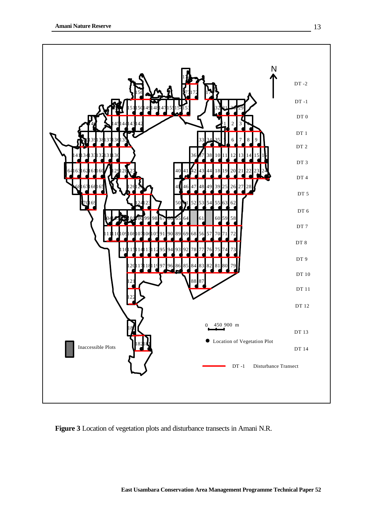

**Figure 3** Location of vegetation plots and disturbance transects in Amani N.R.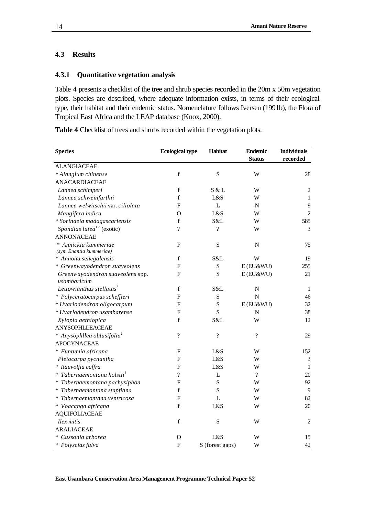## **4.3 Results**

## **4.3.1 Quantitative vegetation analysis**

Table 4 presents a checklist of the tree and shrub species recorded in the 20m x 50m vegetation plots. Species are described, where adequate information exists, in terms of their ecological type, their habitat and their endemic status. Nomenclature follows Iversen (1991b), the Flora of Tropical East Africa and the LEAP database (Knox, 2000).

**Table 4** Checklist of trees and shrubs recorded within the vegetation plots.

| <b>Species</b>                                   | <b>Ecological type</b>    | Habitat                  | <b>Endemic</b><br><b>Status</b> | <b>Individuals</b><br>recorded |
|--------------------------------------------------|---------------------------|--------------------------|---------------------------------|--------------------------------|
| <b>ALANGIACEAE</b>                               |                           |                          |                                 |                                |
| * Alangium chinense                              | $\mathbf f$               | ${\bf S}$                | W                               | 28                             |
| <b>ANACARDIACEAE</b>                             |                           |                          |                                 |                                |
| Lannea schimperi                                 | $\mathbf f$               | S & L                    | W                               | $\overline{2}$                 |
| Lannea schweinfurthii                            | $\mathbf f$               | L&S                      | W                               | $\mathbf{1}$                   |
| Lannea welwitschii var. ciliolata                | $\overline{F}$            | $\mathbf L$              | N                               | 9                              |
| Mangifera indica                                 | $\Omega$                  | L&S                      | W                               | $\overline{2}$                 |
| * Sorindeia madagascariensis                     | $\mathbf f$               | S&L                      | W                               | 585                            |
| Spondias lutea <sup>12</sup> (exotic)            | $\overline{?}$            | $\overline{\cdot}$       | W                               | 3                              |
| <b>ANNONACEAE</b>                                |                           |                          |                                 |                                |
| * Annickia kummeriae<br>(syn. Enantia kummeriae) | F                         | ${\bf S}$                | ${\bf N}$                       | 75                             |
| * Annona senegalensis                            | $\mathbf f$               | S&L                      | W                               | 19                             |
| * Greenwayodendron suaveolens                    | $\boldsymbol{\mathrm{F}}$ | S                        | $E$ (EU&WU)                     | 255                            |
| Greenwayodendron suaveolens spp.<br>usambaricum  | $\mathbf F$               | S                        | $E$ (EU&WU)                     | 21                             |
| Lettowianthus stellatus <sup>1</sup>             | $\mathbf f$               | S&L                      | N                               | -1                             |
| * Polyceratocarpus scheffleri                    | $\overline{F}$            | ${\bf S}$                | $\overline{N}$                  | 46                             |
| * Uvariodendron oligocarpum                      | F                         | S                        | E (EU&WU)                       | 32                             |
| * Uvariodendron usambarense                      | F                         | S                        | ${\bf N}$                       | 38                             |
| Xylopia aethiopica                               | $\mathbf f$               | S&L                      | W                               | 12                             |
| <b>ANYSOPHLLEACEAE</b>                           |                           |                          |                                 |                                |
| * Anysophllea obtusifolia <sup>1</sup>           | $\overline{?}$            | $\overline{\mathcal{L}}$ | $\overline{?}$                  | 29                             |
| <b>APOCYNACEAE</b>                               |                           |                          |                                 |                                |
| * Funtumia africana                              | F                         | L&S                      | W                               | 152                            |
| Pleiocarpa pycnantha                             | F                         | L&S                      | W                               | 3                              |
| * Rauvolfia caffra                               | F                         | L&S                      | W                               | $\mathbf{1}$                   |
| * Tabernaemontana holstii <sup>1</sup>           | $\overline{?}$            | L                        | $\overline{\mathcal{L}}$        | 20                             |
| * Tabernaemontana pachysiphon                    | $\overline{F}$            | S                        | W                               | 92                             |
| * Tabernaemontana stapfiana                      | $\mathbf f$               | S                        | W                               | 9                              |
| * Tabernaemontana ventricosa                     | F                         | $\mathbf L$              | W                               | 82                             |
| * Voacanga africana                              | $\mathbf f$               | L&S                      | W                               | 20                             |
| <b>AQUIFOLIACEAE</b>                             |                           |                          |                                 |                                |
| Ilex mitis                                       | $\mathbf f$               | S                        | W                               | 2                              |
| <b>ARALIACEAE</b>                                |                           |                          |                                 |                                |
| * Cussonia arborea                               | $\Omega$                  | L&S                      | W                               | 15                             |
| * Polyscias fulva                                | F                         | S (forest gaps)          | W                               | 42                             |

**East Usambara Conservation Area Management Programme Technical Paper 52**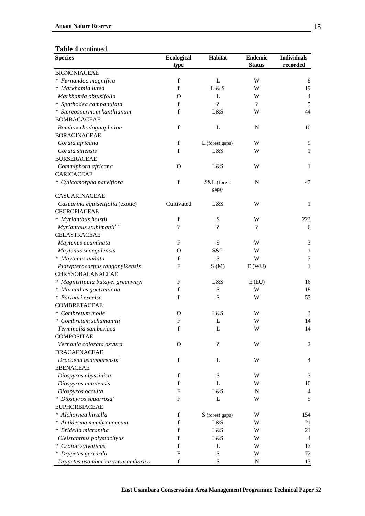#### **Table 4** continued.

| <b>Species</b>                     | <b>Ecological</b>         | Habitat            | <b>Endemic</b>           | <b>Individuals</b> |
|------------------------------------|---------------------------|--------------------|--------------------------|--------------------|
|                                    | type                      |                    | <b>Status</b>            | recorded           |
| <b>BIGNONIACEAE</b>                |                           |                    |                          |                    |
| * Fernandoa magnifica              | f                         | L                  | W                        | 8                  |
| * Markhamia lutea                  | f                         | L & S              | W                        | 19                 |
| Markhamia obtusifolia              | $\Omega$                  | L                  | W                        | 4                  |
| * Spathodea campanulata            | f                         | $\gamma$           | $\overline{\mathcal{L}}$ | 5                  |
| * Stereospermum kunthianum         | f                         | L&S                | W                        | 44                 |
| <b>BOMBACACEAE</b>                 |                           |                    |                          |                    |
| Bombax rhodognaphalon              | $\mathbf f$               | L                  | N                        | 10                 |
| <b>BORAGINACEAE</b>                |                           |                    |                          |                    |
| Cordia africana                    | f                         | L (forest gaps)    | W                        | 9                  |
| Cordia sinensis                    | f                         | L&S                | W                        | $\mathbf{1}$       |
| <b>BURSERACEAE</b>                 |                           |                    |                          |                    |
| Commiphora africana                | $\Omega$                  | L&S                | W                        | $\mathbf{1}$       |
| <b>CARICACEAE</b>                  |                           |                    |                          |                    |
| * Cylicomorpha parviflora          | $\mathbf f$               | S&L (forest        | N                        | 47                 |
|                                    |                           | gaps)              |                          |                    |
| <b>CASUARINACEAE</b>               |                           |                    |                          |                    |
| Casuarina equisetifolia (exotic)   | Cultivated                | L&S                | W                        | $\mathbf{1}$       |
| <b>CECROPIACEAE</b>                |                           |                    |                          |                    |
| * Myrianthus holstii               | f                         | ${\bf S}$          | W                        | 223                |
| Myrianthus stuhlmanii $1^2$        | $\overline{\mathcal{L}}$  | $\gamma$           | $\gamma$                 | 6                  |
| <b>CELASTRACEAE</b>                |                           |                    |                          |                    |
| Maytenus acuminata                 | ${\bf F}$                 | ${\bf S}$          | W                        | 3                  |
| Maytenus senegalensis              | $\mathbf O$               | S&L                | W                        | $\mathbf{1}$       |
| * Maytenus undata                  | f                         | S                  | W                        | 7                  |
| Platypterocarpus tanganyikensis    | F                         | S(M)               | E(WU)                    | $\mathbf{1}$       |
| CHRYSOBALANACEAE                   |                           |                    |                          |                    |
| * Magnistipula butayei greenwayi   | F                         | L&S                | E(EU)                    | 16                 |
| * Maranthes goetzeniana            | f                         | ${\bf S}$          | W                        | 18                 |
| * Parinari excelsa                 | f                         | ${\bf S}$          | W                        | 55                 |
| <b>COMBRETACEAE</b>                |                           |                    |                          |                    |
| * Combretum molle                  | $\mathbf O$               | L&S                | W                        | 3                  |
| * Combretum schumannii             | $\boldsymbol{\mathrm{F}}$ | L                  | W                        | 14                 |
| Terminalia sambesiaca              | $\mathbf f$               | L                  | W                        | 14                 |
| <b>COMPOSITAE</b>                  |                           |                    |                          |                    |
| Vernonia colorata oxyura           | $\mathbf O$               | $\overline{\cdot}$ | W                        | $\overline{c}$     |
| <b>DRACAENACEAE</b>                |                           |                    |                          |                    |
| Dracaena usambarensis <sup>1</sup> | f                         | L                  | W                        | 4                  |
| <b>EBENACEAE</b>                   |                           |                    |                          |                    |
| Diospyros abyssinica               | $\mathbf f$               | ${\bf S}$          | W                        | 3                  |
| Diospyros natalensis               | f                         | L                  | W                        | 10                 |
| Diospyros occulta                  | F                         | L&S                | N                        | 4                  |
| * Diospyros squarrosa <sup>1</sup> | F                         | L                  | W                        | 5                  |
| <b>EUPHORBIACEAE</b>               |                           |                    |                          |                    |
| * Alchornea hirtella               | f                         | S (forest gaps)    | W                        | 154                |
| * Antidesma membranaceum           | f                         | L&S                | W                        | 21                 |
| * Bridelia micrantha               | f                         | L&S                | W                        | 21                 |
| Cleistanthus polystachyus          | f                         | L&S                | W                        | $\overline{4}$     |
| * Croton sylvaticus                | f                         | L                  | W                        | 17                 |
|                                    | F                         |                    |                          |                    |
| * Drypetes gerrardii               |                           | S                  | W                        | 72                 |
| Drypetes usambarica var.usambarica | f                         | ${\bf S}$          | N                        | 13                 |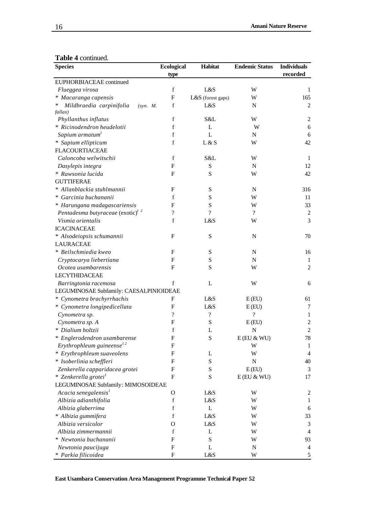## **Table 4** continued.

| <b>Species</b>                                                                | <b>Ecological</b>        | Habitat                  | <b>Endemic Status</b>    | <b>Individuals</b><br>recorded |
|-------------------------------------------------------------------------------|--------------------------|--------------------------|--------------------------|--------------------------------|
| EUPHORBIACEAE continued                                                       | type                     |                          |                          |                                |
| Flueggea virosa                                                               | $\mathbf f$              | L&S                      | W                        | 1                              |
| * Macaranga capensis                                                          | F                        | L&S (forest gaps)        | W                        | 165                            |
| Mildbraedia carpinifolia<br>(syn. M.                                          | f                        | L&S                      | N                        | $\mathfrak{2}$                 |
| fallax)                                                                       |                          |                          |                          |                                |
| Phyllanthus inflatus                                                          | $\mathbf f$              | S&L                      | W                        | $\overline{c}$                 |
| * Ricinodendron heudelotii                                                    | f                        | L                        | W                        | 6                              |
| Sapium armatum <sup>1</sup>                                                   | f                        | L                        | N                        | 6                              |
| * Sapium ellipticum                                                           | $\mathbf f$              | L & S                    | W                        | 42                             |
| <b>FLACOURTIACEAE</b>                                                         |                          |                          |                          |                                |
| Caloncoba welwitschii                                                         | $\mathbf f$              | S&L                      | W                        | -1                             |
| Dasylepis integra                                                             | ${\bf F}$                | S                        | N                        | 12                             |
| * Rawsonia lucida                                                             | $\mathbf{F}$             | ${\bf S}$                | W                        | 42                             |
| <b>GUTTIFERAE</b>                                                             |                          |                          |                          |                                |
| * Allanblackia stuhlmannii                                                    | F                        | S                        | N                        | 316                            |
| * Garcinia buchananii                                                         | f                        | ${\bf S}$                | W                        | 11                             |
| * Harungana madagascariensis                                                  | F                        | ${\bf S}$                | W                        | 33                             |
| Pentadesma butyraceae $\left( \text{exotic}\right)$ <sup>1</sup> <sup>2</sup> | $\overline{\mathcal{L}}$ | $\overline{\mathcal{C}}$ | $\overline{?}$           | $\overline{c}$                 |
| Vismia orientalis                                                             | f                        | L&S                      | W                        | 3                              |
| <b>ICACINACEAE</b>                                                            |                          |                          |                          |                                |
| * Alsodeiopsis schumannii                                                     | $\mathbf{F}$             | S                        | N                        | 70                             |
| <b>LAURACEAE</b>                                                              |                          |                          |                          |                                |
| * Beilschmiedia kweo                                                          | $\mathbf{F}$             | S                        | N                        | 16                             |
| Cryptocarya liebertiana                                                       | F                        | S                        | N                        | $\mathbf{1}$                   |
| Ocotea usambarensis                                                           | $\mathbf{F}$             | S                        | W                        | $\overline{c}$                 |
| <b>LECYTHIDACEAE</b>                                                          |                          |                          |                          |                                |
| Barringtonia racemosa                                                         | $\mathbf f$              | L                        | W                        | 6                              |
| LEGUMINOSAE Subfamily: CAESALPINIOIDEAE                                       |                          |                          |                          |                                |
| * Cynometra brachyrrhachis                                                    | F                        | L&S                      | E(EU)                    | 61                             |
| * Cynometra longipedicellata                                                  | F                        | L&S                      | E(EU)                    | 7                              |
| Cynometra sp.                                                                 | ?                        | $\overline{\mathcal{L}}$ | $\overline{\mathcal{C}}$ | $\mathbf{1}$                   |
| Cynometra sp. A                                                               | F                        | S                        | E(EU)                    | $\overline{c}$                 |
| * Dialium holtzii                                                             | f                        | L                        | ${\bf N}$                | $\overline{c}$                 |
| * Englerodendron usambarense                                                  | ${\bf F}$                | $\mathbf S$              | $E$ (EU $\&$ WU)         | 78                             |
| Erythrophleum guineense $12$                                                  | F                        |                          | W                        | 1                              |
| * Erythrophleum suaveolens                                                    | F                        | L                        | W                        | $\overline{4}$                 |
| * Isoberlinia scheffleri                                                      | F                        | ${\bf S}$                | $\mathbf N$              | 40                             |
| Zenkerella capparidacea grotei                                                | F                        | ${\bf S}$                | E(EU)                    | 3                              |
| * Zenkerella grotei <sup>1</sup>                                              | $\mathbf{F}$             | ${\bf S}$                | $E$ (EU $\&$ WU)         | 17                             |
| LEGUMINOSAE Subfamily: MIMOSOIDEAE                                            |                          |                          |                          |                                |
| Acacia senegalensis <sup>1</sup>                                              | $\mathbf{O}$             | L&S                      | W                        | $\overline{c}$                 |
| Albizia adianthifolia                                                         | f                        | L&S                      | W                        | 1                              |
| Albizia glaberrima                                                            | f                        | L                        | W                        | 6                              |
| * Albizia gummifera                                                           | f                        | L&S                      | W                        | 33                             |
| Albizia versicolor                                                            | O                        | L&S                      | W                        | 3                              |
| Albizia zimmermannii                                                          | f                        | L                        | W                        | 4                              |
| * Newtonia buchananii                                                         | F                        | ${\bf S}$                | W                        | 93                             |
| Newtonia paucijuga                                                            | F                        | L                        | N                        | 4                              |
| * Parkia filicoidea                                                           | $\boldsymbol{F}$         | L&S                      | W                        | 5                              |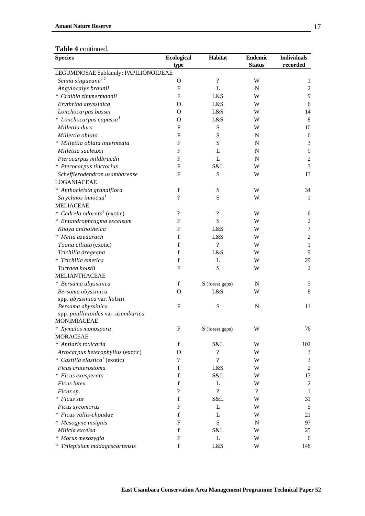| <b>Ecological</b><br><b>Status</b><br>type<br>LEGUMINOSAE Subfamily: PAPILIONOIDEAE<br>Senna singueana <sup>12</sup><br>$\gamma$<br>$\mathbf O$<br>W<br>Angylocalyx braunii<br>F<br>L<br>$\mathbf N$ | recorded<br>1<br>$\mathfrak{2}$ |
|------------------------------------------------------------------------------------------------------------------------------------------------------------------------------------------------------|---------------------------------|
|                                                                                                                                                                                                      |                                 |
|                                                                                                                                                                                                      |                                 |
|                                                                                                                                                                                                      |                                 |
|                                                                                                                                                                                                      |                                 |
| * Craibia zimmermannii<br>F<br>L&S<br>W                                                                                                                                                              | 9                               |
| Erythrina abyssinica<br>L&S<br>W<br>O                                                                                                                                                                | 6                               |
| Lonchocarpus bussei<br>L&S<br>O<br>W                                                                                                                                                                 | 14                              |
| $*$ Lonchocarpus capassa <sup>1</sup><br>L&S<br>O<br>W                                                                                                                                               | 8                               |
| Millettia dura<br>${\bf S}$<br>F<br>W                                                                                                                                                                | 10                              |
| S<br>Millettia oblata<br>F<br>N                                                                                                                                                                      | 6                               |
| * Millettia oblata intermedia<br>S<br>F<br>N                                                                                                                                                         | 3                               |
| Millettia sacleuxii<br>F<br>L<br>N                                                                                                                                                                   | 9                               |
| ${\bf F}$<br>$\mathbf{L}$<br>Pterocarpus mildbraedii<br>$\mathbf N$                                                                                                                                  | $\sqrt{2}$                      |
| * Pterocarpus tinctorius<br>S&L<br>F<br>W                                                                                                                                                            | $\overline{3}$                  |
| S<br>Schefflerodendron usambarense<br>F<br>W                                                                                                                                                         | 13                              |
| <b>LOGANIACEAE</b>                                                                                                                                                                                   |                                 |
| $\mathbf f$<br>* Anthocleista grandiflora<br>${\mathbf S}$<br>W                                                                                                                                      | 34                              |
| $\overline{\mathcal{L}}$<br>Strychnos innocua <sup>1</sup><br>S<br>W                                                                                                                                 | 1                               |
| <b>MELIACEAE</b>                                                                                                                                                                                     |                                 |
| * Cedrela odorata <sup>1</sup> (exotic)<br>$\overline{\mathcal{L}}$<br>$\overline{?}$<br>W                                                                                                           | 6                               |
| ${\bf S}$<br>* Entandrophragma excelsum<br>$\mathbf F$<br>W                                                                                                                                          | $\sqrt{2}$                      |
| Khaya anthotheica <sup>1</sup><br>F<br>L&S<br>W                                                                                                                                                      | $\boldsymbol{7}$                |
| $\mathbf f$<br>* Melia azedarach<br>L&S<br>W                                                                                                                                                         | $\overline{c}$                  |
| $\mathbf f$<br>$\overline{\cdot}$<br>Toona ciliata (exotic)<br>W                                                                                                                                     | 1                               |
| $\mathbf f$<br>Trichilia dregeana<br>L&S<br>W                                                                                                                                                        | 9                               |
| $\mathbf f$<br>* Trichilia emetica<br>L<br>W                                                                                                                                                         | 29                              |
| S<br>F<br>Turraea holstii<br>W                                                                                                                                                                       | 2                               |
| MELIANTHACEAE                                                                                                                                                                                        |                                 |
| * Bersama abyssinica<br>$\mathbf f$<br>S (forest gaps)<br>N                                                                                                                                          | 5                               |
| Bersama abyssinica<br>L&S<br>W<br>O                                                                                                                                                                  | 8                               |
| spp. abyssinica var. holstii                                                                                                                                                                         |                                 |
| S<br>Bersama abyssinica<br>F<br>$\mathbf N$                                                                                                                                                          | 11                              |
| spp. paullinioides var. usambarica                                                                                                                                                                   |                                 |
| <b>MONIMIACEAE</b>                                                                                                                                                                                   |                                 |
| Xymalos monospora<br>S (forest gaps)<br>W<br>F                                                                                                                                                       | 76                              |
| <b>MORACEAE</b>                                                                                                                                                                                      |                                 |
| * Antiaris toxicaria<br>f<br>S&L<br>W                                                                                                                                                                | 102                             |
| ?<br>Artocarpus heterophyllus (exotic)<br>O<br>W                                                                                                                                                     | 3                               |
| * Castilla elastica <sup>1</sup> (exotic)<br>?<br>$\overline{\cdot}$<br>W                                                                                                                            | 3                               |
| $\mathbf f$<br>L&S<br>Ficus craterostoma<br>W                                                                                                                                                        | $\overline{c}$                  |
| f<br>S&L<br>* Ficus exasperata<br>W                                                                                                                                                                  | 17                              |
| f<br>L<br>Ficus lutea<br>W                                                                                                                                                                           | 2                               |
| $\gamma$<br>$\overline{\mathcal{C}}$<br>$\overline{?}$<br>Ficus sp.                                                                                                                                  | 1                               |
| * Ficus sur<br>f<br>S&L<br>W                                                                                                                                                                         | 31                              |
| L<br>F<br>W<br>Ficus sycomorus                                                                                                                                                                       | 5                               |
| * Ficus vallis-choudae<br>f<br>L<br>W                                                                                                                                                                | 21                              |
| ${\bf S}$<br>* Mesogyne insignis<br>F<br>N                                                                                                                                                           | 97                              |
| $\mathbf f$<br>Milicia excelsa<br>S&L<br>W                                                                                                                                                           | 25                              |
| L<br>F<br>* Morus mesozygia<br>W                                                                                                                                                                     | 6                               |
| f<br>* Trilepisium madagascariensis<br>L&S<br>W                                                                                                                                                      | 148                             |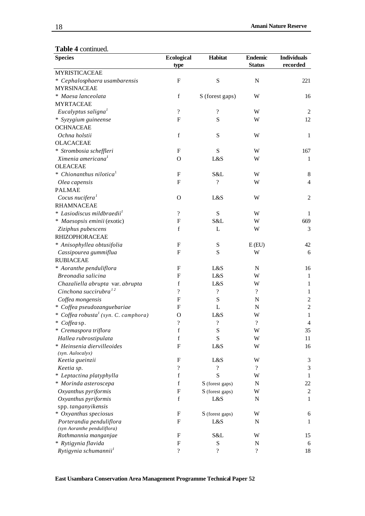| <b>Species</b>                                   | <b>Ecological</b>        | Habitat                  | <b>Endemic</b>           | <b>Individuals</b> |
|--------------------------------------------------|--------------------------|--------------------------|--------------------------|--------------------|
|                                                  | type                     |                          | <b>Status</b>            | recorded           |
| <b>MYRISTICACEAE</b>                             |                          |                          |                          |                    |
| * Cephalosphaera usambarensis                    | $\mathbf{F}$             | ${\bf S}$                | $\mathbf N$              | 221                |
| <b>MYRSINACEAE</b>                               |                          |                          |                          |                    |
| * Maesa lanceolata                               | $\mathbf f$              | S (forest gaps)          | W                        | 16                 |
| <b>MYRTACEAE</b>                                 |                          |                          |                          |                    |
| Eucalyptus saligna <sup>1</sup>                  | $\overline{\mathcal{L}}$ | $\gamma$                 | W                        | $\overline{2}$     |
| * Syzygium guineense                             | $\mathbf F$              | S                        | W                        | 12                 |
| <b>OCHNACEAE</b>                                 |                          |                          |                          |                    |
| Ochna holstii                                    | $\mathbf f$              | ${\bf S}$                | W                        | 1                  |
| <b>OLACACEAE</b>                                 |                          |                          |                          |                    |
| * Strombosia scheffleri                          | F                        | S                        | W                        | 167                |
| Ximenia americana <sup>1</sup>                   | $\Omega$                 | L&S                      | W                        | 1                  |
| <b>OLEACEAE</b>                                  |                          |                          |                          |                    |
| * Chionanthus nilotica <sup>1</sup>              | F                        | S&L                      | W                        | $8\,$              |
| Olea capensis                                    | F                        | $\gamma$                 | W                        | $\overline{4}$     |
| <b>PALMAE</b>                                    |                          |                          |                          |                    |
| Cocus nucifera <sup>1</sup>                      | $\Omega$                 | L&S                      | W                        | $\overline{c}$     |
| <b>RHAMNACEAE</b>                                |                          |                          |                          |                    |
| * Lasiodiscus mildbraedii <sup>1</sup>           | $\overline{\mathcal{L}}$ | ${\bf S}$                | W                        | $\mathbf{1}$       |
| * Maesopsis eminii (exotic)                      | $\mathbf F$              | S&L                      | W                        | 669                |
| Ziziphus pubescens                               | $\mathbf f$              | L                        | W                        | 3                  |
| <b>RHIZOPHORACEAE</b>                            |                          |                          |                          |                    |
| * Anisophyllea obtusifolia                       | F                        | S                        | E(EU)                    | 42                 |
| Cassipourea gummiflua                            | $\mathbf{F}$             | S                        | W                        | 6                  |
| <b>RUBIACEAE</b>                                 |                          |                          |                          |                    |
| * Aoranthe penduliflora                          | F                        | L&S                      | $\mathbf N$              | 16                 |
| Breonadia salicina                               | $\mathbf{F}$             | L&S                      | W                        | 1                  |
| Chazaliella abrupta var. abrupta                 | f                        | L&S                      | W                        | 1                  |
| Cinchona succirubra $^{12}$                      | $\overline{\mathcal{L}}$ | $\gamma$                 | $\overline{?}$           | 1                  |
| Coffea mongensis                                 | $\mathbf{F}$             | ${\bf S}$                | $\mathbf N$              | $\overline{c}$     |
| * Coffea pseudozanguebariae                      | F                        | L                        | N                        | $\overline{c}$     |
| * Coffea robusta <sup>1</sup> (syn. C. camphora) | O                        | L&S                      | W                        | $\mathbf{1}$       |
| * Coffea sp.                                     | $\overline{\mathcal{L}}$ | ?                        | $\overline{?}$           | $\overline{4}$     |
| * Cremaspora triflora                            | $\mathbf f$              | ${\bf S}$                | W                        | 35                 |
| Hallea rubrostipulata                            | $\mathbf f$              | S                        | W                        | 11                 |
| * Heinsenia diervilleoides                       | $\mathbf F$              | L&S                      | W                        | 16                 |
| (syn. Aulocalyx)                                 |                          |                          |                          |                    |
| Keetia gueinzii                                  | F                        | L&S                      | W                        | 3                  |
| Keetia sp.                                       | $\overline{\mathcal{L}}$ | $\overline{\mathcal{C}}$ | $\overline{\mathcal{L}}$ | 3                  |
| * Leptactina platyphylla                         | $\mathbf f$              | S                        | W                        | 1                  |
| * Morinda asteroscepa                            | $\mathbf f$              | S (forest gaps)          | ${\bf N}$                | 22                 |
| Oxyanthus pyriformis                             | $\mathbf F$              | S (forest gaps)          | W                        | $\sqrt{2}$         |
| Oxyanthus pyriformis                             | $\mathbf f$              | L&S                      | N                        | 1                  |
| spp. tanganyikensis                              |                          |                          |                          |                    |
| * Oxyanthus speciosus                            | F                        | S (forest gaps)          | W                        | 6                  |
| Porterandia penduliflora                         | $\mathbf{F}$             | L&S                      | N                        | 1                  |
| (syn Aoranthe penduliflora)                      |                          |                          |                          |                    |
| Rothmannia manganjae                             | $\mathbf{F}$             | S&L                      | W                        | 15                 |
| * Rytigynia flavida                              | $\mathbf F$              | ${\bf S}$                | N                        | 6                  |
| Rytigynia schumannii <sup>1</sup>                | $\overline{\mathcal{L}}$ | $\overline{\cdot}$       | $\overline{\mathcal{L}}$ | 18                 |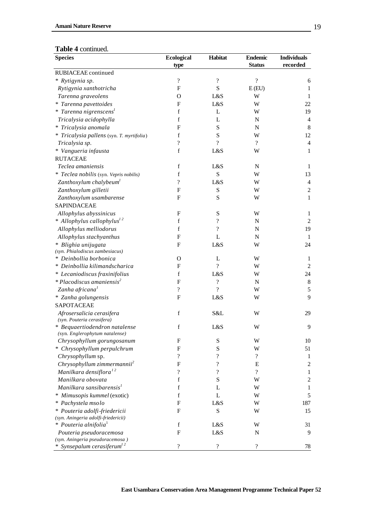| <b>Species</b>                                          | <b>Ecological</b>         | Habitat                  | <b>Endemic</b>           | <b>Individuals</b> |
|---------------------------------------------------------|---------------------------|--------------------------|--------------------------|--------------------|
|                                                         | type                      |                          | <b>Status</b>            | recorded           |
| RUBIACEAE continued                                     |                           |                          |                          |                    |
| * Rytigynia sp.                                         | $\gamma$                  | $\overline{?}$           | $\overline{?}$           | 6                  |
| Rytigynia xanthotricha                                  | $\mathbf F$               | S                        | E(EU)                    | 1                  |
| Tarenna graveolens                                      | $\mathbf O$               | L&S                      | W                        | 1                  |
| * Tarenna pavettoides                                   | $\mathbf{F}$              | L&S                      | W                        | 22                 |
| * Tarenna nigrenscens <sup>1</sup>                      | $\mathbf f$               | L                        | W                        | 19                 |
| Tricalysia acidophylla                                  | $\mathbf f$               | L                        | N                        | $\overline{4}$     |
| * Tricalysia anomala                                    | $\mathbf F$               | ${\bf S}$                | $\mathbf N$              | 8                  |
| * Tricalysia pallens (syn. T. myrtifolia)               | $\mathbf f$               | S                        | W                        | 12                 |
| Tricalysia sp.                                          | $\overline{\mathcal{L}}$  | $\gamma$                 | ?                        | $\overline{4}$     |
| * Vangueria infausta                                    | $\mathbf f$               | L&S                      | W                        | $\mathbf{1}$       |
| <b>RUTACEAE</b>                                         |                           |                          |                          |                    |
| Teclea amaniensis                                       | $\mathbf f$               | L&S                      | $\mathbf N$              | 1                  |
| * Teclea nobilis (syn. Vepris nobilis)                  | $\mathbf f$               | S                        | W                        | 13                 |
| Zanthoxylum chalybeum                                   | $\gamma$                  | L&S                      | W                        | 4                  |
| Zanthoxylum gilletii                                    | $\mathbf{F}$              | S                        | W                        | 2                  |
| Zanthoxylum usambarense                                 | F                         | S                        | W                        | $\mathbf{1}$       |
| SAPINDACEAE                                             |                           |                          |                          |                    |
| Allophylus abyssinicus                                  | ${\bf F}$                 | ${\bf S}$                | W                        | 1                  |
| * Allophylus callophylus <sup>12</sup>                  | $\mathbf f$               | $\overline{\cdot}$       | N                        | $\overline{2}$     |
| Allophylus melliodorus                                  | $\mathbf f$               | $\overline{?}$           |                          | 19                 |
|                                                         |                           |                          | $\mathbf N$              |                    |
| Allophylus stachyanthus                                 | $\mathbf F$               | L                        | $\mathbf N$              | -1                 |
| * Blighia unijugata<br>(syn. Phialodiscus zambesiacus)  | F                         | L&S                      | W                        | 24                 |
| * Deinbollia borbonica                                  | $\mathcal{O}$             | L                        | W                        | 1                  |
| * Deinbollia kilimandscharica                           | $\mathbf{F}$              | $\overline{?}$           | W                        | $\overline{c}$     |
| * Lecaniodiscus fraxinifolius                           | $\mathbf f$               | L&S                      | W                        | 24                 |
| * Placodiscus amaniensis <sup>2</sup>                   | $\boldsymbol{\mathrm{F}}$ | $\overline{\cdot}$       | $\mathbf N$              | 8                  |
| Zanha africana <sup>1</sup>                             | $\overline{?}$            | $\gamma$                 | W                        | 5                  |
|                                                         | $\mathbf F$               | L&S                      | W                        | 9                  |
| * Zanha golungensis<br>SAPOTACEAE                       |                           |                          |                          |                    |
|                                                         |                           |                          |                          |                    |
| Afrosersalicia cerasifera<br>(syn. Pouteria cerasifera) | $\mathbf f$               | S&L                      | W                        | 29                 |
| * Bequaertiodendron natalense                           | $\mathbf f$               | L&S                      | W                        | 9                  |
| (syn. Englerophytum natalense)                          |                           |                          |                          |                    |
| Chrysophyllum gorungosanum                              | F                         | ${\bf S}$                | W                        | 10                 |
| * Chrysophyllum perpulchrum                             | F                         | ${\bf S}$                | W                        | 51                 |
| Chrysophyllum sp.                                       | $\overline{\mathcal{L}}$  | $\overline{\cdot}$       | $\overline{?}$           | 1                  |
| Chrysophyllum zimmermannii <sup>2</sup>                 | $\boldsymbol{\mathrm{F}}$ | $\overline{\mathcal{C}}$ | Е                        | $\mathfrak{2}$     |
| Manilkara densiflora <sup>12</sup>                      | $\overline{\mathcal{C}}$  | $\overline{\mathcal{L}}$ | $\overline{\mathcal{L}}$ | $\mathbf{1}$       |
| Manilkara obovata                                       | $\mathbf f$               | S                        | W                        | $\sqrt{2}$         |
| Manilkara sansibarensis <sup>1</sup>                    | $\mathbf f$               | L                        | W                        | 1                  |
| * Mimusopis kummel (exotic)                             | $\mathbf f$               | L                        | W                        | 5                  |
| * Pachystela msolo                                      | F                         | L&S                      | W                        | 187                |
| * Pouteria adolfi-friedericii                           | F                         | ${\bf S}$                | W                        | 15                 |
| (syn. Aningeria adolfi-friedericii)                     |                           |                          |                          |                    |
| * Pouteria alnifolia <sup>1</sup>                       | $\mathbf f$               | L&S                      | W                        | 31                 |
| Pouteria pseudoracemosa                                 | F                         | L&S                      | N                        | 9                  |
| (syn. Aningeria pseudoracemosa)                         |                           |                          |                          |                    |
| * Synsepalum cerasiferum <sup>12</sup>                  | $\overline{\mathcal{C}}$  | $\boldsymbol{?}$         | $\overline{\mathcal{C}}$ | 78                 |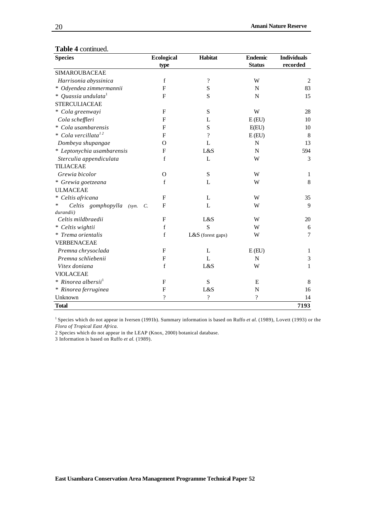| <b>Species</b>                   | <b>Ecological</b> | Habitat                  | <b>Endemic</b>           | <b>Individuals</b> |
|----------------------------------|-------------------|--------------------------|--------------------------|--------------------|
|                                  | type              |                          | <b>Status</b>            | recorded           |
| <b>SIMAROUBACEAE</b>             |                   |                          |                          |                    |
| Harrisonia abyssinica            | $\mathbf f$       | $\overline{\mathcal{L}}$ | W                        | $\mathbf{2}$       |
| * Odyendea zimmermannii          | ${\bf F}$         | S                        | N                        | 83                 |
| * Quassia undulata $^{1}$        | F                 | S                        | $\mathbf N$              | 15                 |
| <b>STERCULIACEAE</b>             |                   |                          |                          |                    |
| * Cola greenwayi                 | F                 | S                        | W                        | 28                 |
| Cola scheffleri                  | F                 | L                        | E(EU)                    | 10                 |
| * Cola usambarensis              | $\mathbf{F}$      | S                        | E(EU)                    | 10                 |
| * Cola vercillata <sup>12</sup>  | $\mathbf{F}$      | $\overline{\mathcal{L}}$ | E(EU)                    | 8                  |
| Dombeya shupangae                | $\Omega$          | L                        | N                        | 13                 |
| * Leptonychia usambarensis       | ${\bf F}$         | L&S                      | $\mathbf N$              | 594                |
| Sterculia appendiculata          | f                 | L                        | W                        | 3                  |
| <b>TILIACEAE</b>                 |                   |                          |                          |                    |
| Grewia bicolor                   | $\Omega$          | S                        | W                        | 1                  |
| * Grewia goetzeana               | $\mathbf f$       | L                        | W                        | $\,8\,$            |
| <b>ULMACEAE</b>                  |                   |                          |                          |                    |
| * Celtis africana                | ${\bf F}$         | L                        | W                        | 35                 |
| Celtis gomphopylla<br>*<br>(syn. | F<br>C.           | L                        | W                        | 9                  |
| durandii)                        |                   |                          |                          |                    |
| Celtis mildbraedii               | F                 | L&S                      | W                        | 20                 |
| * Celtis wightii                 | $\mathbf f$       | S                        | W                        | 6                  |
| * Trema orientalis               | f                 | L&S (forest gaps)        | W                        | 7                  |
| <b>VERBENACEAE</b>               |                   |                          |                          |                    |
| Premna chrysoclada               | F                 | $\mathbf{L}$             | E(EU)                    | 1                  |
| Premna schliebenii               | ${\bf F}$         | $\mathbf{L}$             | $\mathbf N$              | $\mathfrak{Z}$     |
| Vitex doniana                    | $\mathbf f$       | L&S                      | W                        | 1                  |
| <b>VIOLACEAE</b>                 |                   |                          |                          |                    |
| * Rinorea albersii <sup>1</sup>  | F                 | S                        | E                        | 8                  |
| * Rinorea ferruginea             | $\mathbf{F}$      | L&S                      | N                        | 16                 |
| Unknown                          | $\ddot{?}$        | $\overline{?}$           | $\overline{\mathcal{L}}$ | 14                 |
| <b>Total</b>                     |                   |                          |                          | 7193               |

<sup>1</sup> Species which do not appear in Iversen (1991b). Summary information is based on Ruffo *et al.* (1989), Lovett (1993) or the *Flora of Tropical East Africa*.

2 Species which do not appear in the LEAP (Knox, 2000) botanical database.

3 Information is based on Ruffo *et al.* (1989).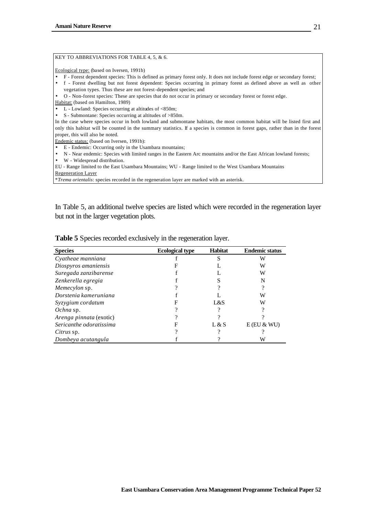#### KEY TO ABBREVIATIONS FOR TABLE 4, 5, & 6.

Ecological type: (based on Iversen, 1991b)

- F Forest dependent species: This is defined as primary forest only. It does not include forest edge or secondary forest; • f - Forest dwelling but not forest dependent: Species occurring in primary forest as defined above as well as other
- vegetation types. Thus these are not forest-dependent species; and

• O - Non-forest species: These are species that do not occur in primary or secondary forest or forest edge.

Habitat: (based on Hamilton, 1989)

- $\overline{\bullet}$  L Lowland: Species occurring at altitudes of <850m;
- S Submontane: Species occurring at altitudes of >850m.

In the case where species occur in both lowland and submontane habitats, the most common habitat will be listed first and only this habitat will be counted in the summary statistics. If a species is common in forest gaps, rather than in the forest proper, this will also be noted.

Endemic status: (based on Iversen, 1991b):

- E Endemic: Occurring only in the Usambara mountains;
- N Near endemic: Species with limited ranges in the Eastern Arc mountains and/or the East African lowland forests;
- W Widespread distribution.

EU - Range limited to the East Usambara Mountains; WU - Range limited to the West Usambara Mountains

Regeneration Layer

\**Trema orientalis*: species recorded in the regeneration layer are marked with an asterisk.

In Table 5, an additional twelve species are listed which were recorded in the regeneration layer but not in the larger vegetation plots.

| <b>Species</b>          | <b>Ecological type</b> | <b>Habitat</b> | <b>Endemic status</b> |
|-------------------------|------------------------|----------------|-----------------------|
| Cyatheae manniana       |                        |                | W                     |
| Diospyros amaniensis    |                        |                | W                     |
| Suregada zanzibarense   |                        |                | W                     |
| Zenkerella egregia      |                        |                |                       |
| Memecylon sp.           |                        |                |                       |
| Dorstenia kameruniana   |                        |                | W                     |
| Syzygium cordatum       |                        | L&S            | W                     |
| Ochna sp.               |                        |                |                       |
| Arenga pinnata (exotic) |                        |                |                       |
| Sericanthe odoratissima | F                      | L & S          | $E$ (EU & WU)         |
| Citrus sp.              |                        |                |                       |
| Dombeya acutangula      |                        |                | W                     |

**Table 5** Species recorded exclusively in the regeneration layer.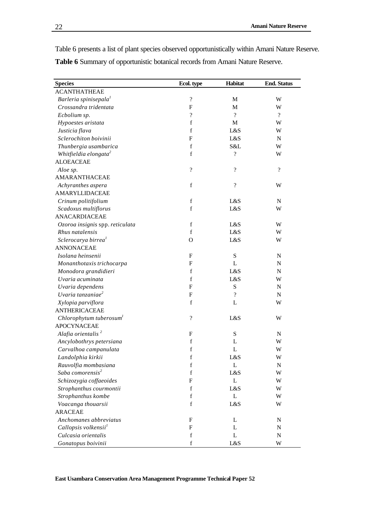Table 6 presents a list of plant species observed opportunistically within Amani Nature Reserve. **Table 6** Summary of opportunistic botanical records from Amani Nature Reserve.

| <b>Species</b>                      | Ecol. type                | Habitat                  | <b>End. Status</b> |
|-------------------------------------|---------------------------|--------------------------|--------------------|
| <b>ACANTHATHEAE</b>                 |                           |                          |                    |
| Barleria spinisepala <sup>1</sup>   | $\overline{\cdot}$        | M                        | W                  |
| Crossandra tridentata               | $\mathbf{F}$              | M                        | W                  |
| Ecbolium sp.                        | $\overline{\cdot}$        | $\overline{\mathcal{L}}$ | $\overline{?}$     |
| Hypoestes aristata                  | $\mathbf f$               | M                        | W                  |
| Justicia flava                      | f                         | L&S                      | W                  |
| Sclerochiton boivinii               | $\boldsymbol{F}$          | L&S                      | ${\bf N}$          |
| Thunbergia usambarica               | $\mathbf f$               | S&L                      | W                  |
| Whitfieldia elongata <sup>2</sup>   | $\mathbf f$               | $\overline{\mathcal{L}}$ | W                  |
| <b>ALOEACEAE</b>                    |                           |                          |                    |
| Aloe sp.                            | $\overline{\mathcal{L}}$  | $\overline{\mathcal{L}}$ | $\overline{?}$     |
| AMARANTHACEAE                       |                           |                          |                    |
| Achyranthes aspera                  | $\mathbf f$               | $\overline{\mathcal{L}}$ | W                  |
| AMARYLLIDACEAE                      |                           |                          |                    |
| Crinum politifolium                 | $\mathbf f$               | L&S                      | ${\bf N}$          |
| Scadoxus multiflorus                | $\mathbf f$               | L&S                      | W                  |
| ANACARDIACEAE                       |                           |                          |                    |
| Ozoroa insignis spp. reticulata     | $\mathbf f$               | L&S                      | W                  |
| Rhus natalensis                     | $\mathbf f$               | L&S                      | W                  |
| Sclerocarya birrea <sup>1</sup>     | $\Omega$                  | L&S                      | W                  |
| <b>ANNONACEAE</b>                   |                           |                          |                    |
| Isolana heinsenii                   | F                         | ${\bf S}$                | ${\bf N}$          |
| Monanthotaxis trichocarpa           | $\boldsymbol{F}$          | L                        | ${\bf N}$          |
| Monodora grandidieri                | $\mathbf f$               | L&S                      | ${\bf N}$          |
| Uvaria acuminata                    | f                         | L&S                      | W                  |
| Uvaria dependens                    | $\boldsymbol{F}$          | ${\bf S}$                | ${\bf N}$          |
| Uvaria tanzaniae <sup>2</sup>       | $\mathbf{F}$              | $\overline{\mathcal{L}}$ | ${\bf N}$          |
| Xylopia parviflora                  | $\mathbf f$               | L                        | W                  |
| <b>ANTHERICACEAE</b>                |                           |                          |                    |
| Chlorophytum tuberosum <sup>1</sup> | $\overline{\cdot}$        | L&S                      | W                  |
| <b>APOCYNACEAE</b>                  |                           |                          |                    |
| Alafia orientalis <sup>2</sup>      | F                         | ${\bf S}$                | $\mathbf N$        |
| Ancylobothrys petersiana            | $\mathbf f$               | L                        | W                  |
| Carvalhoa campanulata               | $\mathbf f$               | L                        | W                  |
| Landolphia kirkii                   | $\mathbf f$               | L&S                      | W                  |
| Rauvolfia mombasiana                | $\mathbf f$               | L                        | ${\bf N}$          |
| Saba comorensis <sup>2</sup>        | f                         | L&S                      | W                  |
| Schizozygia coffaeoides             | $\boldsymbol{F}$          | L                        | W                  |
| Strophanthus courmontii             | $\mathbf f$               | L&S                      | W                  |
| Strophanthus kombe                  | $\mathbf f$               | L                        | W                  |
| Voacanga thouarsii                  | $\mathbf f$               | L&S                      | W                  |
| <b>ARACEAE</b>                      |                           |                          |                    |
| Anchomanes abbreviatus              | $\boldsymbol{\mathrm{F}}$ | L                        | ${\bf N}$          |
| Callopsis volkensii <sup>1</sup>    | F                         | L                        | ${\bf N}$          |
| Culcasia orientalis                 | $\mathbf f$               | L                        | ${\bf N}$          |
| Gonatopus boivinii                  | $\mathbf f$               | L&S                      | W                  |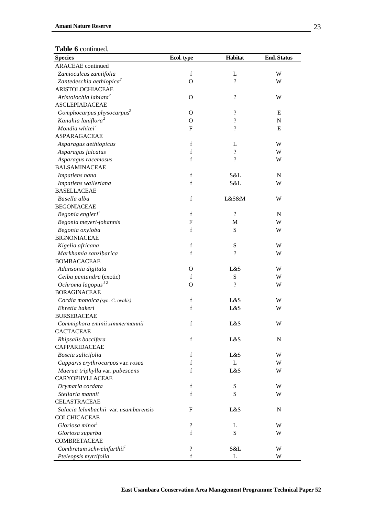| <b>Table o</b> committed.<br><b>Species</b> | Ecol. type                | Habitat                  | <b>End. Status</b> |
|---------------------------------------------|---------------------------|--------------------------|--------------------|
| <b>ARACEAE</b> continued                    |                           |                          |                    |
| Zamioculcas zamiifolia                      | $\mathbf f$               | L                        | W                  |
| Zantedeschia aethiopica <sup>2</sup>        | $\Omega$                  | $\gamma$                 | W                  |
| ARISTOLOCHIACEAE                            |                           |                          |                    |
| Aristolochia labiata <sup>2</sup>           | $\mathbf{O}$              | $\overline{\mathcal{C}}$ | W                  |
| <b>ASCLEPIADACEAE</b>                       |                           |                          |                    |
| Gomphocarpus physocarpus <sup>2</sup>       | $\Omega$                  | $\overline{\mathcal{L}}$ | E                  |
| Kanahia laniflora <sup>2</sup>              | O                         | $\overline{\mathcal{C}}$ | ${\bf N}$          |
| Mondia whitei <sup>2</sup>                  | F                         | $\overline{\mathcal{C}}$ | E                  |
| ASPARAGACEAE                                |                           |                          |                    |
| Asparagus aethiopicus                       | f                         | L                        | W                  |
| Asparagus falcatus                          | f                         | $\overline{\mathcal{C}}$ | W                  |
| Asparagus racemosus                         | f                         | $\overline{\mathcal{L}}$ | W                  |
| <b>BALSAMINACEAE</b>                        |                           |                          |                    |
| Impatiens nana                              | f                         | S&L                      | $\mathbf N$        |
| Impatiens walleriana                        | $\mathbf f$               | S&L                      | W                  |
| <b>BASELLACEAE</b>                          |                           |                          |                    |
| Basella alba                                | $\mathbf f$               | L&S&M                    | W                  |
| <b>BEGONIACEAE</b>                          |                           |                          |                    |
| Begonia engleri <sup>2</sup>                | $\mathbf f$               | $\overline{?}$           | $\mathbf N$        |
| Begonia meyeri-johannis                     | $\boldsymbol{\mathrm{F}}$ | M                        | W                  |
| Begonia oxyloba                             | $\mathbf f$               | S                        | W                  |
| <b>BIGNONIACEAE</b>                         |                           |                          |                    |
| Kigelia africana                            | $\mathbf f$               | ${\bf S}$                | W                  |
| Markhamia zanzibarica                       | $\mathbf f$               | $\overline{\mathcal{C}}$ | W                  |
| <b>BOMBACACEAE</b>                          |                           |                          |                    |
| Adansonia digitata                          | $\Omega$                  | L&S                      | W                  |
| Ceiba pentandra (exotic)                    | $\mathbf f$               | ${\bf S}$                | W                  |
| Ochroma lagopus $^{12}$                     | $\Omega$                  | $\overline{\mathcal{C}}$ | W                  |
| <b>BORAGINACEAE</b>                         |                           |                          |                    |
| Cordia monoica (syn. C. ovalis)             | f                         | L&S                      | W                  |
| Ehretia bakeri                              | $\mathbf f$               | L&S                      | W                  |
| <b>BURSERACEAE</b>                          |                           |                          |                    |
| Commiphora eminii zimmermannii              | f                         | L&S                      | W                  |
| CACTACEAE                                   |                           |                          |                    |
| Rhipsalis baccifera                         | $\mathbf f$               | L&S                      | ${\bf N}$          |
| <b>CAPPARIDACEAE</b>                        |                           |                          |                    |
| Boscia salicifolia                          | $\mathbf f$               | L&S                      | W                  |
| Capparis erythrocarpos var. rosea           | f                         | L                        | W                  |
| Maerua triphylla var. pubescens             | $\mathbf f$               | L&S                      | W                  |
| CARYOPHYLLACEAE                             |                           |                          |                    |
| Drymaria cordata                            | f                         | ${\bf S}$                | W                  |
| Stellaria mannii                            | f                         | S                        | W                  |
| <b>CELASTRACEAE</b>                         |                           |                          |                    |
| Salacia lehmbachii var. usambarensis        | F                         | L&S                      | ${\bf N}$          |
| COLCHICACEAE                                |                           |                          |                    |
| Gloriosa minor <sup>1</sup>                 | ?                         | L                        | W                  |
| Gloriosa superba                            | $\mathbf f$               | S                        | W                  |
| COMBRETACEAE                                |                           |                          |                    |
| Combretum schweinfurthii <sup>1</sup>       | ?                         | S&L                      | W                  |
| Pteleopsis myrtifolia                       | f                         | L                        | W                  |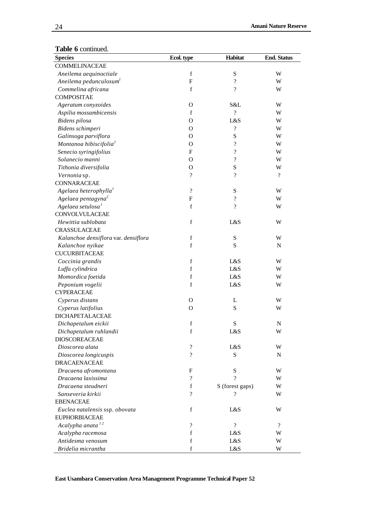| ne o commuçã<br><b>Species</b>       | Ecol. type                 | Habitat                    | <b>End. Status</b>       |
|--------------------------------------|----------------------------|----------------------------|--------------------------|
| COMMELINACEAE                        |                            |                            |                          |
| Aneilema aequinoctiale               | $\mathbf f$                | S                          | W                        |
| Aneilema pedunculosum <sup>1</sup>   | ${\bf F}$                  | $\overline{\mathcal{C}}$   | W                        |
| Commelina africana                   | $\mathbf f$                | $\overline{\mathcal{L}}$   | W                        |
| <b>COMPOSITAE</b>                    |                            |                            |                          |
| Ageratum conyzoides                  | $\mathbf{O}$               | S&L                        | W                        |
| Aspilia mossambicensis               | $\mathbf f$                | $\gamma$                   | W                        |
| Bidens pilosa                        | $\Omega$                   | L&S                        | W                        |
| Bidens schimperi                     | $\Omega$                   | $\boldsymbol{\mathcal{P}}$ | W                        |
| Galinsoga parviflora                 | O                          | ${\bf S}$                  | W                        |
| Montanoa hibiscifolia <sup>2</sup>   | O                          | $\overline{\mathcal{L}}$   | W                        |
| Senecio syringifolius                | ${\bf F}$                  | $\gamma$                   | W                        |
| Solanecio manni                      | $\Omega$                   | $\overline{\mathcal{L}}$   | W                        |
| Tithonia diversifolia                | $\mathbf{O}$               | ${\bf S}$                  | W                        |
| Vernonia sp.                         | $\boldsymbol{\mathcal{P}}$ | $\overline{\mathcal{L}}$   | $\overline{\mathcal{L}}$ |
| <b>CONNARACEAE</b>                   |                            |                            |                          |
| Agelaea heterophylla <sup>1</sup>    | $\overline{\mathcal{L}}$   | S                          | W                        |
| Agelaea pentagyna <sup>2</sup>       | ${\bf F}$                  | $\overline{\cdot}$         | W                        |
| Agelaea setulosa <sup>1</sup>        | $\mathbf f$                | $\overline{\mathcal{L}}$   | W                        |
| CONVOLVULACEAE                       |                            |                            |                          |
| Hewittia sublobata                   | $\mathbf f$                | L&S                        | W                        |
| CRASSULACEAE                         |                            |                            |                          |
| Kalanchoe densiflora var. densiflora | $\mathbf f$                | ${\bf S}$                  | W                        |
| Kalanchoe nyikae                     | $\mathbf f$                | ${\bf S}$                  | ${\bf N}$                |
| <b>CUCURBITACEAE</b>                 |                            |                            |                          |
| Coccinia grandis                     | $\mathbf f$                | L&S                        | W                        |
| Luffa cylindrica                     | $\mathbf f$                | L&S                        | W                        |
| Momordica foetida                    | $\mathbf f$                | L&S                        | W                        |
| Peponium vogelii                     | $\mathbf f$                | L&S                        | W                        |
| <b>CYPERACEAE</b>                    |                            |                            |                          |
| Cyperus distans                      | $\mathbf{O}$               | L                          | W                        |
| Cyperus latifolius                   | $\Omega$                   | S                          | W                        |
| DICHAPETALACEAE                      |                            |                            |                          |
| Dichapetalum eickii                  | f                          | S                          | N                        |
| Dichapetalum ruhlandii               | $\mathbf f$                | L&S                        | W                        |
| <b>DIOSCOREACEAE</b>                 |                            |                            |                          |
| Dioscorea alata                      | $\overline{\mathcal{L}}$   | L&S                        | W                        |
| Dioscorea longicuspis                | $\overline{\mathcal{L}}$   | S                          | N                        |
| DRACAENACEAE                         |                            |                            |                          |
| Dracaena afromontana                 | F                          | S                          | W                        |
| Dracaena laxissima                   | $\overline{\mathcal{L}}$   | ?                          | W                        |
| Dracaena steudneri                   | f                          | S (forest gaps)            | W                        |
| Sanseveria kirkii                    | $\overline{\mathcal{L}}$   | ?                          | W                        |
| <b>EBENACEAE</b>                     |                            |                            |                          |
| Euclea natalensis ssp. obovata       | f                          | L&S                        | W                        |
| <b>EUPHORBIACEAE</b>                 |                            |                            |                          |
| Acalypha anata $12$                  | $\boldsymbol{\mathcal{P}}$ | $\overline{?}$             | $\overline{?}$           |
| Acalypha racemosa                    | $\mathbf f$                | L&S                        | W                        |
| Antidesma venosum                    | $\mathbf f$                | L&S                        | W                        |
| Bridelia micrantha                   | $\mathbf f$                | L&S                        | W                        |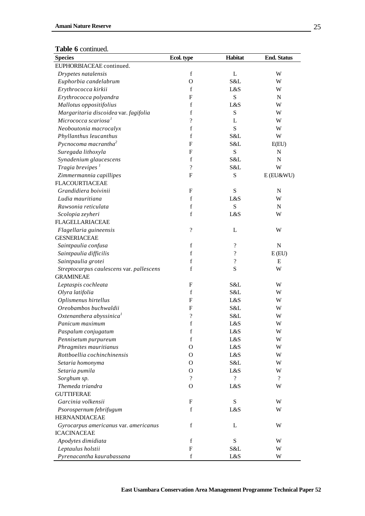| <b>LADIC U</b> COMMITACI<br><b>Species</b> | Ecol. type               | Habitat                  | <b>End. Status</b>       |
|--------------------------------------------|--------------------------|--------------------------|--------------------------|
| EUPHORBIACEAE continued.                   |                          |                          |                          |
| Drypetes natalensis                        | $\mathbf f$              | L                        | W                        |
| Euphorbia candelabrum                      | $\Omega$                 | S&L                      | W                        |
| Erythrococca kirkii                        | $\mathbf f$              | L&S                      | W                        |
| Erythrococca polyandra                     | $\mathbf{F}$             | S                        | $\mathbf N$              |
| Mallotus oppositifolius                    | f                        | L&S                      | W                        |
| Margaritaria discoidea var. fagifolia      | f                        | ${\bf S}$                | W                        |
| Micrococca scariosa <sup>1</sup>           | $\overline{\mathcal{C}}$ | L                        | W                        |
|                                            | f                        | S                        |                          |
| Neoboutonia macrocalyx                     | f                        | S&L                      | W<br>W                   |
| Phyllanthus leucanthus                     |                          |                          |                          |
| Pycnocoma macrantha <sup>2</sup>           | $\boldsymbol{F}$         | S&L                      | E(EU)                    |
| Suregada lithoxyla                         | $\boldsymbol{F}$         | ${\bf S}$                | $\mathbf N$              |
| Synadenium glaucescens                     | f                        | S&L                      | N                        |
| Tragia brevipes <sup>1</sup>               | $\overline{\mathcal{L}}$ | S&L                      | W                        |
| Zimmermannia capillipes                    | $\mathbf{F}$             | S                        | $E$ (EU&WU)              |
| <b>FLACOURTIACEAE</b>                      |                          |                          |                          |
| Grandidiera boivinii                       | F                        | ${\bf S}$                | $\mathbf N$              |
| Ludia mauritiana                           | f                        | L&S                      | W                        |
| Rawsonia reticulata                        | $\mathbf f$              | S                        | $\mathbf N$              |
| Scolopia zeyheri                           | $\mathbf f$              | L&S                      | W                        |
| <b>FLAGELLARIACEAE</b>                     |                          |                          |                          |
| Flagellaria guineensis                     | $\overline{\mathcal{L}}$ | L                        | W                        |
| <b>GESNERIACEAE</b>                        |                          |                          |                          |
| Saintpaulia confusa                        | $\mathbf f$              | ?                        | $\mathbf N$              |
| Saintpaulia difficilis                     | f                        | $\overline{\mathcal{C}}$ | E(EU)                    |
| Saintpaulia grotei                         | f                        | $\gamma$                 | E                        |
| Streptocarpus caulescens var. pallescens   | $\mathbf f$              | S                        | W                        |
| <b>GRAMINEAE</b>                           |                          |                          |                          |
| Leptaspis cochleata                        | $\boldsymbol{F}$         | S&L                      | W                        |
| Olyra latifolia                            | f                        | S&L                      | W                        |
| Oplismenus hirtellus                       | $\boldsymbol{F}$         | L&S                      | W                        |
| Oreobambos buchwaldii                      | F                        | S&L                      | W                        |
| Oxtenanthera abyssinica <sup>1</sup>       | $\overline{\cdot}$       | S&L                      | W                        |
| Panicum maximum                            | f                        | L&S                      | W                        |
| Paspalum conjugatum                        | $\mathbf f$              | L&S                      | W                        |
| Pennisetum purpureum                       | $\mathbf f$              | L&S                      | W                        |
| Phragmites mauritianus                     | О                        | L&S                      | W                        |
| Rottboellia cochinchinensis                | О                        | L&S                      | W                        |
| Setaria homonyma                           | О                        | S&L                      | W                        |
| Setaria pumila                             | О                        | L&S                      | W                        |
| Sorghum sp.                                | $\gamma$                 | $\overline{\mathcal{L}}$ | $\overline{\mathcal{L}}$ |
| Themeda triandra                           | O                        | L&S                      | W                        |
| <b>GUTTIFERAE</b>                          |                          |                          |                          |
| Garcinia volkensii                         | F                        | ${\bf S}$                | W                        |
| Psorospernum febrifugum                    | $\mathbf f$              | L&S                      | W                        |
| <b>HERNANDIACEAE</b>                       |                          |                          |                          |
| Gyrocarpus americanus var. americanus      | f                        | L                        | W                        |
| <b>ICACINACEAE</b>                         |                          |                          |                          |
| Apodytes dimidiata                         | $\mathbf f$              | ${\bf S}$                | W                        |
| Leptaulus holstii                          | ${\bf F}$                | S&L                      | W                        |
| Pyrenacantha kaurabassana                  | $\mathbf f$              | L&S                      | W                        |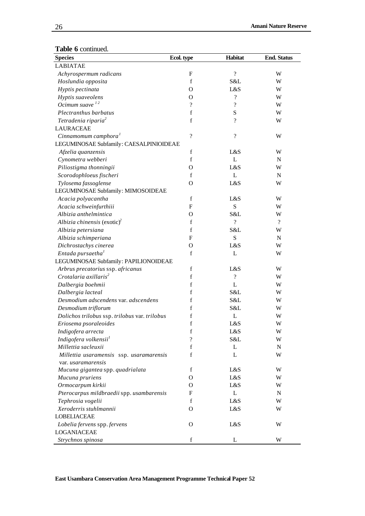| <b>rabic</b> o community<br><b>Species</b>                 | Ecol. type               | Habitat                  | <b>End. Status</b> |
|------------------------------------------------------------|--------------------------|--------------------------|--------------------|
| <b>LABIATAE</b>                                            |                          |                          |                    |
| Achyrospermum radicans                                     | F                        | $\overline{\mathcal{C}}$ | W                  |
| Hoslundia opposita                                         | f                        | S&L                      | W                  |
| Hyptis pectinata                                           | $\Omega$                 | L&S                      | W                  |
| Hyptis suaveolens                                          | $\Omega$                 | $\overline{\mathcal{C}}$ | W                  |
| Ocimum suave $^{12}$                                       | $\boldsymbol{?}$         | $\overline{\mathcal{C}}$ | W                  |
| Plectranthus barbatus                                      | $\mathbf f$              | S                        | W                  |
| Tetradenia riparia <sup>2</sup>                            | f                        | $\overline{\cdot}$       | W                  |
| <b>LAURACEAE</b>                                           |                          |                          |                    |
| Cinnamomum camphora <sup>1</sup>                           | $\overline{\mathcal{L}}$ | $\overline{\mathcal{C}}$ | W                  |
| LEGUMINOSAE Subfamily: CAESALPINIOIDEAE                    |                          |                          |                    |
| Afzelia quanzensis                                         | f                        | L&S                      | W                  |
| Cynometra webberi                                          | $\mathbf f$              | L                        | ${\bf N}$          |
| Piliostigma thonningii                                     | О                        | L&S                      | W                  |
| Scorodophloeus fischeri                                    | f                        | L                        | ${\bf N}$          |
|                                                            | О                        | L&S                      | W                  |
| Tylosema fassoglense<br>LEGUMINOSAE Subfamily: MIMOSOIDEAE |                          |                          |                    |
|                                                            | f                        | L&S                      | W                  |
| Acacia polyacantha<br>Acacia schweinfurthiii               | F                        | S                        | W                  |
| Albizia anthelmintica                                      |                          | S&L                      |                    |
|                                                            | О<br>$\mathbf f$         | $\gamma$                 | W<br>$\gamma$      |
| Albizia chinensis (exotic) <sup>2</sup>                    |                          |                          |                    |
| Albizia petersiana                                         | f                        | S&L                      | W                  |
| Albizia schimperiana                                       | $\boldsymbol{F}$         | S                        | ${\bf N}$          |
| Dichrostachys cinerea                                      | О                        | L&S                      | W                  |
| Entada pursaetha <sup>1</sup>                              | f                        | L                        | W                  |
| LEGUMINOSAE Subfamily: PAPILIONOIDEAE                      |                          |                          |                    |
| Arbrus precatorius ssp. africanus                          | f                        | L&S                      | W                  |
| Crotalaria axillaris <sup>2</sup>                          | $\mathbf f$              | $\overline{\mathcal{C}}$ | W                  |
| Dalbergia boehmii                                          | $\mathbf f$              | L                        | W                  |
| Dalbergia lacteal                                          | f                        | S&L                      | W                  |
| Desmodium adscendens var. adscendens                       | f                        | S&L                      | W                  |
| Desmodium triflorum                                        | f                        | S&L                      | W                  |
| Dolichos trilobus ssp. trilobus var. trilobus              | f                        | L                        | W                  |
| Eriosema psoraleoides                                      | f                        | L&S                      | W                  |
| Indigofera arrecta                                         | f                        | L&S                      | W                  |
| Indigofera volkensii <sup>1</sup>                          | $\overline{\cdot}$       | S&L                      | W                  |
| Millettia sacleuxii                                        | $\mathbf f$              | L                        | ${\bf N}$          |
| Millettia usaramensis ssp. usaramarensis                   | f                        | L                        | W                  |
| var. <i>usaramarensis</i>                                  |                          |                          |                    |
| Mucuna gigantea spp. quadrialata                           | f                        | L&S                      | W                  |
| Mucuna pruriens                                            | О                        | L&S                      | W                  |
| Ormocarpum kirkii                                          | О                        | L&S                      | W                  |
| Pterocarpus mildbraedii spp. usambarensis                  | F                        | L                        | ${\bf N}$          |
| Tephrosia vogelii                                          | f                        | L&S                      | W                  |
| Xeroderris stuhlmannii                                     | O                        | L&S                      | W                  |
| <b>LOBELIACEAE</b>                                         |                          |                          |                    |
| Lobelia fervens spp. fervens                               | $\mathbf{O}$             | L&S                      | W                  |
| LOGANIACEAE                                                |                          |                          |                    |
| Strychnos spinosa                                          | f                        | L                        | W                  |

<u> 1980 - Johann Barbara, martxa a</u>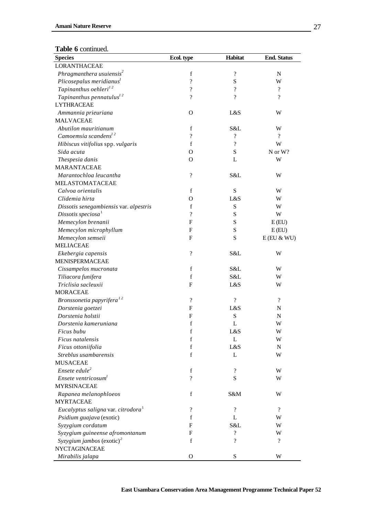| <b>Species</b>                                 | Ecol. type               | Habitat                  | <b>End. Status</b>       |
|------------------------------------------------|--------------------------|--------------------------|--------------------------|
| <b>LORANTHACEAE</b>                            |                          |                          |                          |
| Phragmanthera usuiensis <sup>2</sup>           | f                        | $\overline{\cdot}$       | $\mathbf N$              |
| Plicosepalus meridianus <sup>1</sup>           | ?                        | S                        | W                        |
| Tapinanthus oehleri <sup>12</sup>              | ?                        | $\gamma$                 | $\overline{?}$           |
| Tapinanthus pennatulus <sup>12</sup>           | $\gamma$                 | $\gamma$                 | $\overline{\mathcal{L}}$ |
| <b>LYTHRACEAE</b>                              |                          |                          |                          |
| Ammannia prieuriana                            | $\Omega$                 | L&S                      | W                        |
| <b>MALVACEAE</b>                               |                          |                          |                          |
| Abutilon mauritianum                           | $\mathbf f$              | S&L                      | W                        |
| Camoemsia scandens $12$                        | ?                        | $\gamma$                 | $\overline{?}$           |
| Hibiscus vitifolius spp. vulgaris              | f                        | $\overline{\cdot}$       | W                        |
| Sida acuta                                     | O                        | S                        | N or W?                  |
| Thespesia danis                                | O                        | L                        | W                        |
| MARANTACEAE                                    |                          |                          |                          |
| Marantochloa leucantha                         | $\overline{\mathcal{L}}$ | S&L                      | W                        |
| <b>MELASTOMATACEAE</b>                         |                          |                          |                          |
| Calvoa orientalis                              | f                        | S                        | W                        |
| Clidemia hirta                                 | O                        | L&S                      | W                        |
| Dissotis senegambiensis var. alpestris         | f                        | ${\bf S}$                | W                        |
| Dissotis speciosa $1$                          | ?                        | S                        | W                        |
| Memecylon brenanii                             | $\mathbf{F}$             | S                        | E(EU)                    |
| Memecylon microphyllum                         | F                        | S                        | E(EU)                    |
| Memecylon semseii                              | ${\bf F}$                | S                        | $E$ (EU & WU)            |
| <b>MELIACEAE</b>                               |                          |                          |                          |
| Ekebergia capensis                             | $\overline{\mathcal{L}}$ | S&L                      | W                        |
| MENISPERMACEAE                                 |                          |                          |                          |
| Cissampelos mucronata                          | $\mathbf f$              | S&L                      | W                        |
| Tiliacora funifera                             | $\mathbf f$              | S&L                      | W                        |
| Triclisia sacleuxii                            | F                        | L&S                      | W                        |
| <b>MORACEAE</b>                                |                          |                          |                          |
| Bronssonetia papyrifera <sup>12</sup>          | ?                        | $\overline{?}$           | $\overline{?}$           |
| Dorstenia goetzei                              | F                        | L&S                      | N                        |
| Dorstenia holstii                              | F                        | S                        | N                        |
| Dorstenia kameruniana                          | f                        | L                        | W                        |
| Ficus bubu                                     | $\mathbf f$              | L&S                      | W                        |
| Ficus natalensis                               | f                        | L                        | W                        |
| Ficus ottoniifolia                             | f                        | L&S                      | $\mathbf N$              |
| Streblus usambarensis                          | f                        | L                        | W                        |
| <b>MUSACEAE</b>                                |                          |                          |                          |
| $Ensete$ edule <sup>2</sup>                    | $\mathbf f$              | $\overline{\cdot}$       | W                        |
| Ensete ventricosum <sup>1</sup>                | $\overline{\mathcal{L}}$ | S                        | W                        |
| <b>MYRSINACEAE</b>                             |                          |                          |                          |
| Rapanea melanophloeos                          | f                        | S&M                      | W                        |
| <b>MYRTACEAE</b>                               |                          |                          |                          |
| Eucalyptus saligna var. citrodora <sup>1</sup> | $\overline{?}$           | $\gamma$                 | $\overline{\mathcal{L}}$ |
| Psidium guajava (exotic)                       | $\mathbf f$              | L                        | W                        |
| Syzygium cordatum                              | F                        | S&L                      | W                        |
| Syzygium guineense afromontanum                | F                        | $\overline{\cdot}$       | W                        |
| Syzygium jambos (exotic) <sup>2</sup>          | $\mathbf f$              | $\overline{\mathcal{L}}$ | $\gamma$                 |
| NYCTAGINACEAE                                  |                          |                          |                          |
| Mirabilis jalapa                               | $\mathbf{O}$             | $\mathbf S$              | W                        |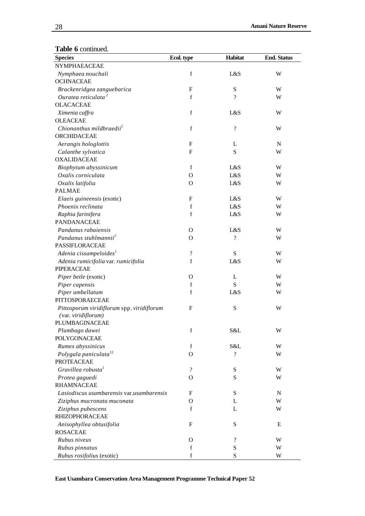| <b>Species</b>                                                                                                                                                                                                                                                                                                                                                                                                                                                                                                                                                                                                                                                                                                                                                                                                                                                                                                                                                     | Ecol. type                                                                                                                                                                                                                        | Habitat                                                                                                                                                                                                                                                   | <b>End. Status</b>                                                                                                                  |
|--------------------------------------------------------------------------------------------------------------------------------------------------------------------------------------------------------------------------------------------------------------------------------------------------------------------------------------------------------------------------------------------------------------------------------------------------------------------------------------------------------------------------------------------------------------------------------------------------------------------------------------------------------------------------------------------------------------------------------------------------------------------------------------------------------------------------------------------------------------------------------------------------------------------------------------------------------------------|-----------------------------------------------------------------------------------------------------------------------------------------------------------------------------------------------------------------------------------|-----------------------------------------------------------------------------------------------------------------------------------------------------------------------------------------------------------------------------------------------------------|-------------------------------------------------------------------------------------------------------------------------------------|
| NYMPHAEACEAE                                                                                                                                                                                                                                                                                                                                                                                                                                                                                                                                                                                                                                                                                                                                                                                                                                                                                                                                                       |                                                                                                                                                                                                                                   |                                                                                                                                                                                                                                                           |                                                                                                                                     |
| Nymphaea nouchali                                                                                                                                                                                                                                                                                                                                                                                                                                                                                                                                                                                                                                                                                                                                                                                                                                                                                                                                                  | $\mathbf f$                                                                                                                                                                                                                       | L&S                                                                                                                                                                                                                                                       | W                                                                                                                                   |
| <b>OCHNACEAE</b>                                                                                                                                                                                                                                                                                                                                                                                                                                                                                                                                                                                                                                                                                                                                                                                                                                                                                                                                                   |                                                                                                                                                                                                                                   |                                                                                                                                                                                                                                                           |                                                                                                                                     |
| Brackenridgea zanguebarica                                                                                                                                                                                                                                                                                                                                                                                                                                                                                                                                                                                                                                                                                                                                                                                                                                                                                                                                         | F                                                                                                                                                                                                                                 | ${\bf S}$                                                                                                                                                                                                                                                 | W                                                                                                                                   |
| Ouratea reticulata <sup>2</sup>                                                                                                                                                                                                                                                                                                                                                                                                                                                                                                                                                                                                                                                                                                                                                                                                                                                                                                                                    | $\mathbf f$                                                                                                                                                                                                                       | $\gamma$                                                                                                                                                                                                                                                  | W                                                                                                                                   |
| <b>OLACACEAE</b>                                                                                                                                                                                                                                                                                                                                                                                                                                                                                                                                                                                                                                                                                                                                                                                                                                                                                                                                                   |                                                                                                                                                                                                                                   |                                                                                                                                                                                                                                                           |                                                                                                                                     |
| Ximenia caffra                                                                                                                                                                                                                                                                                                                                                                                                                                                                                                                                                                                                                                                                                                                                                                                                                                                                                                                                                     | $\mathbf f$                                                                                                                                                                                                                       | L&S                                                                                                                                                                                                                                                       | W                                                                                                                                   |
| <b>OLEACEAE</b>                                                                                                                                                                                                                                                                                                                                                                                                                                                                                                                                                                                                                                                                                                                                                                                                                                                                                                                                                    |                                                                                                                                                                                                                                   |                                                                                                                                                                                                                                                           |                                                                                                                                     |
| Chionanthus mildbraedii <sup>2</sup>                                                                                                                                                                                                                                                                                                                                                                                                                                                                                                                                                                                                                                                                                                                                                                                                                                                                                                                               | $\mathbf f$                                                                                                                                                                                                                       | $\overline{\mathcal{L}}$                                                                                                                                                                                                                                  | W                                                                                                                                   |
| ORCHIDACEAE                                                                                                                                                                                                                                                                                                                                                                                                                                                                                                                                                                                                                                                                                                                                                                                                                                                                                                                                                        |                                                                                                                                                                                                                                   |                                                                                                                                                                                                                                                           |                                                                                                                                     |
| Aerangis hologlottis                                                                                                                                                                                                                                                                                                                                                                                                                                                                                                                                                                                                                                                                                                                                                                                                                                                                                                                                               | F                                                                                                                                                                                                                                 | L                                                                                                                                                                                                                                                         | $\mathbf N$                                                                                                                         |
| Calanthe sylvatica                                                                                                                                                                                                                                                                                                                                                                                                                                                                                                                                                                                                                                                                                                                                                                                                                                                                                                                                                 | $\boldsymbol{F}$                                                                                                                                                                                                                  | S                                                                                                                                                                                                                                                         | W                                                                                                                                   |
| <b>OXALIDACEAE</b>                                                                                                                                                                                                                                                                                                                                                                                                                                                                                                                                                                                                                                                                                                                                                                                                                                                                                                                                                 |                                                                                                                                                                                                                                   |                                                                                                                                                                                                                                                           |                                                                                                                                     |
|                                                                                                                                                                                                                                                                                                                                                                                                                                                                                                                                                                                                                                                                                                                                                                                                                                                                                                                                                                    |                                                                                                                                                                                                                                   |                                                                                                                                                                                                                                                           |                                                                                                                                     |
|                                                                                                                                                                                                                                                                                                                                                                                                                                                                                                                                                                                                                                                                                                                                                                                                                                                                                                                                                                    |                                                                                                                                                                                                                                   |                                                                                                                                                                                                                                                           |                                                                                                                                     |
|                                                                                                                                                                                                                                                                                                                                                                                                                                                                                                                                                                                                                                                                                                                                                                                                                                                                                                                                                                    |                                                                                                                                                                                                                                   |                                                                                                                                                                                                                                                           |                                                                                                                                     |
|                                                                                                                                                                                                                                                                                                                                                                                                                                                                                                                                                                                                                                                                                                                                                                                                                                                                                                                                                                    |                                                                                                                                                                                                                                   |                                                                                                                                                                                                                                                           |                                                                                                                                     |
|                                                                                                                                                                                                                                                                                                                                                                                                                                                                                                                                                                                                                                                                                                                                                                                                                                                                                                                                                                    |                                                                                                                                                                                                                                   |                                                                                                                                                                                                                                                           |                                                                                                                                     |
|                                                                                                                                                                                                                                                                                                                                                                                                                                                                                                                                                                                                                                                                                                                                                                                                                                                                                                                                                                    |                                                                                                                                                                                                                                   |                                                                                                                                                                                                                                                           |                                                                                                                                     |
|                                                                                                                                                                                                                                                                                                                                                                                                                                                                                                                                                                                                                                                                                                                                                                                                                                                                                                                                                                    |                                                                                                                                                                                                                                   |                                                                                                                                                                                                                                                           |                                                                                                                                     |
|                                                                                                                                                                                                                                                                                                                                                                                                                                                                                                                                                                                                                                                                                                                                                                                                                                                                                                                                                                    |                                                                                                                                                                                                                                   |                                                                                                                                                                                                                                                           |                                                                                                                                     |
|                                                                                                                                                                                                                                                                                                                                                                                                                                                                                                                                                                                                                                                                                                                                                                                                                                                                                                                                                                    |                                                                                                                                                                                                                                   |                                                                                                                                                                                                                                                           |                                                                                                                                     |
|                                                                                                                                                                                                                                                                                                                                                                                                                                                                                                                                                                                                                                                                                                                                                                                                                                                                                                                                                                    |                                                                                                                                                                                                                                   |                                                                                                                                                                                                                                                           |                                                                                                                                     |
|                                                                                                                                                                                                                                                                                                                                                                                                                                                                                                                                                                                                                                                                                                                                                                                                                                                                                                                                                                    |                                                                                                                                                                                                                                   |                                                                                                                                                                                                                                                           |                                                                                                                                     |
|                                                                                                                                                                                                                                                                                                                                                                                                                                                                                                                                                                                                                                                                                                                                                                                                                                                                                                                                                                    |                                                                                                                                                                                                                                   |                                                                                                                                                                                                                                                           |                                                                                                                                     |
|                                                                                                                                                                                                                                                                                                                                                                                                                                                                                                                                                                                                                                                                                                                                                                                                                                                                                                                                                                    |                                                                                                                                                                                                                                   |                                                                                                                                                                                                                                                           |                                                                                                                                     |
|                                                                                                                                                                                                                                                                                                                                                                                                                                                                                                                                                                                                                                                                                                                                                                                                                                                                                                                                                                    |                                                                                                                                                                                                                                   |                                                                                                                                                                                                                                                           |                                                                                                                                     |
|                                                                                                                                                                                                                                                                                                                                                                                                                                                                                                                                                                                                                                                                                                                                                                                                                                                                                                                                                                    |                                                                                                                                                                                                                                   |                                                                                                                                                                                                                                                           |                                                                                                                                     |
|                                                                                                                                                                                                                                                                                                                                                                                                                                                                                                                                                                                                                                                                                                                                                                                                                                                                                                                                                                    |                                                                                                                                                                                                                                   |                                                                                                                                                                                                                                                           |                                                                                                                                     |
|                                                                                                                                                                                                                                                                                                                                                                                                                                                                                                                                                                                                                                                                                                                                                                                                                                                                                                                                                                    |                                                                                                                                                                                                                                   |                                                                                                                                                                                                                                                           |                                                                                                                                     |
|                                                                                                                                                                                                                                                                                                                                                                                                                                                                                                                                                                                                                                                                                                                                                                                                                                                                                                                                                                    |                                                                                                                                                                                                                                   |                                                                                                                                                                                                                                                           |                                                                                                                                     |
|                                                                                                                                                                                                                                                                                                                                                                                                                                                                                                                                                                                                                                                                                                                                                                                                                                                                                                                                                                    |                                                                                                                                                                                                                                   |                                                                                                                                                                                                                                                           |                                                                                                                                     |
|                                                                                                                                                                                                                                                                                                                                                                                                                                                                                                                                                                                                                                                                                                                                                                                                                                                                                                                                                                    |                                                                                                                                                                                                                                   |                                                                                                                                                                                                                                                           |                                                                                                                                     |
|                                                                                                                                                                                                                                                                                                                                                                                                                                                                                                                                                                                                                                                                                                                                                                                                                                                                                                                                                                    |                                                                                                                                                                                                                                   |                                                                                                                                                                                                                                                           |                                                                                                                                     |
|                                                                                                                                                                                                                                                                                                                                                                                                                                                                                                                                                                                                                                                                                                                                                                                                                                                                                                                                                                    |                                                                                                                                                                                                                                   |                                                                                                                                                                                                                                                           |                                                                                                                                     |
|                                                                                                                                                                                                                                                                                                                                                                                                                                                                                                                                                                                                                                                                                                                                                                                                                                                                                                                                                                    |                                                                                                                                                                                                                                   |                                                                                                                                                                                                                                                           |                                                                                                                                     |
|                                                                                                                                                                                                                                                                                                                                                                                                                                                                                                                                                                                                                                                                                                                                                                                                                                                                                                                                                                    |                                                                                                                                                                                                                                   |                                                                                                                                                                                                                                                           |                                                                                                                                     |
|                                                                                                                                                                                                                                                                                                                                                                                                                                                                                                                                                                                                                                                                                                                                                                                                                                                                                                                                                                    |                                                                                                                                                                                                                                   |                                                                                                                                                                                                                                                           |                                                                                                                                     |
|                                                                                                                                                                                                                                                                                                                                                                                                                                                                                                                                                                                                                                                                                                                                                                                                                                                                                                                                                                    |                                                                                                                                                                                                                                   |                                                                                                                                                                                                                                                           |                                                                                                                                     |
|                                                                                                                                                                                                                                                                                                                                                                                                                                                                                                                                                                                                                                                                                                                                                                                                                                                                                                                                                                    |                                                                                                                                                                                                                                   |                                                                                                                                                                                                                                                           |                                                                                                                                     |
|                                                                                                                                                                                                                                                                                                                                                                                                                                                                                                                                                                                                                                                                                                                                                                                                                                                                                                                                                                    |                                                                                                                                                                                                                                   |                                                                                                                                                                                                                                                           |                                                                                                                                     |
|                                                                                                                                                                                                                                                                                                                                                                                                                                                                                                                                                                                                                                                                                                                                                                                                                                                                                                                                                                    |                                                                                                                                                                                                                                   |                                                                                                                                                                                                                                                           |                                                                                                                                     |
|                                                                                                                                                                                                                                                                                                                                                                                                                                                                                                                                                                                                                                                                                                                                                                                                                                                                                                                                                                    |                                                                                                                                                                                                                                   |                                                                                                                                                                                                                                                           |                                                                                                                                     |
|                                                                                                                                                                                                                                                                                                                                                                                                                                                                                                                                                                                                                                                                                                                                                                                                                                                                                                                                                                    |                                                                                                                                                                                                                                   |                                                                                                                                                                                                                                                           |                                                                                                                                     |
|                                                                                                                                                                                                                                                                                                                                                                                                                                                                                                                                                                                                                                                                                                                                                                                                                                                                                                                                                                    |                                                                                                                                                                                                                                   |                                                                                                                                                                                                                                                           |                                                                                                                                     |
|                                                                                                                                                                                                                                                                                                                                                                                                                                                                                                                                                                                                                                                                                                                                                                                                                                                                                                                                                                    |                                                                                                                                                                                                                                   |                                                                                                                                                                                                                                                           |                                                                                                                                     |
|                                                                                                                                                                                                                                                                                                                                                                                                                                                                                                                                                                                                                                                                                                                                                                                                                                                                                                                                                                    |                                                                                                                                                                                                                                   |                                                                                                                                                                                                                                                           |                                                                                                                                     |
|                                                                                                                                                                                                                                                                                                                                                                                                                                                                                                                                                                                                                                                                                                                                                                                                                                                                                                                                                                    |                                                                                                                                                                                                                                   |                                                                                                                                                                                                                                                           |                                                                                                                                     |
|                                                                                                                                                                                                                                                                                                                                                                                                                                                                                                                                                                                                                                                                                                                                                                                                                                                                                                                                                                    |                                                                                                                                                                                                                                   |                                                                                                                                                                                                                                                           |                                                                                                                                     |
|                                                                                                                                                                                                                                                                                                                                                                                                                                                                                                                                                                                                                                                                                                                                                                                                                                                                                                                                                                    | f                                                                                                                                                                                                                                 |                                                                                                                                                                                                                                                           | W                                                                                                                                   |
|                                                                                                                                                                                                                                                                                                                                                                                                                                                                                                                                                                                                                                                                                                                                                                                                                                                                                                                                                                    | f                                                                                                                                                                                                                                 |                                                                                                                                                                                                                                                           |                                                                                                                                     |
| Biophytum abyssinicum<br>Oxalis corniculata<br>Oxalis latifolia<br><b>PALMAE</b><br>Elaeis guineensis (exotic)<br>Phoenix reclinata<br>Raphia farinifera<br><b>PANDANACEAE</b><br>Pandanus rabaiensis<br>Pandanus stuhlmannii <sup>2</sup><br>PASSIFLORACEAE<br>Adenia cissampeloides <sup>1</sup><br>Adenia rumicifolia var. rumicifolia<br>PIPERACEAE<br>Piper betle (exotic)<br>Piper capensis<br>Piper umbellatum<br>PITTOSPORAECEAE<br>Pittosporum viridiflorum spp. viridiflorum<br>(var. viridiflorum)<br>PLUMBAGINACEAE<br>Plumbago dawei<br>POLYGONACEAE<br>Rumex abyssinicus<br>Polygala paniculata <sup>12</sup><br><b>PROTEACEAE</b><br>Gravillea robusta <sup>1</sup><br>Protea gaguedi<br><b>RHAMNACEAE</b><br>Lasiodiscus usambarensis var.usambarensis<br>Ziziphus mucronata muconata<br>Ziziphus pubescens<br><b>RHIZOPHORACEAE</b><br>Anisophyllea obtusifolia<br><b>ROSACEAE</b><br>Rubus niveus<br>Rubus pinnatus<br>Rubus rosifolius (exotic) | $\mathbf f$<br>О<br>O<br>F<br>f<br>$\mathbf f$<br>$\Omega$<br>О<br>$\boldsymbol{?}$<br>$\mathbf f$<br>О<br>$\mathbf f$<br>$\mathbf f$<br>F<br>$\mathbf f$<br>f<br>$\Omega$<br>$\overline{?}$<br>$\Omega$<br>F<br>О<br>f<br>F<br>О | L&S<br>L&S<br>L&S<br>L&S<br>L&S<br>L&S<br>L&S<br>$\overline{\mathcal{C}}$<br>${\bf S}$<br>L&S<br>L<br>S<br>L&S<br>${\bf S}$<br>S&L<br>S&L<br>$\overline{\mathcal{C}}$<br>S<br>S<br>${\bf S}$<br>L<br>L<br>${\bf S}$<br>$\overline{\mathcal{C}}$<br>S<br>S | W<br>W<br>W<br>W<br>W<br>W<br>W<br>W<br>W<br>W<br>W<br>W<br>W<br>W<br>W<br>W<br>W<br>W<br>W<br>$\mathbf N$<br>W<br>W<br>E<br>W<br>W |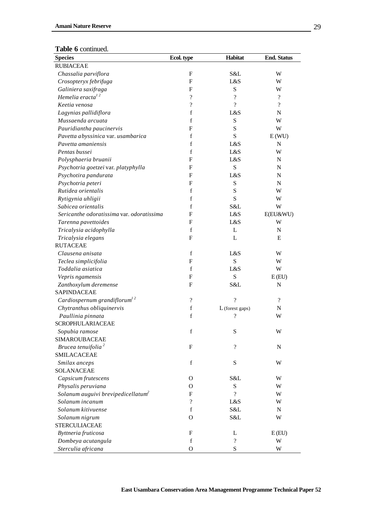| <b>LADIC V</b> COMMITTEL.<br><b>Species</b>         | Ecol. type               | Habitat                  | <b>End. Status</b> |
|-----------------------------------------------------|--------------------------|--------------------------|--------------------|
| <b>RUBIACEAE</b>                                    |                          |                          |                    |
|                                                     | $\mathbf F$              | S&L                      | W                  |
| Chassalia parviflora                                |                          | L&S                      | W                  |
| Crosopteryx febrifuga                               | F<br>F                   | S                        | W                  |
| Galiniera saxifraga<br>Hemelia eracta <sup>12</sup> |                          |                          |                    |
|                                                     | $\overline{\cdot}$       | $\overline{\mathcal{C}}$ | $\overline{\cdot}$ |
| Keetia venosa                                       | $\overline{\mathcal{C}}$ | $\overline{?}$           | $\gamma$           |
| Lagynias pallidiflora                               | f                        | L&S                      | $\mathbf N$        |
| Mussaenda arcuata                                   | f                        | S                        | W                  |
| Pauridiantha paucinervis                            | F                        | S                        | W                  |
| Pavetta abyssinica var. usambarica                  | f                        | ${\bf S}$                | E(WU)              |
| Pavetta amaniensis                                  | f                        | L&S                      | N                  |
| Pentas bussei                                       | $\mathbf f$              | L&S                      | W                  |
| Polysphaeria bruanii                                | F                        | L&S                      | $\mathbf N$        |
| Psychotria goetzei var. platyphylla                 | F                        | ${\bf S}$                | N                  |
| Psychotira pandurata                                | $\mathbf{F}$             | L&S                      | $\mathbf N$        |
| Psychotria peteri                                   | $\mathbf{F}$             | ${\bf S}$                | ${\bf N}$          |
| Rutidea orientalis                                  | f                        | S                        | W                  |
| Rytigynia uhligii                                   | f                        | S                        | W                  |
| Sabicea orientalis                                  | f                        | S&L                      | W                  |
| Sericanthe odoratissima var. odoratissima           | $\mathbf{F}$             | L&S                      | E(EU&WU)           |
| Tarenna pavettoides                                 | F                        | L&S                      | W                  |
| Tricalysia acidophylla                              | f                        | L                        | N                  |
| Tricalysia elegans                                  | $\mathbf F$              | L                        | E                  |
| <b>RUTACEAE</b>                                     |                          |                          |                    |
| Clausena anisata                                    | f                        | L&S                      | W                  |
| Teclea simplicifolia                                | F                        | S                        | W                  |
| Toddalia asiatica                                   | f                        | L&S                      | W                  |
| Vepris ngamensis                                    | $\mathbf{F}$             | S                        | E(EU)              |
| Zanthoxylum deremense                               | $\mathbf{F}$             | S&L                      | $\mathbf N$        |
| <b>SAPINDACEAE</b>                                  |                          |                          |                    |
| Cardiospernum grandiflorum <sup>12</sup>            | $\overline{\mathcal{C}}$ | $\overline{\phantom{a}}$ | $\gamma$           |
| Chytranthus obliquinervis                           | f                        | L (forest gaps)          | ${\bf N}$          |
| Paullinia pinnata                                   | f                        | ?                        | W                  |
|                                                     |                          |                          |                    |
| SCROPHULARIACEAE                                    |                          |                          |                    |
| Sopubia ramose                                      | $\mathbf f$              | S                        | W                  |
| SIMAROUBACEAE                                       |                          |                          |                    |
| Brucea tenuifolia <sup>2</sup>                      | $\mathbf F$              | $\overline{\cdot}$       | ${\bf N}$          |
| <b>SMILACACEAE</b>                                  |                          |                          |                    |
| Smilax anceps                                       | $\mathbf f$              | ${\bf S}$                | W                  |
| SOLANACEAE                                          |                          |                          |                    |
| Capsicum frutescens                                 | O                        | S&L                      | W                  |
| Physalis peruviana                                  | O                        | ${\bf S}$                | W                  |
| Solanum auguivi brevipedicellatum <sup>2</sup>      | F                        | ?                        | W                  |
| Solanum incanum                                     | $\gamma$                 | L&S                      | W                  |
| Solanum kitivuense                                  | $\mathbf f$              | S&L                      | ${\bf N}$          |
| Solanum nigrum                                      | $\mathbf{O}$             | S&L                      | W                  |
| <b>STERCULIACEAE</b>                                |                          |                          |                    |
| Byttneria fruticosa                                 | $\mathbf{F}$             | L                        | E(EU)              |
| Dombeya acutangula                                  | f                        | $\gamma$                 | W                  |
| Sterculia africana                                  | O                        | S                        | W                  |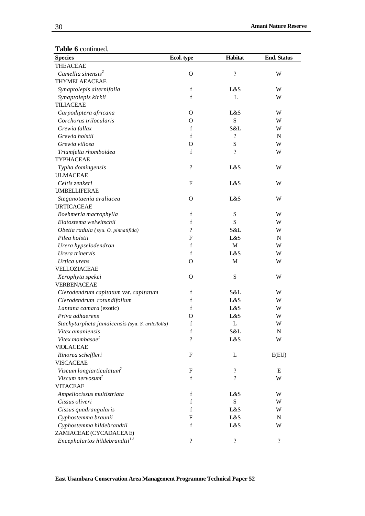| <b>Species</b>                                   | Ecol. type               | Habitat            | <b>End. Status</b>       |
|--------------------------------------------------|--------------------------|--------------------|--------------------------|
| <b>THEACEAE</b>                                  |                          |                    |                          |
| Camellia sinensis <sup>2</sup>                   | $\Omega$                 | $\overline{\cdot}$ | W                        |
| THYMELAEACEAE                                    |                          |                    |                          |
| Synaptolepis alternifolia                        | $\mathbf f$              | L&S                | W                        |
| Synaptolepis kirkii                              | $\mathbf f$              | L                  | W                        |
| <b>TILIACEAE</b>                                 |                          |                    |                          |
| Carpodiptera africana                            | $\Omega$                 | L&S                | W                        |
| Corchorus trilocularis                           | $\Omega$                 | S                  | W                        |
| Grewia fallax                                    | $\mathbf f$              | S&L                | W                        |
| Grewia holstii                                   | $\mathbf f$              | $\gamma$           | $\mathbf N$              |
| Grewia villosa                                   | $\Omega$                 | ${\bf S}$          | W                        |
| Triumfelta rhomboidea                            | $\mathbf f$              | $\gamma$           | W                        |
| <b>TYPHACEAE</b>                                 |                          |                    |                          |
| Typha domingensis                                | $\overline{\cdot}$       | L&S                | W                        |
| <b>ULMACEAE</b>                                  |                          |                    |                          |
| Celtis zenkeri                                   | F                        | L&S                | W                        |
| <b>UMBELLIFERAE</b>                              |                          |                    |                          |
| Steganotaenia araliacea                          | $\Omega$                 | L&S                | W                        |
| <b>URTICACEAE</b>                                |                          |                    |                          |
| Boehmeria macrophylla                            | $\mathbf f$              | ${\bf S}$          | W                        |
| Elatostema welwitschii                           | f                        | S                  | W                        |
| Obetia radula (syn. O. pinnatifida)              | $\overline{\mathcal{C}}$ | S&L                | W                        |
| Pilea holstii                                    | F                        | L&S                | N                        |
| Urera hypselodendron                             | f                        | M                  | W                        |
| Urera trinervis                                  | $\mathbf f$              | L&S                | W                        |
| Urtica urens                                     | $\Omega$                 | M                  | W                        |
| VELLOZIACEAE                                     |                          |                    |                          |
| Xerophyta spekei                                 | O                        | ${\bf S}$          | W                        |
| <b>VERBENACEAE</b>                               |                          |                    |                          |
| Clerodendrum capitatum var. capitatum            | f                        | S&L                | W                        |
| Clerodendrum rotundifolium                       | f                        | L&S                | W                        |
| Lantana camara (exotic)                          | $\mathbf f$              | L&S                | W                        |
| Priva adhaerens                                  | O                        | L&S                | W                        |
| Stachytarpheta jamaicensis (syn. S. urticifolia) | $\mathbf f$              | L                  | W                        |
| Vitex amaniensis                                 | $\mathbf f$              | S&L                | $\mathbf N$              |
| Vitex mombasae <sup>1</sup>                      | $\gamma$                 | L&S                | W                        |
| <b>VIOLACEAE</b>                                 |                          |                    |                          |
| Rinorea scheffleri                               | F                        | L                  | E(EU)                    |
| <b>VISCACEAE</b>                                 |                          |                    |                          |
| Viscum longiarticulatum <sup>2</sup>             | F                        | $\gamma$           | Ε                        |
| Viscum nervosum <sup>2</sup>                     | $\mathbf f$              | $\gamma$           | W                        |
| <b>VITACEAE</b>                                  |                          |                    |                          |
| Ampeliocissus multistriata                       | $\mathbf f$              | L&S                | W                        |
| Cissus oliveri                                   | $\mathbf f$              | S                  | W                        |
| Cissus quadrangularis                            | f                        | L&S                | W                        |
| Cyphostemma braunii                              | F                        | L&S                | N                        |
| Cyphostemma hildebrandtii                        | $\mathbf f$              | L&S                | W                        |
| ZAMIACEAE (CYCADACEAE)                           |                          |                    |                          |
| Encephalartos hildebrandtii <sup>12</sup>        | $\overline{\cdot}$       | $\overline{\cdot}$ | $\overline{\mathcal{L}}$ |

<u> 1989 - Johann Barn, mars eta bainar eta idazlea (</u>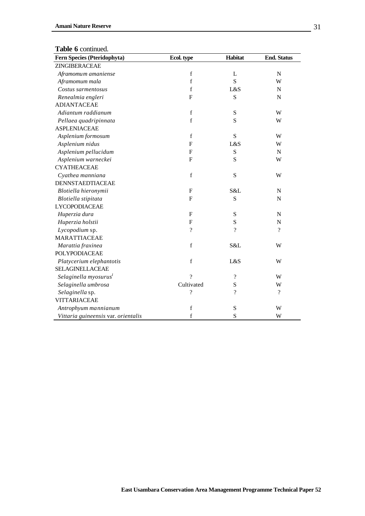| Fern Species (Pteridophyta)         | Ecol. type              | Habitat            | <b>End. Status</b>       |
|-------------------------------------|-------------------------|--------------------|--------------------------|
| ZINGIBERACEAE                       |                         |                    |                          |
| Aframomum amaniense                 | $\mathbf f$             | L                  | ${\bf N}$                |
| Aframomum mala                      | $\mathbf f$             | S                  | W                        |
| Costus sarmentosus                  | $\mathbf f$             | L&S                | $\mathbf N$              |
| Renealmia engleri                   | $\mathbf{F}$            | S                  | $\mathbf N$              |
| <b>ADIANTACEAE</b>                  |                         |                    |                          |
| Adiantum raddianum                  | $\mathbf f$             | S                  | W                        |
| Pellaea quadripinnata               | $\mathbf f$             | S                  | W                        |
| <b>ASPLENIACEAE</b>                 |                         |                    |                          |
| Asplenium formosum                  | $\mathbf f$             | S                  | W                        |
| Asplenium nidus                     | $\mathbf{F}$            | L&S                | W                        |
| Asplenium pellucidum                | $\mathbf F$             | S                  | $\mathbf N$              |
| Asplenium warneckei                 | $\mathbf{F}$            | S                  | W                        |
| <b>CYATHEACEAE</b>                  |                         |                    |                          |
| Cyathea manniana                    | f                       | S                  | W                        |
| DENNSTAEDTIACEAE                    |                         |                    |                          |
| Blotiella hieronymii                | ${\bf F}$               | S&L                | $\mathbf N$              |
| Blotiella stipitata                 | $\mathbf F$             | S                  | N                        |
| <b>LYCOPODIACEAE</b>                |                         |                    |                          |
| Huperzia dura                       | $\mathbf{F}$            | S                  | ${\bf N}$                |
| Huperzia holstii                    | $\overline{\mathrm{F}}$ | S                  | ${\bf N}$                |
| Lycopodium sp.                      | $\gamma$                | $\gamma$           | $\overline{\mathcal{L}}$ |
| <b>MARATTIACEAE</b>                 |                         |                    |                          |
| Marattia fraxinea                   | $\mathbf f$             | S&L                | W                        |
| POLYPODIACEAE                       |                         |                    |                          |
| Platycerium elephantotis            | $\mathbf f$             | L&S                | W                        |
| SELAGINELLACEAE                     |                         |                    |                          |
| Selaginella myosurus <sup>1</sup>   | $\gamma$                | $\overline{\cdot}$ | W                        |
| Selaginella umbrosa                 | Cultivated              | S                  | W                        |
| Selaginella sp.                     | ?                       | $\gamma$           | $\overline{?}$           |
| <b>VITTARIACEAE</b>                 |                         |                    |                          |
| Antrophyum mannianum                | $\mathbf f$             | S                  | W                        |
| Vittaria guineensis var. orientalis | f                       | S                  | W                        |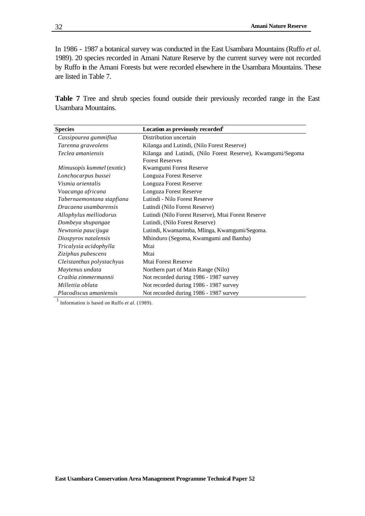In 1986 - 1987 a botanical survey was conducted in the East Usambara Mountains (Ruffo *et al.* 1989). 20 species recorded in Amani Nature Reserve by the current survey were not recorded by Ruffo in the Amani Forests but were recorded elsewhere in the Usambara Mountains. These are listed in Table 7.

**Table 7** Tree and shrub species found outside their previously recorded range in the East Usambara Mountains.

| <b>Species</b>            | Location as previously recorded <sup>1</sup>                |
|---------------------------|-------------------------------------------------------------|
| Cassipourea gummiflua     | Distribution uncertain                                      |
| Tarenna graveolens        | Kilanga and Lutindi, (Nilo Forest Reserve)                  |
| Teclea amaniensis         | Kilanga and Lutindi, (Nilo Forest Reserve), Kwamgumi/Segoma |
|                           | <b>Forest Reserves</b>                                      |
| Mimusopis kummel (exotic) | Kwamgumi Forest Reserve                                     |
| Lonchocarpus bussei       | Longuza Forest Reserve                                      |
| Vismia orientalis         | Longuza Forest Reserve                                      |
| Voacanga africana         | Longuza Forest Reserve                                      |
| Tabernaemontana stapfiana | Lutindi - Nilo Forest Reserve                               |
| Dracaena usambarensis     | Lutindi (Nilo Forest Reserve)                               |
| Allophylus melliodorus    | Lutindi (Nilo Forest Reserve), Mtai Forest Reserve          |
| Dombeya shupangae         | Lutindi, (Nilo Forest Reserve)                              |
| Newtonia paucijuga        | Lutindi, Kwamarimba, Mlinga, Kwamgumi/Segoma.               |
| Diospyros natalensis      | Mhinduro (Segoma, Kwamgumi and Bamba)                       |
| Tricalysia acidophylla    | Mtai                                                        |
| Ziziphus pubescens        | Mtai                                                        |
| Cleistanthus polystachyus | Mtai Forest Reserve                                         |
| Maytenus undata           | Northern part of Main Range (Nilo)                          |
| Craibia zimmermannii      | Not recorded during 1986 - 1987 survey                      |
| Millettia oblata          | Not recorded during 1986 - 1987 survey                      |
| Placodiscus amaniensis    | Not recorded during 1986 - 1987 survey                      |

 $<sup>1</sup>$  Information is based on Ruffo *et al.* (1989).</sup>

32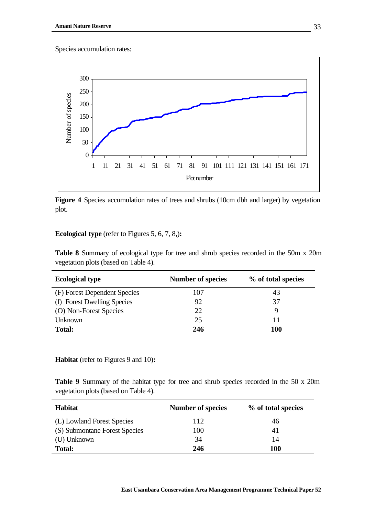Species accumulation rates:



Figure 4 Species accumulation rates of trees and shrubs (10cm dbh and larger) by vegetation plot.

## **Ecological type** (refer to Figures 5, 6, 7, 8,)**:**

**Table 8** Summary of ecological type for tree and shrub species recorded in the 50m x 20m vegetation plots (based on Table 4).

| <b>Ecological type</b>       | <b>Number of species</b> | % of total species |
|------------------------------|--------------------------|--------------------|
| (F) Forest Dependent Species | 107                      | 43                 |
| (f) Forest Dwelling Species  | 92                       | 37                 |
| (O) Non-Forest Species       | 22.                      |                    |
| Unknown                      | 25                       | 11                 |
| <b>Total:</b>                | 246                      | 100                |

**Habitat** (refer to Figures 9 and 10)**:**

**Table 9** Summary of the habitat type for tree and shrub species recorded in the 50 x 20m vegetation plots (based on Table 4).

| <b>Habitat</b>                | <b>Number of species</b> | % of total species |
|-------------------------------|--------------------------|--------------------|
| (L) Lowland Forest Species    | 112                      | 46                 |
| (S) Submontane Forest Species | 100                      | 41                 |
| (U) Unknown                   | 34                       | 14                 |
| <b>Total:</b>                 | 246                      | 100                |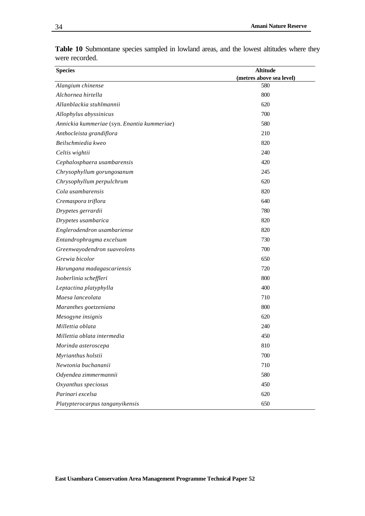| <b>Species</b>                              | <b>Altitude</b>          |
|---------------------------------------------|--------------------------|
|                                             | (metres above sea level) |
| Alangium chinense                           | 580                      |
| Alchornea hirtella                          | 800                      |
| Allanblackia stuhlmannii                    | 620                      |
| Allophylus abyssinicus                      | 700                      |
| Annickia kummeriae (syn. Enantia kummeriae) | 580                      |
| Anthocleista grandiflora                    | 210                      |
| Beilschmiedia kweo                          | 820                      |
| Celtis wightii                              | 240                      |
| Cephalosphaera usambarensis                 | 420                      |
| Chrysophyllum gorungosanum                  | 245                      |
| Chrysophyllum perpulchrum                   | 620                      |
| Cola usambarensis                           | 820                      |
| Cremaspora triflora                         | 640                      |
| Drypetes gerrardii                          | 780                      |
| Drypetes usambarica                         | 820                      |
| Englerodendron usambariense                 | 820                      |
| Entandrophragma excelsum                    | 730                      |
| Greenwayodendron suaveolens                 | 700                      |
| Grewia bicolor                              | 650                      |
| Harungana madagascariensis                  | 720                      |
| Isoberlinia scheffleri                      | 800                      |
| Leptactina platyphylla                      | 400                      |
| Maesa lanceolata                            | 710                      |
| Maranthes goetzeniana                       | 800                      |
| Mesogyne insignis                           | 620                      |
| Millettia oblata                            | 240                      |
| Millettia oblata intermedia                 | 450                      |
| Morinda asteroscepa                         | 810                      |
| Myrianthus holstii                          | 700                      |
| Newtonia buchananii                         | 710                      |
| Odyendea zimmermannii                       | 580                      |
| Oxyanthus speciosus                         | 450                      |
| Parinari excelsa                            | 620                      |
| Platypterocarpus tanganyikensis             | 650                      |

**Table 10** Submontane species sampled in lowland areas, and the lowest altitudes where they were recorded.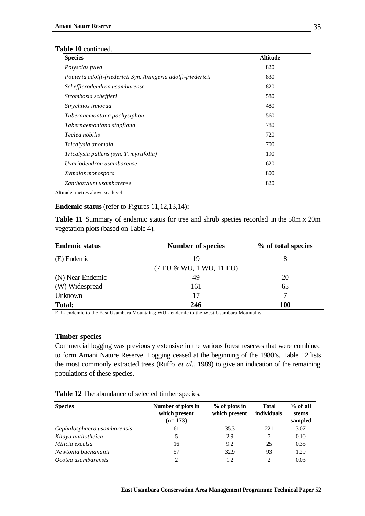| <b>Species</b>                                                | <b>Altitude</b> |
|---------------------------------------------------------------|-----------------|
| Polyscias fulva                                               | 820             |
| Pouteria adolfi-friedericii Syn. Aningeria adolfi-friedericii | 830             |
| Schefflerodendron usambarense                                 | 820             |
| Strombosia scheffleri                                         | 580             |
| Strychnos innocua                                             | 480             |
| Tabernaemontana pachysiphon                                   | 560             |
| Tabernaemontana stapfiana                                     | 780             |
| Teclea nobilis                                                | 720             |
| Tricalysia anomala                                            | 700             |
| Tricalysia pallens (syn. T. myrtifolia)                       | 190             |
| Uvariodendron usambarense                                     | 620             |
| Xymalos monospora                                             | 800             |
| Zanthoxylum usambarense                                       | 820             |

Altitude: metres above sea level

### **Endemic status** (refer to Figures 11,12,13,14)**:**

**Table 11** Summary of endemic status for tree and shrub species recorded in the 50m x 20m vegetation plots (based on Table 4).

| <b>Endemic status</b> | <b>Number of species</b> | % of total species |
|-----------------------|--------------------------|--------------------|
| (E) Endemic           | 19                       | 8                  |
|                       | (7 EU & WU, 1 WU, 11 EU) |                    |
| (N) Near Endemic      | 49                       | 20                 |
| (W) Widespread        | 161                      | 65                 |
| <b>Unknown</b>        | 17                       |                    |
| <b>Total:</b>         | 246                      | <b>100</b>         |

EU - endemic to the East Usambara Mountains; WU - endemic to the West Usambara Mountains

#### **Timber species**

Commercial logging was previously extensive in the various forest reserves that were combined to form Amani Nature Reserve. Logging ceased at the beginning of the 1980's. Table 12 lists the most commonly extracted trees (Ruffo *et al.*, 1989) to give an indication of the remaining populations of these species.

| <b>Species</b>              | Number of plots in<br>which present | $%$ of plots in<br>which present | <b>Total</b><br>individuals | $%$ of all<br>stems |
|-----------------------------|-------------------------------------|----------------------------------|-----------------------------|---------------------|
|                             | $(n=173)$                           |                                  |                             | sampled             |
| Cephalosphaera usambarensis | 61                                  | 35.3                             | 221                         | 3.07                |
| Khaya anthotheica           |                                     | 2.9                              |                             | 0.10                |
| Milicia excelsa             | 16                                  | 9.2                              | 25                          | 0.35                |
| Newtonia buchananii         | 57                                  | 32.9                             | 93                          | 1.29                |
| Ocotea usambarensis         |                                     | 1.2                              | $\mathfrak{D}$              | 0.03                |

### **Table 12** The abundance of selected timber species.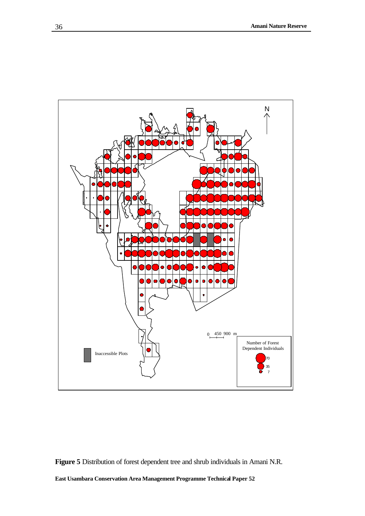

**Figure 5** Distribution of forest dependent tree and shrub individuals in Amani N.R.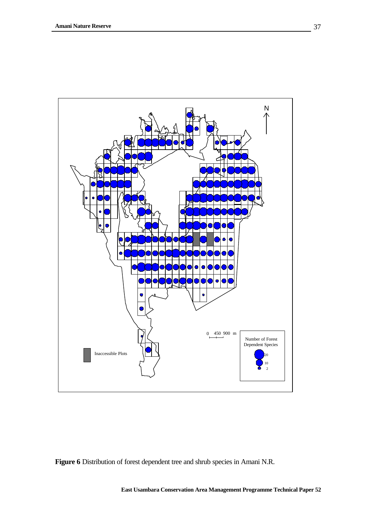

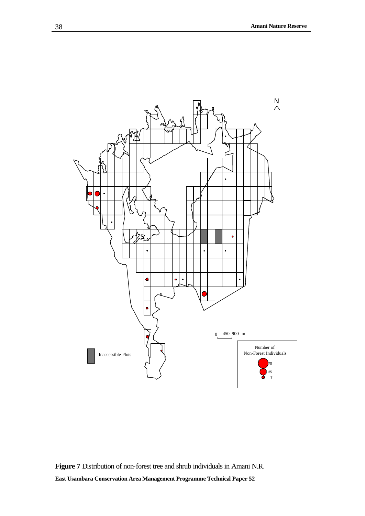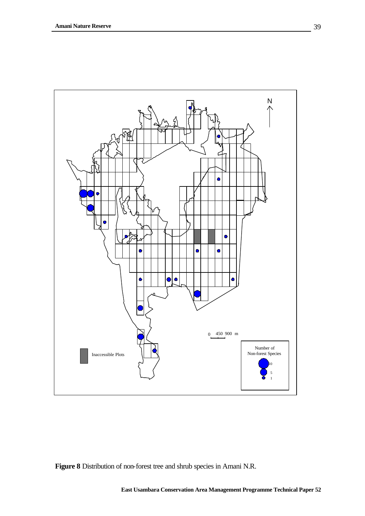

**Figure 8** Distribution of non-forest tree and shrub species in Amani N.R.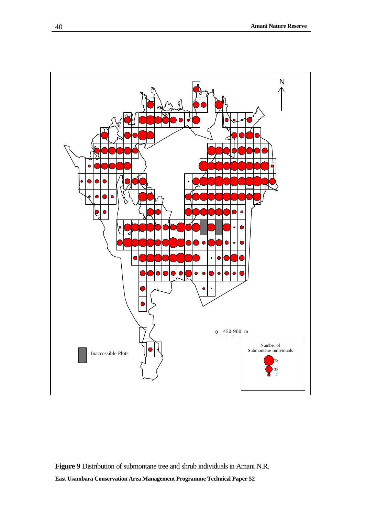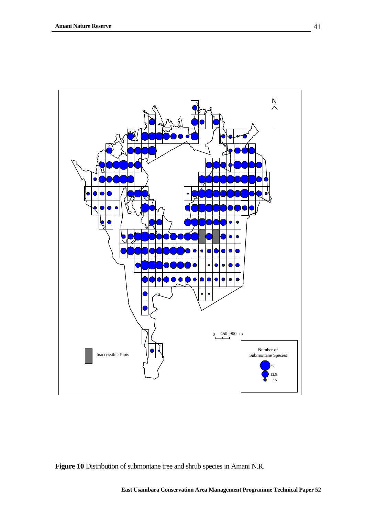

**Figure 10** Distribution of submontane tree and shrub species in Amani N.R.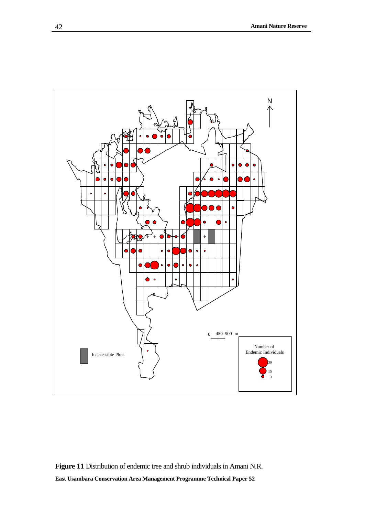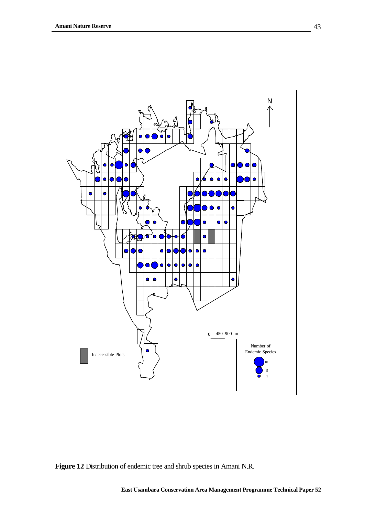

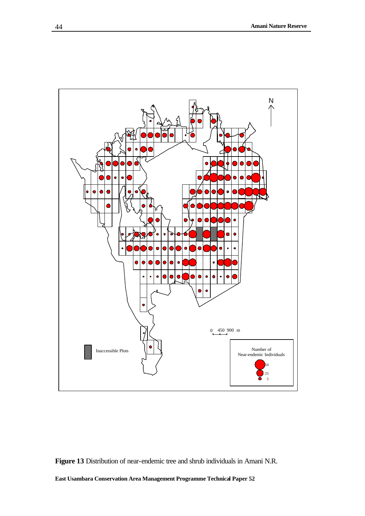

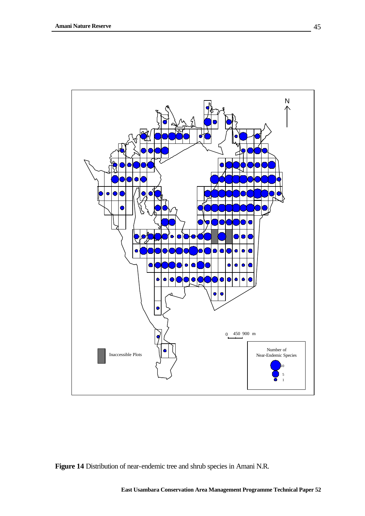

**Figure 14** Distribution of near-endemic tree and shrub species in Amani N.R.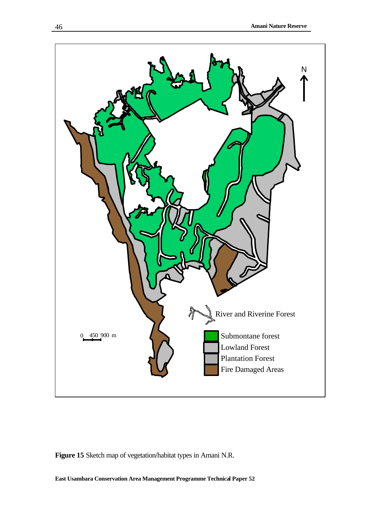

**Figure 15** Sketch map of vegetation/habitat types in Amani N.R.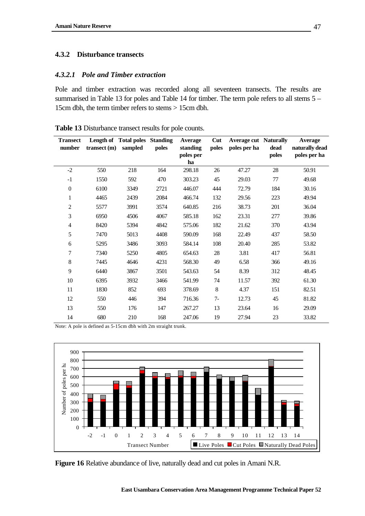### **4.3.2 Disturbance transects**

### *4.3.2.1 Pole and Timber extraction*

Pole and timber extraction was recorded along all seventeen transects. The results are summarised in Table 13 for poles and Table 14 for timber. The term pole refers to all stems 5 – 15cm dbh, the term timber refers to stems > 15cm dbh.

| <b>Transect</b><br>number | transect(m) | Length of Total poles Standing<br>sampled | poles | Average<br>standing | Cut<br>poles | <b>Average cut Naturally</b><br>poles per ha | dead  | Average<br>naturally dead |
|---------------------------|-------------|-------------------------------------------|-------|---------------------|--------------|----------------------------------------------|-------|---------------------------|
|                           |             |                                           |       | poles per<br>ha     |              |                                              | poles | poles per ha              |
| $-2$                      | 550         | 218                                       | 164   | 298.18              | 26           | 47.27                                        | 28    | 50.91                     |
| $-1$                      | 1550        | 592                                       | 470   | 303.23              | 45           | 29.03                                        | 77    | 49.68                     |
| $\boldsymbol{0}$          | 6100        | 3349                                      | 2721  | 446.07              | 444          | 72.79                                        | 184   | 30.16                     |
| $\mathbf{1}$              | 4465        | 2439                                      | 2084  | 466.74              | 132          | 29.56                                        | 223   | 49.94                     |
| $\overline{c}$            | 5577        | 3991                                      | 3574  | 640.85              | 216          | 38.73                                        | 201   | 36.04                     |
| 3                         | 6950        | 4506                                      | 4067  | 585.18              | 162          | 23.31                                        | 277   | 39.86                     |
| $\overline{\mathbf{4}}$   | 8420        | 5394                                      | 4842  | 575.06              | 182          | 21.62                                        | 370   | 43.94                     |
| 5                         | 7470        | 5013                                      | 4408  | 590.09              | 168          | 22.49                                        | 437   | 58.50                     |
| 6                         | 5295        | 3486                                      | 3093  | 584.14              | 108          | 20.40                                        | 285   | 53.82                     |
| 7                         | 7340        | 5250                                      | 4805  | 654.63              | 28           | 3.81                                         | 417   | 56.81                     |
| $8\,$                     | 7445        | 4646                                      | 4231  | 568.30              | 49           | 6.58                                         | 366   | 49.16                     |
| 9                         | 6440        | 3867                                      | 3501  | 543.63              | 54           | 8.39                                         | 312   | 48.45                     |
| 10                        | 6395        | 3932                                      | 3466  | 541.99              | 74           | 11.57                                        | 392   | 61.30                     |
| 11                        | 1830        | 852                                       | 693   | 378.69              | $\,8\,$      | 4.37                                         | 151   | 82.51                     |
| 12                        | 550         | 446                                       | 394   | 716.36              | $7-$         | 12.73                                        | 45    | 81.82                     |
| 13                        | 550         | 176                                       | 147   | 267.27              | 13           | 23.64                                        | 16    | 29.09                     |
| 14                        | 680         | 210                                       | 168   | 247.06              | 19           | 27.94                                        | 23    | 33.82                     |

**Table 13** Disturbance transect results for pole counts.

Note: A pole is defined as 5-15cm dbh with 2m straight trunk.



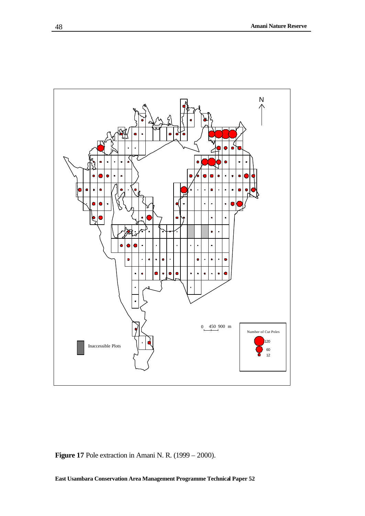

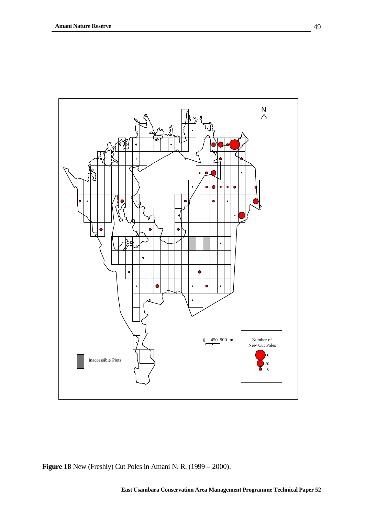

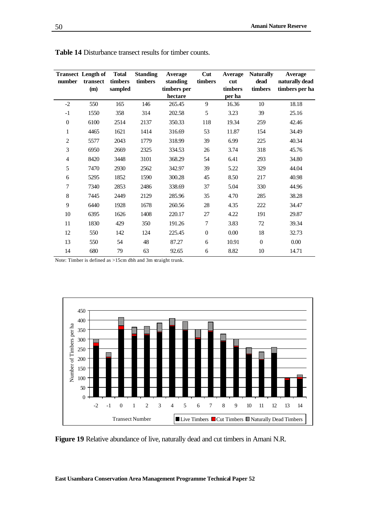| number           | <b>Transect</b> Length of<br>transect | <b>Total</b><br>timbers | <b>Standing</b><br>timbers | Average<br>standing | Cut<br>timbers   | <b>Average</b><br>cut | <b>Naturally</b><br>dead | Average<br>naturally dead |
|------------------|---------------------------------------|-------------------------|----------------------------|---------------------|------------------|-----------------------|--------------------------|---------------------------|
|                  | (m)                                   | sampled                 |                            | timbers per         |                  | timbers               | timbers                  | timbers per ha            |
|                  |                                       |                         |                            | hectare             |                  | per ha                |                          |                           |
| $-2$             | 550                                   | 165                     | 146                        | 265.45              | 9                | 16.36                 | 10                       | 18.18                     |
| $-1$             | 1550                                  | 358                     | 314                        | 202.58              | 5                | 3.23                  | 39                       | 25.16                     |
| $\boldsymbol{0}$ | 6100                                  | 2514                    | 2137                       | 350.33              | 118              | 19.34                 | 259                      | 42.46                     |
| $\mathbf{1}$     | 4465                                  | 1621                    | 1414                       | 316.69              | 53               | 11.87                 | 154                      | 34.49                     |
| $\overline{c}$   | 5577                                  | 2043                    | 1779                       | 318.99              | 39               | 6.99                  | 225                      | 40.34                     |
| 3                | 6950                                  | 2669                    | 2325                       | 334.53              | 26               | 3.74                  | 318                      | 45.76                     |
| 4                | 8420                                  | 3448                    | 3101                       | 368.29              | 54               | 6.41                  | 293                      | 34.80                     |
| 5                | 7470                                  | 2930                    | 2562                       | 342.97              | 39               | 5.22                  | 329                      | 44.04                     |
| 6                | 5295                                  | 1852                    | 1590                       | 300.28              | 45               | 8.50                  | 217                      | 40.98                     |
| 7                | 7340                                  | 2853                    | 2486                       | 338.69              | 37               | 5.04                  | 330                      | 44.96                     |
| $8\,$            | 7445                                  | 2449                    | 2129                       | 285.96              | 35               | 4.70                  | 285                      | 38.28                     |
| 9                | 6440                                  | 1928                    | 1678                       | 260.56              | 28               | 4.35                  | 222                      | 34.47                     |
| 10               | 6395                                  | 1626                    | 1408                       | 220.17              | 27               | 4.22                  | 191                      | 29.87                     |
| 11               | 1830                                  | 429                     | 350                        | 191.26              | $\tau$           | 3.83                  | 72                       | 39.34                     |
| 12               | 550                                   | 142                     | 124                        | 225.45              | $\boldsymbol{0}$ | 0.00                  | 18                       | 32.73                     |
| 13               | 550                                   | 54                      | 48                         | 87.27               | 6                | 10.91                 | $\boldsymbol{0}$         | 0.00                      |
| 14               | 680                                   | 79                      | 63                         | 92.65               | 6                | 8.82                  | 10                       | 14.71                     |

**Table 14** Disturbance transect results for timber counts.

Note: Timber is defined as >15cm dbh and 3m straight trunk.



**Figure 19** Relative abundance of live, naturally dead and cut timbers in Amani N.R.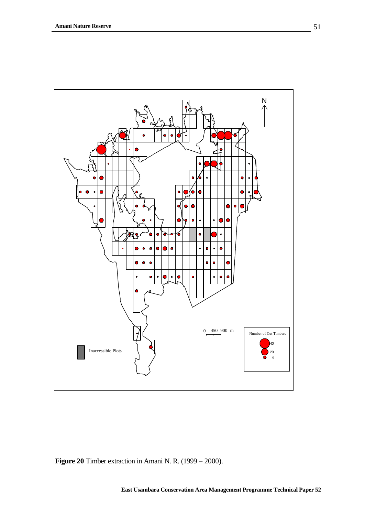

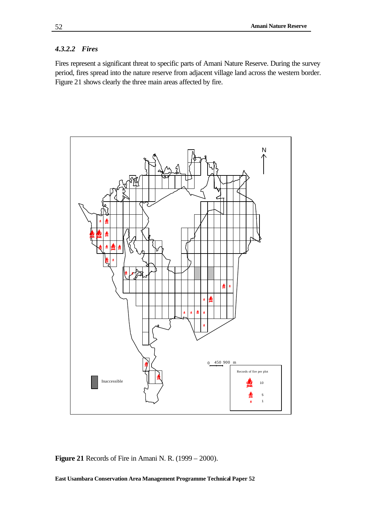### *4.3.2.2 Fires*

Fires represent a significant threat to specific parts of Amani Nature Reserve. During the survey period, fires spread into the nature reserve from adjacent village land across the western border. Figure 21 shows clearly the three main areas affected by fire.



**Figure 21** Records of Fire in Amani N. R. (1999 – 2000).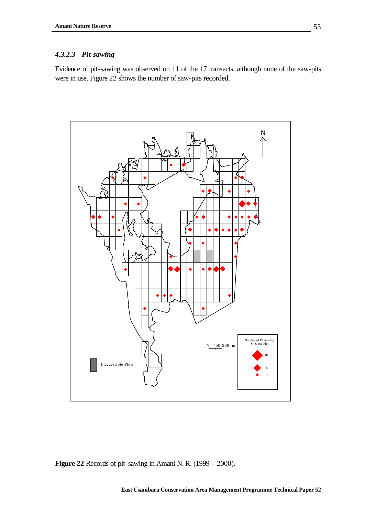## *4.3.2.3 Pit-sawing*

Evidence of pit-sawing was observed on 11 of the 17 transects, although none of the saw-pits were in use. Figure 22 shows the number of saw-pits recorded.



**Figure 22** Records of pit-sawing in Amani N. R. (1999 – 2000).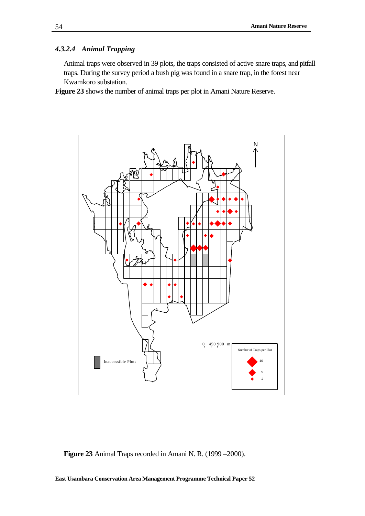### *4.3.2.4 Animal Trapping*

Animal traps were observed in 39 plots, the traps consisted of active snare traps, and pitfall traps. During the survey period a bush pig was found in a snare trap, in the forest near Kwamkoro substation.

**Figure 23** shows the number of animal traps per plot in Amani Nature Reserve.



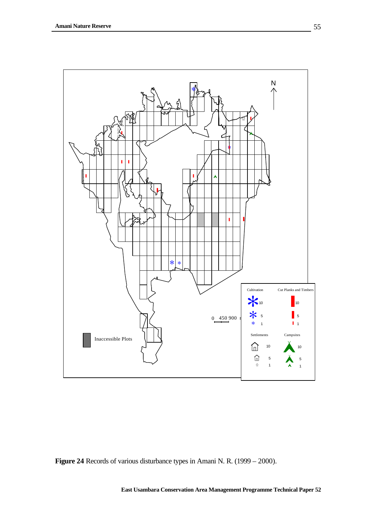

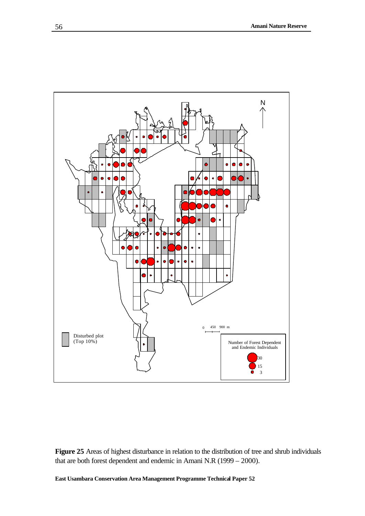

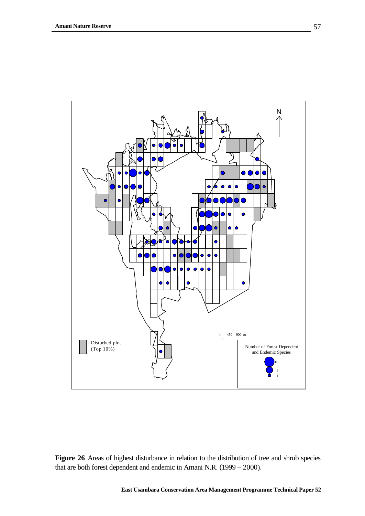

Figure 26 Areas of highest disturbance in relation to the distribution of tree and shrub species that are both forest dependent and endemic in Amani N.R. (1999 – 2000).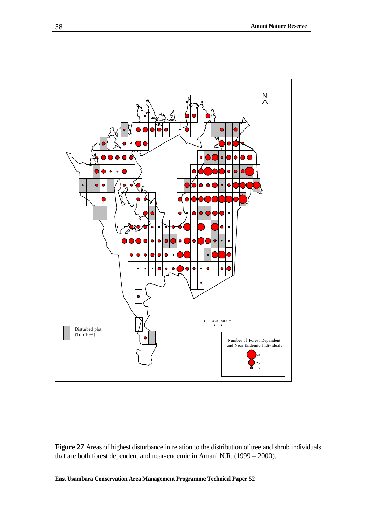

**Figure 27** Areas of highest disturbance in relation to the distribution of tree and shrub individuals that are both forest dependent and near-endemic in Amani N.R. (1999 – 2000).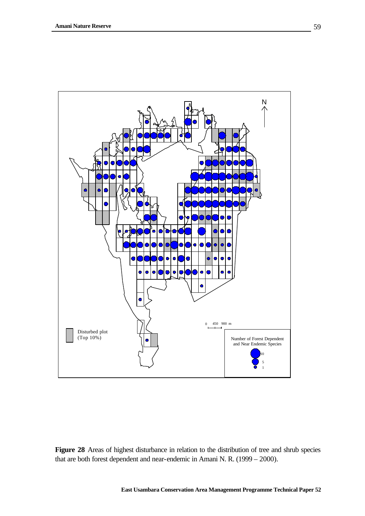

**Figure 28** Areas of highest disturbance in relation to the distribution of tree and shrub species that are both forest dependent and near-endemic in Amani N. R. (1999 – 2000).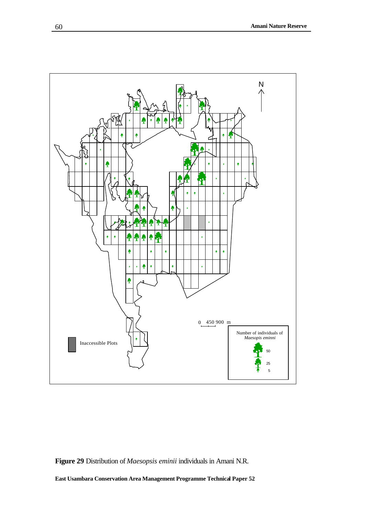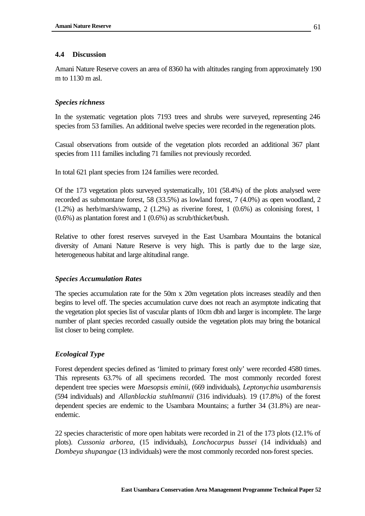## **4.4 Discussion**

Amani Nature Reserve covers an area of 8360 ha with altitudes ranging from approximately 190 m to 1130 m asl.

## *Species richness*

In the systematic vegetation plots 7193 trees and shrubs were surveyed, representing 246 species from 53 families. An additional twelve species were recorded in the regeneration plots.

Casual observations from outside of the vegetation plots recorded an additional 367 plant species from 111 families including 71 families not previously recorded.

In total 621 plant species from 124 families were recorded.

Of the 173 vegetation plots surveyed systematically, 101 (58.4%) of the plots analysed were recorded as submontane forest, 58 (33.5%) as lowland forest, 7 (4.0%) as open woodland, 2  $(1.2\%)$  as herb/marsh/swamp, 2  $(1.2\%)$  as riverine forest, 1  $(0.6\%)$  as colonising forest, 1 (0.6%) as plantation forest and 1 (0.6%) as scrub/thicket/bush.

Relative to other forest reserves surveyed in the East Usambara Mountains the botanical diversity of Amani Nature Reserve is very high. This is partly due to the large size, heterogeneous habitat and large altitudinal range.

## *Species Accumulation Rates*

The species accumulation rate for the 50m x 20m vegetation plots increases steadily and then begins to level off. The species accumulation curve does not reach an asymptote indicating that the vegetation plot species list of vascular plants of 10cm dbh and larger is incomplete. The large number of plant species recorded casually outside the vegetation plots may bring the botanical list closer to being complete.

## *Ecological Type*

Forest dependent species defined as 'limited to primary forest only' were recorded 4580 times. This represents 63.7% of all specimens recorded. The most commonly recorded forest dependent tree species were *Maesopsis eminii*, (669 individuals), *Leptonychia usambarensis* (594 individuals) and *Allanblackia stuhlmannii* (316 individuals). 19 (17.8%) of the forest dependent species are endemic to the Usambara Mountains; a further 34 (31.8%) are nearendemic.

22 species characteristic of more open habitats were recorded in 21 of the 173 plots (12.1% of plots). *Cussonia arborea*, (15 individuals), *Lonchocarpus bussei* (14 individuals) and *Dombeya shupangae* (13 individuals) were the most commonly recorded non-forest species.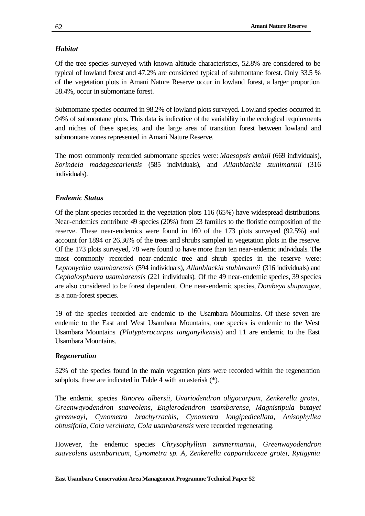## *Habitat*

Of the tree species surveyed with known altitude characteristics, 52.8% are considered to be typical of lowland forest and 47.2% are considered typical of submontane forest. Only 33.5 % of the vegetation plots in Amani Nature Reserve occur in lowland forest, a larger proportion 58.4%, occur in submontane forest.

Submontane species occurred in 98.2% of lowland plots surveyed. Lowland species occurred in 94% of submontane plots. This data is indicative of the variability in the ecological requirements and niches of these species, and the large area of transition forest between lowland and submontane zones represented in Amani Nature Reserve.

The most commonly recorded submontane species were: *Maesopsis eminii* (669 individuals), *Sorindeia madagascariensis* (585 individuals), and *Allanblackia stuhlmannii* (316 individuals).

## *Endemic Status*

Of the plant species recorded in the vegetation plots 116 (65%) have widespread distributions. Near-endemics contribute 49 species (20%) from 23 families to the floristic composition of the reserve. These near-endemics were found in 160 of the 173 plots surveyed (92.5%) and account for 1894 or 26.36% of the trees and shrubs sampled in vegetation plots in the reserve. Of the 173 plots surveyed, 78 were found to have more than ten near-endemic individuals. The most commonly recorded near-endemic tree and shrub species in the reserve were: *Leptonychia usambarensis* (594 individuals), *Allanblackia stuhlmannii* (316 individuals) and *Cephalosphaera usambarensis* (221 individuals)*.* Of the 49 near-endemic species, 39 species are also considered to be forest dependent. One near-endemic species, *Dombeya shupangae,* is a non-forest species.

19 of the species recorded are endemic to the Usambara Mountains. Of these seven are endemic to the East and West Usambara Mountains, one species is endemic to the West Usambara Mountains *(Platypterocarpus tanganyikensis*) and 11 are endemic to the East Usambara Mountains.

## *Regeneration*

52% of the species found in the main vegetation plots were recorded within the regeneration subplots, these are indicated in Table 4 with an asterisk (\*).

The endemic species *Rinorea albersii, Uvariodendron oligocarpum, Zenkerella grotei, Greenwayodendron suaveolens, Englerodendron usambarense, Magnistipula butayei greenwayi, Cynometra brachyrrachis, Cynometra longipedicellata, Anisophyllea obtusifolia, Cola vercillata, Cola usambarensis* were recorded regenerating.

However, the endemic species *Chrysophyllum zimmermannii, Greenwayodendron suaveolens usambaricum, Cynometra sp. A, Zenkerella capparidaceae grotei, Rytigynia*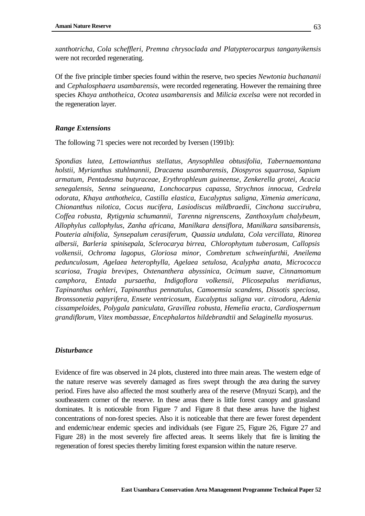*xanthotricha, Cola scheffleri, Premna chrysoclada and Platypterocarpus tanganyikensis* were not recorded regenerating.

Of the five principle timber species found within the reserve, two species *Newtonia buchananii*  and *Cephalosphaera usambarensis,* were recorded regenerating. However the remaining three species *Khaya anthotheica, Ocotea usambarensis* and *Milicia excelsa* were not recorded in the regeneration layer.

#### *Range Extensions*

The following 71 species were not recorded by Iversen (1991b):

*Spondias lutea, Lettowianthus stellatus, Anysophllea obtusifolia, Tabernaemontana holstii, Myrianthus stuhlmannii, Dracaena usambarensis, Diospyros squarrosa, Sapium armatum, Pentadesma butyraceae, Erythrophleum guineense, Zenkerella grotei, Acacia senegalensis, Senna seingueana, Lonchocarpus capassa, Strychnos innocua, Cedrela odorata, Khaya anthotheica, Castilla elastica, Eucalyptus saligna, Ximenia americana, Chionanthus nilotica, Cocus nucifera, Lasiodiscus mildbraedii, Cinchona succirubra, Coffea robusta, Rytigynia schumannii, Tarenna nigrenscens, Zanthoxylum chalybeum, Allophylus callophylus, Zanha africana, Manilkara densiflora, Manilkara sansibarensis, Pouteria alnifolia, Synsepalum cerasiferum, Quassia undulata, Cola vercillata, Rinorea albersii, Barleria spinisepala, Sclerocarya birrea, Chlorophytum tuberosum, Callopsis volkensii, Ochroma lagopus, Gloriosa minor, Combretum schweinfurthii, Aneilema pedunculosum, Agelaea heterophylla, Agelaea setulosa, Acalypha anata, Micrococca scariosa, Tragia brevipes, Oxtenanthera abyssinica, Ocimum suave, Cinnamomum camphora, Entada pursaetha, Indigoflora volkensii, Plicosepalus meridianus, Tapinanthus oehleri, Tapinanthus pennatulus, Camoemsia scandens, Dissotis speciosa, Bronssonetia papyrifera, Ensete ventricosum, Eucalyptus saligna var. citrodora, Adenia cissampeloides, Polygala paniculata, Gravillea robusta, Hemelia eracta, Cardiospernum grandiflorum, Vitex mombassae, Encephalartos hildebrandtii* and *Selaginella myosurus.*

#### *Disturbance*

Evidence of fire was observed in 24 plots, clustered into three main areas. The western edge of the nature reserve was severely damaged as fires swept through the area during the survey period. Fires have also affected the most southerly area of the reserve (Mnyuzi Scarp), and the southeastern corner of the reserve. In these areas there is little forest canopy and grassland dominates. It is noticeable from Figure 7 and Figure 8 that these areas have the highest concentrations of non-forest species. Also it is noticeable that there are fewer forest dependent and endemic/near endemic species and individuals (see Figure 25, Figure 26, Figure 27 and Figure 28) in the most severely fire affected areas. It seems likely that fire is limiting the regeneration of forest species thereby limiting forest expansion within the nature reserve.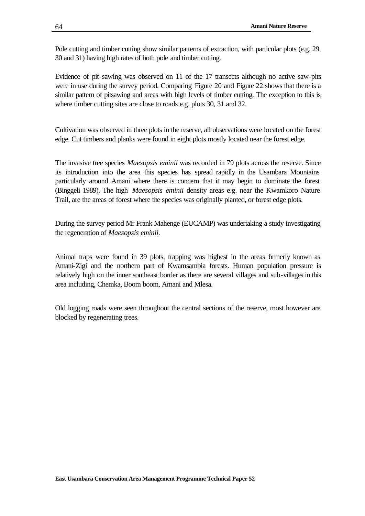Pole cutting and timber cutting show similar patterns of extraction, with particular plots (e.g. 29, 30 and 31) having high rates of both pole and timber cutting.

Evidence of pit-sawing was observed on 11 of the 17 transects although no active saw-pits were in use during the survey period. Comparing Figure 20 and Figure 22 shows that there is a similar pattern of pitsawing and areas with high levels of timber cutting. The exception to this is where timber cutting sites are close to roads e.g. plots 30, 31 and 32.

Cultivation was observed in three plots in the reserve, all observations were located on the forest edge. Cut timbers and planks were found in eight plots mostly located near the forest edge.

The invasive tree species *Maesopsis eminii* was recorded in 79 plots across the reserve. Since its introduction into the area this species has spread rapidly in the Usambara Mountains particularly around Amani where there is concern that it may begin to dominate the forest (Binggeli 1989). The high *Maesopsis eminii* density areas e.g. near the Kwamkoro Nature Trail, are the areas of forest where the species was originally planted, or forest edge plots.

During the survey period Mr Frank Mahenge (EUCAMP) was undertaking a study investigating the regeneration of *Maesopsis eminii.*

Animal traps were found in 39 plots, trapping was highest in the areas formerly known as Amani-Zigi and the northern part of Kwamsambia forests. Human population pressure is relatively high on the inner southeast border as there are several villages and sub-villages in this area including, Chemka, Boom boom, Amani and Mlesa.

Old logging roads were seen throughout the central sections of the reserve, most however are blocked by regenerating trees.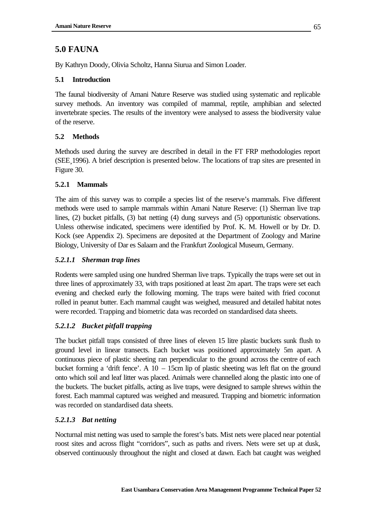# **5.0 FAUNA**

By Kathryn Doody, Olivia Scholtz, Hanna Siurua and Simon Loader.

# **5.1 Introduction**

The faunal biodiversity of Amani Nature Reserve was studied using systematic and replicable survey methods. An inventory was compiled of mammal, reptile, amphibian and selected invertebrate species. The results of the inventory were analysed to assess the biodiversity value of the reserve.

# **5.2 Methods**

Methods used during the survey are described in detail in the FT FRP methodologies report (SEE¸1996). A brief description is presented below. The locations of trap sites are presented in Figure 30.

## **5.2.1 Mammals**

The aim of this survey was to compile a species list of the reserve's mammals. Five different methods were used to sample mammals within Amani Nature Reserve: (1) Sherman live trap lines, (2) bucket pitfalls, (3) bat netting (4) dung surveys and (5) opportunistic observations. Unless otherwise indicated, specimens were identified by Prof. K. M. Howell or by Dr. D. Kock (see Appendix 2). Specimens are deposited at the Department of Zoology and Marine Biology, University of Dar es Salaam and the Frankfurt Zoological Museum, Germany.

## *5.2.1.1 Sherman trap lines*

Rodents were sampled using one hundred Sherman live traps. Typically the traps were set out in three lines of approximately 33, with traps positioned at least 2m apart. The traps were set each evening and checked early the following morning. The traps were baited with fried coconut rolled in peanut butter. Each mammal caught was weighed, measured and detailed habitat notes were recorded. Trapping and biometric data was recorded on standardised data sheets.

# *5.2.1.2 Bucket pitfall trapping*

The bucket pitfall traps consisted of three lines of eleven 15 litre plastic buckets sunk flush to ground level in linear transects. Each bucket was positioned approximately 5m apart. A continuous piece of plastic sheeting ran perpendicular to the ground across the centre of each bucket forming a 'drift fence'. A  $10 - 15$ cm lip of plastic sheeting was left flat on the ground onto which soil and leaf litter was placed. Animals were channelled along the plastic into one of the buckets. The bucket pitfalls, acting as live traps, were designed to sample shrews within the forest. Each mammal captured was weighed and measured. Trapping and biometric information was recorded on standardised data sheets.

# *5.2.1.3 Bat netting*

Nocturnal mist netting was used to sample the forest's bats. Mist nets were placed near potential roost sites and across flight "corridors", such as paths and rivers. Nets were set up at dusk, observed continuously throughout the night and closed at dawn. Each bat caught was weighed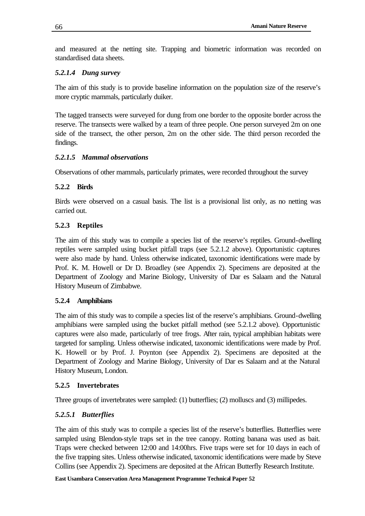and measured at the netting site. Trapping and biometric information was recorded on standardised data sheets.

## *5.2.1.4 Dung survey*

The aim of this study is to provide baseline information on the population size of the reserve's more cryptic mammals, particularly duiker.

The tagged transects were surveyed for dung from one border to the opposite border across the reserve. The transects were walked by a team of three people. One person surveyed 2m on one side of the transect, the other person, 2m on the other side. The third person recorded the findings.

## *5.2.1.5 Mammal observations*

Observations of other mammals, particularly primates, were recorded throughout the survey

# **5.2.2 Birds**

Birds were observed on a casual basis. The list is a provisional list only, as no netting was carried out.

# **5.2.3 Reptiles**

The aim of this study was to compile a species list of the reserve's reptiles. Ground-dwelling reptiles were sampled using bucket pitfall traps (see 5.2.1.2 above). Opportunistic captures were also made by hand. Unless otherwise indicated, taxonomic identifications were made by Prof. K. M. Howell or Dr D. Broadley (see Appendix 2). Specimens are deposited at the Department of Zoology and Marine Biology, University of Dar es Salaam and the Natural History Museum of Zimbabwe.

# **5.2.4 Amphibians**

The aim of this study was to compile a species list of the reserve's amphibians. Ground-dwelling amphibians were sampled using the bucket pitfall method (see 5.2.1.2 above). Opportunistic captures were also made, particularly of tree frogs. After rain, typical amphibian habitats were targeted for sampling. Unless otherwise indicated, taxonomic identifications were made by Prof. K. Howell or by Prof. J. Poynton (see Appendix 2). Specimens are deposited at the Department of Zoology and Marine Biology, University of Dar es Salaam and at the Natural History Museum, London.

## **5.2.5 Invertebrates**

Three groups of invertebrates were sampled: (1) butterflies; (2) molluscs and (3) millipedes.

# *5.2.5.1 Butterflies*

The aim of this study was to compile a species list of the reserve's butterflies. Butterflies were sampled using Blendon-style traps set in the tree canopy. Rotting banana was used as bait. Traps were checked between 12:00 and 14:00hrs. Five traps were set for 10 days in each of the five trapping sites. Unless otherwise indicated, taxonomic identifications were made by Steve Collins (see Appendix 2). Specimens are deposited at the African Butterfly Research Institute.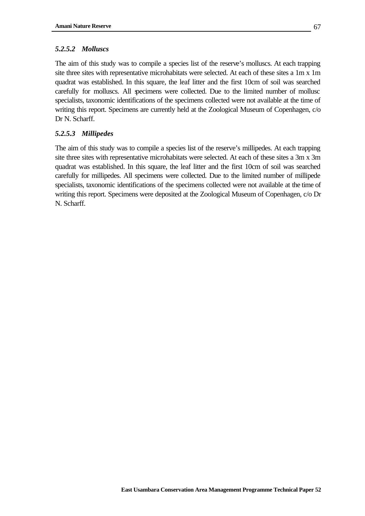## *5.2.5.2 Molluscs*

The aim of this study was to compile a species list of the reserve's molluscs. At each trapping site three sites with representative microhabitats were selected. At each of these sites a 1m x 1m quadrat was established. In this square, the leaf litter and the first 10cm of soil was searched carefully for molluscs. All specimens were collected. Due to the limited number of mollusc specialists, taxonomic identifications of the specimens collected were not available at the time of writing this report. Specimens are currently held at the Zoological Museum of Copenhagen, c/o Dr N. Scharff.

## *5.2.5.3 Millipedes*

The aim of this study was to compile a species list of the reserve's millipedes. At each trapping site three sites with representative microhabitats were selected. At each of these sites a 3m x 3m quadrat was established. In this square, the leaf litter and the first 10cm of soil was searched carefully for millipedes. All specimens were collected. Due to the limited number of millipede specialists, taxonomic identifications of the specimens collected were not available at the time of writing this report. Specimens were deposited at the Zoological Museum of Copenhagen, c/o Dr N. Scharff.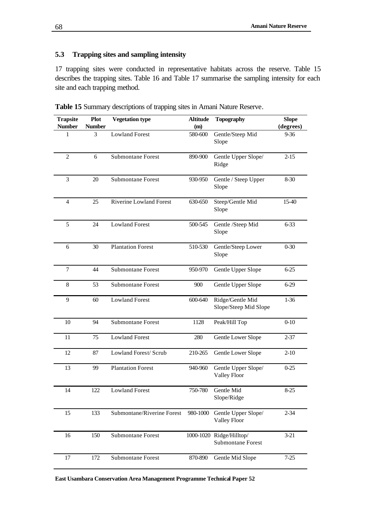## **5.3 Trapping sites and sampling intensity**

17 trapping sites were conducted in representative habitats across the reserve. Table 15 describes the trapping sites. Table 16 and Table 17 summarise the sampling intensity for each site and each trapping method.

| <b>Trapsite</b><br><b>Number</b> | <b>Plot</b><br><b>Number</b> | <b>Vegetation type</b>         | <b>Altitude</b><br>(m) | <b>Topography</b>                                    | <b>Slope</b><br>(degrees) |
|----------------------------------|------------------------------|--------------------------------|------------------------|------------------------------------------------------|---------------------------|
| $\mathbf{1}$                     | 3                            | <b>Lowland Forest</b>          | 580-600                | Gentle/Steep Mid<br>Slope                            | $9 - 36$                  |
| 2                                | 6                            | <b>Submontane Forest</b>       | 890-900                | Gentle Upper Slope/<br>Ridge                         | $2 - 15$                  |
| $\overline{3}$                   | 20                           | <b>Submontane Forest</b>       | 930-950                | Gentle / Steep Upper<br>Slope                        | $8 - 30$                  |
| $\overline{4}$                   | 25                           | <b>Riverine Lowland Forest</b> | 630-650                | Steep/Gentle Mid<br>Slope                            |                           |
| 5                                | 24                           | <b>Lowland Forest</b>          | 500-545                | Gentle /Steep Mid<br>Slope                           | $6 - 33$                  |
| 6                                | 30                           | <b>Plantation Forest</b>       | 510-530                | Gentle/Steep Lower<br>Slope                          | $0 - 30$                  |
| $\overline{7}$                   | 44                           | <b>Submontane Forest</b>       | 950-970                | Gentle Upper Slope                                   | $6 - 25$                  |
| 8                                | 53                           | <b>Submontane Forest</b>       | 900                    | Gentle Upper Slope                                   | $6 - 29$                  |
| 9                                | 60                           | <b>Lowland Forest</b>          | 600-640                | Ridge/Gentle Mid<br>Slope/Steep Mid Slope            | $1 - 36$                  |
| 10                               | 94                           | <b>Submontane Forest</b>       | 1128                   | Peak/Hill Top                                        | $0 - 10$                  |
| 11                               | 75                           | <b>Lowland Forest</b>          | 280                    | Gentle Lower Slope                                   | $2 - 37$                  |
| 12                               | 87                           | Lowland Forest/ Scrub          | 210-265                | Gentle Lower Slope                                   | $2-10$                    |
| 13                               | 99                           | <b>Plantation Forest</b>       | 940-960                | Gentle Upper Slope/<br><b>Valley Floor</b>           | $0 - 25$                  |
| 14                               | 122                          | <b>Lowland Forest</b>          | 750-780                | Gentle Mid<br>Slope/Ridge                            | $8 - 25$                  |
| 15                               | 133                          | Submontane/Riverine Forest     | 980-1000               | Gentle Upper Slope/<br>Valley Floor                  | $2 - 34$                  |
| 16                               | 150                          | Submontane Forest              |                        | 1000-1020 Ridge/Hilltop/<br><b>Submontane Forest</b> | $3 - 21$                  |
| 17                               | 172                          | Submontane Forest              | 870-890                | Gentle Mid Slope                                     | $7 - 25$                  |

**Table 15** Summary descriptions of trapping sites in Amani Nature Reserve.

**East Usambara Conservation Area Management Programme Technical Paper 52**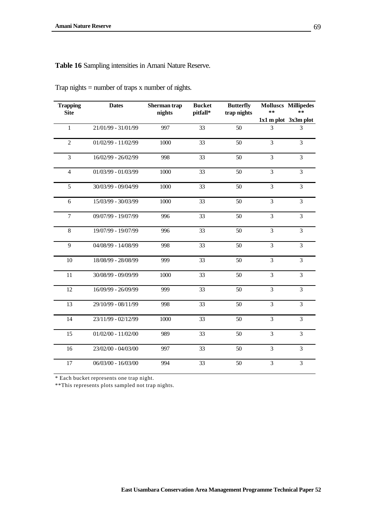**Table 16** Sampling intensities in Amani Nature Reserve.

| <b>Trapping</b><br><b>Site</b> | <b>Dates</b>          | Sherman trap<br>nights | <b>Bucket</b><br>pitfall* | <b>Butterfly</b><br>trap nights | **             | <b>Molluscs Millipedes</b><br>$* *$<br>$1x1$ m plot $3x3m$ plot |
|--------------------------------|-----------------------|------------------------|---------------------------|---------------------------------|----------------|-----------------------------------------------------------------|
| $\mathbf{1}$                   | 21/01/99 - 31/01/99   | 997                    | 33                        | 50                              | 3              | 3                                                               |
| $\overline{2}$                 | $01/02/99 - 11/02/99$ | 1000                   | 33                        | 50                              | 3              | 3                                                               |
| 3                              | 16/02/99 - 26/02/99   | 998                    | 33                        | 50                              | 3              | 3                                                               |
| $\overline{4}$                 | $01/03/99 - 01/03/99$ | 1000                   | 33                        | 50                              | $\overline{3}$ | $\overline{3}$                                                  |
| 5                              | 30/03/99 - 09/04/99   | 1000                   | 33                        | 50                              | $\overline{3}$ | $\overline{3}$                                                  |
| 6                              | 15/03/99 - 30/03/99   | 1000                   | 33                        | 50                              | 3              | 3                                                               |
| $\boldsymbol{7}$               | 09/07/99 - 19/07/99   | 996                    | 33                        | 50                              | 3              | 3                                                               |
| $8\,$                          | 19/07/99 - 19/07/99   | 996                    | 33                        | 50                              | 3              | 3                                                               |
| 9                              | 04/08/99 - 14/08/99   | 998                    | 33                        | 50                              | 3              | 3                                                               |
| 10                             | 18/08/99 - 28/08/99   | 999                    | 33                        | 50                              | 3              | 3                                                               |
| 11                             | 30/08/99 - 09/09/99   | 1000                   | 33                        | 50                              | 3              | 3                                                               |
| 12                             | 16/09/99 - 26/09/99   | 999                    | 33                        | 50                              | 3              | 3                                                               |
| 13                             | 29/10/99 - 08/11/99   | 998                    | 33                        | 50                              | $\overline{3}$ | $\overline{3}$                                                  |
| 14                             | 23/11/99 - 02/12/99   | 1000                   | 33                        | 50                              | $\overline{3}$ | 3                                                               |
| 15                             | $01/02/00 - 11/02/00$ | 989                    | 33                        | 50                              | 3              | 3                                                               |
| 16                             | 23/02/00 - 04/03/00   | 997                    | 33                        | 50                              | $\overline{3}$ | 3                                                               |
| 17                             | 06/03/00 - 16/03/00   | 994                    | 33                        | 50                              | $\overline{3}$ | $\overline{3}$                                                  |

Trap nights = number of traps x number of nights.

\* Each bucket represents one trap night.

\*\*This represents plots sampled not trap nights.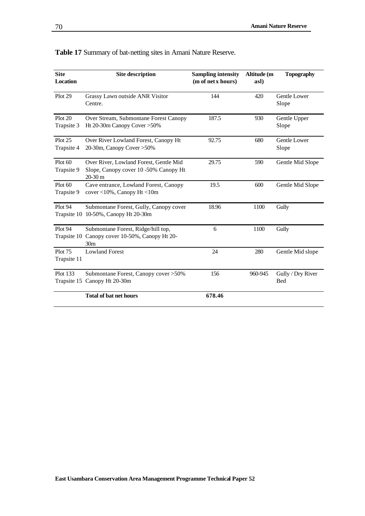| <b>Site</b><br><b>Location</b> | <b>Site description</b>                                                                     | <b>Sampling intensity</b><br>(m of net x hours) | Altitude (m<br>asl) | <b>Topography</b>               |
|--------------------------------|---------------------------------------------------------------------------------------------|-------------------------------------------------|---------------------|---------------------------------|
| Plot 29                        | Grassy Lawn outside ANR Visitor<br>Centre.                                                  | 144                                             | 420                 | Gentle Lower<br>Slope           |
| Plot 20<br>Trapsite 3          | Over Stream, Submontane Forest Canopy<br>Ht 20-30m Canopy Cover > 50%                       | 187.5                                           | 930                 | Gentle Upper<br>Slope           |
| Plot 25<br>Trapsite 4          | Over River Lowland Forest, Canopy Ht<br>20-30m, Canopy Cover > 50%                          | 92.75                                           | 680                 | Gentle Lower<br>Slope           |
| Plot 60<br>Trapsite 9          | Over River, Lowland Forest, Gentle Mid<br>Slope, Canopy cover 10 -50% Canopy Ht<br>20-30 m  | 29.75                                           | 590                 | Gentle Mid Slope                |
| Plot 60<br>Trapsite 9          | Cave entrance, Lowland Forest, Canopy<br>cover <10%, Canopy Ht <10m                         | 19.5                                            | 600                 | Gentle Mid Slope                |
| Plot 94                        | Submontane Forest, Gully, Canopy cover<br>Trapsite 10 10-50%, Canopy Ht 20-30m              | 18.96                                           | 1100                | Gully                           |
| Plot 94<br>Trapsite 10         | Submontane Forest, Ridge/hill top,<br>Canopy cover 10-50%, Canopy Ht 20-<br>30 <sub>m</sub> | 6                                               | 1100                | Gully                           |
| <b>Plot 75</b><br>Trapsite 11  | <b>Lowland Forest</b>                                                                       | 24                                              | 280                 | Gentle Mid slope                |
| Plot 133                       | Submontane Forest, Canopy cover > 50%<br>Trapsite 15 Canopy Ht 20-30m                       | 156                                             | 960-945             | Gully / Dry River<br><b>Bed</b> |
|                                | <b>Total of bat net hours</b>                                                               | 678.46                                          |                     |                                 |

| Table 17 Summary of bat-netting sites in Amani Nature Reserve. |  |  |  |  |  |
|----------------------------------------------------------------|--|--|--|--|--|
|----------------------------------------------------------------|--|--|--|--|--|

<u> 1980 - Johann Barbara, martxa a</u>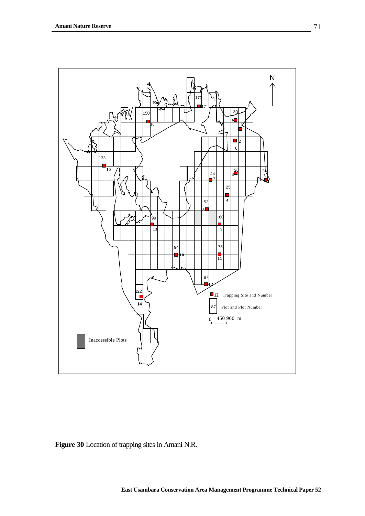

**Figure 30** Location of trapping sites in Amani N.R.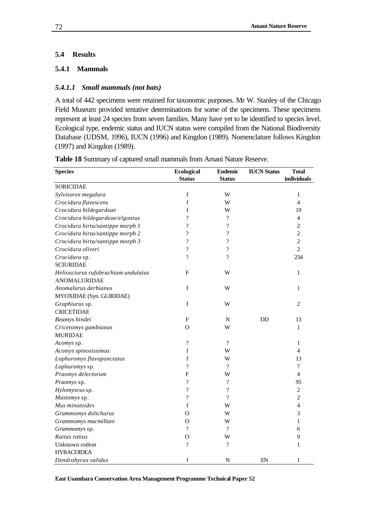### **5.4 Results**

#### **5.4.1 Mammals**

#### *5.4.1.1 Small mammals (not bats)*

A total of 442 specimens were retained for taxonomic purposes. Mr W. Stanley of the Chicago Field Museum provided tentative determinations for some of the specimens. These specimens represent at least 24 species from seven families. Many have yet to be identified to species level. Ecological type, endemic status and IUCN status were compiled from the National Biodiversity Database (UDSM, 1996), IUCN (1996) and Kingdon (1989). Nomenclature follows Kingdon (1997) and Kingdon (1989).

| <b>Species</b>                      | Ecological<br><b>Status</b> | <b>Endemic</b><br><b>Status</b> | <b>IUCN Status</b> | <b>Total</b><br>individuals |
|-------------------------------------|-----------------------------|---------------------------------|--------------------|-----------------------------|
| <b>SORICIDAE</b>                    |                             |                                 |                    |                             |
| Sylvisorex megalura                 | $\mathbf f$                 | W                               |                    | 1                           |
| Crocidura flavescens                | $\mathbf f$                 | W                               |                    | 4                           |
| Crocidura hildegardeae              | f                           | W                               |                    | 19                          |
| Crocidura hildegardeae/elgonius     | $\gamma$                    | $\gamma$                        |                    | 4                           |
| Crocidura hirta/xantippe morph 1    | ?                           | $\overline{\mathcal{L}}$        |                    | 2                           |
| Crocidura hirta/xantippe morph 2    | $\overline{\mathcal{C}}$    | $\overline{\mathcal{L}}$        |                    | $\overline{c}$              |
| Crocidura hirta/xantippe morph 3    | $\gamma$                    | $\overline{\mathcal{L}}$        |                    | $\overline{c}$              |
| Crocidura oliveri                   | $\overline{\mathcal{L}}$    | $\overline{\mathcal{L}}$        |                    | $\overline{2}$              |
| Crocidura sp.                       | $\overline{\mathcal{L}}$    | $\overline{\mathcal{L}}$        |                    | 234                         |
| <b>SCIURIDAE</b>                    |                             |                                 |                    |                             |
| Heliosciurus rufobrachium undulatus | F                           | W                               |                    | $\mathbf{1}$                |
| <b>ANOMALURIDAE</b>                 |                             |                                 |                    |                             |
| Anomalurus derbianus                | $\mathbf f$                 | W                               |                    | 1                           |
| MYOXIDAE (Syn. GLIRIDAE)            |                             |                                 |                    |                             |
| Graphiurus sp.                      | $\mathbf f$                 | W                               |                    | 2                           |
| <b>CRICETIDAE</b>                   |                             |                                 |                    |                             |
| Beamys hindei                       | ${\bf F}$                   | ${\bf N}$                       | DD                 | 13                          |
| Cricetomys gambianus                | $\Omega$                    | W                               |                    | $\mathbf{1}$                |
| <b>MURIDAE</b>                      |                             |                                 |                    |                             |
| Acomys sp.                          | $\gamma$                    | $\gamma$                        |                    | $\mathbf{1}$                |
| Acomys spinosissimus                | f                           | W                               |                    | 4                           |
| Lophuromys flavopunctatus           | f                           | W                               |                    | 13                          |
| Lophuromys sp.                      | $\overline{\mathcal{C}}$    | $\gamma$                        |                    | 7                           |
| Praomys delectorum                  | F                           | W                               |                    | 4                           |
| Praomys sp.                         | $\overline{\mathcal{L}}$    | $\gamma$                        |                    | 95                          |
| Hylomyscus sp.                      | $\overline{\mathcal{L}}$    | $\overline{\mathcal{L}}$        |                    | $\overline{c}$              |
| Mastomys sp.                        | $\overline{\mathcal{L}}$    | $\overline{\mathcal{L}}$        |                    | $\overline{c}$              |
| Mus minutoides                      | $\mathbf f$                 | W                               |                    | 4                           |
| Grammomys dolichurus                | O                           | W                               |                    | 3                           |
| Grammomys macmillani                | $\Omega$                    | W                               |                    | 1                           |
| Grammomys sp.                       | $\overline{\mathcal{L}}$    | $\overline{\mathcal{L}}$        |                    | 6                           |
| Rattus rattus                       | O                           | W                               |                    | 9                           |
| Unknown rodent                      | $\overline{\cdot}$          | $\overline{\cdot}$              |                    | 1                           |
| <b>HYRACOIDEA</b>                   |                             |                                 |                    |                             |
| Dendrohyrax validus                 | $\mathbf f$                 | N                               | EN                 | 1                           |

**Table 18** Summary of captured small mammals from Amani Nature Reserve.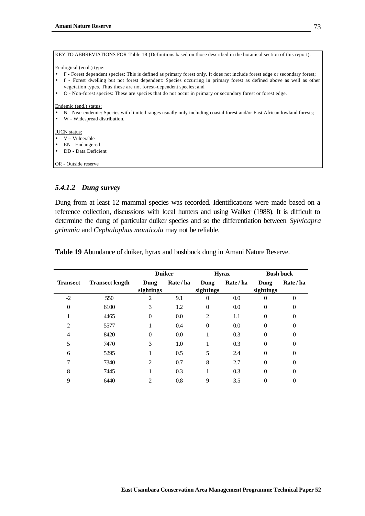| KEY TO ABBREVIATIONS FOR Table 18 (Definitions based on those described in the botanical section of this report).                                                                         |
|-------------------------------------------------------------------------------------------------------------------------------------------------------------------------------------------|
| Ecological (ecol.) type:                                                                                                                                                                  |
| F - Forest dependent species: This is defined as primary forest only. It does not include forest edge or secondary forest;                                                                |
| f - Forest dwelling but not forest dependent: Species occurring in primary forest as defined above as well as other<br>vegetation types. Thus these are not forest-dependent species; and |
| O - Non-forest species: These are species that do not occur in primary or secondary forest or forest edge.<br>$\bullet$                                                                   |
| Endemic (end.) status:<br>N - Near endemic: Species with limited ranges usually only including coastal forest and/or East African lowland forests;<br>W - Widespread distribution.        |
| <b>IUCN</b> status:                                                                                                                                                                       |
| V – Vulnerable                                                                                                                                                                            |
| EN - Endangered                                                                                                                                                                           |
| DD - Data Deficient                                                                                                                                                                       |
| OR - Outside reserve                                                                                                                                                                      |

#### *5.4.1.2 Dung survey*

Dung from at least 12 mammal species was recorded. Identifications were made based on a reference collection, discussions with local hunters and using Walker (1988). It is difficult to determine the dung of particular duiker species and so the differentiation between *Sylvicapra grimmia* and *Cephalophus monticola* may not be reliable.

|                 |                        | <b>Duiker</b>     |           |                   | <b>Hyrax</b> | <b>Bush buck</b>  |           |  |
|-----------------|------------------------|-------------------|-----------|-------------------|--------------|-------------------|-----------|--|
| <b>Transect</b> | <b>Transect length</b> | Dung<br>sightings | Rate / ha | Dung<br>sightings | Rate / ha    | Dung<br>sightings | Rate / ha |  |
| $-2$            | 550                    |                   | 9.1       |                   | 0.0          | 0                 | $\Omega$  |  |
| 0               | 6100                   | 3                 | 1.2       |                   | 0.0          | 0                 | 0         |  |
|                 | 4465                   | 0                 | 0.0       | $\overline{c}$    | 1.1          |                   |           |  |
| 2               | 5577                   |                   | 0.4       | $\Omega$          | 0.0          | 0                 |           |  |
| 4               | 8420                   | 0                 | 0.0       |                   | 0.3          | 0                 |           |  |
|                 | 7470                   | 3                 | 1.0       |                   | 0.3          | 0                 | 0         |  |
| 6               | 5295                   |                   | 0.5       | 5                 | 2.4          | $\theta$          | 0         |  |
|                 | 7340                   | 2                 | 0.7       | 8                 | 2.7          | $\Omega$          | 0         |  |
| 8               | 7445                   |                   | 0.3       |                   | 0.3          | 0                 |           |  |
| 9               | 6440                   |                   | 0.8       | 9                 | 3.5          |                   |           |  |

**Table 19** Abundance of duiker, hyrax and bushbuck dung in Amani Nature Reserve.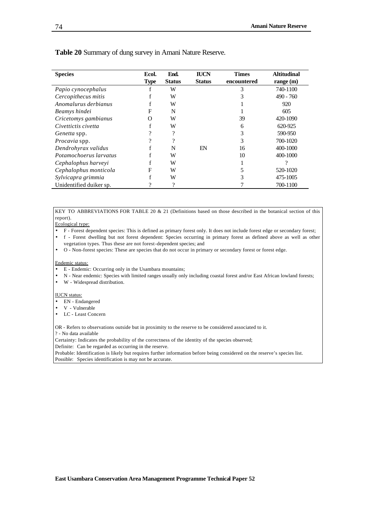| <b>Species</b>          | Ecol.       | End.          | <b>IUCN</b>   | <b>Times</b> | <b>Altitudinal</b> |
|-------------------------|-------------|---------------|---------------|--------------|--------------------|
|                         | <b>Type</b> | <b>Status</b> | <b>Status</b> | encountered  | range $(m)$        |
| Papio cynocephalus      | f           | W             |               | 3            | 740-1100           |
| Cercopithecus mitis     |             | W             |               |              | $490 - 760$        |
| Anomalurus derbianus    | f           | W             |               |              | 920                |
| Beamys hindei           | F           | N             |               |              | 605                |
| Cricetomys gambianus    | O           | W             |               | 39           | 420-1090           |
| Civettictis civetta     | f           | W             |               | 6            | 620-925            |
| <i>Genetta</i> spp.     | າ           | 9             |               | 3            | 590-950            |
| Procavia spp.           | າ           | າ             |               | 3            | 700-1020           |
| Dendrohyrax validus     |             | N             | EN            | 16           | 400-1000           |
| Potamochoerus larvatus  |             | W             |               | 10           | 400-1000           |
| Cephalophus harveyi     |             | W             |               |              |                    |
| Cephalophus monticola   | F           | W             |               |              | 520-1020           |
| Sylvicapra grimmia      |             | W             |               |              | 475-1005           |
| Unidentified duiker sp. | 9           | 9             |               |              | 700-1100           |

#### **Table 20** Summary of dung survey in Amani Nature Reserve.

KEY TO ABBREVIATIONS FOR TABLE 20 & 21 (Definitions based on those described in the botanical section of this report).

#### Ecological type:

- F Forest dependent species: This is defined as primary forest only. It does not include forest edge or secondary forest;
- f Forest dwelling but not forest dependent: Species occurring in primary forest as defined above as well as other vegetation types. Thus these are not forest-dependent species; and
- O Non-forest species: These are species that do not occur in primary or secondary forest or forest edge.

#### Endemic status:

- E Endemic: Occurring only in the Usambara mountains;
- N Near endemic: Species with limited ranges usually only including coastal forest and/or East African lowland forests;
- W Widespread distribution.

#### IUCN status:

- EN Endangered
- V Vulnerable
- LC Least Concern

OR - Refers to observations outside but in proximity to the reserve to be considered associated to it.

? - No data available

Certainty: Indicates the probability of the correctness of the identity of the species observed;

Definite: Can be regarded as occurring in the reserve.

Probable: Identification is likely but requires further information before being considered on the reserve's species list. Possible: Species identification is may not be accurate.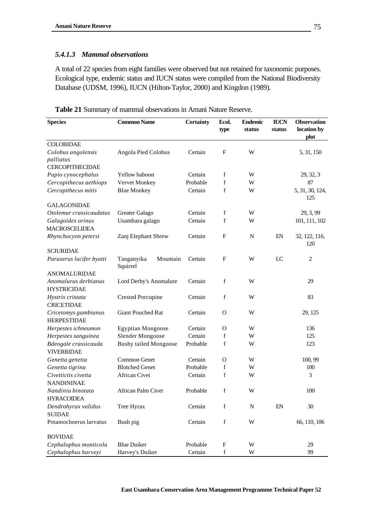### *5.4.1.3 Mammal observations*

A total of 22 species from eight families were observed but not retained for taxonomic purposes. Ecological type, endemic status and IUCN status were compiled from the National Biodiversity Database (UDSM, 1996), IUCN (Hilton-Taylor, 2000) and Kingdon (1989).

| <b>Species</b>                                            | <b>Common Name</b>                 | <b>Certainty</b> | Ecol.<br>type             | <b>Endemic</b><br>status | <b>IUCN</b><br>status | <b>Observation</b><br>location by<br>plot |
|-----------------------------------------------------------|------------------------------------|------------------|---------------------------|--------------------------|-----------------------|-------------------------------------------|
| <b>COLOBIDAE</b>                                          |                                    |                  |                           |                          |                       |                                           |
| Colobus angolensis<br>palliatus<br><b>CERCOPITHECIDAE</b> | Angola Pied Colobus                | Certain          | F                         | W                        |                       | 5, 31, 150                                |
| Papio cynocephalus                                        | Yellow baboon                      | Certain          | f                         | W                        |                       | 29, 32, 3                                 |
| Cercopithecus aethiops                                    | Vervet Monkey                      | Probable         | $\mathbf f$               | W                        |                       | 87                                        |
| Cercopithecus mitis                                       | <b>Blue Monkey</b>                 | Certain          | f                         | W                        |                       | 5, 31, 30, 124,<br>125                    |
| <b>GALAGONIDAE</b>                                        |                                    |                  |                           |                          |                       |                                           |
| Otolemur crassicaudatus                                   | Greater Galago                     | Certain          | f                         | W                        |                       | 29, 3, 99                                 |
| Galagoides orinus<br><b>MACROSCELIDEA</b>                 | Usambara galago                    | Certain          | f                         | W                        |                       | 101, 111, 102                             |
| Rhynchocyon petersi                                       | Zanj Elephant Shrew                | Certain          | ${\bf F}$                 | $\mathbf N$              | EN                    | 32, 122, 116,<br>120                      |
| <b>SCIURIDAE</b>                                          |                                    |                  |                           |                          |                       |                                           |
| Paraxerus lucifer byatti                                  | Mountain<br>Tanganyika<br>Squirrel | Certain          | ${\bf F}$                 | W                        | LC                    | $\overline{c}$                            |
| ANOMALURIDAE                                              |                                    |                  |                           |                          |                       |                                           |
| Anomalurus derbianus<br><b>HYSTRICIDAE</b>                | Lord Derby's Anomalure             | Certain          | f                         | W                        |                       | 29                                        |
| Hystrix cristata<br><b>CRICETIDAE</b>                     | <b>Crested Porcupine</b>           | Certain          | $\mathbf f$               | W                        |                       | 83                                        |
| Cricetomys gambianus<br><b>HERPESTIDAE</b>                | <b>Giant Pouched Rat</b>           | Certain          | $\mathbf{O}$              | W                        |                       | 29, 125                                   |
| Herpestes ichneumon                                       | <b>Egyptian Mongoose</b>           | Certain          | $\mathbf{O}$              | W                        |                       | 136                                       |
| Herpestes sanguinea                                       | Slender Mongoose                   | Certain          | f                         | W                        |                       | 125                                       |
| Bdeogale crassicauda<br><b>VIVERRIDAE</b>                 | <b>Bushy tailed Mongoose</b>       | Probable         | f                         | W                        |                       | 123                                       |
| Genetta genetta                                           | Common Genet                       | Certain          | $\Omega$                  | W                        |                       | 100, 99                                   |
| Genetta tigrina                                           | <b>Blotched Genet</b>              | Probable         | f                         | W                        |                       | 100                                       |
| Civettictis civetta<br><b>NANDININAE</b>                  | <b>African Civet</b>               | Certain          | $\mathbf f$               | W                        |                       | 3                                         |
| Nandinia binotata<br><b>HYRACOIDEA</b>                    | <b>African Palm Civet</b>          | Probable         | f                         | W                        |                       | 100                                       |
| Dendrohyrax validus<br><b>SUIDAE</b>                      | Tree Hyrax                         | Certain          | $\mathbf f$               | ${\bf N}$                | EN                    | 30                                        |
| Potamochoerus larvatus                                    | Bush pig                           | Certain          | $\mathbf f$               | W                        |                       | 66, 110, 106                              |
| <b>BOVIDAE</b>                                            |                                    |                  |                           |                          |                       |                                           |
| Cephalophus monticola                                     | <b>Blue Duiker</b>                 | Probable         | $\boldsymbol{\mathrm{F}}$ | W                        |                       | 29                                        |
| Cephalophus harveyi                                       | Harvey's Duiker                    | Certain          | $\mathbf f$               | $\ensuremath{\text{W}}$  |                       | 99                                        |

**Table 21** Summary of mammal observations in Amani Nature Reserve.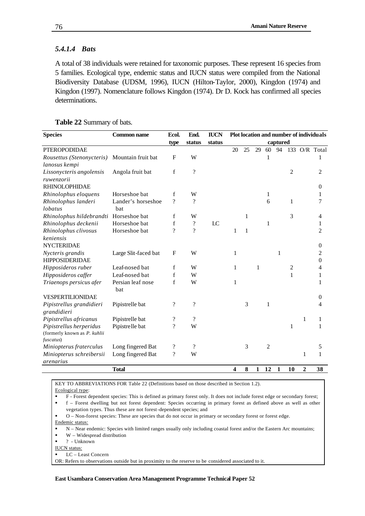#### *5.4.1.4 Bats*

A total of 38 individuals were retained for taxonomic purposes. These represent 16 species from 5 families. Ecological type, endemic status and IUCN status were compiled from the National Biodiversity Database (UDSM, 1996), IUCN (Hilton-Taylor, 2000), Kingdon (1974) and Kingdon (1997). Nomenclature follows Kingdon (1974). Dr D. Kock has confirmed all species determinations.

| <b>Species</b>                                                       | <b>Common name</b>        | Ecol.                    | End.                     | <b>IUCN</b>    |                         |    |    |                |          |                |                | Plot location and number of individuals |
|----------------------------------------------------------------------|---------------------------|--------------------------|--------------------------|----------------|-------------------------|----|----|----------------|----------|----------------|----------------|-----------------------------------------|
|                                                                      |                           | type                     | status                   | status         |                         |    |    |                | captured |                |                |                                         |
| <b>PTEROPODIDAE</b>                                                  |                           |                          |                          |                | 20                      | 25 | 29 | 60             | 94       |                |                | 133 O/R Total                           |
| Rousettus (Stenonycteris)<br>lanosus kempi                           | Mountain fruit bat        | $\mathbf F$              | W                        |                |                         |    |    |                |          |                |                |                                         |
| Lissonycteris angolensis<br>ruwenzorii                               | Angola fruit bat          | f                        | $\gamma$                 |                |                         |    |    |                |          | $\overline{c}$ |                | 2                                       |
| <b>RHINOLOPHIDAE</b>                                                 |                           |                          |                          |                |                         |    |    |                |          |                |                | 0                                       |
| Rhinolophus eloquens                                                 | Horseshoe bat             | f                        | W                        |                |                         |    |    | 1              |          |                |                |                                         |
| Rhinolophus landeri<br>lobatus                                       | Lander's horseshoe<br>bat | $\gamma$                 | ?                        |                |                         |    |    | 6              |          | 1              |                | 7                                       |
| Rhinolophus hildebrandti Horseshoe bat                               |                           | f                        | W                        |                |                         | 1  |    |                |          | 3              |                | 4                                       |
| Rhinolophus deckenii                                                 | Horseshoe bat             | f                        | $\overline{\cdot}$       | $_{\text{LC}}$ |                         |    |    | 1              |          |                |                | 1                                       |
| Rhinolophus clivosus                                                 | Horseshoe bat             | $\gamma$                 | $\gamma$                 |                | 1                       | 1  |    |                |          |                |                | 2                                       |
| keniensis<br><b>NYCTERIDAE</b>                                       |                           |                          |                          |                |                         |    |    |                |          |                |                | 0                                       |
| Nycteris grandis<br><b>HIPPOSIDERIDAE</b>                            | Large Slit-faced bat      | $\mathbf F$              | W                        |                | 1                       |    |    |                | 1        |                |                | 2<br>0                                  |
| Hipposideros ruber                                                   | Leaf-nosed bat            | $\mathbf f$              | W                        |                | 1                       |    | 1  |                |          | $\overline{c}$ |                | 4                                       |
| Hipposideros caffer                                                  | Leaf-nosed bat            | f                        | W                        |                |                         |    |    |                |          | 1              |                | 1                                       |
| Triaenops persicus afer                                              | Persian leaf nose<br>bat  | $\mathbf f$              | W                        |                | 1                       |    |    |                |          |                |                | 1                                       |
| VESPERTILIONIDAE                                                     |                           |                          |                          |                |                         |    |    |                |          |                |                | 0                                       |
| Pipistrellus grandidieri<br>grandidieri                              | Pipistrelle bat           | $\overline{\mathcal{L}}$ | $\overline{\mathcal{L}}$ |                |                         | 3  |    | 1              |          |                |                | 4                                       |
| Pipistrellus africanus                                               | Pipistrelle bat           | ?                        | ?                        |                |                         |    |    |                |          |                | 1              | 1                                       |
| Pipistrellus herperidus<br>(formerly known as P. kuhlii<br>fuscatus) | Pipistrelle bat           | $\dot{?}$                | W                        |                |                         |    |    |                |          | 1              |                | 1                                       |
| Miniopterus fraterculus                                              | Long fingered Bat         | $\overline{\cdot}$       | $\gamma$                 |                |                         | 3  |    | $\overline{c}$ |          |                |                | 5                                       |
| Miniopterus schreibersii<br>arenarius                                | Long fingered Bat         | ?                        | W                        |                |                         |    |    |                |          |                | 1              | 1                                       |
|                                                                      | <b>Total</b>              |                          |                          |                | $\overline{\mathbf{4}}$ | 8  | 1  | 12             | 1        | 10             | $\overline{2}$ | 38                                      |

#### **Table 22** Summary of bats.

KEY TO ABBREVIATIONS FOR Table 22 (Definitions based on those described in Section 1.2).

- Ecological type:
- ß F Forest dependent species: This is defined as primary forest only. It does not include forest edge or secondary forest;

ß f – Forest dwelling but not forest dependent: Species occurring in primary forest as defined above as well as other vegetation types. Thus these are not forest-dependent species; and

ß O – Non-forest species: These are species that do not occur in primary or secondary forest or forest edge. Endemic status:

- N Near endemic: Species with limited ranges usually only including coastal forest and/or the Eastern Arc mountains;
- W Widespread distribution

ß ? - Unknown

IUCN status:

ß LC – Least Concern

OR: Refers to observations outside but in proximity to the reserve to be considered associated to it.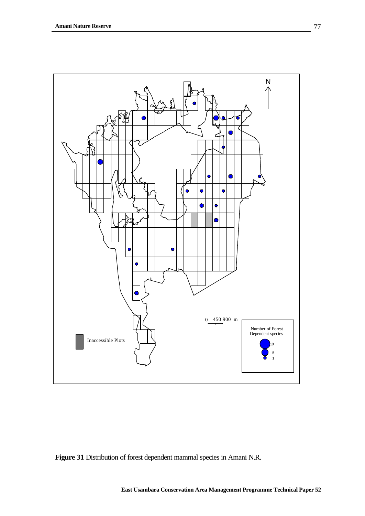

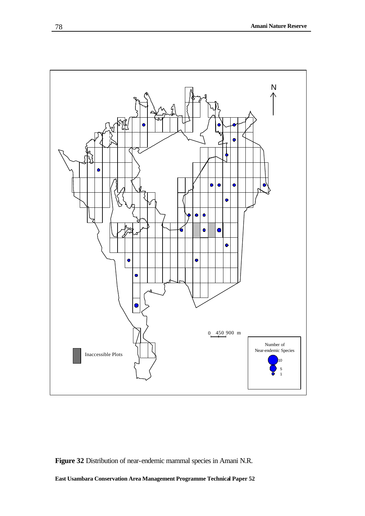

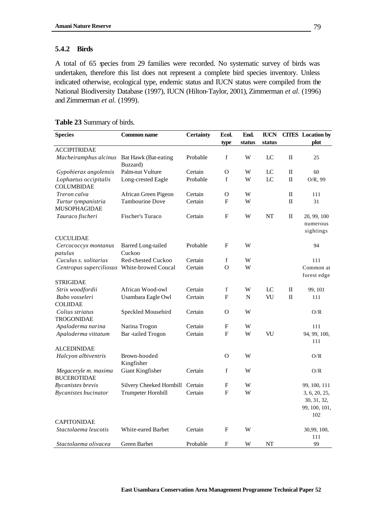#### **5.4.2 Birds**

A total of 65 species from 29 families were recorded. No systematic survey of birds was undertaken, therefore this list does not represent a complete bird species inventory. Unless indicated otherwise, ecological type, endemic status and IUCN status were compiled from the National Biodiversity Database (1997), IUCN (Hilton-Taylor, 2001), Zimmerman *et al.* (1996) and Zimmerman *et al.* (1999).

| <b>Species</b>                              | <b>Common name</b>                      | <b>Certainty</b> | Ecol.<br>type    | End.<br>status | <b>IUCN</b><br>status |              | <b>CITES</b> Location by<br>plot     |
|---------------------------------------------|-----------------------------------------|------------------|------------------|----------------|-----------------------|--------------|--------------------------------------|
| <b>ACCIPITRIDAE</b>                         |                                         |                  |                  |                |                       |              |                                      |
| Macheiramphus alcinus                       | <b>Bat Hawk (Bat-eating</b><br>Buzzard) | Probable         | $\mathbf f$      | W              | LC                    | $\mathbf{I}$ | 25                                   |
| Gypohierax angolensis                       | Palm-nut Vulture                        | Certain          | O                | W              | LC                    | $\rm II$     | 60                                   |
| Lophaetus occipitalis<br><b>COLUMBIDAE</b>  | Long-crested Eagle                      | Probable         | f                | W              | LC                    | $\mathbf{I}$ | $O/R$ , 99                           |
| Treron calva                                | African Green Pigeon                    | Certain          | O                | W              |                       | $\mathbf I$  | 111                                  |
| Turtur tympanistria<br><b>MUSOPHAGIDAE</b>  | <b>Tambourine Dove</b>                  | Certain          | F                | W              |                       | $\rm II$     | 31                                   |
| Tauraco fischeri                            | Fischer's Turaco                        | Certain          | ${\bf F}$        | W              | NT                    | $\rm II$     | 20, 99, 100<br>numerous<br>sightings |
| <b>CUCULIDAE</b>                            |                                         |                  |                  |                |                       |              |                                      |
| Cercococcyx montanus<br>patulus             | <b>Barred Long-tailed</b><br>Cuckoo     | Probable         | F                | W              |                       |              | 94                                   |
| Cuculus s. solitarius                       | Red-chested Cuckoo                      | Certain          | $\mathbf f$      | W              |                       |              | 111                                  |
| Centropus superciliosus White-browed Coucal |                                         | Certain          | O                | W              |                       |              | Common at<br>forest edge             |
| <b>STRIGIDAE</b>                            |                                         |                  |                  |                |                       |              |                                      |
| Strix woodfordii                            | African Wood-owl                        | Certain          | f                | W              | LC                    | $\rm _{II}$  | 99, 101                              |
| Bubo vosseleri<br><b>COLIIDAE</b>           | Usambara Eagle Owl                      | Certain          | $\boldsymbol{F}$ | ${\bf N}$      | VU                    | $\rm II$     | 111                                  |
| Colius striatus<br><b>TROGONIDAE</b>        | Speckled Mousebird                      | Certain          | $\Omega$         | W              |                       |              | O/R                                  |
| Apaloderma narina                           | Narina Trogon                           | Certain          | F                | W              |                       |              | 111                                  |
| Apaloderma vittatum                         | Bar-tailed Trogon                       | Certain          | F                | W              | VU                    |              | 94, 99, 100,<br>111                  |
| <b>ALCEDINIDAE</b>                          |                                         |                  |                  |                |                       |              |                                      |
| Halcyon albiventris                         | Brown-hooded<br>Kingfisher              |                  | $\Omega$         | W              |                       |              | O/R                                  |
| Megaceryle m. maxima<br><b>BUCEROTIDAE</b>  | Giant Kingfisher                        | Certain          | f                | W              |                       |              | O/R                                  |
| <b>Bycanistes</b> brevis                    | Silvery Cheeked Hornbill                | Certain          | F                | W              |                       |              | 99, 100, 111                         |
| <b>Bycanistes bucinator</b>                 | Trumpeter Hornbill                      | Certain          | $\boldsymbol{F}$ | W              |                       |              | 3, 6, 20, 25,                        |
|                                             |                                         |                  |                  |                |                       |              | 30, 31, 32,                          |
|                                             |                                         |                  |                  |                |                       |              | 99, 100, 101,                        |
| <b>CAPITONIDAE</b>                          |                                         |                  |                  |                |                       |              | 102                                  |
| Stactolaema leucotis                        | White-eared Barbet                      | Certain          | F                | W              |                       |              | 30,99, 100,                          |
|                                             |                                         |                  |                  |                |                       |              | 111                                  |
| Stactolaema olivacea                        | Green Barbet                            | Probable         | F                | W              | NT                    |              | 99                                   |

#### **Table 23** Summary of birds.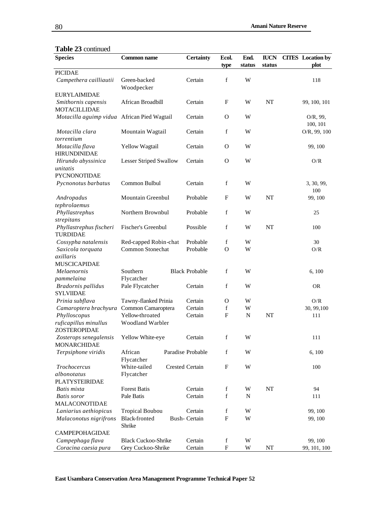## **Table 23** continued

| <b>Species</b>                               | Common name                    | <b>Certainty</b>       | Ecol.<br>type             | End.<br>status | <b>IUCN</b><br>status | <b>CITES</b> Location by | plot                 |
|----------------------------------------------|--------------------------------|------------------------|---------------------------|----------------|-----------------------|--------------------------|----------------------|
| <b>PICIDAE</b>                               |                                |                        |                           |                |                       |                          |                      |
| Campethera cailliautii                       | Green-backed<br>Woodpecker     | Certain                | f                         | W              |                       |                          | 118                  |
| <b>EURYLAIMIDAE</b>                          |                                |                        |                           |                |                       |                          |                      |
| Smithornis capensis                          | African Broadbill              | Certain                | $\mathbf{F}$              | W              | NT                    |                          | 99, 100, 101         |
| <b>MOTACILLIDAE</b>                          |                                |                        |                           |                |                       |                          |                      |
| Motacilla aguimp vidua African Pied Wagtail  |                                | Certain                | $\mathbf O$               | W              |                       |                          | O/R, 99,<br>100, 101 |
| Motacilla clara<br>torrentium                | Mountain Wagtail               | Certain                | f                         | W              |                       |                          | O/R, 99, 100         |
| Motacilla flava<br><b>HIRUNDINIDAE</b>       | Yellow Wagtail                 | Certain                | $\mathbf{O}$              | W              |                       |                          | 99, 100              |
| Hirundo abyssinica                           | <b>Lesser Striped Swallow</b>  | Certain                | $\mathbf O$               | W              |                       |                          | O/R                  |
| unitatis                                     |                                |                        |                           |                |                       |                          |                      |
| <b>PYCNONOTIDAE</b>                          |                                |                        |                           |                |                       |                          |                      |
| Pycnonotus barbatus                          | Common Bulbul                  | Certain                | f                         | W              |                       |                          | 3, 30, 99,           |
|                                              | <b>Mountain Greenbul</b>       | Probable               | $\boldsymbol{\mathrm{F}}$ | W              | NT                    |                          | 100<br>99, 100       |
| Andropadus<br>tephrolaemus                   |                                |                        |                           |                |                       |                          |                      |
| Phyllastrephus                               | Northern Brownbul              | Probable               | f                         | W              |                       |                          | 25                   |
| strepitans                                   |                                |                        |                           |                |                       |                          |                      |
| Phyllastrephus fischeri                      | Fischer's Greenbul             | Possible               | f                         | W              | NT                    |                          | 100                  |
| <b>TURDIDAE</b>                              |                                |                        |                           |                |                       |                          |                      |
| Cossypha natalensis                          | Red-capped Robin-chat          | Probable               | f                         | W              |                       |                          | 30                   |
| Saxicola torquata                            | Common Stonechat               | Probable               | $\mathbf O$               | W              |                       |                          | O/R                  |
| axillaris                                    |                                |                        |                           |                |                       |                          |                      |
| <b>MUSCICAPIDAE</b>                          |                                |                        |                           |                |                       |                          |                      |
| Melaenornis                                  | Southern                       | <b>Black Probable</b>  | f                         | W              |                       |                          | 6, 100               |
| pammelaina                                   | Flycatcher                     |                        |                           |                |                       |                          |                      |
| Bradornis pallidus                           | Pale Flycatcher                | Certain                | f                         | W              |                       |                          | <b>OR</b>            |
| <b>SYLVIIDAE</b>                             |                                |                        |                           |                |                       |                          |                      |
| Prinia subflava                              | Tawny-flanked Prinia           | Certain                | $\mathbf{O}$              | W              |                       |                          | O/R                  |
| Camaroptera brachyura                        | Common Camaroptera             | Certain                | f                         | W              |                       |                          | 30, 99, 100          |
| Phylloscopus                                 | Yellow-throated                | Certain                | F                         | $\mathbf N$    | NT                    |                          | 111                  |
| ruficapillus minullus<br>ZOSTEROPIDAE        | <b>Woodland Warbler</b>        |                        |                           |                |                       |                          |                      |
| Zosterops senegalensis<br><b>MONARCHIDAE</b> | Yellow White-eye               | Certain                | f                         | W              |                       |                          | 111                  |
| Terpsiphone viridis                          | African<br>Flycatcher          | Paradise Probable      | f                         | W              |                       |                          | 6,100                |
| Trochocercus                                 | White-tailed                   | <b>Crested Certain</b> | F                         | W              |                       |                          | 100                  |
| albonotatus                                  | Flycatcher                     |                        |                           |                |                       |                          |                      |
| <b>PLATYSTEIRIDAE</b>                        |                                |                        |                           |                |                       |                          |                      |
| Batis mixta                                  | <b>Forest Batis</b>            | Certain                | f                         | W              | NT                    |                          | 94                   |
| <b>Batis</b> soror                           | Pale Batis                     | Certain                | f                         | $\mathbf N$    |                       |                          | 111                  |
| <b>MALACONOTIDAE</b>                         |                                |                        |                           |                |                       |                          |                      |
| Laniarius aethiopicus                        | <b>Tropical Boubou</b>         | Certain                | f                         | W              |                       |                          | 99, 100              |
| Malaconotus nigrifrons                       | <b>Black-fronted</b><br>Shrike | <b>Bush-Certain</b>    | ${\bf F}$                 | W              |                       |                          | 99, 100              |
| CAMPEPOHAGIDAE                               |                                |                        |                           |                |                       |                          |                      |
| Campephaga flava                             | <b>Black Cuckoo-Shrike</b>     | Certain                | $\mathbf f$               | W              |                       |                          | 99, 100              |
| Coracina caesia pura                         | Grey Cuckoo-Shrike             | Certain                | F                         | W              | NT                    |                          | 99, 101, 100         |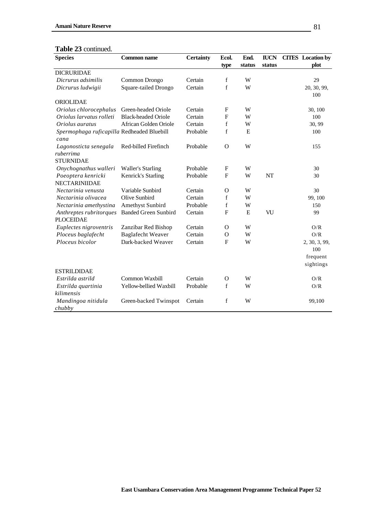#### **Table 23** continued.

| <b>Species</b>                             | Common name                 | <b>Certainty</b> | Ecol.          | End.      | <b>IUCN</b> | <b>CITES</b> Location by |
|--------------------------------------------|-----------------------------|------------------|----------------|-----------|-------------|--------------------------|
|                                            |                             |                  | type           | status    | status      | plot                     |
| <b>DICRURIDAE</b>                          |                             |                  |                |           |             |                          |
| Dicrurus adsimilis                         | Common Drongo               | Certain          | f              | W         |             | 29                       |
| Dicrurus ludwigii                          | Square-tailed Drongo        | Certain          | $\mathbf f$    | W         |             | 20, 30, 99,              |
|                                            |                             |                  |                |           |             | 100                      |
| ORIOLIDAE                                  |                             |                  |                |           |             |                          |
| Oriolus chlorocephalus                     | Green-headed Oriole         | Certain          | F              | W         |             | 30, 100                  |
| Oriolus larvatus rolleti                   | <b>Black-headed Oriole</b>  | Certain          | $\mathbf{F}$   | W         |             | 100                      |
| Oriolus auratus                            | African Golden Oriole       | Certain          | f              | W         |             | 30, 99                   |
| Spermophaga ruficapilla Redheaded Bluebill |                             | Probable         | $\mathbf f$    | ${\bf E}$ |             | 100                      |
| cana                                       |                             |                  |                |           |             |                          |
| Lagonosticta senegala                      | Red-billed Firefinch        | Probable         | $\overline{O}$ | W         |             | 155                      |
| ruberrima                                  |                             |                  |                |           |             |                          |
| <b>STURNIDAE</b>                           |                             |                  |                |           |             |                          |
| Onychognathus walleri                      | <b>Waller's Starling</b>    | Probable         | F              | W         |             | 30                       |
| Poeoptera kenricki                         | Kenrick's Starling          | Probable         | $\mathbf F$    | W         | NT          | 30                       |
| <b>NECTARINIIDAE</b>                       |                             |                  |                |           |             |                          |
| Nectarinia venusta                         | Variable Sunbird            | Certain          | $\mathbf O$    | W         |             | 30                       |
| Nectarinia olivacea                        | Olive Sunbird               | Certain          | f              | W         |             | 99, 100                  |
| Nectarinia amethystina                     | <b>Amethyst Sunbird</b>     | Probable         | f              | W         |             | 150                      |
| Anthreptes rubritorques                    | <b>Banded Green Sunbird</b> | Certain          | $\mathbf F$    | E         | VU          | 99                       |
| <b>PLOCEIDAE</b>                           |                             |                  |                |           |             |                          |
| Euplectes nigroventris                     | Zanzibar Red Bishop         | Certain          | $\Omega$       | W         |             | O/R                      |
| Ploceus baglafecht                         | <b>Baglafecht Weaver</b>    | Certain          | $\Omega$       | W         |             | O/R                      |
| Ploceus bicolor                            | Dark-backed Weaver          | Certain          | $\mathbf{F}$   | W         |             | 2, 30, 3, 99,            |
|                                            |                             |                  |                |           |             | 100                      |
|                                            |                             |                  |                |           |             | frequent                 |
|                                            |                             |                  |                |           |             | sightings                |
| <b>ESTRILDIDAE</b>                         |                             |                  |                |           |             |                          |
| Estrilda astrild                           | Common Waxbill              | Certain          | $\Omega$       | W         |             | O/R                      |
| Estrilda quartinia                         | Yellow-bellied Waxbill      | Probable         | f              | W         |             | O/R                      |
| kilimensis                                 |                             |                  |                |           |             |                          |
| Mandingoa nitidula<br>chubby               | Green-backed Twinspot       | Certain          | $\mathbf f$    | W         |             | 99,100                   |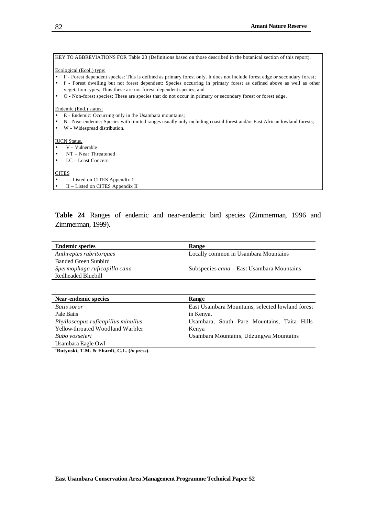| KEY TO ABBREVIATIONS FOR Table 23 (Definitions based on those described in the botanical section of this report).                                                                         |
|-------------------------------------------------------------------------------------------------------------------------------------------------------------------------------------------|
| Ecological (Ecol.) type:                                                                                                                                                                  |
| F - Forest dependent species: This is defined as primary forest only. It does not include forest edge or secondary forest;                                                                |
| f - Forest dwelling but not forest dependent: Species occurring in primary forest as defined above as well as other<br>vegetation types. Thus these are not forest-dependent species; and |
| O - Non-forest species: These are species that do not occur in primary or secondary forest or forest edge.                                                                                |
| Endemic (End.) status:                                                                                                                                                                    |
| E - Endemic: Occurring only in the Usambara mountains;                                                                                                                                    |
| N - Near endemic: Species with limited ranges usually only including coastal forest and/or East African lowland forests;                                                                  |
| W - Widespread distribution.                                                                                                                                                              |
| <b>IUCN Status.</b>                                                                                                                                                                       |
| $V -$ Vulnerable                                                                                                                                                                          |
| $NT - Near Threated$<br>$\bullet$                                                                                                                                                         |
| LC – Least Concern                                                                                                                                                                        |
|                                                                                                                                                                                           |
| <b>CITES</b>                                                                                                                                                                              |

- I Listed on CITES Appendix 1
- II Listed on CITES Appendix II

**Table 24** Ranges of endemic and near-endemic bird species (Zimmerman, 1996 and Zimmerman, 1999).

| <b>Endemic species</b>       | Range                                            |
|------------------------------|--------------------------------------------------|
| Anthreptes rubritorques      | Locally common in Usambara Mountains             |
| Banded Green Sunbird         |                                                  |
| Spermophaga ruficapilla cana | Subspecies <i>cana</i> – East Usambara Mountains |
| Redheaded Bluebill           |                                                  |

| Near-endemic species                                     | Range                                               |
|----------------------------------------------------------|-----------------------------------------------------|
| Batis soror                                              | East Usambara Mountains, selected lowland forest    |
| Pale Batis                                               | in Kenya.                                           |
| Phylloscopus ruficapillus minullus                       | Usambara, South Pare Mountains, Taita Hills         |
| Yellow-throated Woodland Warbler                         | Kenya                                               |
| Bubo vosseleri                                           | Usambara Mountains, Udzungwa Mountains <sup>1</sup> |
| Usambara Eagle Owl                                       |                                                     |
| $\mathbf{r}$ . The contract of the contract $\mathbf{r}$ |                                                     |

**<sup>1</sup>Butynski, T.M. & Ehardt, C.L. (***in press***).**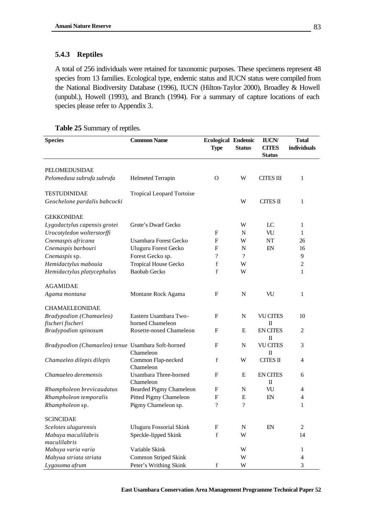## **5.4.3 Reptiles**

A total of 256 individuals were retained for taxonomic purposes. These specimens represent 48 species from 13 families. Ecological type, endemic status and IUCN status were compiled from the National Biodiversity Database (1996), IUCN (Hilton-Taylor 2000), Broadley & Howell (unpubl.), Howell (1993), and Branch (1994). For a summary of capture locations of each species please refer to Appendix 3.

|  |  | <b>Table 25 Summary of reptiles.</b> |
|--|--|--------------------------------------|
|--|--|--------------------------------------|

| <b>Species</b>                                     | <b>Common Name</b>                 | <b>Ecological Endemic</b><br><b>Type</b> | <b>Status</b>      | <b>IUCN/</b><br><b>CITES</b><br><b>Status</b> | <b>Total</b><br>individuals |
|----------------------------------------------------|------------------------------------|------------------------------------------|--------------------|-----------------------------------------------|-----------------------------|
|                                                    |                                    |                                          |                    |                                               |                             |
| PELOMEDUSIDAE                                      |                                    |                                          |                    |                                               |                             |
| Pelomedusa subrufa subrufa                         | <b>Helmeted Terrapin</b>           | $\Omega$                                 | W                  | <b>CITES III</b>                              | 1                           |
| <b>TESTUDINIDAE</b>                                | <b>Tropical Leopard Tortoise</b>   |                                          |                    |                                               |                             |
| Geochelone pardalis babcocki                       |                                    |                                          | W                  | <b>CITES II</b>                               | 1                           |
| <b>GEKKONIDAE</b>                                  |                                    |                                          |                    |                                               |                             |
| Lygodactylus capensis grotei                       | Grote's Dwarf Gecko                |                                          | W                  | LC                                            | 1                           |
| Urocotyledon wolterstorffi                         |                                    | $\mathbf{F}$                             | N                  | VU                                            | 1                           |
| Cnemaspis africana                                 | Usambara Forest Gecko              | F                                        | W                  | NT                                            | 26                          |
| Cnemaspis barbouri                                 | <b>Uluguru Forest Gecko</b>        | F                                        | $\mathbf N$        | EN                                            | 16                          |
| Cnemaspis sp.                                      | Forest Gecko sp.                   | $\overline{\mathcal{C}}$                 | $\gamma$           |                                               | 9                           |
| Hemidactylus mabouia                               | <b>Tropical House Gecko</b>        | f                                        | W                  |                                               | $\sqrt{2}$                  |
| Hemidactylus platycephalus                         | <b>Baobab Gecko</b>                | $\mathbf f$                              | W                  |                                               | 1                           |
| <b>AGAMIDAE</b>                                    |                                    |                                          |                    |                                               |                             |
| Agama montana                                      | Montane Rock Agama                 | F                                        | N                  | VU                                            | 1                           |
| <b>CHAMAELEONIDAE</b>                              |                                    |                                          |                    |                                               |                             |
| Bradypodion (Chamaeleo)                            | Eastern Usambara Two-              | F                                        | N                  | <b>VU CITES</b>                               | 10                          |
| fischeri fischeri                                  | horned Chameleon                   |                                          |                    | $\mathbf{I}$                                  |                             |
| <b>Bradypodion spinosum</b>                        | Rosette-nosed Chameleon            | F                                        | E                  | <b>EN CITES</b><br>$\mathbf{I}$               | $\overline{2}$              |
| Bradypodion (Chamaeleo) tenue Usambara Soft-horned | Chameleon                          | F                                        | N                  | <b>VU CITES</b><br>$\mathbf{I}$               | 3                           |
| Chamaeleo dilepis dilepis                          | Common Flap-necked<br>Chameleon    | $\mathbf f$                              | W                  | <b>CITES II</b>                               | 4                           |
| Chamaeleo deremensis                               | Usambara Three-horned<br>Chameleon | $\mathbf{F}$                             | E                  | <b>EN CITES</b><br>$\mathbf{I}$               | 6                           |
| Rhampholeon brevicaudatus                          | <b>Bearded Pigmy Chameleon</b>     | F                                        | N                  | VU                                            | 4                           |
| Rhampholeon temporalis                             | Pitted Pigmy Chameleon             | F                                        | $\mathbf E$        | EN                                            | $\overline{4}$              |
| Rhampholeon sp.                                    | Pigmy Chameleon sp.                | $\gamma$                                 | $\overline{\cdot}$ |                                               | 1                           |
| <b>SCINCIDAE</b>                                   |                                    |                                          |                    |                                               |                             |
| Scelotes ulugurensis                               | <b>Uluguru Fossorial Skink</b>     | $\mathbf{F}$                             | ${\bf N}$          | EN                                            | $\mathbf{2}$                |
| Mabuya maculilabris<br>maculilabris                | Speckle-lipped Skink               | $\mathbf f$                              | W                  |                                               | 14                          |
| Mabuya varia varia                                 | Variable Skink                     |                                          | W                  |                                               | 1                           |
| Mabyua striata striata                             | Common Striped Skink               |                                          | W                  |                                               | 4                           |
| Lygosoma afrum                                     | Peter's Writhing Skink             | f                                        | W                  |                                               | 3                           |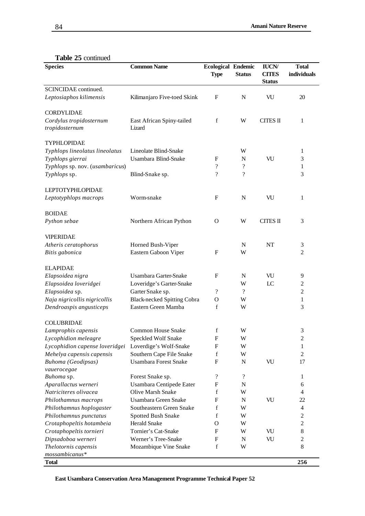|  |  | <b>Table 25 continued</b> |
|--|--|---------------------------|
|--|--|---------------------------|

| <b>Species</b>                            | <b>Common Name</b>                  | <b>Ecological Endemic</b><br><b>Type</b> | <b>Status</b>              | <b>IUCN/</b><br><b>CITES</b><br><b>Status</b> | <b>Total</b><br>individuals |
|-------------------------------------------|-------------------------------------|------------------------------------------|----------------------------|-----------------------------------------------|-----------------------------|
| SCINCIDAE continued.                      |                                     |                                          |                            |                                               |                             |
| Leptosiaphos kilimensis                   | Kilimanjaro Five-toed Skink         | F                                        | N                          | VU                                            | 20                          |
| <b>CORDYLIDAE</b>                         |                                     |                                          |                            |                                               |                             |
| Cordylus tropidosternum<br>tropidosternum | East African Spiny-tailed<br>Lizard | f                                        | W                          | <b>CITES II</b>                               | 1                           |
| TYPHLOPIDAE                               |                                     |                                          |                            |                                               |                             |
| Typhlops lineolatus lineolatus            | Lineolate Blind-Snake               |                                          | W                          |                                               | 1                           |
| Typhlops gierrai                          | Usambara Blind-Snake                | F                                        | N                          | VU                                            | 3                           |
| Typhlops sp. nov. (usambaricus)           |                                     | $\overline{\cdot}$                       | $\boldsymbol{\mathcal{P}}$ |                                               | 1                           |
| Typhlops sp.                              | Blind-Snake sp.                     | $\overline{\cdot}$                       | $\boldsymbol{\mathcal{P}}$ |                                               | 3                           |
| <b>LEPTOTYPHLOPIDAE</b>                   |                                     |                                          |                            |                                               |                             |
| Leptotyphlops macrops                     | Worm-snake                          | $\mathbf{F}$                             | $\mathbf N$                | VU                                            | 1                           |
| <b>BOIDAE</b>                             |                                     |                                          |                            |                                               |                             |
| Python sebae                              | Northern African Python             | $\mathbf{O}$                             | W                          | <b>CITES II</b>                               | 3                           |
| <b>VIPERIDAE</b>                          |                                     |                                          |                            |                                               |                             |
| Atheris ceratophorus                      | Horned Bush-Viper                   |                                          | $\mathbf N$                | <b>NT</b>                                     | 3                           |
| Bitis gabonica                            | Eastern Gaboon Viper                | $\mathbf{F}$                             | W                          |                                               | 2                           |
| <b>ELAPIDAE</b>                           |                                     |                                          |                            |                                               |                             |
| Elapsoidea nigra                          | Usambara Garter-Snake               | $\mathbf{F}$                             | $\mathbf N$                | VU                                            | 9                           |
| Elapsoidea loveridgei                     | Loveridge's Garter-Snake            |                                          | W                          | LC                                            | $\overline{\mathbf{c}}$     |
| Elapsoidea sp.                            | Garter Snake sp.                    | $\overline{\cdot}$                       | $\gamma$                   |                                               | $\overline{c}$              |
| Naja nigricollis nigricollis              | <b>Black-necked Spitting Cobra</b>  | $\mathbf O$                              | W                          |                                               | 1                           |
| Dendroaspis angusticeps                   | Eastern Green Mamba                 | f                                        | W                          |                                               | 3                           |
| <b>COLUBRIDAE</b>                         |                                     |                                          |                            |                                               |                             |
| Lamprophis capensis                       | <b>Common House Snake</b>           | f                                        | W                          |                                               | 3                           |
| Lycophidion meleagre                      | Speckled Wolf Snake                 | $\boldsymbol{\mathrm{F}}$                | W                          |                                               | $\sqrt{2}$                  |
| Lycophidion capense loveridgei            | Loverdige's Wolf-Snake              | F                                        | W                          |                                               | 1                           |
| Mehelya capensis capensis                 | Southern Cape File Snake            | f                                        | W                          |                                               | $\overline{c}$              |
| <b>Buhoma</b> (Geodipsas)<br>vauerocegae  | <b>Usambara Forest Snake</b>        | $\mathbf{F}$                             | $\mathbf N$                | VU                                            | 17                          |
| Buhoma sp.                                | Forest Snake sp.                    | $\boldsymbol{?}$                         | $\boldsymbol{?}$           |                                               | 1                           |
| Aparallactus werneri                      | Usambara Centipede Eater            | F                                        | $\mathbf N$                |                                               | 6                           |
| Natriciteres olivacea                     | Olive Marsh Snake                   | f                                        | W                          |                                               | 4                           |
| Philothamnus macrops                      | Usambara Green Snake                | F                                        | N                          | VU                                            | 22                          |
| Philothamnus hoplogaster                  | Southeastern Green Snake            | f                                        | W                          |                                               | 4                           |
| Philothamnus punctatus                    | Spotted Bush Snake                  | f                                        | W                          |                                               | $\mathfrak{2}$              |
| Crotaphopeltis hotambeia                  | Herald Snake                        | O                                        | W                          |                                               | $\overline{c}$              |
| Crotaphopeltis tornieri                   | Tornier's Cat-Snake                 | F                                        | W                          | VU                                            | $8\,$                       |
| Dipsadoboa werneri                        | Werner's Tree-Snake                 | F                                        | N                          | VU                                            | $\mathfrak{2}$              |
| Thelotornis capensis                      | Mozambique Vine Snake               | f                                        | W                          |                                               | $8\,$                       |
| mossambicanus*<br><b>Total</b>            |                                     |                                          |                            |                                               | 256                         |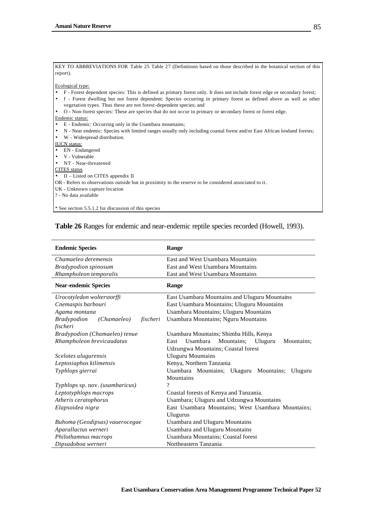| KEY TO ABBREVIATIONS FOR Table 25 Table 27 (Definitions based on those described in the botanical section of this          |
|----------------------------------------------------------------------------------------------------------------------------|
| report).                                                                                                                   |
|                                                                                                                            |
| Ecological type:                                                                                                           |
| F - Forest dependent species: This is defined as primary forest only. It does not include forest edge or secondary forest; |
| f - Forest dwelling but not forest dependent: Species occurring in primary forest as defined above as well as other        |
| vegetation types. Thus these are not forest-dependent species; and                                                         |
| O - Non-forest species: These are species that do not occur in primary or secondary forest or forest edge.<br>$\bullet$    |
| Endemic status:                                                                                                            |
| E - Endemic: Occurring only in the Usambara mountains;<br>$\bullet$                                                        |
| N - Near endemic: Species with limited ranges usually only including coastal forest and/or East African lowland forests;   |
| W - Widespread distribution.                                                                                               |
| <b>IUCN</b> status:                                                                                                        |
| EN - Endangered                                                                                                            |
| V - Vulnerable                                                                                                             |
| NT - Near-threatened                                                                                                       |
| <b>CITES</b> status                                                                                                        |
| $\bullet$ II – Listed on CITES appendix II                                                                                 |
| OR - Refers to observations outside but in proximity to the reserve to be considered associated to it.                     |
| UK - Unknown capture location                                                                                              |
| ? - No data available                                                                                                      |
|                                                                                                                            |
| * See section 5.5.1.2 for discussion of this species                                                                       |

# **Table 26** Ranges for endemic and near-endemic reptile species recorded (Howell, 1993).

| <b>Endemic Species</b>                        | Range                                                   |  |  |  |  |
|-----------------------------------------------|---------------------------------------------------------|--|--|--|--|
| Chamaeleo deremensis                          | East and West Usambara Mountains                        |  |  |  |  |
| <b>Bradypodion spinosum</b>                   | East and West Usambara Mountains                        |  |  |  |  |
| Rhampholeon temporalis                        | East and West Usambara Mountains                        |  |  |  |  |
| <b>Near-endemic Species</b>                   | Range                                                   |  |  |  |  |
| Urocotyledon wolterstorffi                    | East Usambara Mountains and Uluguru Mountains           |  |  |  |  |
| Cnemaspis barbouri                            | East Usambara Mountains; Uluguru Mountains              |  |  |  |  |
| Agama montana                                 | Usambara Mountains; Uluguru Mountains                   |  |  |  |  |
| <i>Bradypodion</i><br>(Chamaeleo)<br>fischeri | Usambara Mountains; Nguru Mountains                     |  |  |  |  |
| fischeri                                      |                                                         |  |  |  |  |
| Bradypodion (Chamaeleo) tenue                 | Usambara Mountains; Shimba Hills, Kenya                 |  |  |  |  |
| Rhampholeon brevicaudatus                     | Usambara<br>Mountains;<br>Uluguru<br>Mountains:<br>East |  |  |  |  |
|                                               | <b>Udzungwa Mountains; Coastal forest</b>               |  |  |  |  |
| Scelotes ulugurensis                          | <b>Uluguru Mountains</b>                                |  |  |  |  |
| Leptosiaphos kilimensis                       | Kenya, Northern Tanzania                                |  |  |  |  |
| Typhlops gierrai                              | Usambara Mountains; Ukaguru Mountains; Uluguru          |  |  |  |  |
|                                               | Mountains                                               |  |  |  |  |
| Typhlops sp. nov. (usambaricus)               | $\gamma$                                                |  |  |  |  |
| Leptotyphlops macrops                         | Coastal forests of Kenya and Tanzania.                  |  |  |  |  |
| Atheris ceratophorus                          | Usambara; Uluguru and Udzungwa Mountains                |  |  |  |  |
| Elapsoidea nigra                              | East Usambara Mountains; West Usambara Mountains;       |  |  |  |  |
|                                               | Ulugurus                                                |  |  |  |  |
| Buhoma (Geodipsas) vauerocegae                | <b>Usambara and Uluguru Mountains</b>                   |  |  |  |  |
| Aparallactus werneri                          | <b>Usambara and Uluguru Mountains</b>                   |  |  |  |  |
| Philothamnus macrops                          | <b>Usambara Mountains; Coastal forest</b>               |  |  |  |  |
| Dipsadoboa werneri                            | Northeastern Tanzania                                   |  |  |  |  |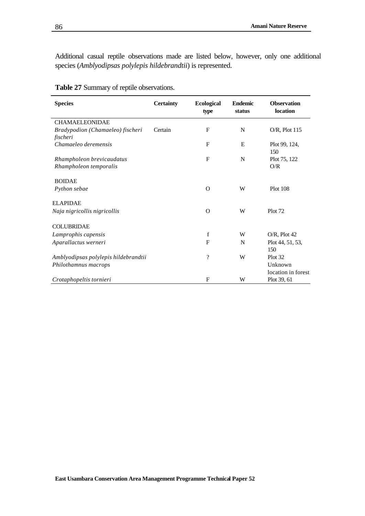Additional casual reptile observations made are listed below, however, only one additional species (*Amblyodipsas polylepis hildebrandtii*) is represented.

| <b>Species</b>                                      | <b>Certainty</b> | <b>Ecological</b><br>type | <b>Endemic</b><br>status | <b>Observation</b><br>location |
|-----------------------------------------------------|------------------|---------------------------|--------------------------|--------------------------------|
| <b>CHAMAELEONIDAE</b>                               |                  |                           |                          |                                |
| Bradypodion (Chamaeleo) fischeri<br>fischeri        | Certain          | $\mathbf{F}$              | N                        | $O/R$ , Plot 115               |
| Chamaeleo deremensis                                |                  | $\mathbf{F}$              | E                        | Plot 99, 124,<br>150           |
| Rhampholeon brevicaudatus<br>Rhampholeon temporalis |                  | $\mathbf{F}$              | N                        | Plot 75, 122<br>O/R            |
| <b>BOIDAE</b>                                       |                  |                           |                          |                                |
| Python sebae                                        |                  | $\Omega$                  | W                        | <b>Plot 108</b>                |
| <b>ELAPIDAE</b>                                     |                  |                           |                          |                                |
| Naja nigricollis nigricollis                        |                  | $\Omega$                  | W                        | Plot 72                        |
| <b>COLUBRIDAE</b>                                   |                  |                           |                          |                                |
| Lamprophis capensis                                 |                  | $\mathbf f$               | W                        | $O/R$ , Plot 42                |
| Aparallactus werneri                                |                  | $\mathbf{F}$              | N                        | Plot 44, 51, 53,<br>150        |
| Amblyodipsas polylepis hildebrandtii                |                  | $\overline{\cdot}$        | W                        | Plot 32                        |
| Philothamnus macrops                                |                  |                           |                          | Unknown<br>location in forest  |
| Crotaphopeltis tornieri                             |                  | $\mathbf{F}$              | W                        | Plot 39, 61                    |

|  |  |  | Table 27 Summary of reptile observations. |
|--|--|--|-------------------------------------------|
|--|--|--|-------------------------------------------|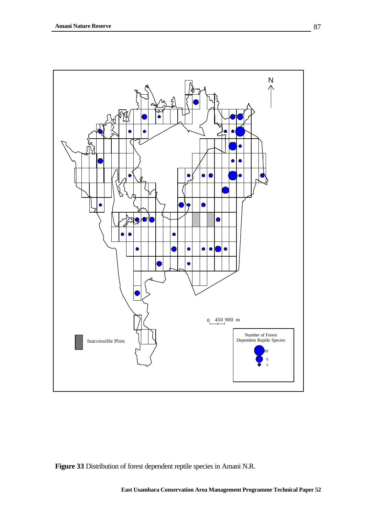

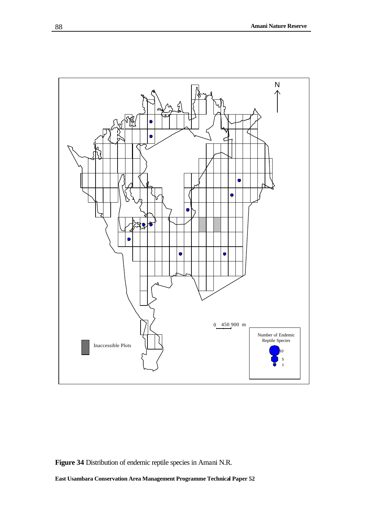

**Figure 34** Distribution of endemic reptile species in Amani N.R.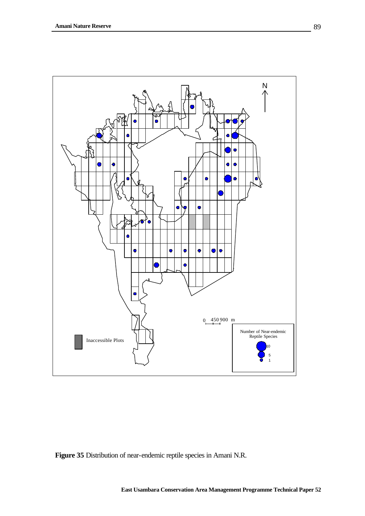

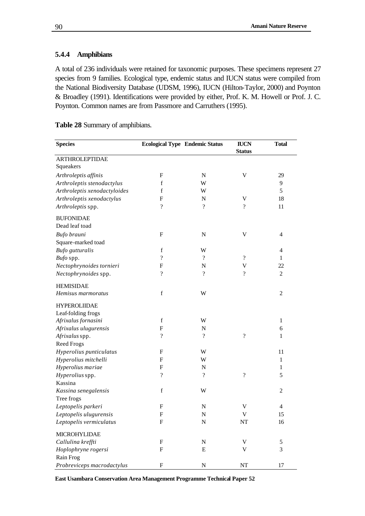# **5.4.4 Amphibians**

A total of 236 individuals were retained for taxonomic purposes. These specimens represent 27 species from 9 families. Ecological type, endemic status and IUCN status were compiled from the National Biodiversity Database (UDSM, 1996), IUCN (Hilton-Taylor, 2000) and Poynton & Broadley (1991). Identifications were provided by either, Prof. K. M. Howell or Prof. J. C. Poynton. Common names are from Passmore and Carruthers (1995).

| <b>Species</b>                   |                           | <b>Ecological Type Endemic Status</b> | <b>IUCN</b><br><b>Status</b> | <b>Total</b>   |
|----------------------------------|---------------------------|---------------------------------------|------------------------------|----------------|
| <b>ARTHROLEPTIDAE</b>            |                           |                                       |                              |                |
| Squeakers                        |                           |                                       |                              |                |
| Arthroleptis affinis             | F                         | N                                     | $\mathbf V$                  | 29             |
| Arthroleptis stenodactylus       | f                         | W                                     |                              | 9              |
| Arthroleptis xenodactyloides     | f                         | W                                     |                              | 5              |
| Arthroleptis xenodactylus        | F                         | ${\bf N}$                             | V                            | 18             |
| Arthroleptis spp.                | ?                         | $\gamma$                              | $\overline{\mathcal{L}}$     | 11             |
| <b>BUFONIDAE</b>                 |                           |                                       |                              |                |
| Dead leaf toad                   |                           |                                       |                              |                |
| Bufo brauni                      | $\boldsymbol{\mathrm{F}}$ | N                                     | V                            | $\overline{4}$ |
| Square-marked toad               |                           |                                       |                              |                |
| <b>Bufo</b> gutturalis           | $\mathbf f$               | W                                     |                              | 4              |
| Bufo spp.                        | $\overline{\mathcal{C}}$  | $\gamma$                              | $\overline{\mathcal{L}}$     | 1              |
| Nectophrynoides tornieri         | F                         | $\mathbf N$                           | V                            | 22             |
| Nectophrynoides spp.             | $\overline{\mathcal{L}}$  | $\gamma$                              | $\gamma$                     | $\overline{c}$ |
| <b>HEMISIDAE</b>                 |                           |                                       |                              |                |
| Hemisus marmoratus               | f                         | W                                     |                              | 2              |
| <b>HYPEROLIIDAE</b>              |                           |                                       |                              |                |
| Leaf-folding frogs               |                           |                                       |                              |                |
| Afrixalus fornasini              | $\mathbf f$               | W                                     |                              | $\mathbf{1}$   |
| Afrixalus ulugurensis            | F                         | N                                     |                              | 6              |
| Afrixalus spp.                   | $\overline{\mathcal{L}}$  | $\overline{\mathcal{C}}$              | $\overline{\mathcal{C}}$     | 1              |
| <b>Reed Frogs</b>                |                           |                                       |                              |                |
| Hyperolius punticulatus          | $\mathbf{F}$              | W                                     |                              | 11             |
| Hyperolius mitchelli             | F                         | W                                     |                              | $\mathbf{1}$   |
| Hyperolius mariae                | F                         | N                                     |                              | 1              |
| Hyperolius spp.                  | ?                         | $\boldsymbol{\mathcal{P}}$            | $\overline{\mathcal{L}}$     | 5              |
| Kassina                          |                           |                                       |                              |                |
| Kassina senegalensis             | f                         | W                                     |                              | 2              |
| Tree frogs                       |                           |                                       |                              |                |
| Leptopelis parkeri               | F                         | $\mathbf N$                           | V                            | 4              |
| Leptopelis ulugurensis           | ${\rm F}$                 | $\mathbf N$                           | V                            | 15             |
| Leptopelis vermiculatus          | F                         | ${\bf N}$                             | NT                           | 16             |
| MICROHYLIDAE                     |                           |                                       |                              |                |
| Callulina kreffti                | ${\bf F}$                 | ${\bf N}$                             | V                            | 5              |
| Hoplophryne rogersi<br>Rain Frog | ${\bf F}$                 | E                                     | V                            | 3              |
| Probreviceps macrodactylus       | $_{\rm F}$                | $\mathbf N$                           | $\rm{NT}$                    | 17             |

**Table 28** Summary of amphibians.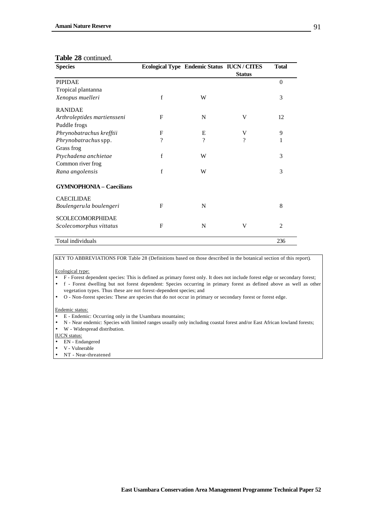#### **Table 28** continued.

| <b>Species</b>                  |             | Ecological Type Endemic Status IUCN / CITES |               | <b>Total</b>   |
|---------------------------------|-------------|---------------------------------------------|---------------|----------------|
|                                 |             |                                             | <b>Status</b> |                |
| <b>PIPIDAE</b>                  |             |                                             |               | $\theta$       |
| Tropical plantanna              |             |                                             |               |                |
| Xenopus muelleri                | f           | W                                           |               | 3              |
| <b>RANIDAE</b>                  |             |                                             |               |                |
| Arthroleptides martiensseni     | F           | N                                           | V             | 12             |
| Puddle frogs                    |             |                                             |               |                |
| Phrynobatrachus krefftii        | F           | E                                           | V             | 9              |
| Phrynobatrachus spp.            | ?           | $\gamma$                                    | $\gamma$      | 1              |
| Grass frog                      |             |                                             |               |                |
| Ptychadena anchietae            | $\mathbf f$ | W                                           |               | 3              |
| Common river frog               |             |                                             |               |                |
| Rana angolensis                 | f           | W                                           |               | 3              |
| <b>GYMNOPHONIA - Caecilians</b> |             |                                             |               |                |
| <b>CAECILIDAE</b>               |             |                                             |               |                |
| Boulengerula boulengeri         | F           | N                                           |               | 8              |
| <b>SCOLECOMORPHIDAE</b>         |             |                                             |               |                |
| Scolecomorphus vittatus         | F           | N                                           | V             | $\overline{2}$ |
| Total individuals               |             |                                             |               | 236            |

KEY TO ABBREVIATIONS FOR Table 28 (Definitions based on those described in the botanical section of this report).

#### Ecological type:

• F - Forest dependent species: This is defined as primary forest only. It does not include forest edge or secondary forest;

• f - Forest dwelling but not forest dependent: Species occurring in primary forest as defined above as well as other vegetation types. Thus these are not forest-dependent species; and

• O - Non-forest species: These are species that do not occur in primary or secondary forest or forest edge.

#### Endemic status:

- E Endemic: Occurring only in the Usambara mountains;
- N Near endemic: Species with limited ranges usually only including coastal forest and/or East African lowland forests;
- W Widespread distribution.

IUCN status:

- EN Endangered
- V Vulnerable
- NT Near-threatened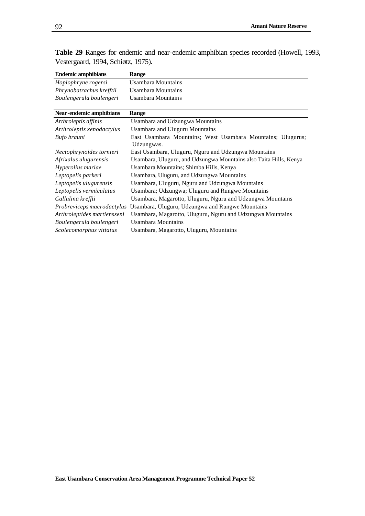| <b>Endemic amphibians</b>   | Range                                                             |
|-----------------------------|-------------------------------------------------------------------|
| Hoplophryne rogersi         | Usambara Mountains                                                |
| Phrynobatrachus krefftii    | Usambara Mountains                                                |
| Boulengerula boulengeri     | Usambara Mountains                                                |
|                             |                                                                   |
| Near-endemic amphibians     | Range                                                             |
| Arthroleptis affinis        | <b>Usambara and Udzungwa Mountains</b>                            |
| Arthroleptis xenodactylus   | <b>Usambara and Uluguru Mountains</b>                             |
| Bufo brauni                 | East Usambara Mountains; West Usambara Mountains; Ulugurus;       |
|                             | Udzungwas.                                                        |
| Nectophrynoides tornieri    | East Usambara, Uluguru, Nguru and Udzungwa Mountains              |
| Afrixalus ulugurensis       | Usambara, Uluguru, and Udzungwa Mountains also Taita Hills, Kenya |
| Hyperolius mariae           | Usambara Mountains; Shimba Hills, Kenya                           |
| Leptopelis parkeri          | Usambara, Uluguru, and Udzungwa Mountains                         |
| Leptopelis ulugurensis      | Usambara, Uluguru, Nguru and Udzungwa Mountains                   |
| Leptopelis vermiculatus     | Usambara; Udzungwa; Uluguru and Rungwe Mountains                  |
| Callulina kreffti           | Usambara, Magarotto, Uluguru, Nguru and Udzungwa Mountains        |
| Probreviceps macrodactylus  | Usambara, Uluguru, Udzungwa and Rungwe Mountains                  |
| Arthroleptides martiensseni | Usambara, Magarotto, Uluguru, Nguru and Udzungwa Mountains        |
| Boulengerula boulengeri     | Usambara Mountains                                                |
| Scolecomorphus vittatus     | Usambara, Magarotto, Uluguru, Mountains                           |

**Table 29** Ranges for endemic and near-endemic amphibian species recorded (Howell, 1993, Vestergaard, 1994, Schiøtz, 1975).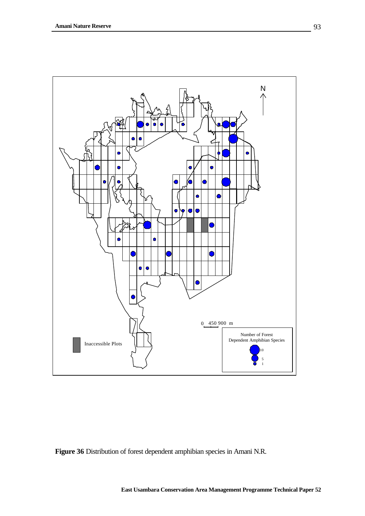

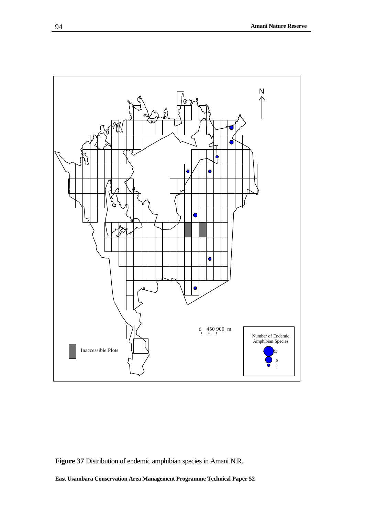

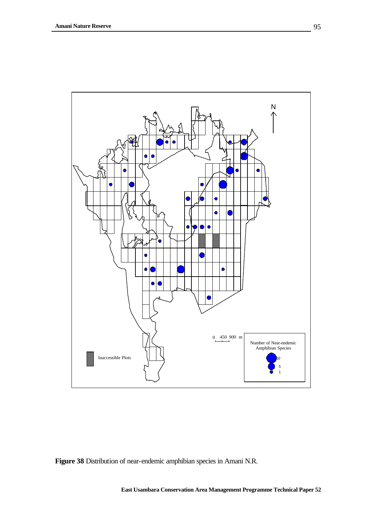

**Figure 38** Distribution of near-endemic amphibian species in Amani N.R.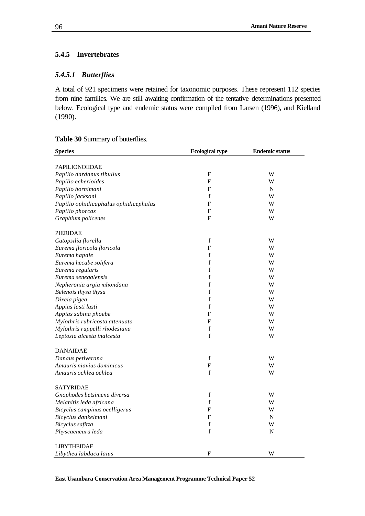## **5.4.5 Invertebrates**

#### *5.4.5.1 Butterflies*

A total of 921 specimens were retained for taxonomic purposes. These represent 112 species from nine families. We are still awaiting confirmation of the tentative determinations presented below. Ecological type and endemic status were compiled from Larsen (1996), and Kielland (1990).

#### **Table 30** Summary of butterflies.

| <b>Species</b>                        | <b>Ecological type</b> | <b>Endemic status</b> |
|---------------------------------------|------------------------|-----------------------|
|                                       |                        |                       |
| <b>PAPILIONOIIDAE</b>                 |                        |                       |
| Papilio dardanus tibullus             | F                      | W                     |
| Papilio echerioides                   | F                      | W                     |
| Papilio hornimani                     | F                      | N                     |
| Papilio jacksoni                      | $\mathbf f$            | W                     |
| Papilio ophidicaphalus ophidicephalus | F                      | W                     |
| Papilio phorcas                       | F                      | W                     |
| Graphium policenes                    | F                      | W                     |
| <b>PIERIDAE</b>                       |                        |                       |
| Catopsilia florella                   | $\mathbf f$            | W                     |
| Eurema floricola floricola            | F                      | W                     |
| Eurema hapale                         | f                      | W                     |
| Eurema hecabe solifera                | $\mathbf f$            | W                     |
| Eurema regularis                      | $\mathbf f$            | W                     |
| Eurema senegalensis                   | $\mathbf f$            | W                     |
| Nepheronia argia mhondana             | f                      | W                     |
| Belenois thysa thysa                  | f                      | W                     |
| Dixeia pigea                          | $\mathbf f$            | W                     |
| Appias lasti lasti                    | $\mathbf f$            | W                     |
| Appias sabina phoebe                  | F                      | W                     |
| Mylothris rubricosta attenuata        | F                      | W                     |
| Mylothris ruppelli rhodesiana         | $\mathbf f$            | W                     |
| Leptosia alcesta inalcesta            | $\mathbf f$            | W                     |
| <b>DANAIDAE</b>                       |                        |                       |
| Danaus petiverana                     | $\mathbf f$            | W                     |
| Amauris niavius dominicus             | $\mathbf{F}$           | W                     |
| Amauris ochlea ochlea                 | $\mathbf f$            | W                     |
| <b>SATYRIDAE</b>                      |                        |                       |
| Gnophodes betsimena diversa           | $\mathbf f$            | W                     |
| Melanitis leda africana               | $\mathbf f$            | W                     |
| Bicyclus campinus ocelligerus         | F                      | W                     |
| Bicyclus dankelmani                   | F                      | N                     |
| Bicyclus safitza                      | $\mathbf f$            | W                     |
| Physcaeneura leda                     | $\mathbf f$            | $\mathbf N$           |
|                                       |                        |                       |
| <b>LIBYTHEIDAE</b>                    |                        |                       |
| Libythea labdaca laius                | F                      | W                     |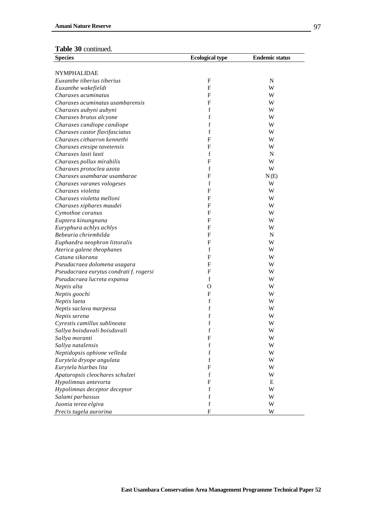| <b>Species</b>                          | <b>Ecological type</b> | <b>Endemic status</b> |
|-----------------------------------------|------------------------|-----------------------|
|                                         |                        |                       |
| <b>NYMPHALIDAE</b>                      |                        |                       |
| Euxanthe tiberius tiberius              | F                      | $\mathbf N$           |
| Euxanthe wakefieldi                     | F                      | W                     |
| Charaxes acuminatus                     | F                      | W                     |
| Charaxes acuminatus usambarensis        | F                      | W                     |
| Charaxes aubyni aubyni                  | f                      | W                     |
| Charaxes brutus alcyone                 | f                      | W                     |
| Charaxes candiope candiope              | f                      | W                     |
| Charaxes castor flavifasciatus          | f                      | W                     |
| Charaxes cithaeron kennethi             | F                      | W                     |
| Charaxes etesipe tavetensis             | F                      | W                     |
| Charaxes lasti lasti                    | f                      | N                     |
| Charaxes pollux mirabilis               | F                      | W                     |
| Charaxes protoclea azota                | f                      | W                     |
| Charaxes usambarae usambarae            | F                      | N(E)                  |
| Charaxes varanes vologeses              | f                      | W                     |
| Charaxes violetta                       | F                      | W                     |
| Charaxes violetta melloni               | F                      | W                     |
| Charaxes xiphares maudei                | F                      | W                     |
| Cymothoe coranus                        | F                      | W                     |
| Euptera kinungnana                      | F                      | W                     |
| Euryphura achlys achlys                 | F                      | W                     |
| Bebearia chriemhilda                    | F                      | N                     |
| Euphaedra neophron littoralis           | F                      | W                     |
| Aterica galene theophanes               | f                      | W                     |
| Catuna sikorana                         | F                      | W                     |
| Pseudacraea dolomena usagara            | F                      | W                     |
| Pseudacraea eurytus condrati f. rogersi | F                      | W                     |
| Pseudacraea lucreta expansa             | f                      | W                     |
| Neptis alta                             | О                      | W                     |
| Neptis goochi                           | F                      | W                     |
| Neptis laeta                            | f                      | W                     |
| Neptis saclava marpessa                 | f                      | W                     |
| Neptis serena                           | f                      | W                     |
| Cyrestis camillus sublineata            | f                      | W                     |
| Sallya boisduvali boisduvali            | f                      | W                     |
| Sallya moranti                          | $\mathbf F$            | W                     |
| Sallya natalensis                       | $\mathbf f$            | W                     |
| Neptidopsis ophione velleda             | f                      | W                     |
| Eurytela dryope angulata                | f                      | W                     |
| Eurytela hiarbas lita                   | $\mathbf F$            | W                     |
| Apaturopsis cleochares schulzei         | f                      | W                     |
| Hypolimnas antevorta                    | $\mathbf F$            | Ε                     |
| Hypolimnas deceptor deceptor            | f                      | W                     |
| Salami parhassus                        | f                      | W                     |
| Juonia terea elgiva                     | $\mathbf f$            | W                     |
| Precis tugela aurorina                  | $\mathbf F$            | W                     |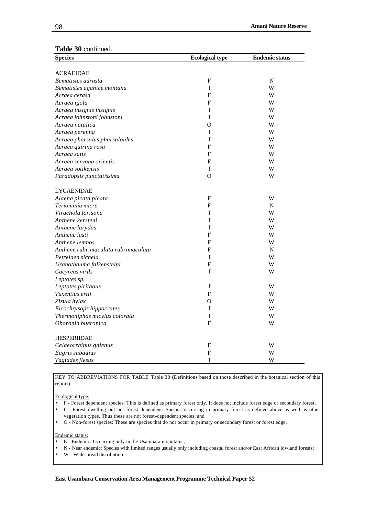#### **Table 30** continued.

| <b>Species</b>                      | <b>Ecological type</b>    | <b>Endemic status</b> |
|-------------------------------------|---------------------------|-----------------------|
|                                     |                           |                       |
| <b>ACRAEIDAE</b>                    |                           |                       |
| Bematistes adrasta                  | F                         | $\mathbf N$           |
| Bematistes aganice montana          | $\mathbf f$               | W                     |
| Acraea cerasa                       | F                         | W                     |
| Acraea igola                        | F                         | W                     |
| Acraea insignis insignis            | f                         | W                     |
| Acraea johnstoni johnstoni          | $\mathbf f$               | W                     |
| Acraea natalica                     | $\Omega$                  | W                     |
| Acraea perenna                      | $\mathbf f$               | W                     |
| Acraea pharsalus pharsaloides       | f                         | W                     |
| Acraea quirina rosa                 | F                         | W                     |
| Acraea satis                        | F                         | W                     |
| Acraea servona orientis             | F                         | W                     |
| Acraea sotikensis                   | f                         | W                     |
| Paradopsis punctatissima            | $\Omega$                  | W                     |
|                                     |                           |                       |
| <b>LYCAENIDAE</b>                   |                           |                       |
| Alaena picata picata                | F                         | W                     |
| Teriominia micra                    | F                         | N                     |
| Virachola lorisona                  | f                         | W                     |
| Anthene kersteni                    | $\mathbf f$               | W                     |
| Anthene larydas                     | f                         | W                     |
| Anthene lasti                       | F                         | W                     |
| Anthene lemnos                      | F                         | W                     |
| Anthene rubrimaculata rubrimaculata | F                         | N                     |
| Petrelaea sichela                   | $\mathbf f$               | W                     |
| Uranothauma falkensteini            | F                         | W                     |
| Cacyreus virils                     | f                         | W                     |
| Leptotes sp.                        |                           |                       |
| Leptotes pirithous                  | f                         | W                     |
| Tuxentius ertli                     | F                         | W                     |
| Zizula hylax                        | $\Omega$                  | W                     |
| Eicochrysops hippocrates            | f                         | W                     |
| Thermoniphas micylus colorata       | $\mathbf f$               | W                     |
| Oboronia bueronica                  | F                         | W                     |
|                                     |                           |                       |
| <b>HESPERIIDAE</b>                  |                           |                       |
| Celaeorrhinus galenus               | $\boldsymbol{\mathrm{F}}$ | W                     |
| Eagris sabadius                     | $\boldsymbol{\mathrm{F}}$ | W                     |
| Tagiades flesus                     | $\mathbf f$               | W                     |

KEY TO ABBREVIATIONS FOR TABLE Table 30 (Definitions based on those described in the botanical section of this report).

Ecological type:

• F - Forest dependent species: This is defined as primary forest only. It does not include forest edge or secondary forest;

• f - Forest dwelling but not forest dependent: Species occurring in primary forest as defined above as well as other vegetation types. Thus these are not forest-dependent species; and

• O - Non-forest species: These are species that do not occur in primary or secondary forest or forest edge.

Endemic status:

- E Endemic: Occurring only in the Usambara mountains;
- N Near endemic: Species with limited ranges usually only including coastal forest and/or East African lowland forests;
- W Widespread distribution.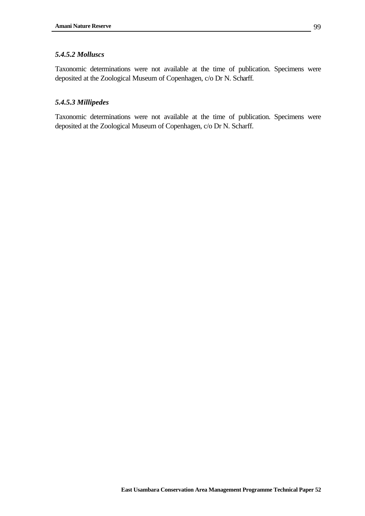#### *5.4.5.2 Molluscs*

Taxonomic determinations were not available at the time of publication. Specimens were deposited at the Zoological Museum of Copenhagen, c/o Dr N. Scharff.

#### *5.4.5.3 Millipedes*

Taxonomic determinations were not available at the time of publication. Specimens were deposited at the Zoological Museum of Copenhagen, c/o Dr N. Scharff.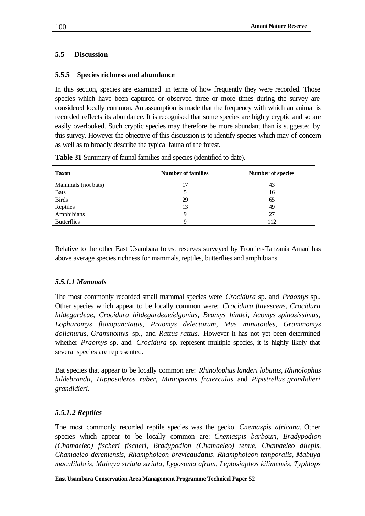## **5.5 Discussion**

## **5.5.5 Species richness and abundance**

In this section, species are examined in terms of how frequently they were recorded. Those species which have been captured or observed three or more times during the survey are considered locally common. An assumption is made that the frequency with which an animal is recorded reflects its abundance. It is recognised that some species are highly cryptic and so are easily overlooked. Such cryptic species may therefore be more abundant than is suggested by this survey. However the objective of this discussion is to identify species which may of concern as well as to broadly describe the typical fauna of the forest.

| <b>Taxon</b>       | <b>Number of families</b> | <b>Number of species</b> |
|--------------------|---------------------------|--------------------------|
| Mammals (not bats) |                           | 43                       |
| <b>Bats</b>        | 5                         | 16                       |
| <b>Birds</b>       | 29                        | 65                       |
| Reptiles           | 13                        | 49                       |
| Amphibians         | 9                         | 27                       |
| <b>Butterflies</b> | Q                         | 112                      |

**Table 31** Summary of faunal families and species (identified to date).

Relative to the other East Usambara forest reserves surveyed by Frontier-Tanzania Amani has above average species richness for mammals, reptiles, butterflies and amphibians.

## *5.5.1.1 Mammals*

The most commonly recorded small mammal species were *Crocidura* sp. and *Praomys* sp.. Other species which appear to be locally common were: *Crocidura flavescens, Crocidura hildegardeae, Crocidura hildegardeae/elgonius, Beamys hindei, Acomys spinosissimus, Lophuromys flavopunctatus*, *Praomys delectorum, Mus minutoides, Grammomys dolichurus, Grammomys* sp.*,* and *Rattus rattus.* However it has not yet been determined whether *Praomys* sp. and *Crocidura* sp. represent multiple species, it is highly likely that several species are represented.

Bat species that appear to be locally common are: *Rhinolophus landeri lobatus, Rhinolophus hildebrandti, Hipposideros ruber, Miniopterus fraterculus* and *Pipistrellus grandidieri grandidieri.*

## *5.5.1.2 Reptiles*

The most commonly recorded reptile species was the gecko *Cnemaspis africana*. Other species which appear to be locally common are: *Cnemaspis barbouri, Bradypodion (Chamaeleo) fischeri fischeri, Bradypodion (Chamaeleo) tenue, Chamaeleo dilepis, Chamaeleo deremensis, Rhampholeon brevicaudatus, Rhampholeon temporalis, Mabuya maculilabris, Mabuya striata striata, Lygosoma afrum, Leptosiaphos kilimensis, Typhlops*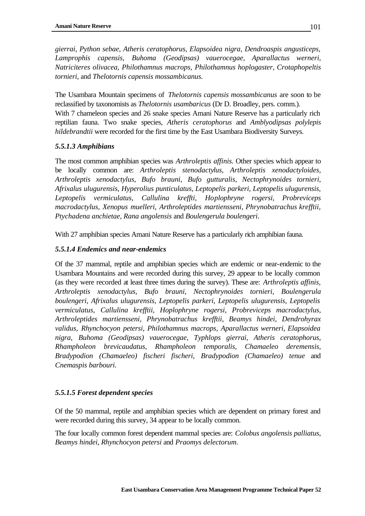*gierrai, Python sebae, Atheris ceratophorus, Elapsoidea nigra, Dendroaspis angusticeps, Lamprophis capensis, Buhoma (Geodipsas) vauerocegae, Aparallactus werneri, Natriciteres olivacea, Philothamnus macrops, Philothamnus hoplogaster*, *Crotaphopeltis tornieri*, and *Thelotornis capensis mossambicanus.*

The Usambara Mountain specimens of *Thelotornis capensis mossambicanus* are soon to be reclassified by taxonomists as *Thelotornis usambaricus* (Dr D. Broadley, pers. comm.).

With 7 chameleon species and 26 snake species Amani Nature Reserve has a particularly rich reptilian fauna. Two snake species, *Atheris ceratophorus* and *Amblyodipsas polylepis hildebrandtii* were recorded for the first time by the East Usambara Biodiversity Surveys.

# *5.5.1.3 Amphibians*

The most common amphibian species was *Arthroleptis affinis.* Other species which appear to be locally common are: *Arthroleptis stenodactylus*, *Arthroleptis xenodactyloides, Arthroleptis xenodactylus, Bufo brauni*, *Bufo gutturalis, Nectophrynoides tornieri, Afrixalus ulugurensis, Hyperolius punticulatus, Leptopelis parkeri, Leptopelis ulugurensis, Leptopelis vermiculatus, Callulina kreffti, Hoplophryne rogersi, Probreviceps macrodactylus, Xenopus muelleri, Arthroleptides martiensseni*, *Phrynobatrachus krefftii, Ptychadena anchietae, Rana angolensis* and *Boulengerula boulengeri*.

With 27 amphibian species Amani Nature Reserve has a particularly rich amphibian fauna.

# *5.5.1.4 Endemics and near-endemics*

Of the 37 mammal, reptile and amphibian species which are endemic or near-endemic to the Usambara Mountains and were recorded during this survey, 29 appear to be locally common (as they were recorded at least three times during the survey). These are: *Arthroleptis affinis, Arthroleptis xenodactylus, Bufo brauni, Nectophrynoides tornieri, Boulengerula boulengeri, Afrixalus ulugurensis, Leptopelis parkeri, Leptopelis ulugurensis, Leptopelis vermiculatus, Callulina krefftii, Hoplophryne rogersi, Probreviceps macrodactylus, Arthroleptides martiensseni, Phrynobatrachus krefftii, Beamys hindei*, *Dendrohyrax validus*, *Rhynchocyon petersi, Philothamnus macrops*, *Aparallactus werneri, Elapsoidea nigra, Buhoma (Geodipsas) vauerocegae, Typhlops gierrai, Atheris ceratophorus, Rhampholeon brevicaudatus, Rhampholeon temporalis, Chamaeleo deremensis, Bradypodion (Chamaeleo) fischeri fischeri, Bradypodion (Chamaeleo) tenue* and *Cnemaspis barbouri.*

# *5.5.1.5 Forest dependent species*

Of the 50 mammal, reptile and amphibian species which are dependent on primary forest and were recorded during this survey, 34 appear to be locally common.

The four locally common forest dependent mammal species are: *Colobus angolensis palliatus, Beamys hindei, Rhynchocyon petersi* and *Praomys delectorum.*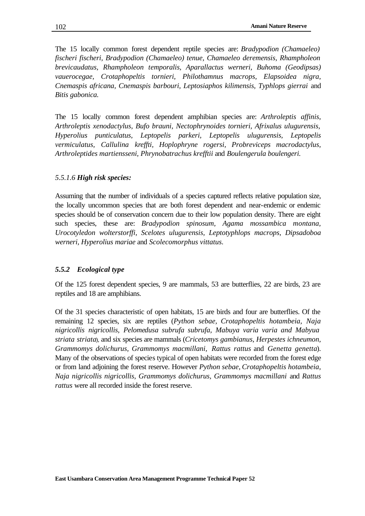The 15 locally common forest dependent reptile species are: *Bradypodion (Chamaeleo) fischeri fischeri, Bradypodion (Chamaeleo) tenue, Chamaeleo deremensis, Rhampholeon brevicaudatus, Rhampholeon temporalis, Aparallactus werneri, Buhoma (Geodipsas) vauerocegae, Crotaphopeltis tornieri, Philothamnus macrops, Elapsoidea nigra, Cnemaspis africana, Cnemaspis barbouri, Leptosiaphos kilimensis, Typhlops gierrai* and *Bitis gabonica.*

The 15 locally common forest dependent amphibian species are: *Arthroleptis affinis, Arthroleptis xenodactylus, Bufo brauni, Nectophrynoides tornieri, Afrixalus ulugurensis, Hyperolius punticulatus, Leptopelis parkeri, Leptopelis ulugurensis, Leptopelis vermiculatus, Callulina kreffti, Hoplophryne rogersi, Probreviceps macrodactylus, Arthroleptides martiensseni, Phrynobatrachus krefftii* and *Boulengerula boulengeri.*

#### *5.5.1.6 High risk species:*

Assuming that the number of individuals of a species captured reflects relative population size, the locally uncommon species that are both forest dependent and near-endemic or endemic species should be of conservation concern due to their low population density. There are eight such species, these are: *Bradypodion spinosum, Agama mossambica montana, Urocotyledon wolterstorffi, Scelotes ulugurensis, Leptotyphlops macrops, Dipsadoboa werneri, Hyperolius mariae* and *Scolecomorphus vittatus.*

#### *5.5.2 Ecological type*

Of the 125 forest dependent species, 9 are mammals, 53 are butterflies, 22 are birds, 23 are reptiles and 18 are amphibians.

Of the 31 species characteristic of open habitats, 15 are birds and four are butterflies. Of the remaining 12 species, six are reptiles (*Python sebae, Crotaphopeltis hotambeia, Naja nigricollis nigricollis, Pelomedusa subrufa subrufa, Mabuya varia varia and Mabyua striata striata*), and six species are mammals (*Cricetomys gambianus*, *Herpestes ichneumon, Grammomys dolichurus, Grammomys macmillani, Rattus rattus* and *Genetta genetta*). Many of the observations of species typical of open habitats were recorded from the forest edge or from land adjoining the forest reserve. However *Python sebae, Crotaphopeltis hotambeia, Naja nigricollis nigricollis, Grammomys dolichurus, Grammomys macmillani* and *Rattus rattus* were all recorded inside the forest reserve.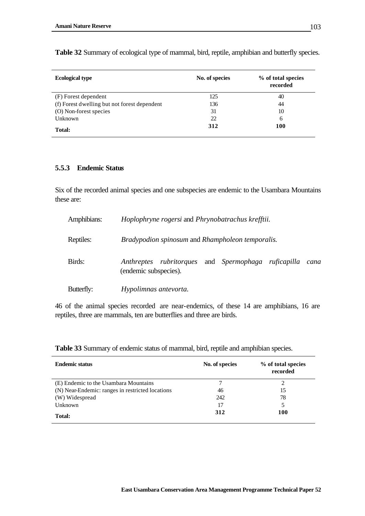| <b>Ecological type</b>                       | No. of species | % of total species<br>recorded |
|----------------------------------------------|----------------|--------------------------------|
| (F) Forest dependent                         | 125            | 40                             |
| (f) Forest dwelling but not forest dependent | 136            | 44                             |
| (O) Non-forest species                       | 31             | 10                             |
| Unknown                                      | 22             | 6                              |
| <b>Total:</b>                                | 312            | 100                            |

**Table 32** Summary of ecological type of mammal, bird, reptile, amphibian and butterfly species.

#### **5.5.3 Endemic Statu***s*

Six of the recorded animal species and one subspecies are endemic to the Usambara Mountains these are:

| Amphibians: | Hoplophryne rogersi and Phrynobatrachus krefftii.                                      |      |  |  |  |  |
|-------------|----------------------------------------------------------------------------------------|------|--|--|--|--|
| Reptiles:   | Bradypodion spinosum and Rhampholeon temporalis.                                       |      |  |  |  |  |
| Birds:      | Anthreptes rubritorques<br>and <i>Spermophaga ruficapilla</i><br>(endemic subspecies). | cana |  |  |  |  |
| Butterfly:  | Hypolimnas antevorta.                                                                  |      |  |  |  |  |

46 of the animal species recorded are near-endemics, of these 14 are amphibians, 16 are reptiles, three are mammals, ten are butterflies and three are birds.

**Table 33** Summary of endemic status of mammal, bird, reptile and amphibian species.

| <b>Endemic status</b>                            | No. of species | % of total species<br>recorded |
|--------------------------------------------------|----------------|--------------------------------|
| (E) Endemic to the Usambara Mountains            |                |                                |
| (N) Near-Endemic: ranges in restricted locations | 46             | 15                             |
| (W) Widespread                                   | 242            | 78                             |
| Unknown                                          | 17             | 5                              |
| <b>Total:</b>                                    | 312            | 100                            |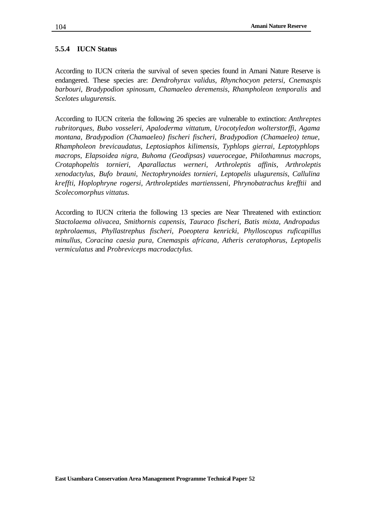#### **5.5.4 IUCN Status**

According to IUCN criteria the survival of seven species found in Amani Nature Reserve is endangered. These species are: *Dendrohyrax validus, Rhynchocyon petersi, Cnemaspis barbouri*, *Bradypodion spinosum, Chamaeleo deremensis, Rhampholeon temporalis* and *Scelotes ulugurensis.* 

According to IUCN criteria the following 26 species are vulnerable to extinction: *Anthreptes rubritorques, Bubo vosseleri, Apaloderma vittatum, Urocotyledon wolterstorffi, Agama montana, Bradypodion (Chamaeleo) fischeri fischeri, Bradypodion (Chamaeleo) tenue, Rhampholeon brevicaudatus, Leptosiaphos kilimensis, Typhlops gierrai, Leptotyphlops macrops, Elapsoidea nigra, Buhoma (Geodipsas) vauerocegae, Philothamnus macrops, Crotaphopeltis tornieri, Aparallactus werneri, Arthroleptis affinis, Arthroleptis xenodactylus, Bufo brauni, Nectophrynoides tornieri, Leptopelis ulugurensis, Callulina kreffti*, *Hoplophryne rogersi, Arthroleptides martiensseni, Phrynobatrachus krefftii* and *Scolecomorphus vittatus.*

According to IUCN criteria the following 13 species are Near Threatened with extinction: *Stactolaema olivacea, Smithornis capensis, Tauraco fischeri, Batis mixta, Andropadus tephrolaemus, Phyllastrephus fischeri, Poeoptera kenricki, Phylloscopus ruficapillus minullus, Coracina caesia pura, Cnemaspis africana, Atheris ceratophorus, Leptopelis vermiculatus* and *Probreviceps macrodactylus.*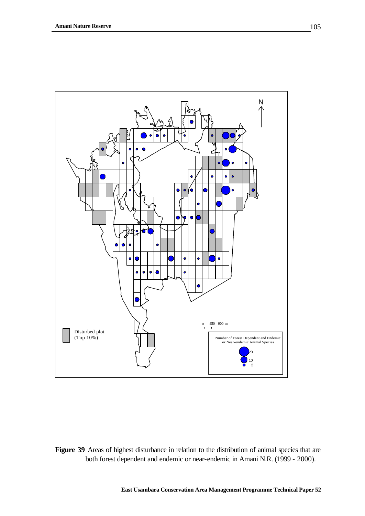

Figure 39 Areas of highest disturbance in relation to the distribution of animal species that are both forest dependent and endemic or near-endemic in Amani N.R. (1999 - 2000).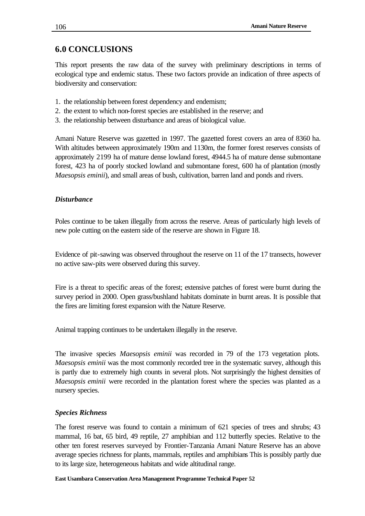# **6.0 CONCLUSIONS**

This report presents the raw data of the survey with preliminary descriptions in terms of ecological type and endemic status. These two factors provide an indication of three aspects of biodiversity and conservation:

- 1. the relationship between forest dependency and endemism;
- 2. the extent to which non-forest species are established in the reserve; and
- 3. the relationship between disturbance and areas of biological value.

Amani Nature Reserve was gazetted in 1997. The gazetted forest covers an area of 8360 ha. With altitudes between approximately 190m and 1130m, the former forest reserves consists of approximately 2199 ha of mature dense lowland forest, 4944.5 ha of mature dense submontane forest, 423 ha of poorly stocked lowland and submontane forest, 600 ha of plantation (mostly *Maesopsis eminii*), and small areas of bush, cultivation, barren land and ponds and rivers.

## *Disturbance*

Poles continue to be taken illegally from across the reserve. Areas of particularly high levels of new pole cutting on the eastern side of the reserve are shown in Figure 18.

Evidence of pit-sawing was observed throughout the reserve on 11 of the 17 transects, however no active saw-pits were observed during this survey.

Fire is a threat to specific areas of the forest; extensive patches of forest were burnt during the survey period in 2000. Open grass/bushland habitats dominate in burnt areas. It is possible that the fires are limiting forest expansion with the Nature Reserve.

Animal trapping continues to be undertaken illegally in the reserve.

The invasive species *Maesopsis eminii* was recorded in 79 of the 173 vegetation plots. *Maesopsis eminii* was the most commonly recorded tree in the systematic survey, although this is partly due to extremely high counts in several plots. Not surprisingly the highest densities of *Maesopsis eminii* were recorded in the plantation forest where the species was planted as a nursery species.

#### *Species Richness*

The forest reserve was found to contain a minimum of 621 species of trees and shrubs; 43 mammal, 16 bat, 65 bird, 49 reptile, 27 amphibian and 112 butterfly species. Relative to the other ten forest reserves surveyed by Frontier-Tanzania Amani Nature Reserve has an above average species richness for plants, mammals, reptiles and amphibians This is possibly partly due to its large size, heterogeneous habitats and wide altitudinal range.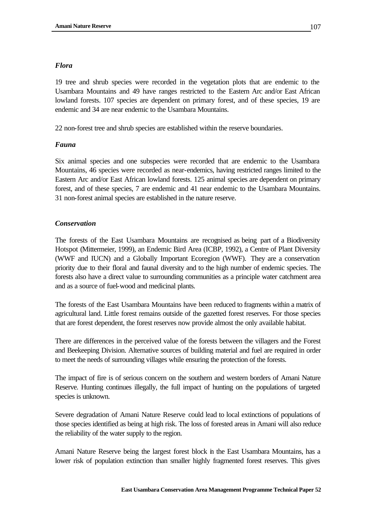#### *Flora*

19 tree and shrub species were recorded in the vegetation plots that are endemic to the Usambara Mountains and 49 have ranges restricted to the Eastern Arc and/or East African lowland forests. 107 species are dependent on primary forest, and of these species, 19 are endemic and 34 are near endemic to the Usambara Mountains.

22 non-forest tree and shrub species are established within the reserve boundaries.

## *Fauna*

Six animal species and one subspecies were recorded that are endemic to the Usambara Mountains, 46 species were recorded as near-endemics, having restricted ranges limited to the Eastern Arc and/or East African lowland forests. 125 animal species are dependent on primary forest, and of these species, 7 are endemic and 41 near endemic to the Usambara Mountains. 31 non-forest animal species are established in the nature reserve.

## *Conservation*

The forests of the East Usambara Mountains are recognised as being part of a Biodiversity Hotspot (Mittermeier, 1999), an Endemic Bird Area (ICBP, 1992), a Centre of Plant Diversity (WWF and IUCN) and a Globally Important Ecoregion (WWF). They are a conservation priority due to their floral and faunal diversity and to the high number of endemic species. The forests also have a direct value to surrounding communities as a principle water catchment area and as a source of fuel-wood and medicinal plants.

The forests of the East Usambara Mountains have been reduced to fragments within a matrix of agricultural land. Little forest remains outside of the gazetted forest reserves. For those species that are forest dependent, the forest reserves now provide almost the only available habitat.

There are differences in the perceived value of the forests between the villagers and the Forest and Beekeeping Division. Alternative sources of building material and fuel are required in order to meet the needs of surrounding villages while ensuring the protection of the forests.

The impact of fire is of serious concern on the southern and western borders of Amani Nature Reserve. Hunting continues illegally, the full impact of hunting on the populations of targeted species is unknown.

Severe degradation of Amani Nature Reserve could lead to local extinctions of populations of those species identified as being at high risk. The loss of forested areas in Amani will also reduce the reliability of the water supply to the region.

Amani Nature Reserve being the largest forest block in the East Usambara Mountains, has a lower risk of population extinction than smaller highly fragmented forest reserves. This gives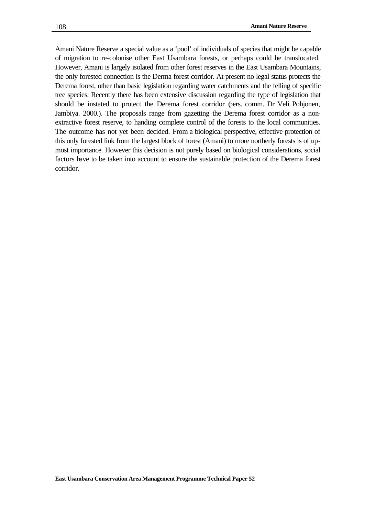Amani Nature Reserve a special value as a 'pool' of individuals of species that might be capable of migration to re-colonise other East Usambara forests, or perhaps could be translocated. However, Amani is largely isolated from other forest reserves in the East Usambara Mountains, the only forested connection is the Derma forest corridor. At present no legal status protects the Derema forest, other than basic legislation regarding water catchments and the felling of specific tree species. Recently there has been extensive discussion regarding the type of legislation that should be instated to protect the Derema forest corridor (pers. comm. Dr Veli Pohjonen, Jambiya. 2000.). The proposals range from gazetting the Derema forest corridor as a nonextractive forest reserve, to handing complete control of the forests to the local communities. The outcome has not yet been decided. From a biological perspective, effective protection of this only forested link from the largest block of forest (Amani) to more northerly forests is of upmost importance. However this decision is not purely based on biological considerations, social factors have to be taken into account to ensure the sustainable protection of the Derema forest corridor.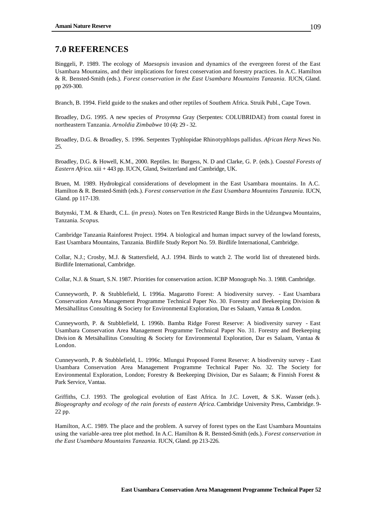# **7.0 REFERENCES**

Binggeli, P. 1989. The ecology of *Maesopsis* invasion and dynamics of the evergreen forest of the East Usambara Mountains, and their implications for forest conservation and forestry practices. In A.C. Hamilton & R. Bensted-Smith (eds.). *Forest conservation in the East Usambara Mountains Tanzania.* IUCN, Gland. pp 269-300.

Branch, B. 1994. Field guide to the snakes and other reptiles of Southern Africa. Struik Publ., Cape Town.

Broadley, D.G. 1995. A new species of *Prosymna* Gray (Serpentes: COLUBRIDAE) from coastal forest in northeastern Tanzania. *Arnoldia Zimbabwe* 10 (4): 29 - 32.

Broadley, D.G. & Broadley, S. 1996. Serpentes Typhlopidae Rhinotyphlops pallidus. *African Herp News* No. 25.

Broadley, D.G. & Howell, K.M., 2000. Reptiles. In: Burgess, N. D and Clarke, G. P. (eds.). C*oastal Forests of Eastern Africa.* xiii + 443 pp. IUCN, Gland, Switzerland and Cambridge, UK.

Bruen, M. 1989. Hydrological considerations of development in the East Usambara mountains. In A.C. Hamilton & R. Bensted-Smith (eds.). *Forest conservation in the East Usambara Mountains Tanzania.* IUCN, Gland. pp 117-139.

Butynski, T.M. & Ehardt, C.L. (*in press*). Notes on Ten Restricted Range Birds in the Udzungwa Mountains, Tanzania. *Scopus*.

Cambridge Tanzania Rainforest Project. 1994. A biological and human impact survey of the lowland forests, East Usambara Mountains, Tanzania. Birdlife Study Report No. 59. Birdlife International, Cambridge.

Collar, N.J.; Crosby, M.J. & Stattersfield, A.J. 1994. Birds to watch 2. The world list of threatened birds. Birdlife International, Cambridge.

Collar, N.J. & Stuart, S.N. 1987. Priorities for conservation action. ICBP Monograph No. 3. 1988. Cambridge.

Cunneyworth, P. & Stubblefield, L 1996a. Magarotto Forest: A biodiversity survey. - East Usambara Conservation Area Management Programme Technical Paper No. 30. Forestry and Beekeeping Division & Metsähallitus Consulting & Society for Environmental Exploration, Dar es Salaam, Vantaa & London.

Cunneyworth, P. & Stubblefield, L 1996b. Bamba Ridge Forest Reserve: A biodiversity survey - East Usambara Conservation Area Management Programme Technical Paper No. 31. Forestry and Beekeeping Division & Metsähallitus Consulting & Society for Environmental Exploration, Dar es Salaam, Vantaa & London.

Cunneyworth, P. & Stubblefield, L. 1996c. Mlungui Proposed Forest Reserve: A biodiversity survey - East Usambara Conservation Area Management Programme Technical Paper No. 32. The Society for Environmental Exploration, London; Forestry & Beekeeping Division, Dar es Salaam; & Finnish Forest & Park Service, Vantaa.

Griffiths, C.J. 1993. The geological evolution of East Africa. In J.C. Lovett, & S.K. Wasser (eds.). *Biogeography and ecology of the rain forests of eastern Africa.* Cambridge University Press, Cambridge. 9- 22 pp.

Hamilton, A.C. 1989. The place and the problem. A survey of forest types on the East Usambara Mountains using the variable-area tree plot method. In A.C. Hamilton & R. Bensted-Smith (eds.). *Forest conservation in the East Usambara Mountains Tanzania.* IUCN, Gland. pp 213-226.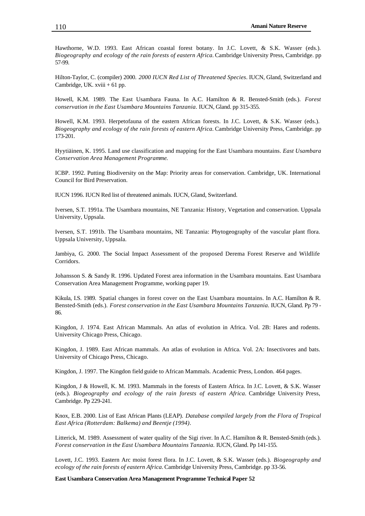Hawthorne, W.D. 1993. East African coastal forest botany. In J.C. Lovett, & S.K. Wasser (eds.). *Biogeography and ecology of the rain forests of eastern Africa.* Cambridge University Press, Cambridge. pp 57-99.

Hilton-Taylor, C. (compiler) 2000. *2000 IUCN Red List of Threatened Species*. IUCN, Gland, Switzerland and Cambridge, UK. xviii + 61 pp.

Howell, K.M. 1989. The East Usambara Fauna*.* In A.C. Hamilton & R. Bensted-Smith (eds.). *Forest conservation in the East Usambara Mountains Tanzania.* IUCN, Gland. pp 315-355.

Howell, K.M. 1993. Herpetofauna of the eastern African forests. In J.C. Lovett, & S.K. Wasser (eds.). *Biogeography and ecology of the rain forests of eastern Africa.* Cambridge University Press, Cambridge. pp 173-201.

Hyytiäinen, K. 1995. Land use classification and mapping for the East Usambara mountains. *East Usambara Conservation Area Management Programme.*

ICBP. 1992. Putting Biodiversity on the Map: Priority areas for conservation. Cambridge, UK. International Council for Bird Preservation.

IUCN 1996. IUCN Red list of threatened animals. IUCN, Gland, Switzerland.

Iversen, S.T. 1991a. The Usambara mountains, NE Tanzania: History, Vegetation and conservation. Uppsala University, Uppsala.

Iversen, S.T. 1991b. The Usambara mountains, NE Tanzania: Phytogeography of the vascular plant flora. Uppsala University, Uppsala.

Jambiya, G. 2000. The Social Impact Assessment of the proposed Derema Forest Reserve and Wildlife Corridors.

Johansson S. & Sandy R. 1996. Updated Forest area information in the Usambara mountains. East Usambara Conservation Area Management Programme, working paper 19.

Kikula, I.S. 1989. Spatial changes in forest cover on the East Usambara mountains. In A.C. Hamilton & R. Bensted-Smith (eds.). *Forest conservation in the East Usambara Mountains Tanzania.* IUCN, Gland. Pp 79 - 86.

Kingdon, J. 1974. East African Mammals. An atlas of evolution in Africa. Vol. 2B: Hares and rodents. University Chicago Press, Chicago.

Kingdon, J. 1989. East African mammals. An atlas of evolution in Africa. Vol. 2A: Insectivores and bats. University of Chicago Press, Chicago.

Kingdon, J. 1997. The Kingdon field guide to African Mammals. Academic Press, London. 464 pages.

Kingdon, J & Howell, K. M. 1993. Mammals in the forests of Eastern Africa. In J.C. Lovett, & S.K. Wasser (eds.). *Biogeography and ecology of the rain forests of eastern Africa.* Cambridge University Press, Cambridge. Pp 229-241.

Knox, E.B. 2000. List of East African Plants (LEAP). *Database compiled largely from the Flora of Tropical East Africa (Rotterdam: Balkema) and Beentje (1994)*.

Litterick, M. 1989. Assessment of water quality of the Sigi river. In A.C. Hamilton & R. Bensted-Smith (eds.). *Forest conservation in the East Usambara Mountains Tanzania.* IUCN, Gland. Pp 141-155.

Lovett, J.C. 1993. Eastern Arc moist forest flora. In J.C. Lovett, & S.K. Wasser (eds.). *Biogeography and ecology of the rain forests of eastern Africa.* Cambridge University Press, Cambridge. pp 33-56.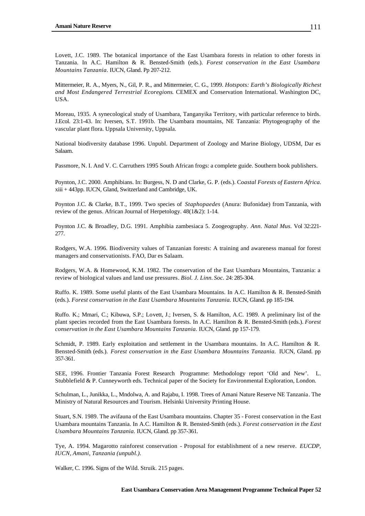Lovett, J.C. 1989. The botanical importance of the East Usambara forests in relation to other forests in Tanzania. In A.C. Hamilton & R. Bensted-Smith (eds.). *Forest conservation in the East Usambara Mountains Tanzania.* IUCN, Gland. Pp 207-212.

Mittermeier, R. A., Myers, N., Gil, P. R., and Mittermeier, C. G., 1999. *Hotspots: Earth's Biologically Richest and Most Endangered Terrestrial Ecoregions*. CEMEX and Conservation International. Washington DC, USA.

Moreau, 1935. A synecological study of Usambara, Tanganyika Territory, with particular reference to birds. J.Ecol. 23:1-43. In: Iversen, S.T. 1991b. The Usambara mountains, NE Tanzania: Phytogeography of the vascular plant flora. Uppsala University, Uppsala.

National biodiversity database 1996. Unpubl. Department of Zoology and Marine Biology, UDSM, Dar es Salaam.

Passmore, N. I. And V. C. Carruthers 1995 South African frogs: a complete guide. Southern book publishers.

Poynton, J.C. 2000. Amphibians. In: Burgess, N. D and Clarke, G. P. (eds.). C*oastal Forests of Eastern Africa.* xiii + 443pp. IUCN, Gland, Switzerland and Cambridge, UK.

Poynton J.C. & Clarke, B.T., 1999. Two species of *Staphopaedes* (Anura: Bufonidae) from Tanzania, with review of the genus. African Journal of Herpetology. 48(1&2): 1-14.

Poynton J.C. & Broadley, D.G. 1991. Amphibia zambesiaca 5. Zoogeography. *Ann. Natal Mus.* Vol 32:221- 277.

Rodgers, W.A. 1996. Biodiversity values of Tanzanian forests: A training and awareness manual for forest managers and conservationists. FAO, Dar es Salaam.

Rodgers, W.A. & Homewood, K.M. 1982. The conservation of the East Usambara Mountains, Tanzania: a review of biological values and land use pressures*. Biol. J. Linn. Soc.* 24: 285-304.

Ruffo. K. 1989. Some useful plants of the East Usambara Mountains. In A.C. Hamilton & R. Bensted-Smith (eds.). *Forest conservation in the East Usambara Mountains Tanzania.* IUCN, Gland. pp 185-194.

Ruffo. K.; Mmari, C.; Kibuwa, S.P.; Lovett, J.; Iversen, S. & Hamilton, A.C. 1989. A preliminary list of the plant species recorded from the East Usambara forests. In A.C. Hamilton & R. Bensted-Smith (eds.). *Forest conservation in the East Usambara Mountains Tanzania.* IUCN, Gland. pp 157-179.

Schmidt, P. 1989. Early exploitation and settlement in the Usambara mountains. In A.C. Hamilton & R. Bensted-Smith (eds.). *Forest conservation in the East Usambara Mountains Tanzania.* IUCN, Gland. pp 357-361.

SEE, 1996. Frontier Tanzania Forest Research Programme: Methodology report 'Old and New'. L. Stubblefield & P. Cunneyworth eds. Technical paper of the Society for Environmental Exploration, London.

Schulman, L., Junikka, L., Mndolwa, A. and Rajabu, I. 1998. Trees of Amani Nature Reserve NE Tanzania. The Ministry of Natural Resources and Tourism. Helsinki University Printing House.

Stuart, S.N. 1989. The avifauna of the East Usambara mountains. Chapter 35 - Forest conservation in the East Usambara mountains Tanzania. In A.C. Hamilton & R. Bensted-Smith (eds.). *Forest conservation in the East Usambara Mountains Tanzania.* IUCN, Gland. pp 357-361.

Tye, A. 1994. Magarotto rainforest conservation - Proposal for establishment of a new reserve. *EUCDP, IUCN, Amani, Tanzania (unpubl.).*

Walker, C. 1996. Signs of the Wild. Struik. 215 pages.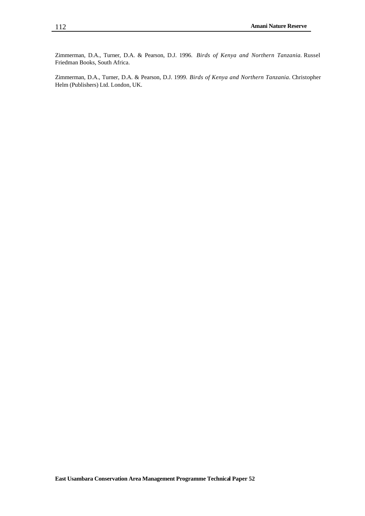Zimmerman, D.A., Turner, D.A. & Pearson, D.J. 1996. *Birds of Kenya and Northern Tanzania.* Russel Friedman Books, South Africa.

Zimmerman, D.A., Turner, D.A. & Pearson, D.J. 1999. *Birds of Kenya and Northern Tanzania.* Christopher Helm (Publishers) Ltd. London, UK.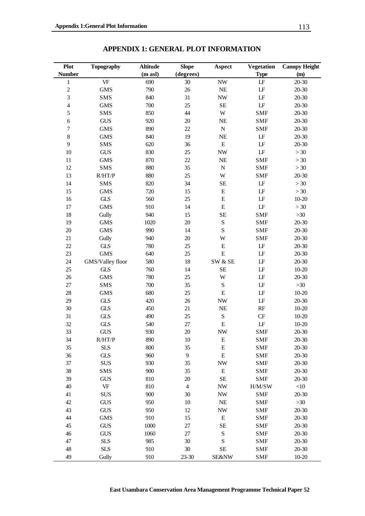| Plot           | <b>Topography</b>                 | <b>Altitude</b> | <b>Slope</b>   | <b>Aspect</b>            | <b>Vegetation</b>      | <b>Canopy Height</b> |
|----------------|-----------------------------------|-----------------|----------------|--------------------------|------------------------|----------------------|
| <b>Number</b>  |                                   | (m asl)         | (degrees)      |                          | <b>Type</b>            | (m)                  |
| $\mathbf{1}$   | VF                                | 690             | 30             | $\ensuremath{\text{NW}}$ | $\mathbf{L}\mathbf{F}$ | 20-30                |
| $\overline{c}$ | $\rm{GMS}$                        | 790             | $26\,$         | $\rm NE$                 | $\mathbf{L}\mathbf{F}$ | 20-30                |
| 3              | <b>SMS</b>                        | 840             | 31             | $\ensuremath{\text{NW}}$ | $\mathbf{L}\mathbf{F}$ | 20-30                |
| $\overline{4}$ | <b>GMS</b>                        | 700             | 25             | $\rm SE$                 | $\mathbf{L}\mathbf{F}$ | 20-30                |
| 5              | <b>SMS</b>                        | 850             | 44             | W                        | <b>SMF</b>             | 20-30                |
| $\epsilon$     | <b>GUS</b>                        | 920             | $20\,$         | $\rm NE$                 | <b>SMF</b>             | 20-30                |
| $\overline{7}$ | <b>GMS</b>                        | 890             | $22\,$         | ${\bf N}$                | <b>SMF</b>             | 20-30                |
| $\,8\,$        | <b>GMS</b>                        | 840             | 19             | $\rm NE$                 | $\mathbf{L}\mathbf{F}$ | 20-30                |
| 9              | SMS                               | 620             | 36             | ${\bf E}$                | $\mathbf{L}\mathbf{F}$ | 20-30                |
| 10             | <b>GUS</b>                        | 830             | 25             | $\ensuremath{\text{NW}}$ | $\mathbf{L}\mathbf{F}$ | $>30$                |
| 11             | <b>GMS</b>                        | 870             | $22\,$         | $\rm NE$                 | <b>SMF</b>             | >30                  |
| 12             | <b>SMS</b>                        | 880             | 35             | ${\bf N}$                | <b>SMF</b>             | $>30$                |
| 13             | R/HT/P                            | 880             | 25             | $\ensuremath{\text{W}}$  | <b>SMF</b>             | 20-30                |
| 14             | SMS                               | 820             | 34             | $\rm SE$                 | $\mathbf{L}\mathbf{F}$ | >30                  |
| 15             | <b>GMS</b>                        | 720             | 15             | ${\bf E}$                | $\mathbf{L}\mathbf{F}$ | >30                  |
| 16             | <b>GLS</b>                        | 560             | 25             | ${\bf E}$                | $\mathbf{L}\mathbf{F}$ | $10 - 20$            |
| 17             | <b>GMS</b>                        | 910             | 14             | ${\bf E}$                | $\mathbf{L}\mathbf{F}$ | >30                  |
| 18             | Gully                             | 940             | 15             | SE                       | <b>SMF</b>             | $>30$                |
| 19             | <b>GMS</b>                        | 1020            | $20\,$         | S                        | <b>SMF</b>             | 20-30                |
| $20\,$         | <b>GMS</b>                        | 990             | 14             | S                        | <b>SMF</b>             | 20-30                |
| 21             | Gully                             | 940             | 20             | W                        | <b>SMF</b>             | 20-30                |
| 22             | $\operatorname{GLS}$              | 780             | 25             | ${\bf E}$                | $\mathbf{L}\mathbf{F}$ | 20-30                |
| 23             | <b>GMS</b>                        | 640             | $25\,$         | E                        | $\mathbf{L}\mathbf{F}$ | 20-30                |
| 24             | GMS/Valley floor                  | 580             | 18             | SW & SE                  | $\mathbf{L}\mathbf{F}$ | 20-30                |
| 25             | <b>GLS</b>                        | 760             | 14             | <b>SE</b>                | $\mathbf{L}\mathbf{F}$ | $10 - 20$            |
| $26\,$         | <b>GMS</b>                        | 780             | 25             | W                        | $\mathbf{L}\mathbf{F}$ | 20-30                |
| $27\,$         | <b>SMS</b>                        | 700             | 35             | S                        | $\mathbf{L}\mathbf{F}$ | >30                  |
| 28             | <b>GMS</b>                        | 680             | 25             | ${\bf E}$                | $\mathbf{L}\mathbf{F}$ | $10 - 20$            |
| 29             | GLS                               | 420             | 26             | $\ensuremath{\text{NW}}$ | $\mathbf{L}\mathbf{F}$ | 20-30                |
|                |                                   |                 |                |                          |                        |                      |
| 30             | $\operatorname{GLS}$              | 450             | 21             | $\rm NE$                 | $\mathbf{RF}$          | $10 - 20$            |
| 31             | GLS                               | 490             | $25\,$         | ${\bf S}$                | $\cal{CF}$             | $10 - 20$            |
| 32             | $\operatorname{GLS}$              | 540             | $27\,$         | ${\bf E}$                | $\mathbf{L}\mathbf{F}$ | $10 - 20$            |
| 33             | <b>GUS</b>                        | 930             | 20             | $\ensuremath{\text{NW}}$ | <b>SMF</b>             | 20-30                |
| 34             | R/HT/P                            | 890             | 10             | E                        | <b>SMF</b>             | 20-30                |
| 35             | <b>SLS</b>                        | 800             | 35             | ${\bf E}$                | <b>SMF</b>             | $20 - 30$            |
| 36             | <b>GLS</b>                        | 960             | 9              | ${\bf E}$                | <b>SMF</b>             | $20 - 30$            |
| 37             | SUS                               | 930             | 35             | <b>NW</b>                | <b>SMF</b>             | $20 - 30$            |
| 38             | SMS                               | 900             | 35             | ${\bf E}$                | <b>SMF</b>             | $20 - 30$            |
| 39             | <b>GUS</b>                        | 810             | 20             | SE                       | <b>SMF</b>             | $20 - 30$            |
| 40             | $\ensuremath{\mathsf{VF}}\xspace$ | 810             | $\overline{4}$ | <b>NW</b>                | H/M/SW                 | $<\!\!10$            |
| 41             | <b>SUS</b>                        | 900             | 30             | $\ensuremath{\text{NW}}$ | <b>SMF</b>             | 20-30                |
| 42             | <b>GUS</b>                        | 950             | 10             | $\rm NE$                 | <b>SMF</b>             | $>30$                |
| 43             | <b>GUS</b>                        | 950             | 12             | $\ensuremath{\text{NW}}$ | <b>SMF</b>             | 20-30                |
| 44             | <b>GMS</b>                        | 910             | 15             | ${\bf E}$                | <b>SMF</b>             | 20-30                |
| 45             | <b>GUS</b>                        | 1000            | $27\,$         | SE                       | <b>SMF</b>             | $20 - 30$            |
| 46             | <b>GUS</b>                        | 1060            | 27             | $\mathbf S$              | <b>SMF</b>             | $20 - 30$            |
| 47             | <b>SLS</b>                        | 985             | 30             | S                        | <b>SMF</b>             | $20 - 30$            |
| 48             | <b>SLS</b>                        | 910             | 30             | <b>SE</b>                | <b>SMF</b>             | $20 - 30$            |
| 49             | Gully                             | 910             | $23 - 30$      | <b>SE&amp;NW</b>         | <b>SMF</b>             | $10-20$              |

**APPENDIX 1: GENERAL PLOT INFORMATION**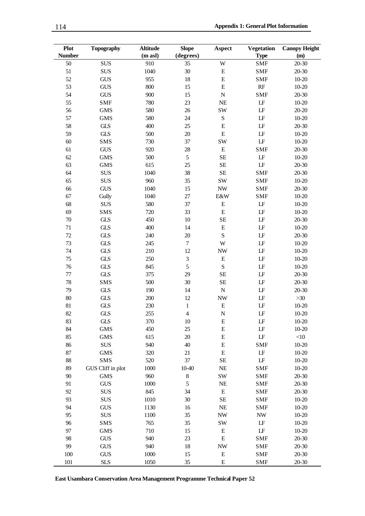| Plot<br><b>Number</b> | <b>Topography</b> | <b>Altitude</b><br>(m asl) | <b>Slope</b><br>(degrees) | Aspect                   | <b>Vegetation</b><br><b>Type</b> | <b>Canopy Height</b><br>(m) |
|-----------------------|-------------------|----------------------------|---------------------------|--------------------------|----------------------------------|-----------------------------|
| 50                    | <b>SUS</b>        | 910                        | 35                        | W                        | <b>SMF</b>                       | $20 - 30$                   |
| 51                    | <b>SUS</b>        | 1040                       | 30                        | ${\bf E}$                | <b>SMF</b>                       | $20 - 30$                   |
| 52                    | <b>GUS</b>        | 955                        | 18                        | $\mathbf E$              | <b>SMF</b>                       | $10 - 20$                   |
| 53                    | <b>GUS</b>        | 800                        | 15                        | $\mathbf E$              | RF                               | $10 - 20$                   |
| 54                    | <b>GUS</b>        | 900                        | 15                        | $\overline{N}$           | <b>SMF</b>                       | $20 - 30$                   |
| 55                    | <b>SMF</b>        | 780                        | 23                        | <b>NE</b>                | $\mathbf{L}\mathbf{F}$           | $10 - 20$                   |
| 56                    | <b>GMS</b>        | 580                        | 26                        | SW                       | LF                               | $20 - 20$                   |
| 57                    | <b>GMS</b>        | 580                        | 24                        | ${\bf S}$                | LF                               | $10 - 20$                   |
| 58                    | <b>GLS</b>        | 400                        | 25                        | $\mathbf E$              | $\mathbf{L}\mathbf{F}$           | $20 - 30$                   |
| 59                    | <b>GLS</b>        | 500                        | 20                        | E                        | LF                               | $10 - 20$                   |
| 60                    | <b>SMS</b>        | 730                        | 37                        | SW                       | $\mathbf{L}\mathbf{F}$           | $10 - 20$                   |
| 61                    | <b>GUS</b>        | 920                        | 28                        | ${\bf E}$                | <b>SMF</b>                       | $20 - 30$                   |
| 62                    | <b>GMS</b>        | 500                        | 5                         | <b>SE</b>                | $\mathbf{L}\mathbf{F}$           | $10 - 20$                   |
| 63                    | <b>GMS</b>        | 615                        | 25                        | <b>SE</b>                | LF                               | $20 - 30$                   |
| 64                    | <b>SUS</b>        | 1040                       | 38                        | <b>SE</b>                | <b>SMF</b>                       | $20 - 30$                   |
| 65                    | <b>SUS</b>        | 960                        | 35                        | <b>SW</b>                | <b>SMF</b>                       | $10 - 20$                   |
| 66                    | <b>GUS</b>        | 1040                       | 15                        | $\ensuremath{\text{NW}}$ | <b>SMF</b>                       | $20 - 30$                   |
| 67                    | Gully             | 1040                       | 27                        | E&W                      | <b>SMF</b>                       | $10 - 20$                   |
| 68                    | <b>SUS</b>        | 580                        | 37                        | ${\bf E}$                | $\mathbf{L}\mathbf{F}$           | $10 - 20$                   |
| 69                    | <b>SMS</b>        | 720                        | 33                        | ${\bf E}$                | $\mathbf{L}\mathbf{F}$           | $10 - 20$                   |
| $70\,$                | <b>GLS</b>        | 450                        | 10                        | <b>SE</b>                | $\mathbf{L}\mathbf{F}$           | $20 - 30$                   |
| 71                    | <b>GLS</b>        | 400                        | 14                        | ${\bf E}$                | LF                               | $10 - 20$                   |
| 72                    | <b>GLS</b>        | 240                        | 20                        | ${\bf S}$                | LF                               | $20 - 30$                   |
| 73                    | <b>GLS</b>        | 245                        | $\boldsymbol{7}$          | W                        | LF                               | $10 - 20$                   |
| 74                    | <b>GLS</b>        | 210                        | 12                        | <b>NW</b>                | $\mathbf{L}\mathbf{F}$           | $10 - 20$                   |
| 75                    | <b>GLS</b>        | 250                        | 3                         | ${\bf E}$                | LF                               | $10 - 20$                   |
| 76                    | <b>GLS</b>        | 845                        | 5                         | S                        | LF                               | $10 - 20$                   |
| $77\,$                | <b>GLS</b>        | 375                        | 29                        | SE                       | LF                               | $20 - 30$                   |
| 78                    | <b>SMS</b>        | 500                        | 30                        | <b>SE</b>                | LF                               | $20 - 30$                   |
| 79                    | <b>GLS</b>        | 190                        | 14                        | ${\bf N}$                | LF                               | $20 - 30$                   |
| 80                    | <b>GLS</b>        | 200                        | 12                        | <b>NW</b>                | LF                               | $>30$                       |
| 81                    | <b>GLS</b>        | 230                        | $\,1$                     | ${\bf E}$                | LF                               | $10 - 20$                   |
| 82                    | GLS               | 255                        | 4                         | $\mathbf N$              | LF                               | $10 - 20$                   |
| 83                    | <b>GLS</b>        | 370                        | 10                        | E                        | LF                               | $10 - 20$                   |
| 84                    | <b>GMS</b>        | 450                        | 25                        | ${\bf E}$                | LF                               | $10 - 20$                   |
| 85                    | <b>GMS</b>        | 615                        | $20\,$                    | ${\bf E}$                | $\mathbf{L}\mathbf{F}$           | $<\!\!10$                   |
| 86                    | <b>SUS</b>        | 940                        | 40                        | ${\bf E}$                | <b>SMF</b>                       | $10 - 20$                   |
| 87                    | <b>GMS</b>        | 320                        | 21                        | ${\bf E}$                | LF                               | $10 - 20$                   |
| 88                    | SMS               | 520                        | 37                        | <b>SE</b>                | LF                               | $10 - 20$                   |
| 89                    | GUS Cliff in plot | 1000                       | 10-40                     | NE                       | <b>SMF</b>                       | $10 - 20$                   |
| 90                    | <b>GMS</b>        | 960                        | $\,$ 8 $\,$               | SW                       | <b>SMF</b>                       | $20 - 30$                   |
| 91                    | <b>GUS</b>        | 1000                       | 5                         | NE                       | <b>SMF</b>                       | 20-30                       |
| 92                    | <b>SUS</b>        | 845                        | 34                        | ${\bf E}$                | <b>SMF</b>                       | $20 - 30$                   |
| 93                    | <b>SUS</b>        | 1010                       | 30                        | SE                       | <b>SMF</b>                       | $10 - 20$                   |
| 94                    | <b>GUS</b>        | 1130                       | 16                        | $\rm NE$                 | <b>SMF</b>                       | $10 - 20$                   |
| 95                    | <b>SUS</b>        | 1100                       | 35                        | $\ensuremath{\text{NW}}$ | $\ensuremath{\text{NW}}$         | $10 - 20$                   |
| 96                    | <b>SMS</b>        | 765                        | 35                        | SW                       | LF                               | $10 - 20$                   |
| 97                    | <b>GMS</b>        | 710                        | 15                        |                          | LF                               | $10 - 20$                   |
| 98                    | <b>GUS</b>        | 940                        | 23                        | ${\bf E}$<br>${\bf E}$   | <b>SMF</b>                       | $20 - 30$                   |
| 99                    |                   | 940                        | 18                        |                          |                                  | $20 - 30$                   |
|                       | <b>GUS</b>        |                            |                           | $\ensuremath{\text{NW}}$ | <b>SMF</b>                       |                             |
| 100                   | <b>GUS</b>        | 1000                       | 15                        | ${\bf E}$                | <b>SMF</b>                       | $20 - 30$                   |
| 101                   | <b>SLS</b>        | 1050                       | 35                        | ${\bf E}$                | <b>SMF</b>                       | 20-30                       |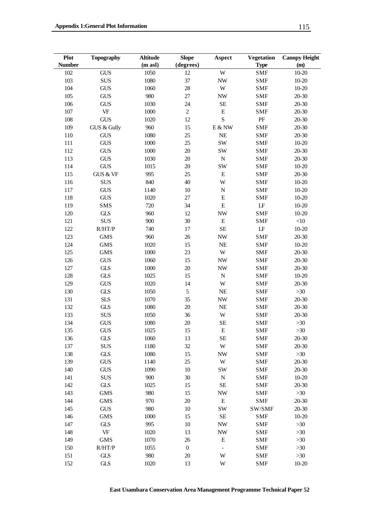| <b>Plot</b>   | <b>Topography</b>                 | <b>Altitude</b> | <b>Slope</b>     | <b>Aspect</b>                | <b>Vegetation</b>      | <b>Canopy Height</b> |
|---------------|-----------------------------------|-----------------|------------------|------------------------------|------------------------|----------------------|
| <b>Number</b> |                                   | (m asl)         | (degrees)        |                              | <b>Type</b>            | (m)                  |
| 102           | <b>GUS</b>                        | 1050            | 12               | W                            | <b>SMF</b>             | $10 - 20$            |
| 103           | <b>SUS</b>                        | 1080            | 37               | $\ensuremath{\text{NW}}$     | <b>SMF</b>             | $10 - 20$            |
| 104           | <b>GUS</b>                        | 1060            | 28               | W                            | <b>SMF</b>             | $10 - 20$            |
| 105           | <b>GUS</b>                        | 980             | 27               | $\ensuremath{\text{NW}}$     | <b>SMF</b>             | $20 - 30$            |
| 106           | <b>GUS</b>                        | 1030            | 24               | <b>SE</b>                    | <b>SMF</b>             | $20 - 30$            |
| $107\,$       | $\ensuremath{\mathsf{VF}}\xspace$ | 1000            | $\overline{c}$   | ${\bf E}$                    | <b>SMF</b>             | $20 - 30$            |
| 108           | <b>GUS</b>                        | 1020            | 12               | ${\bf S}$                    | PF                     | $20 - 30$            |
| 109           | GUS & Gully                       | 960             | 15               | E & W                        | <b>SMF</b>             | $20 - 30$            |
| 110           | <b>GUS</b>                        | 1080            | 25               | NE                           | <b>SMF</b>             | $20 - 30$            |
| 111           | <b>GUS</b>                        | 1000            | 25               | <b>SW</b>                    | <b>SMF</b>             | $10 - 20$            |
| 112           | <b>GUS</b>                        | 1000            | 20               | SW                           | <b>SMF</b>             | $20 - 30$            |
| 113           | <b>GUS</b>                        | 1030            | 20               | ${\bf N}$                    | <b>SMF</b>             | $20 - 30$            |
| 114           | <b>GUS</b>                        | 1015            | 20               | SW                           | <b>SMF</b>             | $10 - 20$            |
| 115           | GUS & VF                          | 995             | 25               | $\mathbf E$                  | <b>SMF</b>             | $20 - 30$            |
| 116           | <b>SUS</b>                        | 840             | 40               | W                            | <b>SMF</b>             | $10 - 20$            |
| 117           | <b>GUS</b>                        | 1140            | 10               | ${\bf N}$                    | <b>SMF</b>             | $10 - 20$            |
| 118           | <b>GUS</b>                        | 1020            | 27               | ${\bf E}$                    | <b>SMF</b>             | $10 - 20$            |
| 119           | <b>SMS</b>                        | 720             | 34               | $\mathbf E$                  | $\mathbf{LF}$          | $10 - 20$            |
| 120           | <b>GLS</b>                        | 960             | 12               | <b>NW</b>                    | <b>SMF</b>             | $10 - 20$            |
| 121           | <b>SUS</b>                        | 900             | 30               | ${\bf E}$                    | <b>SMF</b>             | $<\!\!10$            |
| 122           | R/HT/P                            | 740             | 17               | <b>SE</b>                    | $\mathbf{L}\mathbf{F}$ | $10 - 20$            |
| 123           | <b>GMS</b>                        | 960             | 26               | $\ensuremath{\text{NW}}$     | <b>SMF</b>             | $20 - 30$            |
| 124           | <b>GMS</b>                        | 1020            | 15               | NE                           | <b>SMF</b>             | $10 - 20$            |
| 125           | <b>GMS</b>                        | 1000            | 23               | $\ensuremath{\text{W}}$      | <b>SMF</b>             | $20 - 30$            |
| 126           | <b>GUS</b>                        | 1060            | 15               | $\ensuremath{\text{NW}}$     | <b>SMF</b>             | $20 - 30$            |
| 127           | <b>GLS</b>                        | 1000            | 20               | $\ensuremath{\text{NW}}$     | <b>SMF</b>             | $20 - 30$            |
| 128           | <b>GLS</b>                        | 1025            | 15               | ${\bf N}$                    | <b>SMF</b>             | $10 - 20$            |
| 129           | <b>GUS</b>                        | 1020            | 14               | W                            | <b>SMF</b>             | $20 - 30$            |
| 130           | GLS                               | 1050            | $\sqrt{5}$       | NE                           | <b>SMF</b>             | $>30$                |
| 131           | <b>SLS</b>                        | 1070            | 35               | $\ensuremath{\text{NW}}$     | <b>SMF</b>             | $20 - 30$            |
| 132           | <b>GLS</b>                        | 1080            | 20               | NE                           | <b>SMF</b>             | $20 - 30$            |
| 133           | <b>SUS</b>                        | 1050            | 36               | $\ensuremath{\text{W}}$      | <b>SMF</b>             | $20 - 30$            |
| 134           | <b>GUS</b>                        | 1080            | 20               | $\rm SE$                     | <b>SMF</b>             | $>30$                |
| 135           | <b>GUS</b>                        | 1025            | 15               | E                            | <b>SMF</b>             | $>30$                |
| 136           | <b>GLS</b>                        | 1060            | 13               | <b>SE</b>                    | <b>SMF</b>             | $20 - 30$            |
| 137           | <b>SUS</b>                        | 1180            | 32               | $\ensuremath{\text{W}}$      | <b>SMF</b>             | $20 - 30$            |
| 138           | <b>GLS</b>                        | 1080            | 15               | $\ensuremath{\text{NW}}$     | <b>SMF</b>             | $>30$                |
| 139           | <b>GUS</b>                        | 1140            | 25               | $\ensuremath{\text{W}}$      | <b>SMF</b>             | $20 - 30$            |
| 140           | <b>GUS</b>                        | 1090            | 10               | SW                           | <b>SMF</b>             | $20 - 30$            |
| 141           | <b>SUS</b>                        | 900             | 30               | ${\bf N}$                    | <b>SMF</b>             | $10 - 20$            |
| 142           | <b>GLS</b>                        | 1025            | 15               | $\rm SE$                     | <b>SMF</b>             | $20 - 30$            |
| 143           | <b>GMS</b>                        | 980             | 15               | $\ensuremath{\text{NW}}$     | <b>SMF</b>             | $>30$                |
| 144           | <b>GMS</b>                        | 970             | 20               | ${\bf E}$                    | <b>SMF</b>             | $20 - 30$            |
| 145           | <b>GUS</b>                        | 980             | 10               | SW                           | SW/SMF                 | $20 - 30$            |
| 146           | <b>GMS</b>                        | 1000            | 15               | $\rm SE$                     | <b>SMF</b>             | $10 - 20$            |
| 147           | <b>GLS</b>                        | 995             | 10               | $\ensuremath{\text{NW}}$     | <b>SMF</b>             | $>30$                |
| 148           | $\ensuremath{\mathsf{VF}}\xspace$ | 1020            | 13               | $\ensuremath{\text{NW}}$     | <b>SMF</b>             | $>30$                |
| 149           | <b>GMS</b>                        | 1070            | 26               | ${\bf E}$                    | <b>SMF</b>             | $>30$                |
| 150           | R/HT/P                            | 1055            | $\boldsymbol{0}$ | $\qquad \qquad \blacksquare$ | <b>SMF</b>             | $>30$                |
| 151           | <b>GLS</b>                        | 980             | 20               | W                            | <b>SMF</b>             | $>30$                |
| 152           | <b>GLS</b>                        | 1020            | 13               | W                            | <b>SMF</b>             | $10 - 20$            |
|               |                                   |                 |                  |                              |                        |                      |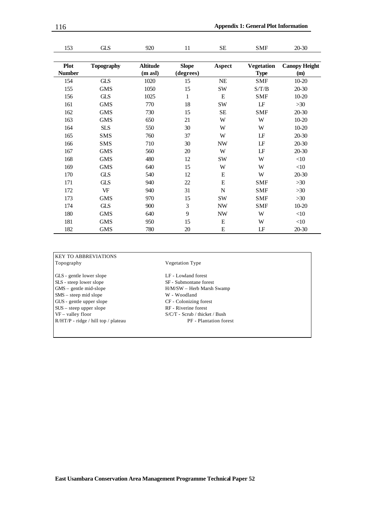| 153           | <b>GLS</b>        | 920             | 11           | SE                       | <b>SMF</b>        | 20-30                |
|---------------|-------------------|-----------------|--------------|--------------------------|-------------------|----------------------|
|               |                   |                 |              |                          |                   |                      |
| <b>Plot</b>   | <b>Topography</b> | <b>Altitude</b> | <b>Slope</b> | <b>Aspect</b>            | <b>Vegetation</b> | <b>Canopy Height</b> |
| <b>Number</b> |                   | (m asl)         | (degrees)    |                          | <b>Type</b>       | (m)                  |
| 154           | <b>GLS</b>        | 1020            | 15           | $\rm NE$                 | <b>SMF</b>        | 10-20                |
| 155           | <b>GMS</b>        | 1050            | 15           | SW                       | S/T/B             | 20-30                |
| 156           | <b>GLS</b>        | 1025            | $\mathbf{1}$ | $\mathbf E$              | <b>SMF</b>        | 10-20                |
| 161           | <b>GMS</b>        | 770             | 18           | SW                       | LF                | >30                  |
| 162           | <b>GMS</b>        | 730             | 15           | SE                       | <b>SMF</b>        | 20-30                |
| 163           | <b>GMS</b>        | 650             | 21           | W                        | W                 | $10 - 20$            |
| 164           | <b>SLS</b>        | 550             | 30           | W                        | W                 | $10 - 20$            |
| 165           | <b>SMS</b>        | 760             | 37           | W                        | LF                | $20 - 30$            |
| 166           | <b>SMS</b>        | 710             | 30           | <b>NW</b>                | LF                | 20-30                |
| 167           | <b>GMS</b>        | 560             | 20           | W                        | LF                | $20 - 30$            |
| 168           | <b>GMS</b>        | 480             | 12           | SW                       | W                 | $<$ 10               |
| 169           | <b>GMS</b>        | 640             | 15           | W                        | W                 | $<\!\!10$            |
| 170           | <b>GLS</b>        | 540             | 12           | E                        | W                 | 20-30                |
| 171           | <b>GLS</b>        | 940             | 22           | E                        | <b>SMF</b>        | $>30$                |
| 172           | <b>VF</b>         | 940             | 31           | $\mathbf N$              | <b>SMF</b>        | >30                  |
| 173           | <b>GMS</b>        | 970             | 15           | SW                       | <b>SMF</b>        | >30                  |
| 174           | <b>GLS</b>        | 900             | 3            | <b>NW</b>                | <b>SMF</b>        | $10-20$              |
| 180           | <b>GMS</b>        | 640             | 9            | $\ensuremath{\text{NW}}$ | W                 | $<\!\!10$            |
| 181           | <b>GMS</b>        | 950             | 15           | E                        | W                 | $<\!\!10$            |
| 182           | <b>GMS</b>        | 780             | 20           | E                        | LF                | 20-30                |

#### KEY TO ABBREVIATIONS Topography Vegetation Type

GLS - gentle lower slope LF - Lowland forest SLS - steep lower slope<br>
SF - Submontane forest<br>
GMS – gentle mid-slope<br>
H/M/SW – Herb Marsh S SMS – steep mid slope<br>
GUS - gentle upper slope<br>
CF - Colonizing forest GUS - gentle upper slope SUS – steep upper slope RF - Riverine forest<br>VF – valley floor S/C/T - Scrub / thick  $R/HT/P$  - ridge / hill top / plateau

 $\rm H/M/SW$  – Herb Marsh Swamp  $\rm W$  - Woodland  $S/C/T$  -  $Scrub$  / thicket / Bush  $\rm PF$  - Plantation forest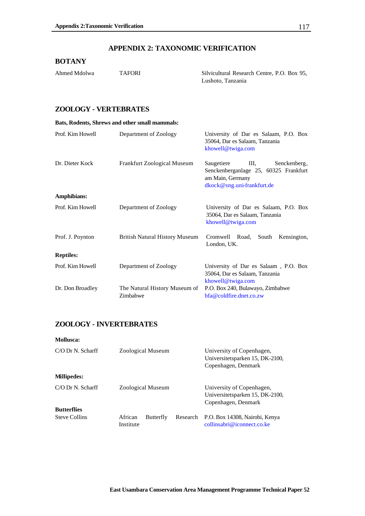#### **APPENDIX 2: TAXONOMIC VERIFICATION**

#### **BOTANY**

| Ahmed Mdolwa | <b>TAFORI</b> | Silvicultural Research Centre, P.O. Box 95, |  |
|--------------|---------------|---------------------------------------------|--|
|              |               | Lushoto, Tanzania                           |  |

#### **ZOOLOGY - VERTEBRATES**

| Bats, Rodents, Shrews and other small mammals: |                                           |                                                                                                                               |
|------------------------------------------------|-------------------------------------------|-------------------------------------------------------------------------------------------------------------------------------|
| Prof. Kim Howell                               | Department of Zoology                     | University of Dar es Salaam, P.O. Box<br>35064, Dar es Salaam, Tanzania<br>khowell@twiga.com                                  |
| Dr. Dieter Kock                                | <b>Frankfurt Zoological Museum</b>        | Saugetiere<br>III.<br>Senckenberg,<br>Senckenberganlage 25, 60325 Frankfurt<br>am Main, Germany<br>dkock@sng.uni-frankfurt.de |
| Amphibians:                                    |                                           |                                                                                                                               |
| Prof. Kim Howell                               | Department of Zoology                     | University of Dar es Salaam, P.O. Box<br>35064, Dar es Salaam, Tanzania<br>khowell@twiga.com                                  |
| Prof. J. Poynton                               | <b>British Natural History Museum</b>     | Cromwell Road,<br>South<br>Kensington,<br>London, UK.                                                                         |
| <b>Reptiles:</b>                               |                                           |                                                                                                                               |
| Prof. Kim Howell                               | Department of Zoology                     | University of Dar es Salaam, P.O. Box<br>35064, Dar es Salaam, Tanzania<br>khowell@twiga.com                                  |
| Dr. Don Broadley                               | The Natural History Museum of<br>Zimbabwe | P.O. Box 240, Bulawayo, Zimbabwe<br>bfa@coldfire.dnet.co.zw                                                                   |

#### **ZOOLOGY - INVERTEBRATES**

| Mollusca:            |                                   |          |                                                                                     |
|----------------------|-----------------------------------|----------|-------------------------------------------------------------------------------------|
| $C/O$ Dr N. Scharff  | Zoological Museum                 |          | University of Copenhagen,<br>Universitetsparken 15, DK-2100,<br>Copenhagen, Denmark |
| <b>Millipedes:</b>   |                                   |          |                                                                                     |
| $C/O$ Dr N. Scharff  | Zoological Museum                 |          | University of Copenhagen,<br>Universitetsparken 15, DK-2100,<br>Copenhagen, Denmark |
| <b>Butterflies</b>   |                                   |          |                                                                                     |
| <b>Steve Collins</b> | Butterfly<br>African<br>Institute | Research | P.O. Box 14308, Nairobi, Kenya<br>collinsabri@iconnect.co.ke                        |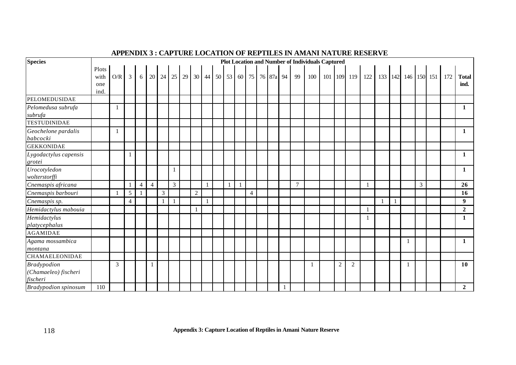## **APPENDIX 3 : CAPTURE LOCATION OF REPTILES IN AMANI NATURE RESERVE**

| <b>Species</b>                                         |                      |              |                |                |                |                |                |          |              |              |  |   |                |  |                             |                | <b>Plot Location and Number of Individuals Captured</b> |   |             |     |              |                     |                |     |                      |
|--------------------------------------------------------|----------------------|--------------|----------------|----------------|----------------|----------------|----------------|----------|--------------|--------------|--|---|----------------|--|-----------------------------|----------------|---------------------------------------------------------|---|-------------|-----|--------------|---------------------|----------------|-----|----------------------|
|                                                        | Plots<br>with<br>one | O/R          | 3 <sup>1</sup> | 6              | 20             |                |                | 24 25 29 |              |              |  |   |                |  | 30 44 50 53 60 75 76 87a 94 | 99             | 100                                                     |   | 101 109 119 | 122 |              | 133 142 146 150 151 |                | 172 | <b>Total</b><br>ind. |
|                                                        | ind.                 |              |                |                |                |                |                |          |              |              |  |   |                |  |                             |                |                                                         |   |             |     |              |                     |                |     |                      |
| PELOMEDUSIDAE                                          |                      |              |                |                |                |                |                |          |              |              |  |   |                |  |                             |                |                                                         |   |             |     |              |                     |                |     |                      |
| Pelomedusa subrufa<br>subrufa                          |                      | -1           |                |                |                |                |                |          |              |              |  |   |                |  |                             |                |                                                         |   |             |     |              |                     |                |     | 1                    |
| <b>TESTUDINIDAE</b>                                    |                      |              |                |                |                |                |                |          |              |              |  |   |                |  |                             |                |                                                         |   |             |     |              |                     |                |     |                      |
| Geochelone pardalis<br>babcocki                        |                      | $\mathbf{1}$ |                |                |                |                |                |          |              |              |  |   |                |  |                             |                |                                                         |   |             |     |              |                     |                |     | 1                    |
| <b>GEKKONIDAE</b>                                      |                      |              |                |                |                |                |                |          |              |              |  |   |                |  |                             |                |                                                         |   |             |     |              |                     |                |     |                      |
| Lygodactylus capensis<br>grotei                        |                      |              |                |                |                |                |                |          |              |              |  |   |                |  |                             |                |                                                         |   |             |     |              |                     |                |     | 1                    |
| Urocotyledon<br>wolterstorffi                          |                      |              |                |                |                |                | $\mathbf{1}$   |          |              |              |  |   |                |  |                             |                |                                                         |   |             |     |              |                     |                |     | 1                    |
| Cnemaspis africana                                     |                      |              |                | $\overline{4}$ | $\overline{4}$ |                | $\mathfrak{Z}$ |          |              | $\mathbf{1}$ |  | 1 |                |  |                             | $\overline{7}$ |                                                         |   |             |     |              |                     | $\mathfrak{Z}$ |     | 26                   |
| Cnemaspis barbouri                                     |                      | $\mathbf{1}$ | $\sqrt{5}$     | $\mathbf{1}$   |                | $\overline{3}$ |                |          | 2            |              |  |   | $\overline{4}$ |  |                             |                |                                                         |   |             |     |              |                     |                |     | 16                   |
| Cnemaspis sp.                                          |                      |              | 4              |                |                |                | $\mathbf{1}$   |          |              | $\mathbf{1}$ |  |   |                |  |                             |                |                                                         |   |             |     | $\mathbf{1}$ |                     |                |     | 9                    |
| Hemidactylus mabouia                                   |                      |              |                |                |                |                |                |          | $\mathbf{1}$ |              |  |   |                |  |                             |                |                                                         |   |             |     |              |                     |                |     | $\overline{2}$       |
| Hemidactylus<br>platycephalus                          |                      |              |                |                |                |                |                |          |              |              |  |   |                |  |                             |                |                                                         |   |             |     |              |                     |                |     | 1                    |
| <b>AGAMIDAE</b>                                        |                      |              |                |                |                |                |                |          |              |              |  |   |                |  |                             |                |                                                         |   |             |     |              |                     |                |     |                      |
| Agama mossambica<br>montana                            |                      |              |                |                |                |                |                |          |              |              |  |   |                |  |                             |                |                                                         |   |             |     |              |                     |                |     | 1                    |
| <b>CHAMAELEONIDAE</b>                                  |                      |              |                |                |                |                |                |          |              |              |  |   |                |  |                             |                |                                                         |   |             |     |              |                     |                |     |                      |
| <b>Bradypodion</b><br>(Chamaeleo) fischeri<br>fischeri |                      | 3            |                |                | $\mathbf{1}$   |                |                |          |              |              |  |   |                |  |                             |                | $\mathbf{1}$                                            | 2 | 2           |     |              |                     |                |     | 10                   |
| <b>Bradypodion spinosum</b>                            | 110                  |              |                |                |                |                |                |          |              |              |  |   |                |  |                             |                |                                                         |   |             |     |              |                     |                |     | $\mathbf{2}$         |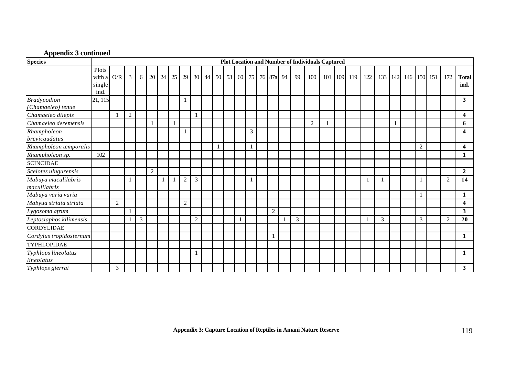#### **Appendix 3 continued**

| <b>Species</b>                          |                                   |     |                |                |                |    |              |                |                |              |              |    |       |              |    | <b>Plot Location and Number of Individuals Captured</b> |              |             |     |     |     |             |                |                |                      |
|-----------------------------------------|-----------------------------------|-----|----------------|----------------|----------------|----|--------------|----------------|----------------|--------------|--------------|----|-------|--------------|----|---------------------------------------------------------|--------------|-------------|-----|-----|-----|-------------|----------------|----------------|----------------------|
|                                         | Plots<br>with a<br>single<br>ind. | O/R | $\overline{3}$ | 6              | 20             | 24 | 25           | 29             |                | $30 \mid 44$ | 50           | 53 | 60 75 | 76 87a 94    | 99 | 100                                                     |              | 101 109 119 | 122 | 133 | 142 | 146 150 151 |                | 172            | <b>Total</b><br>ind. |
| <b>Bradypodion</b><br>(Chamaeleo) tenue | 21, 115                           |     |                |                |                |    |              | $\mathbf{1}$   |                |              |              |    |       |              |    |                                                         |              |             |     |     |     |             |                |                | 3                    |
| Chamaeleo dilepis                       |                                   |     | $\overline{2}$ |                |                |    |              |                |                |              |              |    |       |              |    |                                                         |              |             |     |     |     |             |                |                | 4                    |
| Chamaeleo deremensis                    |                                   |     |                |                |                |    | $\mathbf{1}$ |                |                |              |              |    |       |              |    | $\overline{2}$                                          | $\mathbf{1}$ |             |     |     |     |             |                |                | 6                    |
| Rhampholeon<br>brevicaudatus            |                                   |     |                |                |                |    |              |                |                |              |              |    | 3     |              |    |                                                         |              |             |     |     |     |             |                |                | 4                    |
| Rhampholeon temporalis                  |                                   |     |                |                |                |    |              |                |                |              | $\mathbf{1}$ |    |       |              |    |                                                         |              |             |     |     |     |             | $\overline{2}$ |                | 4                    |
| Rhampholeon sp.                         | 102                               |     |                |                |                |    |              |                |                |              |              |    |       |              |    |                                                         |              |             |     |     |     |             |                |                | 1                    |
| <b>SCINCIDAE</b>                        |                                   |     |                |                |                |    |              |                |                |              |              |    |       |              |    |                                                         |              |             |     |     |     |             |                |                |                      |
| Scelotes ulugurensis                    |                                   |     |                |                | $\overline{c}$ |    |              |                |                |              |              |    |       |              |    |                                                         |              |             |     |     |     |             |                |                | $\overline{2}$       |
| Mabuya maculilabris<br>maculilabris     |                                   |     |                |                |                |    | $\mathbf{1}$ | $\overline{2}$ | 3              |              |              |    | -1    |              |    |                                                         |              |             |     |     |     |             |                | $\mathcal{L}$  | 14                   |
| Mabuya varia varia                      |                                   |     |                |                |                |    |              |                |                |              |              |    |       |              |    |                                                         |              |             |     |     |     |             |                |                | 1                    |
| Mabyua striata striata                  |                                   | 2   |                |                |                |    |              | $\overline{2}$ |                |              |              |    |       |              |    |                                                         |              |             |     |     |     |             |                |                | 4                    |
| Lygosoma afrum                          |                                   |     |                |                |                |    |              |                |                |              |              |    |       | $\sqrt{2}$   |    |                                                         |              |             |     |     |     |             |                |                | 3                    |
| Leptosiaphos kilimensis                 |                                   |     |                | $\mathfrak{Z}$ |                |    |              |                | $\overline{2}$ |              |              |    |       |              | 3  |                                                         |              |             |     | 3   |     |             | 3              | $\overline{2}$ | 20                   |
| <b>CORDYLIDAE</b>                       |                                   |     |                |                |                |    |              |                |                |              |              |    |       |              |    |                                                         |              |             |     |     |     |             |                |                |                      |
| Cordylus tropidosternum                 |                                   |     |                |                |                |    |              |                |                |              |              |    |       | $\mathbf{1}$ |    |                                                         |              |             |     |     |     |             |                |                | $\mathbf{1}$         |
| TYPHLOPIDAE                             |                                   |     |                |                |                |    |              |                |                |              |              |    |       |              |    |                                                         |              |             |     |     |     |             |                |                |                      |
| Typhlops lineolatus<br>lineolatus       |                                   |     |                |                |                |    |              |                |                |              |              |    |       |              |    |                                                         |              |             |     |     |     |             |                |                | $\mathbf{1}$         |
| Typhlops gierrai                        |                                   | 3   |                |                |                |    |              |                |                |              |              |    |       |              |    |                                                         |              |             |     |     |     |             |                |                | 3                    |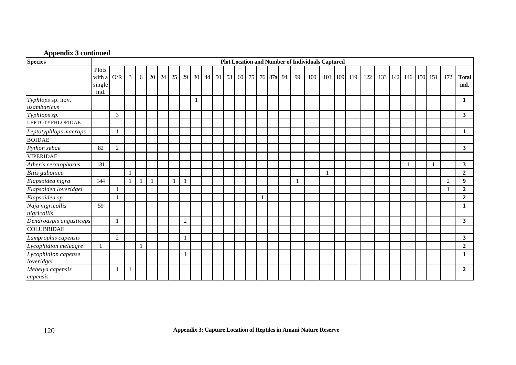## **Appendix 3 continued**

| <b>Species</b>                    |                                   |                         |              |   |    |    |    |                |    |       |    |       |           |    | <b>Plot Location and Number of Individuals Captured</b> |              |             |     |     |     |             |  |                |                      |
|-----------------------------------|-----------------------------------|-------------------------|--------------|---|----|----|----|----------------|----|-------|----|-------|-----------|----|---------------------------------------------------------|--------------|-------------|-----|-----|-----|-------------|--|----------------|----------------------|
|                                   | Plots<br>with a<br>single<br>ind. | $\mathrm{O}/\mathrm{R}$ | 3            | 6 | 20 | 24 | 25 | 29             | 30 | 44 50 | 53 | 60 75 | 76 87a 94 | 99 | 100                                                     |              | 101 109 119 | 122 | 133 | 142 | 146 150 151 |  | 172            | <b>Total</b><br>ind. |
| Typhlops sp. nov.<br>usambaricus  |                                   |                         |              |   |    |    |    |                |    |       |    |       |           |    |                                                         |              |             |     |     |     |             |  |                | 1                    |
| Typhlops sp.                      |                                   | 3                       |              |   |    |    |    |                |    |       |    |       |           |    |                                                         |              |             |     |     |     |             |  |                | 3 <sup>1</sup>       |
| <b>LEPTOTYPHLOPIDAE</b>           |                                   |                         |              |   |    |    |    |                |    |       |    |       |           |    |                                                         |              |             |     |     |     |             |  |                |                      |
| Leptotyphlops macrops             |                                   | $\mathbf{1}$            |              |   |    |    |    |                |    |       |    |       |           |    |                                                         |              |             |     |     |     |             |  |                | 1                    |
| <b>BOIDAE</b>                     |                                   |                         |              |   |    |    |    |                |    |       |    |       |           |    |                                                         |              |             |     |     |     |             |  |                |                      |
| Python sebae                      | 82                                | $\overline{2}$          |              |   |    |    |    |                |    |       |    |       |           |    |                                                         |              |             |     |     |     |             |  |                | 3 <sup>1</sup>       |
| <b>VIPERIDAE</b>                  |                                   |                         |              |   |    |    |    |                |    |       |    |       |           |    |                                                         |              |             |     |     |     |             |  |                |                      |
| Atheris ceratophorus              | 131                               |                         |              |   |    |    |    |                |    |       |    |       |           |    |                                                         |              |             |     |     |     |             |  |                | 3 <sup>1</sup>       |
| Bitis gabonica                    |                                   |                         | $\mathbf{1}$ |   |    |    |    |                |    |       |    |       |           |    |                                                         | $\mathbf{1}$ |             |     |     |     |             |  |                | $\overline{2}$       |
| Elapsoidea nigra                  | 144                               |                         |              |   |    |    |    |                |    |       |    |       |           |    |                                                         |              |             |     |     |     |             |  | $\overline{2}$ | 9                    |
| Elapsoidea loveridgei             |                                   | 1                       |              |   |    |    |    |                |    |       |    |       |           |    |                                                         |              |             |     |     |     |             |  |                | $\overline{2}$       |
| Elapsoidea sp                     |                                   | $\mathbf{1}$            |              |   |    |    |    |                |    |       |    |       |           |    |                                                         |              |             |     |     |     |             |  |                | $\overline{2}$       |
| Naja nigricollis<br>nigricollis   | 59                                |                         |              |   |    |    |    |                |    |       |    |       |           |    |                                                         |              |             |     |     |     |             |  |                | 1                    |
| Dendroaspis angusticeps           |                                   |                         |              |   |    |    |    | $\overline{2}$ |    |       |    |       |           |    |                                                         |              |             |     |     |     |             |  |                | $\mathbf{3}$         |
| <b>COLUBRIDAE</b>                 |                                   |                         |              |   |    |    |    |                |    |       |    |       |           |    |                                                         |              |             |     |     |     |             |  |                |                      |
| Lamprophis capensis               |                                   | $\overline{2}$          |              |   |    |    |    |                |    |       |    |       |           |    |                                                         |              |             |     |     |     |             |  |                | $\mathbf{3}$         |
| Lycophidion meleagre              |                                   |                         |              |   |    |    |    |                |    |       |    |       |           |    |                                                         |              |             |     |     |     |             |  |                | $\mathbf{2}$         |
| Lycophidion capense<br>loveridgei |                                   |                         |              |   |    |    |    |                |    |       |    |       |           |    |                                                         |              |             |     |     |     |             |  |                | 1                    |
| Mehelya capensis<br>capensis      |                                   | -1                      | -1           |   |    |    |    |                |    |       |    |       |           |    |                                                         |              |             |     |     |     |             |  |                | $\mathbf{2}$         |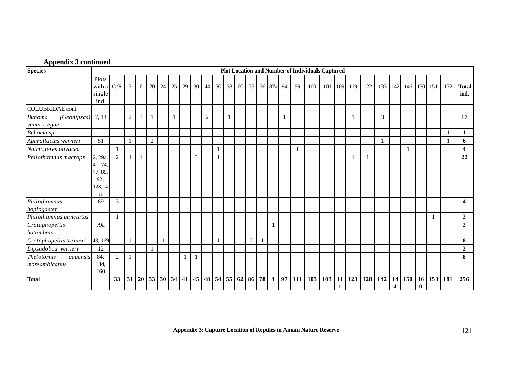| <b>Appendix 3 continued</b> |  |  |  |  |
|-----------------------------|--|--|--|--|
|-----------------------------|--|--|--|--|

| <b>Species</b>                                  |                                                     |                |                |                |                |              |                |    |              |                |              |   |          |                |              |                         |    |     | <b>Plot Location and Number of Individuals Captured</b> |           |    |             |     |              |                               |     |                             |             |         |                         |
|-------------------------------------------------|-----------------------------------------------------|----------------|----------------|----------------|----------------|--------------|----------------|----|--------------|----------------|--------------|---|----------|----------------|--------------|-------------------------|----|-----|---------------------------------------------------------|-----------|----|-------------|-----|--------------|-------------------------------|-----|-----------------------------|-------------|---------|-------------------------|
|                                                 | Plots<br>with a<br>single<br>ind.                   | O/R            | $\mathfrak{Z}$ | 6              | 20             | 24           | 25             | 29 |              | 30 44          | 50           |   | 53 60    | 75             |              | 76 87a                  | 94 | 99  | 100                                                     |           |    | 101 109 119 | 122 | 133          | 142                           |     |                             | 146 150 151 | 172     | <b>Total</b><br>ind.    |
| <b>COLUBRIDAE</b> cont.                         |                                                     |                |                |                |                |              |                |    |              |                |              |   |          |                |              |                         |    |     |                                                         |           |    |             |     |              |                               |     |                             |             |         |                         |
| <b>Buhoma</b><br>(Geodipsas)<br>vauerocegae     | 7, 13                                               |                | $\overline{2}$ | $\overline{3}$ | $\mathbf{1}$   |              | $\overline{1}$ |    |              | $\overline{2}$ |              | 1 |          |                |              |                         |    |     |                                                         |           |    |             |     | 3            |                               |     |                             |             |         | 17                      |
| Buhoma sp.                                      |                                                     |                |                |                |                |              |                |    |              |                |              |   |          |                |              |                         |    |     |                                                         |           |    |             |     |              |                               |     |                             |             |         | 1                       |
| Aparallactus werneri                            | 51                                                  |                | $\mathbf 1$    |                | $\overline{2}$ |              |                |    |              |                |              |   |          |                |              |                         |    |     |                                                         |           |    |             |     | $\mathbf{1}$ |                               |     |                             |             |         | 6                       |
| Natriciteres olivacea                           |                                                     |                |                |                |                |              |                |    |              |                |              |   |          |                |              |                         |    |     |                                                         |           |    |             |     |              |                               |     |                             |             |         | $\overline{\mathbf{4}}$ |
| Philothamnus macrops                            | 2, 29a,<br>41, 74,<br>77, 85,<br>92,<br>128,14<br>8 | 2              | $\overline{4}$ |                |                |              |                |    | 3            |                |              |   |          |                |              |                         |    |     |                                                         |           |    |             |     |              |                               |     |                             |             |         | 22                      |
| Philothamnus<br>hoplogaster                     | 89                                                  | 3              |                |                |                |              |                |    |              |                |              |   |          |                |              |                         |    |     |                                                         |           |    |             |     |              |                               |     |                             |             |         | $\overline{\mathbf{4}}$ |
| Philothamnus punctatus                          |                                                     |                |                |                |                |              |                |    |              |                |              |   |          |                |              |                         |    |     |                                                         |           |    |             |     |              |                               |     |                             |             |         | $\overline{2}$          |
| Crotaphopeltis<br>hotambeia                     | 79a                                                 |                |                |                |                |              |                |    |              |                |              |   |          |                |              | $\mathbf{1}$            |    |     |                                                         |           |    |             |     |              |                               |     |                             |             |         | $\overline{2}$          |
| Crotaphopeltis tornieri                         | 43, 169                                             |                | $\mathbf{1}$   |                |                | $\mathbf{1}$ |                |    |              |                | $\mathbf{1}$ |   |          | $\overline{2}$ | $\mathbf{1}$ |                         |    |     |                                                         |           |    |             |     |              |                               |     |                             |             |         | 8                       |
| Dipsadoboa werneri                              | 12                                                  |                |                |                |                |              |                |    |              |                |              |   |          |                |              |                         |    |     |                                                         |           |    |             |     |              |                               |     |                             |             |         | $\overline{2}$          |
| <b>Thelotornis</b><br>capensis<br>mossambicanus | 84,<br>134,<br>160                                  | $\overline{2}$ | $\mathbf{1}$   |                |                |              |                | 1  | $\mathbf{1}$ |                |              |   |          |                |              |                         |    |     |                                                         |           |    |             |     |              |                               |     |                             |             |         | 8                       |
| <b>Total</b>                                    |                                                     | 33             | 31             | 20             |                | 33 30        | 34             | 41 | 45           | 48             |              |   | 54 55 62 | 86 78          |              | $\overline{\mathbf{4}}$ | 97 | 111 |                                                         | 103   103 | 11 | 123         | 128 | 142          | 14<br>$\overline{\mathbf{4}}$ | 150 | 16 <sup>1</sup><br>$\bf{0}$ |             | 153 181 | 256                     |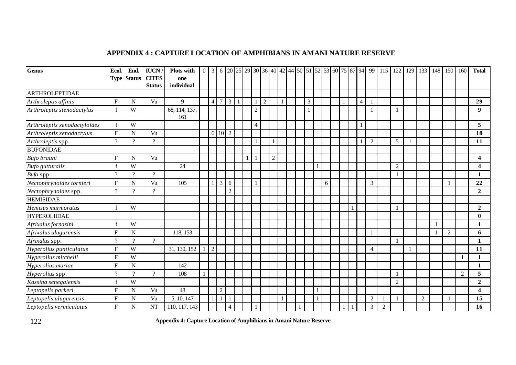# **APPENDIX 4 : CAPTURE LOCATION OF AMPHIBIANS IN AMANI NATURE RESERVE**

| <b>Genus</b>                 | Ecol.                     | End.                     | <b>IUCN</b>                | <b>Plots with</b>    |                |                |                |              |                |                |                |              |  |                |              |   |  |                |                |                | 122                      | 129 | 133            | 148 | 150 | 160            | <b>Total</b>            |
|------------------------------|---------------------------|--------------------------|----------------------------|----------------------|----------------|----------------|----------------|--------------|----------------|----------------|----------------|--------------|--|----------------|--------------|---|--|----------------|----------------|----------------|--------------------------|-----|----------------|-----|-----|----------------|-------------------------|
|                              |                           |                          | Type Status CITES          | one                  |                |                |                |              |                |                |                |              |  |                |              |   |  |                |                |                |                          |     |                |     |     |                |                         |
|                              |                           |                          | <b>Status</b>              | individual           |                |                |                |              |                |                |                |              |  |                |              |   |  |                |                |                |                          |     |                |     |     |                |                         |
| <b>ARTHROLEPTIDAE</b>        |                           |                          |                            |                      |                |                |                |              |                |                |                |              |  |                |              |   |  |                |                |                |                          |     |                |     |     |                |                         |
| Arthroleptis affinis         | $\boldsymbol{\mathrm{F}}$ | N                        | Vu                         | 9                    | $\overline{4}$ | $\overline{7}$ | $\overline{3}$ | $\mathbf{1}$ |                | $\overline{2}$ |                | $\mathbf{1}$ |  | $\overline{3}$ |              |   |  | $\overline{4}$ | $\overline{1}$ |                |                          |     |                |     |     |                | 29                      |
| Arthroleptis stenodactylus   | $\mathbf{f}$              | W                        |                            | 68, 114, 137,<br>161 |                |                |                |              | $\overline{2}$ |                |                |              |  |                |              |   |  |                | $\overline{1}$ |                | $\overline{\phantom{a}}$ |     |                |     |     |                | 9                       |
| Arthroleptis xenodactyloides | $\mathbf f$               | W                        |                            |                      |                |                |                |              | $\overline{4}$ |                |                |              |  |                |              |   |  | 1              |                |                |                          |     |                |     |     |                | 5                       |
| Arthroleptis xenodactylus    | ${\bf F}$                 | $\mathbf N$              | Vu                         |                      | 6              | $10\quad2$     |                |              |                |                |                |              |  |                |              |   |  |                |                |                |                          |     |                |     |     |                | 18                      |
| Arthroleptis spp.            | $\gamma$                  | $\gamma$                 | $\boldsymbol{\mathcal{C}}$ |                      |                |                |                |              |                |                |                |              |  |                |              |   |  |                | $\overline{2}$ |                | $\mathfrak{S}$           |     |                |     |     |                | 11                      |
| <b>BUFONIDAE</b>             |                           |                          |                            |                      |                |                |                |              |                |                |                |              |  |                |              |   |  |                |                |                |                          |     |                |     |     |                |                         |
| Bufo brauni                  | ${\bf F}$                 | ${\bf N}$                | Vu                         |                      |                |                |                |              |                |                | $\overline{2}$ |              |  |                |              |   |  |                |                |                |                          |     |                |     |     |                | $\overline{\mathbf{4}}$ |
| <b>Bufo</b> gutturalis       | $\mathbf f$               | W                        |                            | 24                   |                |                |                |              |                |                |                |              |  |                | $\mathbf{1}$ |   |  |                |                |                | $\overline{2}$           |     |                |     |     |                | $\overline{\mathbf{4}}$ |
| Bufo spp.                    | $\overline{?}$            | $\overline{?}$           | $\overline{\mathcal{L}}$   |                      |                |                |                |              |                |                |                |              |  |                |              |   |  |                |                |                |                          |     |                |     |     |                | 1                       |
| Nectophrynoides tornieri     | ${\bf F}$                 | ${\bf N}$                | Vu                         | 105                  |                | $\mathfrak{Z}$ | 6              |              |                |                |                |              |  |                |              | 6 |  |                | 3              |                |                          |     |                |     |     |                | 22                      |
| Nectophrynoides spp.         | $\gamma$                  | $\gamma$                 | $\overline{\mathcal{L}}$   |                      |                |                | $\overline{2}$ |              |                |                |                |              |  |                |              |   |  |                |                |                |                          |     |                |     |     |                | $\overline{2}$          |
| <b>HEMISIDAE</b>             |                           |                          |                            |                      |                |                |                |              |                |                |                |              |  |                |              |   |  |                |                |                |                          |     |                |     |     |                |                         |
| Hemisus marmoratus           |                           | W                        |                            |                      |                |                |                |              |                |                |                |              |  |                |              |   |  |                |                |                |                          |     |                |     |     |                | $\overline{2}$          |
| <b>HYPEROLIIDAE</b>          |                           |                          |                            |                      |                |                |                |              |                |                |                |              |  |                |              |   |  |                |                |                |                          |     |                |     |     |                | $\mathbf{0}$            |
| Afrixalus fornasini          |                           | W                        |                            |                      |                |                |                |              |                |                |                |              |  |                |              |   |  |                |                |                |                          |     |                |     |     |                | 1                       |
| Afrixalus ulugurensis        | F                         | ${\bf N}$                |                            | 118, 153             |                |                |                |              |                |                |                |              |  |                |              |   |  |                |                |                |                          |     |                |     | 2   |                | 6                       |
| Afrixalus spp.               | $\gamma$                  | $\gamma$                 | $\overline{?}$             |                      |                |                |                |              |                |                |                |              |  |                |              |   |  |                |                |                |                          |     |                |     |     |                |                         |
| Hyperolius punticulatus      | ${\bf F}$                 | W                        |                            | 31, 130, 152         | $\overline{2}$ |                |                |              |                |                |                |              |  |                |              |   |  |                | $\overline{4}$ |                |                          |     |                |     |     |                | 11                      |
| Hyperolius mitchelli         | ${\bf F}$                 | W                        |                            |                      |                |                |                |              |                |                |                |              |  |                |              |   |  |                |                |                |                          |     |                |     |     |                | 1                       |
| Hyperolius mariae            | $\mathbf F$               | N                        |                            | 142                  |                |                |                |              |                |                |                |              |  |                |              |   |  |                |                |                |                          |     |                |     |     |                | 1                       |
| Hyperolius spp.              | $\gamma$                  | $\overline{\mathcal{L}}$ | $\gamma$                   | 108                  |                |                |                |              |                |                |                |              |  |                |              |   |  |                |                |                |                          |     |                |     |     | $\overline{2}$ | 5                       |
| Kassina senegalensis         | f                         | $\ensuremath{\text{W}}$  |                            |                      |                |                |                |              |                |                |                |              |  |                |              |   |  |                |                |                | $\overline{2}$           |     |                |     |     |                | $\boldsymbol{2}$        |
| Leptopelis parkeri           | $\boldsymbol{\mathrm{F}}$ | N                        | Vu                         | 48                   |                | $\mathfrak{2}$ |                |              |                |                |                |              |  |                | $\mathbf{1}$ |   |  |                |                |                |                          |     |                |     |     |                | 4                       |
| Leptopelis ulugurensis       | $\boldsymbol{\mathrm{F}}$ | N                        | Vu                         | 5, 10, 147           |                | $\mathbf{1}$   |                |              |                |                |                | $\mathbf{1}$ |  |                |              |   |  |                | $\sqrt{2}$     |                |                          |     | $\overline{2}$ |     |     |                | 15                      |
| Leptopelis vermiculatus      | $\mathbf F$               | ${\bf N}$                | <b>NT</b>                  | 110, 117, 143        |                |                | $\overline{4}$ |              |                |                |                |              |  |                |              |   |  |                | 3              | $\overline{2}$ |                          |     |                |     |     |                | 16                      |

122 **Appendix 4: Capture Location of Amphibians in Amani Nature Reserve**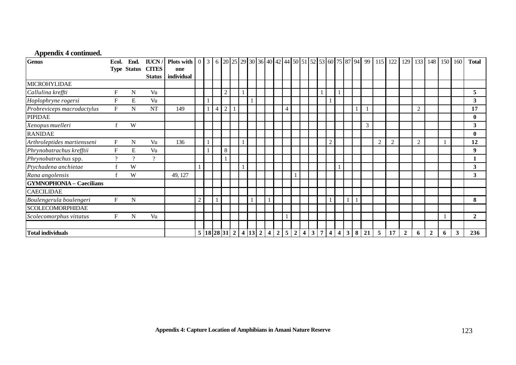## **Appendix 4 continued.**

| <b>Genus</b>                    | Ecol.                     | End.               | <b>IUCN</b>   | <b>Plots with</b> $\begin{bmatrix} 0 & 3 \end{bmatrix}$ |            |   |                |  |                             |  |                |  |                        |                 |  |                    |                | $6 20 25 29 30 36 40 42 44 50 51 52 53 60 75 87 94 99 115 122 $ | 129            | 133            |                | 148 150 | 160          | <b>Total</b>   |
|---------------------------------|---------------------------|--------------------|---------------|---------------------------------------------------------|------------|---|----------------|--|-----------------------------|--|----------------|--|------------------------|-----------------|--|--------------------|----------------|-----------------------------------------------------------------|----------------|----------------|----------------|---------|--------------|----------------|
|                                 |                           | <b>Type Status</b> | <b>CITES</b>  | one                                                     |            |   |                |  |                             |  |                |  |                        |                 |  |                    |                |                                                                 |                |                |                |         |              |                |
|                                 |                           |                    | <b>Status</b> | individual                                              |            |   |                |  |                             |  |                |  |                        |                 |  |                    |                |                                                                 |                |                |                |         |              |                |
| MICROHYLIDAE                    |                           |                    |               |                                                         |            |   |                |  |                             |  |                |  |                        |                 |  |                    |                |                                                                 |                |                |                |         |              |                |
| Callulina kreffti               | F                         | N                  | Vu            |                                                         |            |   | $\overline{c}$ |  |                             |  |                |  |                        |                 |  |                    |                |                                                                 |                |                |                |         |              | 5              |
| Hoplophryne rogersi             | F                         | E                  | Vu            |                                                         |            |   |                |  |                             |  |                |  |                        |                 |  |                    |                |                                                                 |                |                |                |         |              | 3              |
| Probreviceps macrodactylus      | F                         | N                  | NT            | 149                                                     |            | 4 | $\overline{2}$ |  |                             |  | $\overline{4}$ |  |                        |                 |  |                    |                |                                                                 |                | $\overline{2}$ |                |         |              | 17             |
| <b>PIPIDAE</b>                  |                           |                    |               |                                                         |            |   |                |  |                             |  |                |  |                        |                 |  |                    |                |                                                                 |                |                |                |         |              | $\mathbf{0}$   |
| Xenopus muelleri                |                           | W                  |               |                                                         |            |   |                |  |                             |  |                |  |                        |                 |  | 3                  |                |                                                                 |                |                |                |         |              | 3              |
| <b>RANIDAE</b>                  |                           |                    |               |                                                         |            |   |                |  |                             |  |                |  |                        |                 |  |                    |                |                                                                 |                |                |                |         |              | $\mathbf{0}$   |
| Arthroleptides martiensseni     | $\boldsymbol{\mathrm{F}}$ | N                  | Vu            | 136                                                     |            |   |                |  |                             |  |                |  |                        | $\Omega$<br>∠   |  |                    | $\overline{c}$ | $\overline{2}$                                                  |                | $\overline{2}$ |                |         |              | 12             |
| Phrynobatrachus krefftii        | $F_{\rm}$                 | E                  | Vu            |                                                         |            |   | $\,8\,$        |  |                             |  |                |  |                        |                 |  |                    |                |                                                                 |                |                |                |         |              | $\mathbf{9}$   |
| Phrynobatrachus spp.            | $\Omega$                  | $\Omega$           | $\gamma$      |                                                         |            |   |                |  |                             |  |                |  |                        |                 |  |                    |                |                                                                 |                |                |                |         |              |                |
| Ptychadena anchietae            |                           | W                  |               |                                                         |            |   |                |  |                             |  |                |  |                        |                 |  |                    |                |                                                                 |                |                |                |         |              | 3              |
| Rana angolensis                 |                           | W                  |               | 49, 127                                                 |            |   |                |  |                             |  |                |  |                        |                 |  |                    |                |                                                                 |                |                |                |         |              | 3              |
| <b>GYMNOPHONIA - Caecilians</b> |                           |                    |               |                                                         |            |   |                |  |                             |  |                |  |                        |                 |  |                    |                |                                                                 |                |                |                |         |              |                |
| <b>CAECILIDAE</b>               |                           |                    |               |                                                         |            |   |                |  |                             |  |                |  |                        |                 |  |                    |                |                                                                 |                |                |                |         |              |                |
| Boulengerula boulengeri         | F                         | N                  |               |                                                         | $\sqrt{2}$ |   |                |  |                             |  |                |  |                        |                 |  |                    |                |                                                                 |                |                |                |         |              | 8              |
| <b>SCOLECOMORPHIDAE</b>         |                           |                    |               |                                                         |            |   |                |  |                             |  |                |  |                        |                 |  |                    |                |                                                                 |                |                |                |         |              |                |
| Scolecomorphus vittatus         | F                         | N                  | Vu            |                                                         |            |   |                |  |                             |  |                |  |                        |                 |  |                    |                |                                                                 |                |                |                |         |              | $\overline{2}$ |
|                                 |                           |                    |               |                                                         |            |   |                |  |                             |  |                |  |                        |                 |  |                    |                |                                                                 |                |                |                |         |              |                |
| <b>Total individuals</b>        |                           |                    |               |                                                         |            |   |                |  | 5 18 28 31 2 4 13 2 4 2 5 2 |  |                |  | $4 \mid 3 \mid 7 \mid$ | $4 \mid 4 \mid$ |  | $3 \mid 8 \mid 21$ | 5              | 17                                                              | $\overline{2}$ | 6              | $\overline{2}$ | 6       | $\mathbf{3}$ | 236            |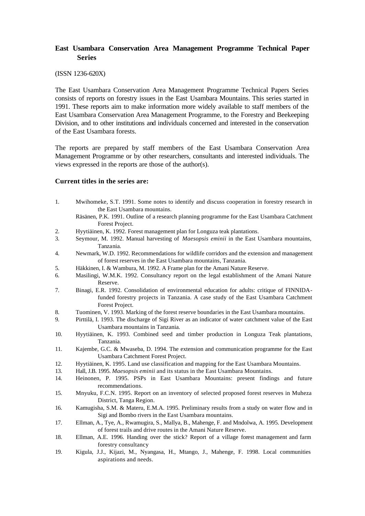#### **East Usambara Conservation Area Management Programme Technical Paper Series**

#### (ISSN 1236-620X)

The East Usambara Conservation Area Management Programme Technical Papers Series consists of reports on forestry issues in the East Usambara Mountains. This series started in 1991. These reports aim to make information more widely available to staff members of the East Usambara Conservation Area Management Programme, to the Forestry and Beekeeping Division, and to other institutions and individuals concerned and interested in the conservation of the East Usambara forests.

The reports are prepared by staff members of the East Usambara Conservation Area Management Programme or by other researchers, consultants and interested individuals. The views expressed in the reports are those of the author(s).

#### **Current titles in the series are:**

- 1. Mwihomeke, S.T. 1991. Some notes to identify and discuss cooperation in forestry research in the East Usambara mountains.
	- Räsänen, P.K. 1991. Outline of a research planning programme for the East Usambara Catchment Forest Project.
- 2. Hyytiäinen, K. 1992. Forest management plan for Longuza teak plantations.
- 3. Seymour, M. 1992. Manual harvesting of *Maesopsis eminii* in the East Usambara mountains, Tanzania.
- 4. Newmark, W.D. 1992. Recommendations for wildlife corridors and the extension and management of forest reserves in the East Usambara mountains, Tanzania.
- 5. Häkkinen, I. & Wambura, M. 1992. A Frame plan for the Amani Nature Reserve.
- 6. Masilingi, W.M.K. 1992. Consultancy report on the legal establishment of the Amani Nature Reserve.
- 7. Binagi, E.R. 1992. Consolidation of environmental education for adults: critique of FINNIDAfunded forestry projects in Tanzania. A case study of the East Usambara Catchment Forest Project.
- 8. Tuominen, V. 1993. Marking of the forest reserve boundaries in the East Usambara mountains.
- 9. Pirttilä, I. 1993. The discharge of Sigi River as an indicator of water catchment value of the East Usambara mountains in Tanzania.
- 10. Hyytiäinen, K. 1993. Combined seed and timber production in Longuza Teak plantations, Tanzania.
- 11. Kajembe, G.C. & Mwaseba, D. 1994. The extension and communication programme for the East Usambara Catchment Forest Project.
- 12. Hyytiäinen, K. 1995. Land use classification and mapping for the East Usambara Mountains.
- 13. Hall, J.B. 1995. *Maesopsis eminii* and its status in the East Usambara Mountains.
- 14. Heinonen, P. 1995. PSPs in East Usambara Mountains: present findings and future recommendations.
- 15. Mnyuku, F.C.N. 1995. Report on an inventory of selected proposed forest reserves in Muheza District, Tanga Region.
- 16. Kamugisha, S.M. & Materu, E.M.A. 1995. Preliminary results from a study on water flow and in Sigi and Bombo rivers in the East Usambara mountains.
- 17. Ellman, A., Tye, A., Rwamugira, S., Mallya, B., Mahenge, F. and Mndolwa, A. 1995. Development of forest trails and drive routes in the Amani Nature Reserve.
- 18. Ellman, A.E. 1996. Handing over the stick? Report of a village forest management and farm forestry consultancy
- 19. Kigula, J.J., Kijazi, M., Nyangasa, H., Mtango, J., Mahenge, F. 1998. Local communities aspirations and needs.